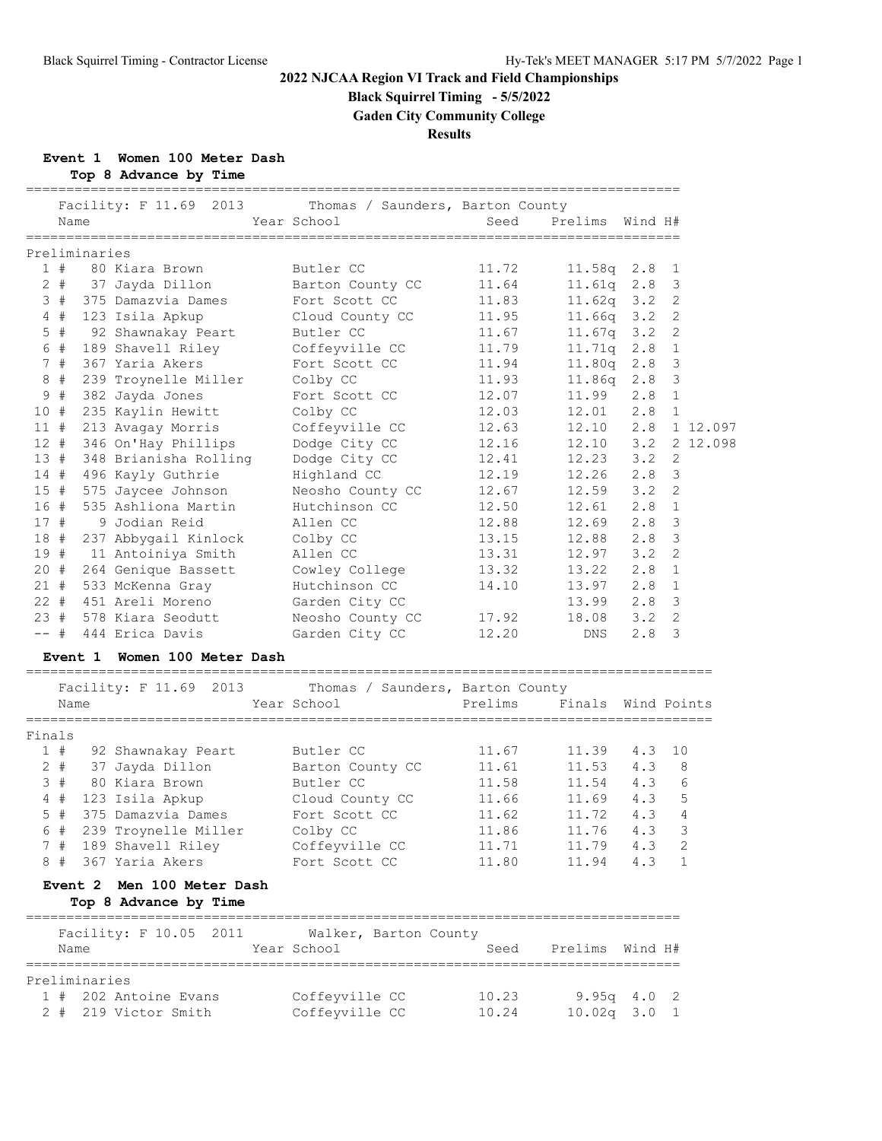**Black Squirrel Timing - 5/5/2022**

**Gaden City Community College**

**Results**

**Event 1 Women 100 Meter Dash**

|      |        |               | Top 8 Advance by Time  |                                                         |       |                    |               |                         |          |
|------|--------|---------------|------------------------|---------------------------------------------------------|-------|--------------------|---------------|-------------------------|----------|
|      |        |               |                        | Facility: F 11.69 2013 Thomas / Saunders, Barton County |       |                    |               |                         |          |
|      | Name   |               |                        | Year School                                             | Seed  | Prelims Wind H#    |               |                         |          |
|      |        | Preliminaries |                        |                                                         |       |                    |               |                         |          |
|      | 1#     |               | 80 Kiara Brown         | Butler CC                                               | 11.72 | $11.58q$ 2.8 1     |               |                         |          |
|      |        |               | 2 # 37 Jayda Dillon    | Barton County CC                                        | 11.64 | 11.61q             | 2.8           | $\overline{\mathbf{3}}$ |          |
|      | 3#     |               | 375 Damazvia Dames     | Fort Scott CC                                           | 11.83 | $11.62q$ $3.2$ 2   |               |                         |          |
|      | 4#     |               | 123 Isila Apkup        | Cloud County CC                                         | 11.95 | $11.66q$ $3.2$     |               | 2                       |          |
|      | 5#     |               | 92 Shawnakay Peart     | Butler CC                                               | 11.67 | $11.67q$ 3.2       |               | 2                       |          |
|      | 6 #    |               | 189 Shavell Riley      | Coffeyville CC                                          | 11.79 | 11.71q             | 2.8           | $\mathbf{1}$            |          |
|      | 7#     |               | 367 Yaria Akers        | Fort Scott CC                                           | 11.94 | $11.80q$ 2.8       |               | 3                       |          |
|      | 8#     |               | 239 Troynelle Miller   | Colby CC                                                | 11.93 | 11.86q             | 2.8           | $\mathbf{3}$            |          |
| 9    | #      |               | 382 Jayda Jones        | Fort Scott CC                                           | 12.07 | 11.99              | 2.8           | $\overline{1}$          |          |
| 10#  |        |               | 235 Kaylin Hewitt      | Colby CC                                                | 12.03 | 12.01              | 2.8           | $\mathbf{1}$            |          |
|      | 11#    |               | 213 Avagay Morris      | Coffeyville CC                                          | 12.63 | 12.10 2.8 1 12.097 |               |                         |          |
|      | 12#    |               | 346 On'Hay Phillips    | Dodge City CC                                           | 12.16 | $12.10$ $3.2$      |               |                         | 2 12.098 |
|      | 13#    |               | 348 Brianisha Rolling  | Dodge City CC                                           | 12.41 | $12.23$ $3.2$      |               | 2                       |          |
|      | 14#    |               | 496 Kayly Guthrie      | Highland CC                                             | 12.19 | 12.26              | $2.8 \quad 3$ |                         |          |
|      | 15#    |               | 575 Jaycee Johnson     | Neosho County CC                                        | 12.67 | 12.59              | 3.2           | 2                       |          |
| 16#  |        |               | 535 Ashliona Martin    | Hutchinson CC                                           | 12.50 | 12.61              | 2.8           | 1                       |          |
| 17#  |        |               | 9 Jodian Reid          | Allen CC                                                | 12.88 | 12.69              | 2.8           | $\mathbf{3}$            |          |
| 18 # |        |               | 237 Abbygail Kinlock   | Colby CC                                                | 13.15 | 12.88              | 2.8           | 3                       |          |
| 19#  |        |               | 11 Antoiniya Smith     | Allen CC                                                | 13.31 | 12.97              | 3.2           | $\overline{2}$          |          |
|      | 20#    |               | 264 Genique Bassett    | Cowley College                                          | 13.32 | 13.22              | $2.8 \quad 1$ |                         |          |
|      | 21#    |               | 533 McKenna Gray       | Hutchinson CC                                           | 14.10 | 13.97              | $2.8 \quad 1$ |                         |          |
|      | $22 +$ |               | 451 Areli Moreno       | Garden City CC                                          |       | 13.99              | 2.8           | 3                       |          |
|      |        |               | 23 # 578 Kiara Seodutt | Neosho County CC                                        | 17.92 | 18.08              | 3.2           | 2                       |          |
|      |        |               | -- # 444 Erica Davis   | Garden City CC                                          | 12.20 | DNS                | 2.8           | 3                       |          |

### **Event 1 Women 100 Meter Dash**

=====================================================================================

|        |       | Facility: F 11.69 2013 | Thomas / Saunders, Barton County |         |                    |     |                |
|--------|-------|------------------------|----------------------------------|---------|--------------------|-----|----------------|
|        | Name  |                        | Year School                      | Prelims | Finals Wind Points |     |                |
|        |       |                        |                                  |         |                    |     |                |
| Finals |       |                        |                                  |         |                    |     |                |
|        | 1#    | 92 Shawnakay Peart     | Butler CC                        | 11.67   | 11.39              | 4.3 | 10             |
|        | $2 +$ | 37 Jayda Dillon        | Barton County CC                 | 11.61   | 11.53              | 4.3 | -8             |
|        | 3#    | 80 Kiara Brown         | Butler CC                        | 11.58   | 11.54              | 4.3 | 6              |
| 4      | #     | 123 Isila Apkup        | Cloud County CC                  | 11.66   | 11.69              | 4.3 | .5             |
|        | 5#    | 375 Damazvia Dames     | Fort Scott CC                    | 11.62   | 11.72              | 4.3 | 4              |
| 6      | #     | 239 Troynelle Miller   | Colby CC                         | 11.86   | 11.76              | 4.3 | 3              |
|        | 7#    | 189 Shavell Riley      | Coffeyville CC                   | 11.71   | 11.79              | 4.3 | $\overline{2}$ |
|        | 8#    | 367 Yaria Akers        | Fort Scott CC                    | 11.80   | 11.94              | 4.3 |                |
|        |       |                        |                                  |         |                    |     |                |

## **Event 2 Men 100 Meter Dash Top 8 Advance by Time**

|      |               |                       | Facility: F 10.05 2011 | Walker, Barton County |  |       |                 |  |
|------|---------------|-----------------------|------------------------|-----------------------|--|-------|-----------------|--|
| Name |               |                       |                        | Year School           |  | Seed  | Prelims Wind H# |  |
|      |               |                       |                        |                       |  |       |                 |  |
|      | Preliminaries |                       |                        |                       |  |       |                 |  |
|      |               | 1 # 202 Antoine Evans |                        | Coffeyville CC        |  | 10.23 | $9.95q$ 4.0 2   |  |
|      |               | 2 # 219 Victor Smith  |                        | Coffeyville CC        |  | 10.24 | $10.02q$ 3.0 1  |  |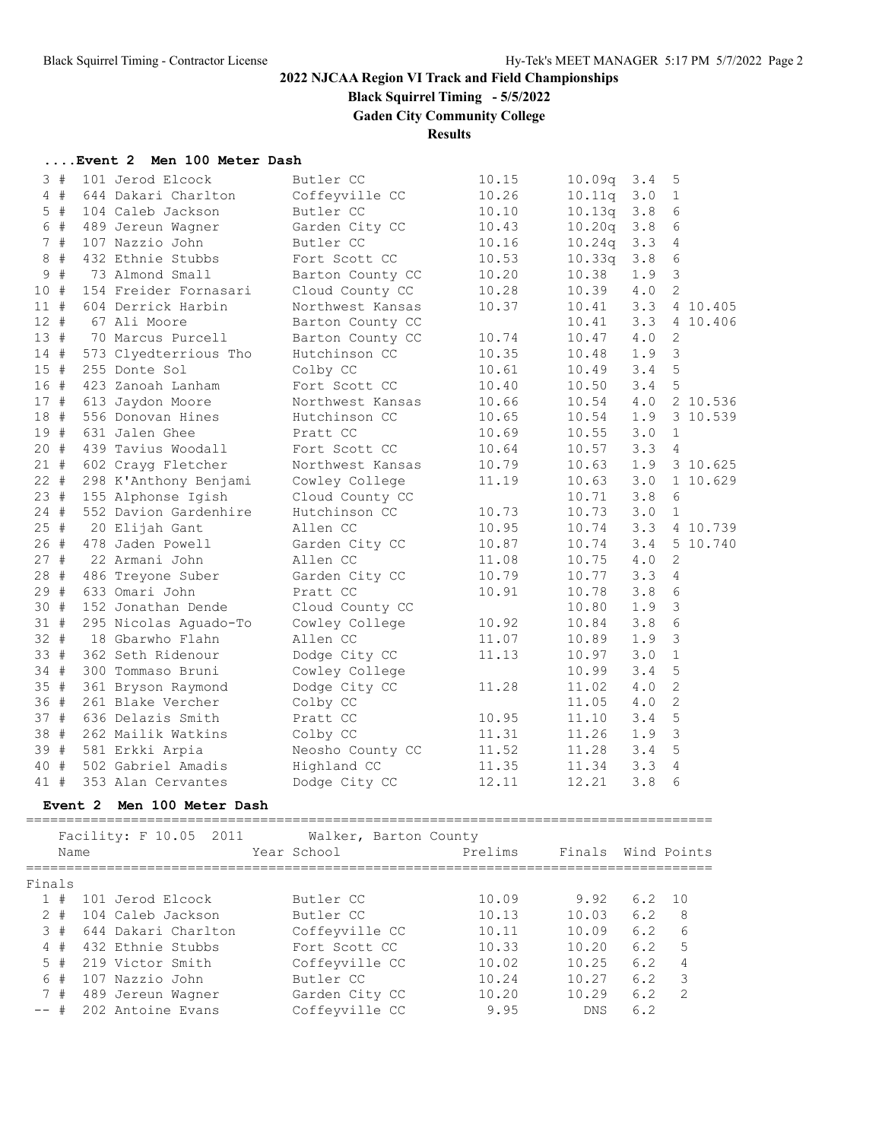**Black Squirrel Timing - 5/5/2022**

**Gaden City Community College**

**Results**

| Event 2 Men 100 Meter Dash |  |  |  |  |  |
|----------------------------|--|--|--|--|--|
|----------------------------|--|--|--|--|--|

|        | 3#    |                | 101 Jerod Elcock          | Butler CC             | 10.15                             | 10.09q | 3.4 | 5              |
|--------|-------|----------------|---------------------------|-----------------------|-----------------------------------|--------|-----|----------------|
|        | 4#    |                | 644 Dakari Charlton       | Coffeyville CC        | 10.26                             | 10.11q | 3.0 | 1              |
|        | 5#    |                | 104 Caleb Jackson         | Butler CC             | 10.10                             | 10.13q | 3.8 | 6              |
|        | 6 #   |                | 489 Jereun Wagner         | Garden City CC        | 10.43                             | 10.20q | 3.8 | 6              |
|        | 7#    |                | 107 Nazzio John           | Butler CC             | 10.16                             | 10.24q | 3.3 | 4              |
|        | 8#    |                | 432 Ethnie Stubbs         | Fort Scott CC         | 10.53                             | 10.33q | 3.8 | 6              |
|        | 9#    |                | 73 Almond Small           | Barton County CC      | 10.20                             | 10.38  | 1.9 | 3              |
| 10 #   |       |                | 154 Freider Fornasari     | Cloud County CC       | 10.28                             | 10.39  | 4.0 | 2              |
| 11#    |       |                | 604 Derrick Harbin        | Northwest Kansas      | 10.37                             | 10.41  | 3.3 | 4 10.405       |
| $12$ # |       |                | 67 Ali Moore              | Barton County CC      |                                   | 10.41  | 3.3 | 4 10.406       |
| 13#    |       |                | 70 Marcus Purcell         | Barton County CC      | 10.74                             | 10.47  | 4.0 | 2              |
| 14#    |       |                | 573 Clyedterrious Tho     | Hutchinson CC         | 10.35                             | 10.48  | 1.9 | 3              |
| $15$ # |       |                | 255 Donte Sol             | Colby CC              | 10.61                             | 10.49  | 3.4 | 5              |
| 16#    |       |                | 423 Zanoah Lanham         | Fort Scott CC         | 10.40                             | 10.50  | 3.4 | 5              |
| 17#    |       |                | 613 Jaydon Moore          | Northwest Kansas      | 10.66                             | 10.54  | 4.0 | 2 10.536       |
| 18#    |       |                | 556 Donovan Hines         | Hutchinson CC         | 10.65                             | 10.54  | 1.9 | 3 10.539       |
| 19 #   |       |                | 631 Jalen Ghee            | Pratt CC              | 10.69                             | 10.55  | 3.0 | $\mathbf{1}$   |
| $20 +$ |       |                | 439 Tavius Woodall        | Fort Scott CC         | 10.64                             | 10.57  | 3.3 | $\overline{4}$ |
| 21#    |       |                | 602 Crayg Fletcher        | Northwest Kansas      | 10.79                             | 10.63  | 1.9 | 3 10.625       |
| $22 +$ |       |                | 298 K'Anthony Benjami     | Cowley College        | 11.19                             | 10.63  | 3.0 | 1 10.629       |
| 23#    |       |                | 155 Alphonse Igish        | Cloud County CC       |                                   | 10.71  | 3.8 | 6              |
| 24#    |       |                | 552 Davion Gardenhire     | Hutchinson CC         | 10.73                             | 10.73  | 3.0 | $\mathbf{1}$   |
| $25 +$ |       |                | 20 Elijah Gant            | Allen CC              | 10.95                             | 10.74  | 3.3 | 4 10.739       |
| 26#    |       |                | 478 Jaden Powell          | Garden City CC        | 10.87                             | 10.74  | 3.4 | 5 10.740       |
| 27#    |       |                | 22 Armani John            | Allen CC              | 11.08                             | 10.75  | 4.0 | 2              |
| 28 #   |       |                | 486 Treyone Suber         | Garden City CC        | 10.79                             | 10.77  | 3.3 | 4              |
| 29#    |       |                | 633 Omari John            | Pratt CC              | 10.91                             | 10.78  | 3.8 | 6              |
| 30#    |       |                | 152 Jonathan Dende        | Cloud County CC       |                                   | 10.80  | 1.9 | 3              |
| 31 #   |       |                | 295 Nicolas Aguado-To     | Cowley College        | 10.92                             | 10.84  | 3.8 | $\epsilon$     |
| $32 +$ |       |                | 18 Gbarwho Flahn          | Allen CC              | 11.07                             | 10.89  | 1.9 | 3              |
| 33#    |       |                | 362 Seth Ridenour         | Dodge City CC         | 11.13                             | 10.97  | 3.0 | $\mathbf{1}$   |
| 34 #   |       |                | 300 Tommaso Bruni         | Cowley College        |                                   | 10.99  | 3.4 | 5              |
| 35#    |       |                | 361 Bryson Raymond        | Dodge City CC         | 11.28                             | 11.02  | 4.0 | $\mathbf{2}$   |
| 36#    |       |                | 261 Blake Vercher         | Colby CC              |                                   | 11.05  | 4.0 | $\overline{c}$ |
| 37#    |       |                | 636 Delazis Smith         | Pratt CC              | 10.95                             | 11.10  | 3.4 | $\mathsf S$    |
| 38 #   |       |                | 262 Mailik Watkins        | Colby CC              | 11.31                             | 11.26  | 1.9 | $\mathcal{S}$  |
| 39 #   |       |                | 581 Erkki Arpia           | Neosho County CC      | 11.52                             | 11.28  | 3.4 | 5              |
| 40 #   |       |                | 502 Gabriel Amadis        | Highland CC           | 11.35                             | 11.34  | 3.3 | 4              |
| 41 #   |       |                | 353 Alan Cervantes        | Dodge City CC         | 12.11                             | 12.21  | 3.8 | 6              |
|        |       | <b>Event 2</b> | Men 100 Meter Dash        |                       |                                   |        |     |                |
|        |       |                | Facility: F 10.05<br>2011 | Walker, Barton County |                                   |        |     |                |
|        | Name  |                |                           | Year School           | Prelims                           | Finals |     | Wind Points    |
|        |       | ==========     |                           | ====================  | ================================= |        |     |                |
| Finals |       |                |                           |                       |                                   |        |     |                |
|        | 1#    |                | 101 Jerod Elcock          | Butler CC             | 10.09                             | 9.92   | 6.2 | 10             |
|        | 2#    |                | 104 Caleb Jackson         | Butler CC             | 10.13                             | 10.03  | 6.2 | 8              |
|        | 3#    |                | 644 Dakari Charlton       | Coffeyville CC        | 10.11                             | 10.09  | 6.2 | 6              |
|        | 4#    |                | 432 Ethnie Stubbs         | Fort Scott CC         | 10.33                             | 10.20  | 6.2 | 5              |
|        | $5$ # |                | 219 Victor Smith          | Coffeyville CC        | 10.02                             | 10.25  | 6.2 | 4              |

 6 # 107 Nazzio John Butler CC 10.24 10.27 6.2 3 7 # 489 Jereun Wagner Garden City CC 10.20 10.29 6.2 2 -- # 202 Antoine Evans Coffeyville CC 9.95 DNS 6.2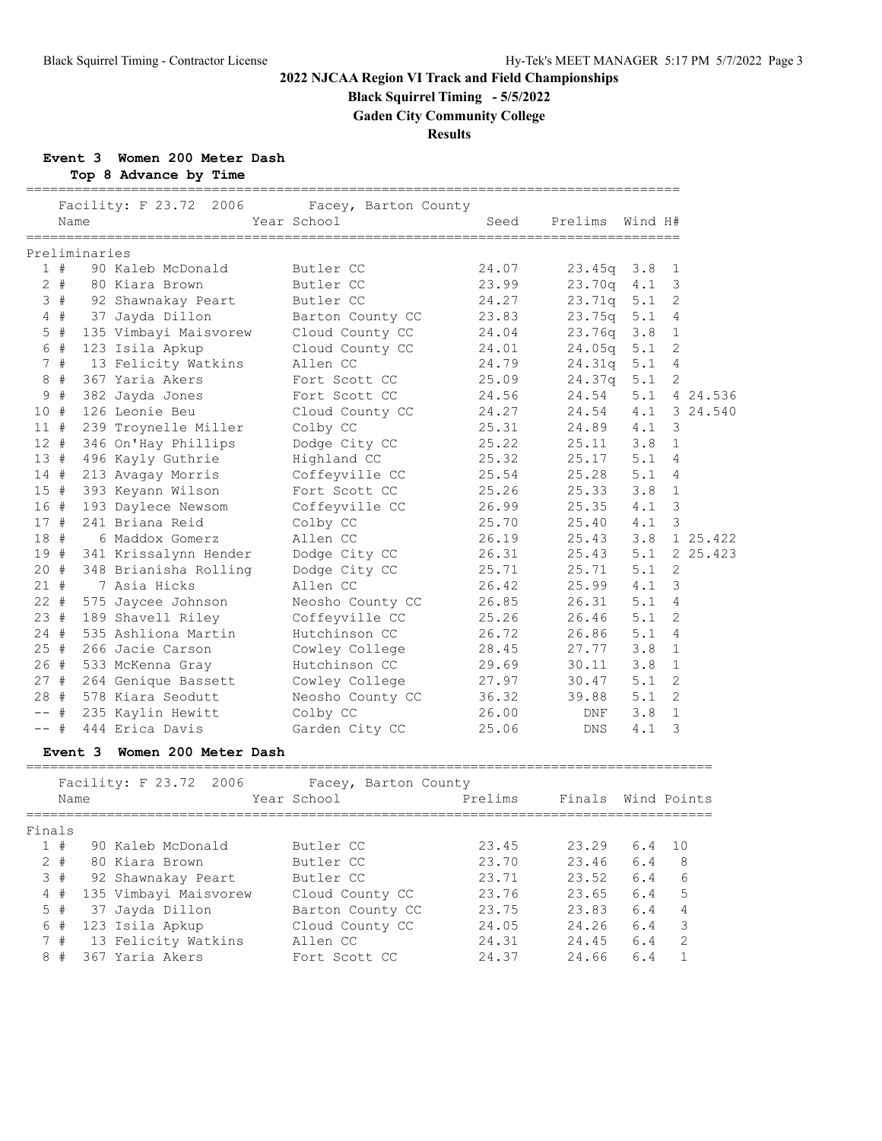**Black Squirrel Timing - 5/5/2022**

**Gaden City Community College**

**Results**

**Event 3 Women 200 Meter Dash**

**Top 8 Advance by Time**

|        |       |               | Facility: F 23.72 2006 Facey, Barton County |                      |         |                    |         |              |
|--------|-------|---------------|---------------------------------------------|----------------------|---------|--------------------|---------|--------------|
|        | Name  |               |                                             | Year School          | Seed    | Prelims            | Wind H# |              |
|        |       | Preliminaries |                                             |                      |         |                    |         |              |
|        | 1#    |               | 90 Kaleb McDonald                           | Butler CC            | 24.07   | 23.45q             | 3.8     | $\mathbf{1}$ |
|        | $2 +$ |               | 80 Kiara Brown                              | Butler CC            | 23.99   | 23.70q             | 4.1     | 3            |
|        | 3#    |               | 92 Shawnakay Peart                          | Butler CC            | 24.27   | 23.71q             | 5.1     | 2            |
|        | 4#    |               | 37 Jayda Dillon                             | Barton County CC     | 23.83   | 23.75q             | 5.1     | 4            |
|        | $5$ # |               | 135 Vimbayi Maisvorew                       | Cloud County CC      | 24.04   | 23.76q             | 3.8     | 1            |
|        | 6 #   |               | 123 Isila Apkup                             | Cloud County CC      | 24.01   | 24.05q             | 5.1     | 2            |
|        | 7#    |               | 13 Felicity Watkins                         | Allen CC             | 24.79   | 24.31q             | 5.1     | 4            |
|        | 8#    |               | 367 Yaria Akers                             | Fort Scott CC        | 25.09   | 24.37q             | 5.1     | 2            |
|        | 9#    |               | 382 Jayda Jones                             | Fort Scott CC        | 24.56   | 24.54              | 5.1     | 4 24.536     |
| 10#    |       |               | 126 Leonie Beu                              | Cloud County CC      | 24.27   | 24.54              | 4.1     | 3 24.540     |
| 11#    |       |               | 239 Troynelle Miller                        | Colby CC             | 25.31   | 24.89              | 4.1     | 3            |
| $12 +$ |       |               | 346 On'Hay Phillips                         | Dodge City CC        | 25.22   | 25.11              | 3.8     | $\mathbf{1}$ |
| 13#    |       |               | 496 Kayly Guthrie                           | Highland CC          | 25.32   | 25.17              | 5.1     | 4            |
| 14#    |       |               | 213 Avagay Morris                           | Coffeyville CC       | 25.54   | 25.28              | 5.1     | 4            |
| 15#    |       |               | 393 Keyann Wilson                           | Fort Scott CC        | 25.26   | 25.33              | 3.8     | 1            |
| 16#    |       |               | 193 Daylece Newsom                          | Coffeyville CC       | 26.99   | 25.35              | 4.1     | 3            |
| 17#    |       |               | 241 Briana Reid                             | Colby CC             | 25.70   | 25.40              | 4.1     | $\mathbf{3}$ |
| 18#    |       |               | 6 Maddox Gomerz                             | Allen CC             | 26.19   | 25.43              | 3.8     | 1 25.422     |
| 19#    |       |               | 341 Krissalynn Hender                       | Dodge City CC        | 26.31   | 25.43              | 5.1     | 2 25.423     |
| 20#    |       |               | 348 Brianisha Rolling                       | Dodge City CC        | 25.71   | 25.71              | 5.1     | 2            |
| $21 +$ |       |               | 7 Asia Hicks                                | Allen CC             | 26.42   | 25.99              | 4.1     | 3            |
| $22 +$ |       |               | 575 Jaycee Johnson                          | Neosho County CC     | 26.85   | 26.31              | 5.1     | 4            |
| 23 #   |       |               | 189 Shavell Riley                           | Coffeyville CC       | 25.26   | 26.46              | 5.1     | 2            |
| $24 +$ |       |               | 535 Ashliona Martin                         | Hutchinson CC        | 26.72   | 26.86              | 5.1     | 4            |
| 25#    |       |               | 266 Jacie Carson                            | Cowley College       | 28.45   | 27.77              | 3.8     | 1            |
| 26#    |       |               | 533 McKenna Gray                            | Hutchinson CC        | 29.69   | 30.11              | 3.8     | $\mathbf{1}$ |
| 27#    |       |               | 264 Genique Bassett                         | Cowley College       | 27.97   | 30.47              | 5.1     | 2            |
| 28 #   |       |               | 578 Kiara Seodutt                           | Neosho County CC     | 36.32   | 39.88              | 5.1     | 2            |
| -- #   |       |               | 235 Kaylin Hewitt                           | Colby CC             | 26.00   | DNF                | 3.8     | 1            |
| -- #   |       |               | 444 Erica Davis                             | Garden City CC       | 25.06   | DNS                | 4.1     | 3            |
|        |       |               | Event 3 Women 200 Meter Dash                |                      |         |                    |         |              |
|        |       |               | Facility: F 23.72 2006                      | Facey, Barton County |         |                    |         |              |
|        | Name  |               |                                             | Year School          | Prelims | Finals Wind Points |         |              |
| Finals |       |               |                                             |                      |         |                    |         |              |
|        | 1#    |               | 90 Kaleb McDonald                           | Butler CC            | 23.45   | 23.29              | 6.4     | 10           |
|        | $2 +$ |               | 80 Kiara Brown                              | Butler CC            | 23.70   | 23.46              | 6.4     | 8            |
|        | 3#    |               | 92 Shawnakay Peart                          | Butler CC            | 23.71   | 23.52              | 6.4     | 6            |
|        | $4$ # |               | 135 Vimbayi Maisvorew                       | Cloud County CC      | 23.76   | 23.65              | 6.4     | 5            |
|        | $5$ # |               | 37 Jayda Dillon                             | Barton County CC     | 23.75   | 23.83              | $6.4$   | 4            |
|        | 6 #   |               | 123 Isila Apkup                             | Cloud County CC      | 24.05   | 24.26              | 6.4     | 3            |
|        | 7#    |               | 13 Felicity Watkins                         | Allen CC             | 24.31   | 24.45              | 6.4     | 2            |
|        | 8#    |               | 367 Yaria Akers                             | Fort Scott CC        | 24.37   | 24.66              | 6.4     | $\mathbf{1}$ |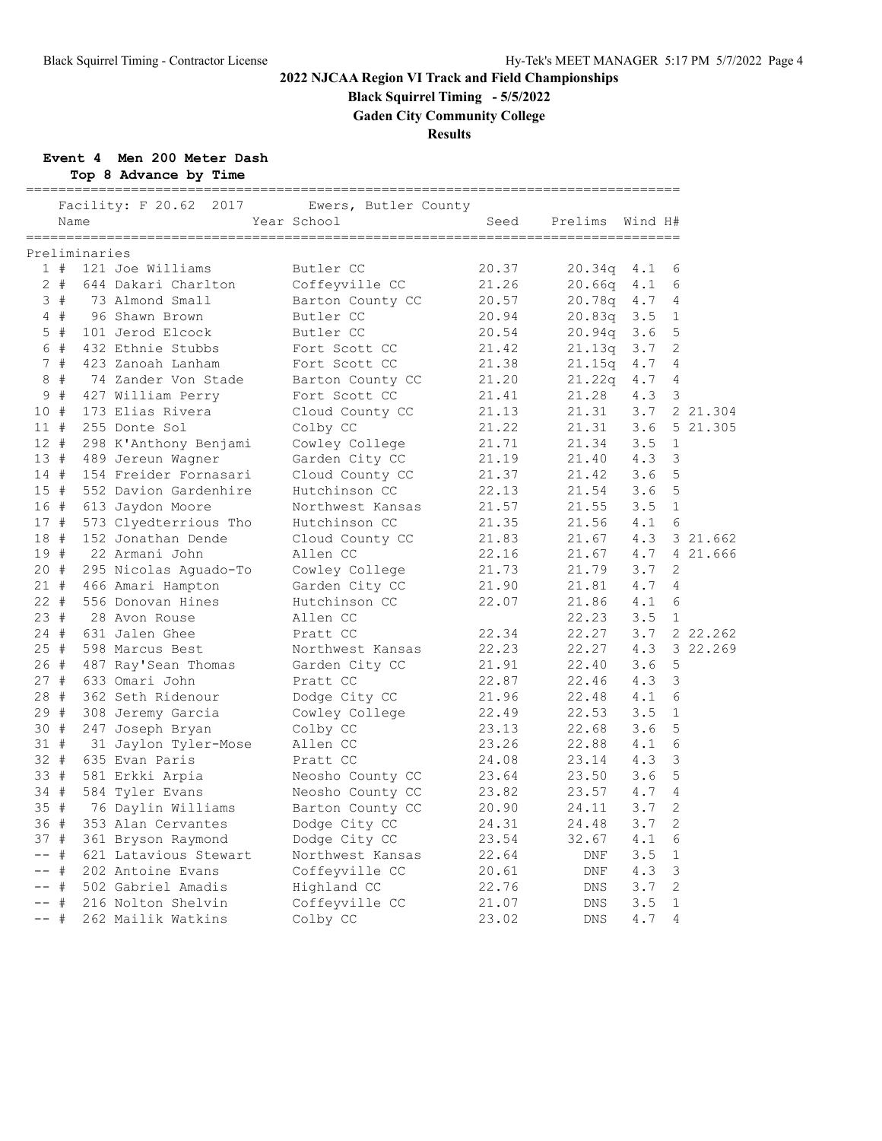**Black Squirrel Timing - 5/5/2022**

**Gaden City Community College**

**Results**

**Event 4 Men 200 Meter Dash**

**Top 8 Advance by Time**

|        |       | Name          | ================================<br>Facility: F 20.62 2017 | __________________________<br>Ewers, Butler County<br>Year School | Seed  | Prelims Wind H# |     |                |          |
|--------|-------|---------------|------------------------------------------------------------|-------------------------------------------------------------------|-------|-----------------|-----|----------------|----------|
|        |       | Preliminaries |                                                            |                                                                   |       |                 |     |                |          |
|        | 1#    |               | 121 Joe Williams                                           | Butler CC                                                         | 20.37 | 20.34q          | 4.1 | 6              |          |
|        | $2 +$ |               | 644 Dakari Charlton                                        | Coffeyville CC                                                    | 21.26 | 20.66q          | 4.1 | 6              |          |
|        | 3#    |               | 73 Almond Small                                            | Barton County CC                                                  | 20.57 | 20.78q          | 4.7 | 4              |          |
|        | 4#    |               | 96 Shawn Brown                                             | Butler CC                                                         | 20.94 | 20.83q          | 3.5 | $\mathbf{1}$   |          |
|        | $5$ # |               | 101 Jerod Elcock                                           | Butler CC                                                         | 20.54 | 20.94q          | 3.6 | 5              |          |
|        | 6 #   |               | 432 Ethnie Stubbs                                          | Fort Scott CC                                                     | 21.42 | 21.13q          | 3.7 | 2              |          |
|        | 7#    |               | 423 Zanoah Lanham                                          | Fort Scott CC                                                     | 21.38 | 21.15q          | 4.7 | 4              |          |
|        | 8#    |               | 74 Zander Von Stade                                        | Barton County CC                                                  | 21.20 | 21.22q          | 4.7 | 4              |          |
|        | 9#    |               | 427 William Perry                                          | Fort Scott CC                                                     | 21.41 | 21.28           | 4.3 | 3              |          |
| 10#    |       |               | 173 Elias Rivera                                           | Cloud County CC                                                   | 21.13 | 21.31           | 3.7 |                | 2 21.304 |
| 11#    |       |               | 255 Donte Sol                                              | Colby CC                                                          | 21.22 | 21.31           | 3.6 |                | 5 21.305 |
| 12#    |       |               | 298 K'Anthony Benjami                                      | Cowley College                                                    | 21.71 | 21.34           | 3.5 | 1              |          |
| 13#    |       |               | 489 Jereun Wagner                                          | Garden City CC                                                    | 21.19 | 21.40           | 4.3 | 3              |          |
| 14#    |       |               | 154 Freider Fornasari                                      | Cloud County CC                                                   | 21.37 | 21.42           | 3.6 | 5              |          |
| 15#    |       |               | 552 Davion Gardenhire                                      | Hutchinson CC                                                     | 22.13 | 21.54           | 3.6 | 5              |          |
| 16#    |       |               | 613 Jaydon Moore                                           | Northwest Kansas                                                  | 21.57 | 21.55           | 3.5 | $\mathbf{1}$   |          |
| 17#    |       |               | 573 Clyedterrious Tho                                      | Hutchinson CC                                                     | 21.35 | 21.56           | 4.1 | 6              |          |
| 18 #   |       |               | 152 Jonathan Dende                                         | Cloud County CC                                                   | 21.83 | 21.67           | 4.3 |                | 3 21.662 |
| 19#    |       |               | 22 Armani John                                             | Allen CC                                                          | 22.16 | 21.67           | 4.7 |                | 4 21.666 |
| 20#    |       |               | 295 Nicolas Aquado-To                                      | Cowley College                                                    | 21.73 | 21.79           | 3.7 | 2              |          |
| 21#    |       |               | 466 Amari Hampton                                          | Garden City CC                                                    | 21.90 | 21.81           | 4.7 | $\overline{4}$ |          |
| $22 +$ |       |               | 556 Donovan Hines                                          | Hutchinson CC                                                     | 22.07 | 21.86           | 4.1 | 6              |          |
| 23#    |       |               | 28 Avon Rouse                                              | Allen CC                                                          |       | 22.23           | 3.5 | $\mathbf{1}$   |          |
| $24 +$ |       |               | 631 Jalen Ghee                                             | Pratt CC                                                          | 22.34 | 22.27           | 3.7 |                | 2 22.262 |
| 25#    |       |               | 598 Marcus Best                                            | Northwest Kansas                                                  | 22.23 | 22.27           | 4.3 |                | 3 22.269 |
| 26 #   |       |               | 487 Ray'Sean Thomas                                        | Garden City CC                                                    | 21.91 | 22.40           | 3.6 | 5              |          |
| 27#    |       |               | 633 Omari John                                             | Pratt CC                                                          | 22.87 | 22.46           | 4.3 | 3              |          |
| 28#    |       |               | 362 Seth Ridenour                                          | Dodge City CC                                                     | 21.96 | 22.48           | 4.1 | 6              |          |
| 29#    |       |               | 308 Jeremy Garcia                                          | Cowley College                                                    | 22.49 | 22.53           | 3.5 | $\mathbf{1}$   |          |
| 30 #   |       |               | 247 Joseph Bryan                                           | Colby CC                                                          | 23.13 | 22.68           | 3.6 | 5              |          |
| 31#    |       |               | 31 Jaylon Tyler-Mose                                       | Allen CC                                                          | 23.26 | 22.88           | 4.1 | 6              |          |
| $32 +$ |       |               | 635 Evan Paris                                             | Pratt CC                                                          | 24.08 | 23.14           | 4.3 | 3              |          |
| 33 #   |       |               | 581 Erkki Arpia                                            | Neosho County CC                                                  | 23.64 | 23.50           | 3.6 | 5              |          |
| 34 #   |       |               | 584 Tyler Evans                                            | Neosho County CC                                                  | 23.82 | 23.57           | 4.7 | 4              |          |
| 35#    |       |               | 76 Daylin Williams                                         | Barton County CC                                                  | 20.90 | 24.11           | 3.7 | $\overline{2}$ |          |
| 36#    |       |               | 353 Alan Cervantes                                         | Dodge City CC                                                     | 24.31 | 24.48           | 3.7 | 2              |          |
| 37#    |       |               | 361 Bryson Raymond                                         | Dodge City CC                                                     | 23.54 | 32.67           | 4.1 | 6              |          |
| -- #   |       |               | 621 Latavious Stewart                                      | Northwest Kansas                                                  | 22.64 | DNF             | 3.5 | $\mathbf{1}$   |          |
| $--$ # |       |               | 202 Antoine Evans                                          | Coffeyville CC                                                    | 20.61 | DNF             | 4.3 | 3              |          |
| -- #   |       |               | 502 Gabriel Amadis                                         | Highland CC                                                       | 22.76 | DNS             | 3.7 | 2              |          |
| $--$ # |       |               | 216 Nolton Shelvin                                         | Coffeyville CC                                                    | 21.07 | DNS             | 3.5 | $\mathbf{1}$   |          |
| -- #   |       |               | 262 Mailik Watkins                                         | Colby CC                                                          | 23.02 | <b>DNS</b>      | 4.7 | 4              |          |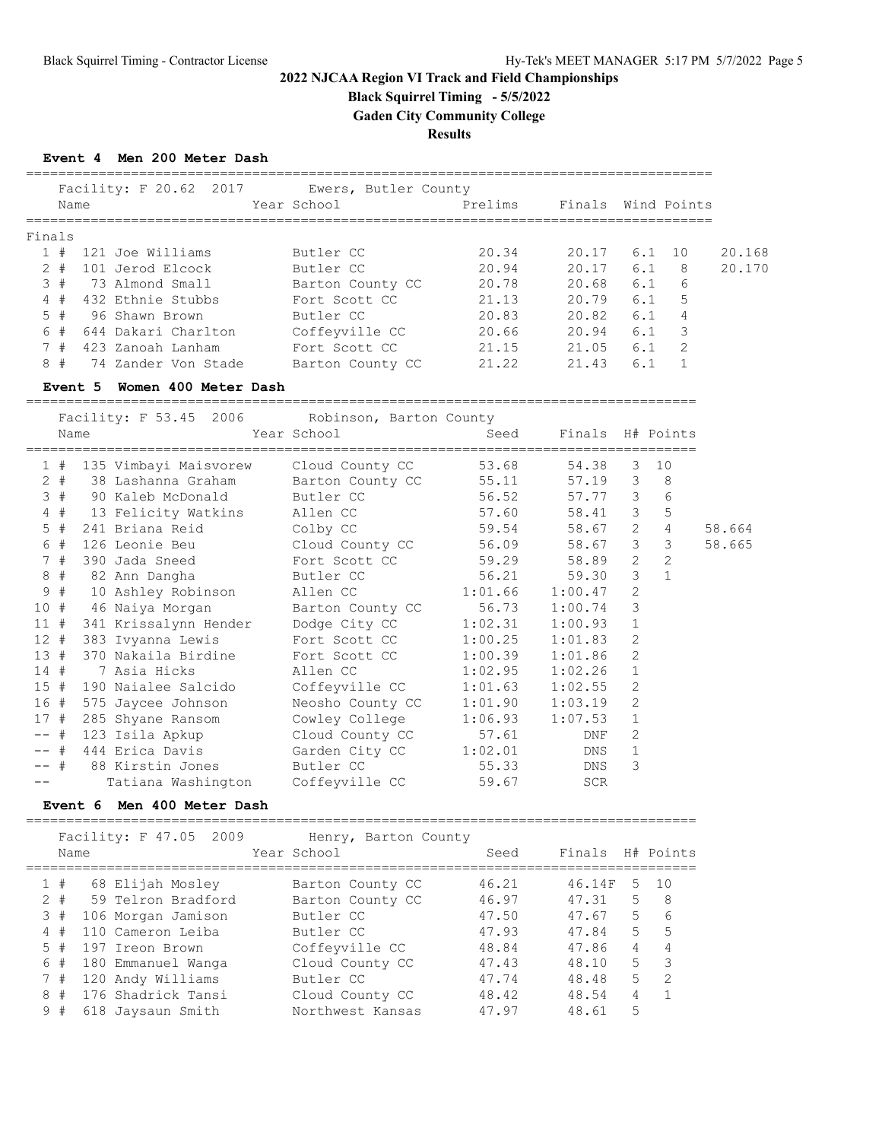**Black Squirrel Timing - 5/5/2022**

**Gaden City Community College**

**Results**

**Event 4 Men 200 Meter Dash**

|        |        | Event 4 | - Men 200 Meter Dasn                  |                                      |         |                    |                  |                         |        |
|--------|--------|---------|---------------------------------------|--------------------------------------|---------|--------------------|------------------|-------------------------|--------|
|        |        |         | Facility: F 20.62 2017                | Ewers, Butler County                 |         |                    |                  |                         |        |
|        |        | Name    |                                       | Year School                          | Prelims | Finals Wind Points |                  |                         |        |
| Finals |        |         |                                       |                                      |         |                    |                  |                         |        |
|        |        |         | 1 # 121 Joe Williams                  | Butler CC                            | 20.34   | 20.17              | 6.1              | 10                      | 20.168 |
|        | $2 +$  |         | 101 Jerod Elcock                      | Butler CC                            | 20.94   | 20.17              | 6.1              | 8                       | 20.170 |
|        | 3#     |         | 73 Almond Small                       | Barton County CC                     | 20.78   | 20.68              | 6.1              | 6                       |        |
|        | 4#     |         | 432 Ethnie Stubbs                     | Fort Scott CC                        | 21.13   | 20.79              | 6.1              | 5                       |        |
|        | 5#     |         | 96 Shawn Brown                        | Butler CC                            | 20.83   | 20.82              | 6.1              | $\overline{4}$          |        |
|        | 6#     |         | 644 Dakari Charlton                   | Coffeyville CC                       | 20.66   | 20.94              | 6.1              | 3                       |        |
|        | 7#     |         | 423 Zanoah Lanham                     | Fort Scott CC                        | 21.15   | 21.05              | 6.1              | $\overline{2}$          |        |
|        | 8#     |         |                                       | 74 Zander Von Stade Barton County CC | 21.22   | 21.43              | 6.1              | $\mathbf{1}$            |        |
|        |        |         | Event 5 Women 400 Meter Dash          |                                      |         |                    |                  |                         |        |
|        |        |         | Facility: F 53.45 2006                | Robinson, Barton County              |         |                    |                  |                         |        |
|        |        | Name    |                                       | Year School                          | Seed    | Finals H# Points   |                  |                         |        |
|        | 1#     |         | 135 Vimbayi Maisvorew Cloud County CC |                                      | 53.68   | 54.38              | 3                | 10                      |        |
|        | $2 +$  |         | 38 Lashanna Graham                    | Barton County CC                     | 55.11   | 57.19              | $\mathcal{E}$    | 8                       |        |
|        | 3#     |         | 90 Kaleb McDonald                     | Butler CC                            | 56.52   | 57.77              | 3                | 6                       |        |
|        | $4$ #  |         | 13 Felicity Watkins                   | Allen CC                             | 57.60   | 58.41              | $\overline{3}$ 5 |                         |        |
|        | $5$ #  |         | 241 Briana Reid                       | Colby CC                             | 59.54   | 58.67              | $2^{\circ}$      | $\overline{4}$          | 58.664 |
|        | 6#     |         | 126 Leonie Beu                        | Cloud County CC                      | 56.09   | 58.67              | $\mathcal{S}$    | $\overline{\mathbf{3}}$ | 58.665 |
|        | 7#     |         | 390 Jada Sneed                        | Fort Scott CC                        | 59.29   | 58.89              | $\overline{2}$   | 2                       |        |
|        | 8#     |         | 82 Ann Dangha                         | Butler CC                            | 56.21   | 59.30              | 3                | $\mathbf{1}$            |        |
|        | 9#     |         | 10 Ashley Robinson                    | Allen CC                             | 1:01.66 | 1:00.47            | $\mathfrak{D}$   |                         |        |
|        | 10#    |         | 46 Naiya Morgan                       | Barton County CC                     | 56.73   | 1:00.74            | 3                |                         |        |
|        | 11#    |         | 341 Krissalynn Hender                 | Dodge City CC                        | 1:02.31 | 1:00.93            | $\mathbf{1}$     |                         |        |
|        | $12 +$ |         | 383 Ivyanna Lewis                     | Fort Scott CC                        | 1:00.25 | 1:01.83            | 2                |                         |        |
|        | 13#    |         | 370 Nakaila Birdine                   | Fort Scott CC                        | 1:00.39 | 1:01.86            | $\overline{2}$   |                         |        |
|        | 14#    |         | 7 Asia Hicks                          | Allen CC                             | 1:02.95 | 1:02.26            | $\mathbf 1$      |                         |        |
|        | 15#    |         | 190 Naialee Salcido                   | Coffeyville CC                       | 1:01.63 | 1:02.55            | 2                |                         |        |
|        | 16#    |         | 575 Jaycee Johnson                    | Neosho County CC                     | 1:01.90 | 1:03.19            | $\overline{2}$   |                         |        |
|        | 17#    |         | 285 Shyane Ransom                     | Cowley College                       | 1:06.93 | 1:07.53            | $\mathbf{1}$     |                         |        |
| ——     | $+$    |         | 123 Isila Apkup                       | Cloud County CC                      | 57.61   | DNF                | $\overline{c}$   |                         |        |
| $- -$  | #      |         | 444 Erica Davis                       | Garden City CC                       | 1:02.01 | DNS                | $\mathbf{1}$     |                         |        |
|        | -- #   |         | 88 Kirstin Jones                      | Butler CC                            | 55.33   | DNS                | 3                |                         |        |
|        |        |         | Tatiana Washington                    | Coffeyville CC                       | 59.67   | <b>SCR</b>         |                  |                         |        |
|        |        |         | Event 6 Men 400 Meter Dash            |                                      |         |                    |                  |                         |        |

Facility: F 47.05 2009 Henry, Barton County Name The Year School Seed Finals H# Points =================================================================================== 1 # 68 Elijah Mosley Barton County CC 46.21 46.14F 5 10 2 # 59 Telron Bradford Barton County CC 46.97 47.31 5 8 3 # 106 Morgan Jamison Butler CC 47.50 47.67 5 6 4 # 110 Cameron Leiba Butler CC 47.93 47.84 5 5 5 # 197 Ireon Brown Coffeyville CC 48.84 47.86 4 4 6 # 180 Emmanuel Wanga Cloud County CC 47.43 48.10 5 3 7 # 120 Andy Williams Butler CC 47.74 48.48 5 2 8 # 176 Shadrick Tansi Cloud County CC 48.42 48.54 4 1 9 # 618 Jaysaun Smith Northwest Kansas 47.97 48.61 5

===================================================================================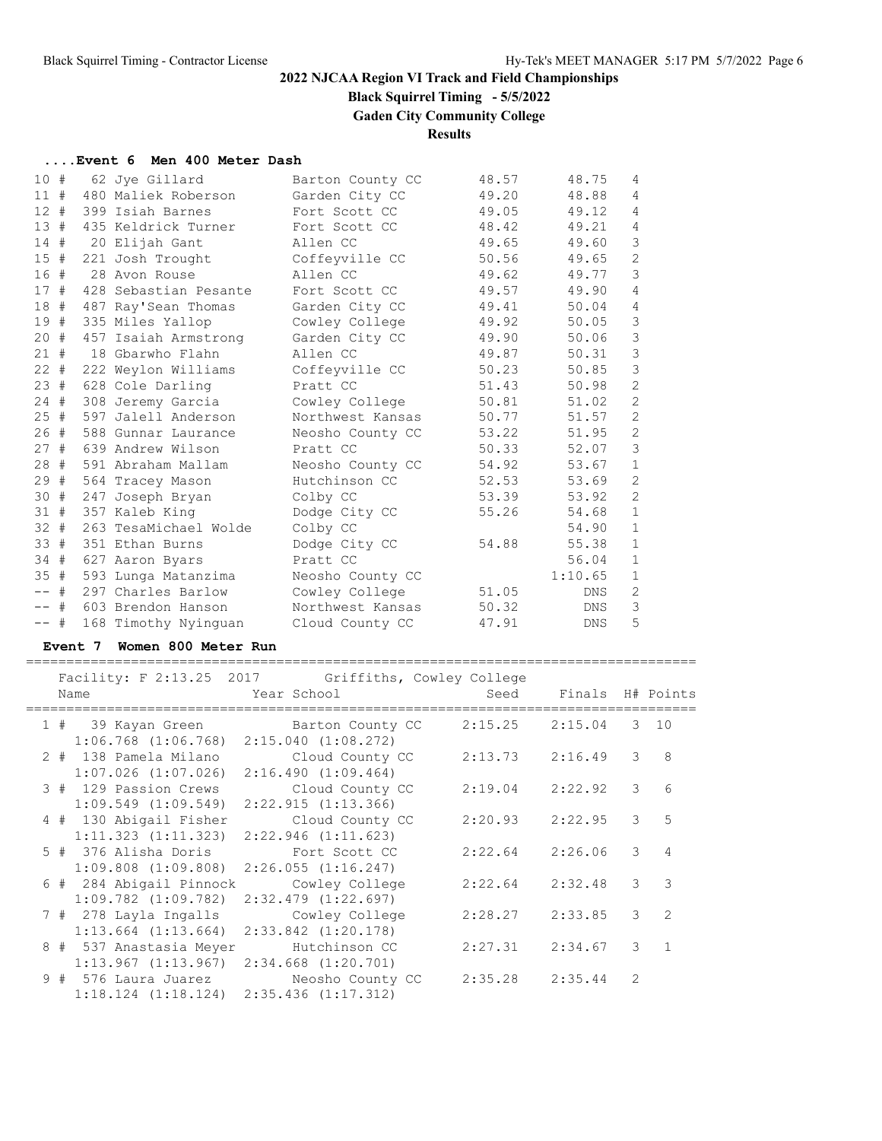**Black Squirrel Timing - 5/5/2022**

**Gaden City Community College**

**Results**

#### **....Event 6 Men 400 Meter Dash**

| 10#      |   | 62 Jye Gillard        | Barton County CC | 48.57 | 48.75      | 4              |
|----------|---|-----------------------|------------------|-------|------------|----------------|
| 11#      |   | 480 Maliek Roberson   | Garden City CC   | 49.20 | 48.88      | 4              |
| $12 +$   |   | 399 Isiah Barnes      | Fort Scott CC    | 49.05 | 49.12      | 4              |
| 13#      |   | 435 Keldrick Turner   | Fort Scott CC    | 48.42 | 49.21      | $\overline{4}$ |
| 14#      |   | 20 Elijah Gant        | Allen CC         | 49.65 | 49.60      | 3              |
| 15#      |   | 221 Josh Trought      | Coffeyville CC   | 50.56 | 49.65      | $\mathbf{2}$   |
| 16#      |   | 28 Avon Rouse         | Allen CC         | 49.62 | 49.77      | 3              |
| 17#      |   | 428 Sebastian Pesante | Fort Scott CC    | 49.57 | 49.90      | 4              |
| 18#      |   | 487 Ray'Sean Thomas   | Garden City CC   | 49.41 | 50.04      | 4              |
| 19#      |   | 335 Miles Yallop      | Cowley College   | 49.92 | 50.05      | 3              |
| 20#      |   | 457 Isaiah Armstrong  | Garden City CC   | 49.90 | 50.06      | $\mathcal{S}$  |
| 21#      |   | 18 Gbarwho Flahn      | Allen CC         | 49.87 | 50.31      | $\mathcal{S}$  |
| $22 +$   |   | 222 Weylon Williams   | Coffeyville CC   | 50.23 | 50.85      | 3              |
| 23#      |   | 628 Cole Darling      | Pratt CC         | 51.43 | 50.98      | $\overline{2}$ |
| 24#      |   | 308 Jeremy Garcia     | Cowley College   | 50.81 | 51.02      | 2              |
| 25#      |   | 597 Jalell Anderson   | Northwest Kansas | 50.77 | 51.57      | 2              |
| 26#      |   | 588 Gunnar Laurance   | Neosho County CC | 53.22 | 51.95      | $\mathbf{2}$   |
| 27#      |   | 639 Andrew Wilson     | Pratt CC         | 50.33 | 52.07      | $\mathcal{S}$  |
| 28#      |   | 591 Abraham Mallam    | Neosho County CC | 54.92 | 53.67      | $\mathbf{1}$   |
| 29#      |   | 564 Tracey Mason      | Hutchinson CC    | 52.53 | 53.69      | $\mathbf{2}$   |
| 30#      |   | 247 Joseph Bryan      | Colby CC         | 53.39 | 53.92      | 2              |
| 31#      |   | 357 Kaleb King        | Dodge City CC    | 55.26 | 54.68      | $\mathbf{1}$   |
| $32 +$   |   | 263 TesaMichael Wolde | Colby CC         |       | 54.90      | $\mathbf{1}$   |
| 33#      |   | 351 Ethan Burns       | Dodge City CC    | 54.88 | 55.38      | $\mathbf{1}$   |
| 34 #     |   | 627 Aaron Byars       | Pratt CC         |       | 56.04      | $\mathbf{1}$   |
| 35#      |   | 593 Lunga Matanzima   | Neosho County CC |       | 1:10.65    | $\mathbf{1}$   |
| $- \, -$ | # | 297 Charles Barlow    | Cowley College   | 51.05 | DNS        | 2              |
| $--$ #   |   | 603 Brendon Hanson    | Northwest Kansas | 50.32 | DNS        | 3              |
| $--$ #   |   | 168 Timothy Nyinguan  | Cloud County CC  | 47.91 | <b>DNS</b> | 5              |

#### **Event 7 Women 800 Meter Run**

=================================================================================== Facility: F 2:13.25 2017 Griffiths, Cowley College Name  $Year School$  Seed Finals H# Points =================================================================================== 1 # 39 Kayan Green Barton County CC 2:15.25 2:15.04 3 10 1:06.768 (1:06.768) 2:15.040 (1:08.272) 2 # 138 Pamela Milano Cloud County CC 2:13.73 2:16.49 3 8 1:07.026 (1:07.026) 2:16.490 (1:09.464) 3 # 129 Passion Crews Cloud County CC 2:19.04 2:22.92 3 6 1:09.549 (1:09.549) 2:22.915 (1:13.366) 4 # 130 Abigail Fisher Cloud County CC 2:20.93 2:22.95 3 5 1:11.323 (1:11.323) 2:22.946 (1:11.623) 5 # 376 Alisha Doris Fort Scott CC 2:22.64 2:26.06 3 4 1:09.808 (1:09.808) 2:26.055 (1:16.247) 6 # 284 Abigail Pinnock Cowley College 2:22.64 2:32.48 3 3 1:09.782 (1:09.782) 2:32.479 (1:22.697) 7 # 278 Layla Ingalls Cowley College 2:28.27 2:33.85 3 2 1:13.664 (1:13.664) 2:33.842 (1:20.178) 8 # 537 Anastasia Meyer Hutchinson CC 2:27.31 2:34.67 3 1<br>1:13 967 (1:13 967) 2:34 668 (1:20 701) 1:13.967 (1:13.967) 2:34.668 (1:20.701) 9 # 576 Laura Juarez Neosho County CC 2:35.28 2:35.44 2 1:18.124 (1:18.124) 2:35.436 (1:17.312)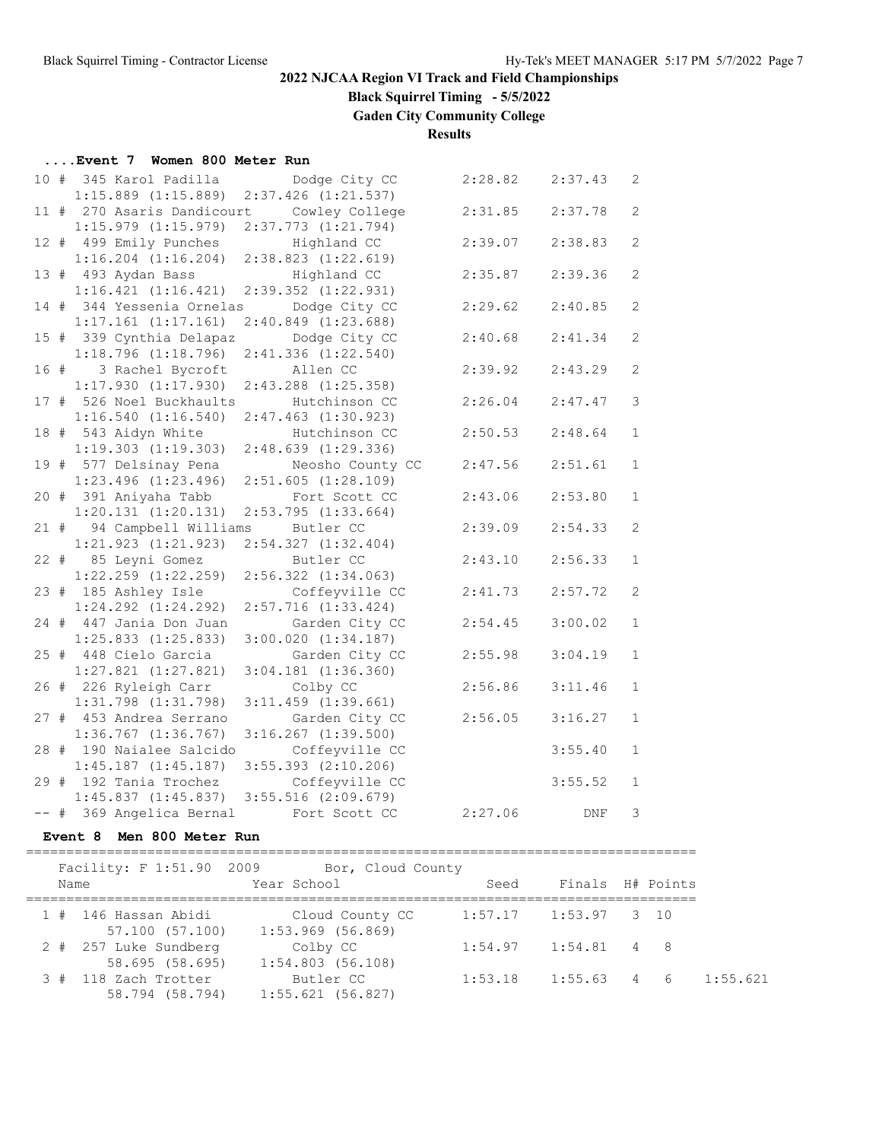**Black Squirrel Timing - 5/5/2022**

**Gaden City Community College**

**Results**

#### **....Event 7 Women 800 Meter Run**

|  | 10 # 345 Karol Padilla     | Dodge City CC           | 2:28.82 | 2:37.43 | 2            |
|--|----------------------------|-------------------------|---------|---------|--------------|
|  | $1:15.889$ $(1:15.889)$    | 2:37.426 (1:21.537)     |         |         |              |
|  | 11 # 270 Asaris Dandicourt | Cowley College          | 2:31.85 | 2:37.78 | 2            |
|  | $1:15.979$ $(1:15.979)$    | 2:37.773 (1:21.794)     |         |         |              |
|  | 12 # 499 Emily Punches     | Highland CC             | 2:39.07 | 2:38.83 | 2            |
|  | $1:16.204$ $(1:16.204)$    | $2:38.823$ $(1:22.619)$ |         |         |              |
|  | 13 # 493 Aydan Bass        | Highland CC             | 2:35.87 | 2:39.36 | 2            |
|  | 1:16.421(1:16.421)         | $2:39.352$ $(1:22.931)$ |         |         |              |
|  | 14 # 344 Yessenia Ornelas  | Dodge City CC           | 2:29.62 | 2:40.85 | 2            |
|  | $1:17.161$ $(1:17.161)$    | $2:40.849$ $(1:23.688)$ |         |         |              |
|  | 15 # 339 Cynthia Delapaz   | Dodge City CC           | 2:40.68 | 2:41.34 | 2            |
|  | 1:18.796(1:18.796)         | $2:41.336$ $(1:22.540)$ |         |         |              |
|  | 16 # 3 Rachel Bycroft      | Allen CC                | 2:39.92 | 2:43.29 | 2            |
|  | 1:17.930(1:17.930)         | $2:43.288$ $(1:25.358)$ |         |         |              |
|  | 17 # 526 Noel Buckhaults   | Hutchinson CC           | 2:26.04 | 2:47.47 | 3            |
|  | 1:16.540(1:16.540)         | $2:47.463$ $(1:30.923)$ |         |         |              |
|  | 18 # 543 Aidyn White       | Hutchinson CC           | 2:50.53 | 2:48.64 | $\mathbf{1}$ |
|  | $1:19.303$ $(1:19.303)$    | $2:48.639$ $(1:29.336)$ |         |         |              |
|  | 19 # 577 Delsinay Pena     | Neosho County CC        | 2:47.56 | 2:51.61 | $\mathbf{1}$ |
|  | $1:23.496$ $(1:23.496)$    | 2:51.605(1:28.109)      |         |         |              |
|  | 20 # 391 Aniyaha Tabb      | Fort Scott CC           | 2:43.06 | 2:53.80 | 1            |
|  | $1:20.131$ $(1:20.131)$    | 2:53.795(1:33.664)      |         |         |              |
|  | 21 # 94 Campbell Williams  | Butler CC               | 2:39.09 | 2:54.33 | 2            |
|  | $1:21.923$ $(1:21.923)$    | $2:54.327$ $(1:32.404)$ |         |         |              |
|  | 22 # 85 Leyni Gomez        | Butler CC               | 2:43.10 | 2:56.33 | $\mathbf 1$  |
|  | $1:22.259$ $(1:22.259)$    | 2:56.322 (1:34.063)     |         |         |              |
|  | 23 # 185 Ashley Isle       | Coffeyville CC          | 2:41.73 | 2:57.72 | 2            |
|  | $1:24.292$ $(1:24.292)$    | $2:57.716$ $(1:33.424)$ |         |         |              |
|  | 24 # 447 Jania Don Juan    | Garden City CC          | 2:54.45 | 3:00.02 | $\mathbf{1}$ |
|  | $1:25.833$ $(1:25.833)$    | $3:00.020$ $(1:34.187)$ |         |         |              |
|  | 25 # 448 Cielo Garcia      | Garden City CC          | 2:55.98 | 3:04.19 | $\mathbf{1}$ |
|  | $1:27.821$ $(1:27.821)$    | $3:04.181$ $(1:36.360)$ |         |         |              |
|  | 26 # 226 Ryleigh Carr      | Colby CC                | 2:56.86 | 3:11.46 | $\mathbf 1$  |
|  | $1:31.798$ $(1:31.798)$    | 3:11.459(1:39.661)      |         |         |              |
|  | 27 # 453 Andrea Serrano    | Garden City CC          | 2:56.05 | 3:16.27 | $\mathbf{1}$ |
|  | $1:36.767$ $(1:36.767)$    | $3:16.267$ $(1:39.500)$ |         |         |              |
|  | 28 # 190 Naialee Salcido   | Coffeyville CC          |         | 3:55.40 | $\mathbf{1}$ |
|  | $1:45.187$ $(1:45.187)$    | $3:55.393$ $(2:10.206)$ |         |         |              |
|  | 29 # 192 Tania Trochez     | Coffeyville CC          |         | 3:55.52 | $\mathbf 1$  |
|  | 1:45.837(1:45.837)         | $3:55.516$ $(2:09.679)$ |         |         |              |
|  | -- # 369 Angelica Bernal   | Fort Scott CC           | 2:27.06 | DNF     | 3            |

### **Event 8 Men 800 Meter Run**

=================================================================================== Facility: F 1:51.90 2009 Bor, Cloud County Name  $Year School$  Seed Finals H# Points =================================================================================== 1 # 146 Hassan Abidi Cloud County CC 1:57.17 1:53.97 3 10 57.100 (57.100) 1:53.969 (56.869) 2 # 257 Luke Sundberg Colby CC 1:54.97 1:54.81 4 8 58.695 (58.695) 1:54.803 (56.108) 3 # 118 Zach Trotter Butler CC 1:53.18 1:55.63 4 6 1:55.621 58.794 (58.794) 1:55.621 (56.827)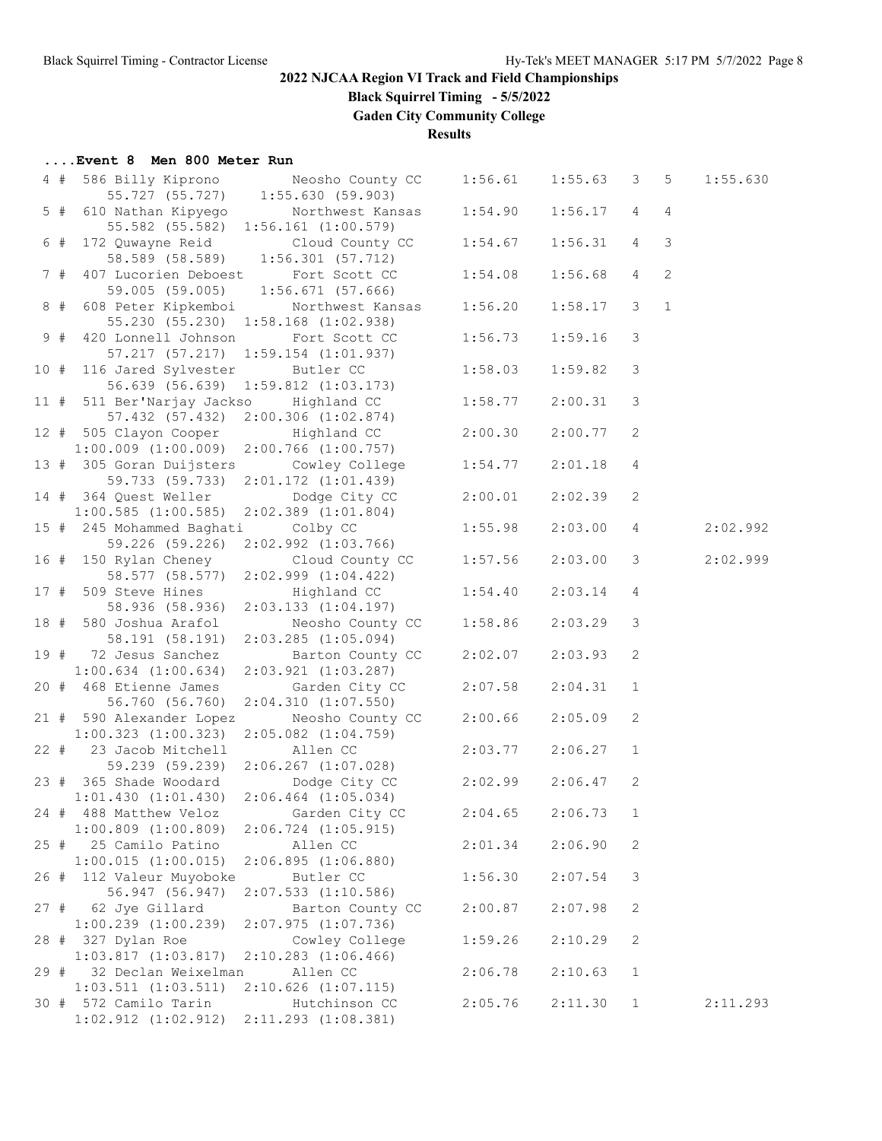**Black Squirrel Timing - 5/5/2022**

**Gaden City Community College**

**Results**

## **....Event 8 Men 800 Meter Run**

|      |       | 4 # 586 Billy Kiprono Neosho County CC<br>55.727 (55.727) 1:55.630 (59.903)                                 |                         | 1:56.61 | 1:55.63 | $\mathcal{S}$  | 5              | 1:55.630 |
|------|-------|-------------------------------------------------------------------------------------------------------------|-------------------------|---------|---------|----------------|----------------|----------|
|      |       |                                                                                                             |                         |         |         |                |                |          |
|      | $5$ # | 610 Nathan Kipyego<br>55.582 (55.582) 1:56.161 (1:00.579)                                                   | Northwest Kansas        | 1:54.90 | 1:56.17 | $\overline{4}$ | $\overline{4}$ |          |
|      | 6 #   | 172 Quwayne Reid Cloud County CC<br>58.589 (58.589) 1:56.301 (57.712)<br>407 Lucorien Deboest Fort Scott CC |                         | 1:54.67 | 1:56.31 | $\overline{4}$ | 3              |          |
|      |       |                                                                                                             |                         |         |         |                |                |          |
|      | 7#    |                                                                                                             |                         | 1:54.08 | 1:56.68 | 4              | $\mathbf{2}$   |          |
|      |       | 59.005 (59.005) 1:56.671 (57.666)                                                                           |                         |         |         |                |                |          |
|      | $8 +$ | 608 Peter Kipkemboi                                                                                         | Northwest Kansas        | 1:56.20 | 1:58.17 | 3              | $\mathbf{1}$   |          |
|      |       | 55.230 (55.230) 1:58.168 (1:02.938)                                                                         |                         |         |         |                |                |          |
|      | 9#    | 420 Lonnell Johnson                                                                                         | Fort Scott CC           | 1:56.73 | 1:59.16 | 3              |                |          |
|      |       | 57.217 (57.217) 1:59.154 (1:01.937)                                                                         |                         |         |         |                |                |          |
|      |       | 10 # 116 Jared Sylvester Butler CC                                                                          |                         | 1:58.03 | 1:59.82 | 3              |                |          |
|      |       | 56.639 (56.639)                                                                                             | $1:59.812$ $(1:03.173)$ |         |         |                |                |          |
|      |       | 11 # 511 Ber'Narjay Jackso Highland CC                                                                      |                         | 1:58.77 | 2:00.31 | $\mathcal{S}$  |                |          |
|      |       | 57.432 (57.432) 2:00.306 (1:02.874)                                                                         |                         |         |         |                |                |          |
|      |       | 12 # 505 Clayon Cooper Highland CC                                                                          |                         | 2:00.30 | 2:00.77 | 2              |                |          |
|      |       | $1:00.009$ $(1:00.009)$                                                                                     | $2:00.766$ $(1:00.757)$ |         |         |                |                |          |
|      |       | 13 # 305 Goran Duijsters                                                                                    | Cowley College          | 1:54.77 | 2:01.18 | $\overline{4}$ |                |          |
|      |       | 59.733 (59.733)                                                                                             | $2:01.172$ $(1:01.439)$ |         |         |                |                |          |
|      |       | 14 # 364 Quest Weller                                                                                       | Dodge City CC           | 2:00.01 | 2:02.39 | 2              |                |          |
|      |       | $1:00.585$ $(1:00.585)$                                                                                     | $2:02.389$ $(1:01.804)$ |         |         |                |                |          |
|      |       | 15 # 245 Mohammed Baghati                                                                                   | Colby CC                | 1:55.98 | 2:03.00 | $\overline{4}$ |                | 2:02.992 |
|      |       | 59.226 (59.226)                                                                                             | $2:02.992$ $(1:03.766)$ |         |         |                |                |          |
|      |       | 16 # 150 Rylan Cheney                                                                                       | Cloud County CC         | 1:57.56 | 2:03.00 | $\mathcal{S}$  |                | 2:02.999 |
|      |       | 58.577 (58.577)                                                                                             | $2:02.999$ $(1:04.422)$ |         |         |                |                |          |
|      |       | 17 # 509 Steve Hines Highland CC                                                                            |                         | 1:54.40 | 2:03.14 | $\overline{4}$ |                |          |
|      |       | 58.936 (58.936) 2:03.133 (1:04.197)<br>18 # 580 Joshua Arafol Neosho County CC                              |                         | 1:58.86 | 2:03.29 | $\mathcal{S}$  |                |          |
|      |       | 58.191 (58.191)                                                                                             | $2:03.285$ $(1:05.094)$ |         |         |                |                |          |
|      |       | 19 # 72 Jesus Sanchez                                                                                       | Barton County CC        | 2:02.07 | 2:03.93 | 2              |                |          |
|      |       | $1:00.634$ $(1:00.634)$                                                                                     | $2:03.921$ $(1:03.287)$ |         |         |                |                |          |
|      |       | 20 # 468 Etienne James                                                                                      | Garden City CC          | 2:07.58 | 2:04.31 | $\mathbf{1}$   |                |          |
|      |       | 56.760 (56.760)                                                                                             | 2:04.310(1:07.550)      |         |         |                |                |          |
|      |       | 21 # 590 Alexander Lopez                                                                                    | Neosho County CC        | 2:00.66 | 2:05.09 | 2              |                |          |
|      |       | $1:00.323$ $(1:00.323)$                                                                                     | $2:05.082$ $(1:04.759)$ |         |         |                |                |          |
|      |       | 22 # 23 Jacob Mitchell                                                                                      | Allen CC                | 2:03.77 | 2:06.27 | $\mathbf{1}$   |                |          |
|      |       | 59.239 (59.239)                                                                                             | $2:06.267$ $(1:07.028)$ |         |         |                |                |          |
|      |       | 23 # 365 Shade Woodard Dodge City CC                                                                        |                         | 2:02.99 | 2:06.47 | 2              |                |          |
|      |       | $1:01.430$ $(1:01.430)$                                                                                     | $2:06.464$ $(1:05.034)$ |         |         |                |                |          |
|      |       | 24 # 488 Matthew Veloz                                                                                      | Garden City CC          | 2:04.65 | 2:06.73 | 1              |                |          |
|      |       | $1:00.809$ $(1:00.809)$                                                                                     | $2:06.724$ $(1:05.915)$ |         |         |                |                |          |
| 25#  |       | 25 Camilo Patino                                                                                            | Allen CC                | 2:01.34 | 2:06.90 | 2              |                |          |
|      |       | 1:00.015(1:00.015)                                                                                          | 2:06.895(1:06.880)      |         |         |                |                |          |
|      |       | 26 # 112 Valeur Muyoboke                                                                                    | Butler CC               | 1:56.30 | 2:07.54 | 3              |                |          |
|      |       | 56.947 (56.947)                                                                                             | $2:07.533$ $(1:10.586)$ |         |         |                |                |          |
|      |       | 27 # 62 Jye Gillard                                                                                         | Barton County CC        | 2:00.87 | 2:07.98 | 2              |                |          |
|      |       | $1:00.239$ $(1:00.239)$                                                                                     | $2:07.975$ $(1:07.736)$ |         |         |                |                |          |
|      |       | 28 # 327 Dylan Roe                                                                                          | Cowley College          | 1:59.26 | 2:10.29 | 2              |                |          |
|      |       | $1:03.817$ $(1:03.817)$                                                                                     | $2:10.283$ $(1:06.466)$ |         |         |                |                |          |
| 29 # |       | 32 Declan Weixelman                                                                                         | Allen CC                | 2:06.78 | 2:10.63 | 1              |                |          |
|      |       | $1:03.511$ $(1:03.511)$                                                                                     | $2:10.626$ $(1:07.115)$ |         |         |                |                |          |
|      |       | 30 # 572 Camilo Tarin                                                                                       | Hutchinson CC           | 2:05.76 | 2:11.30 | 1              |                | 2:11.293 |
|      |       | $1:02.912$ $(1:02.912)$                                                                                     | 2:11.293 (1:08.381)     |         |         |                |                |          |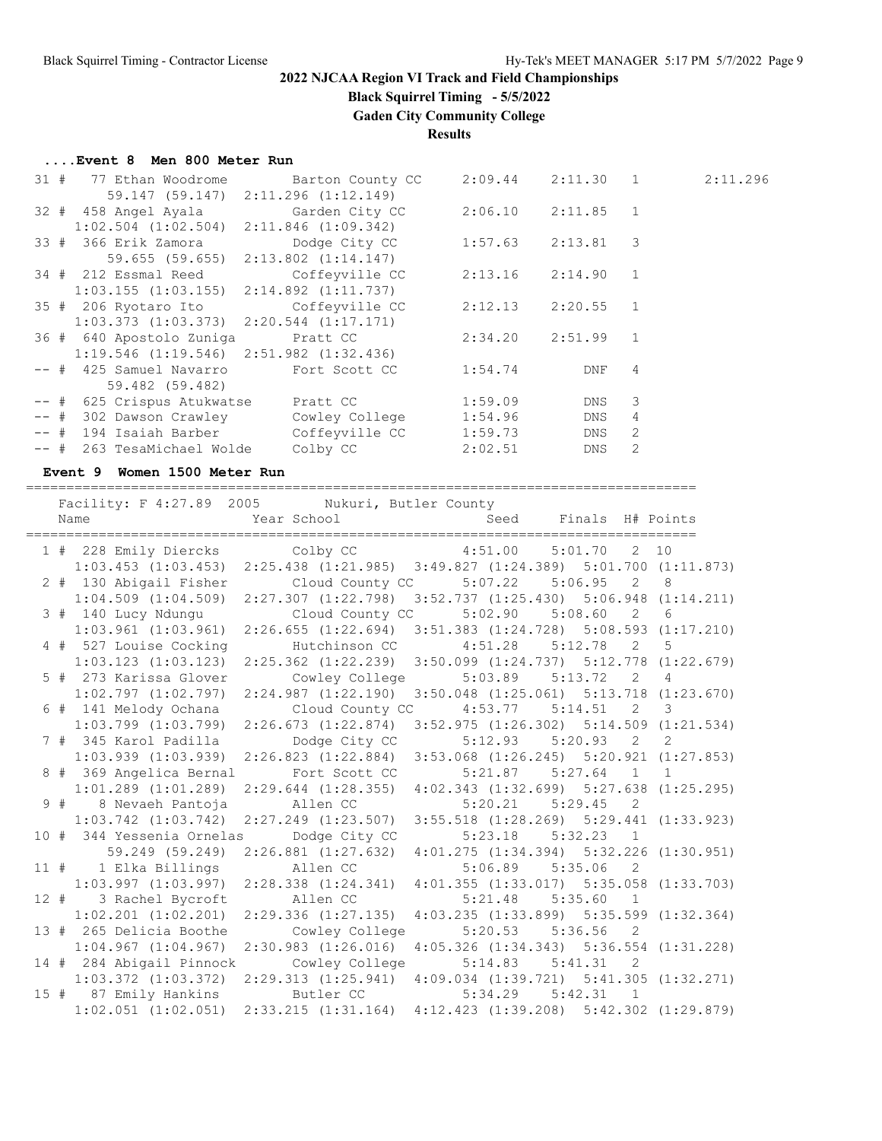**Black Squirrel Timing - 5/5/2022**

**Gaden City Community College**

**Results**

### **....Event 8 Men 800 Meter Run**

|  | 31 # 77 Ethan Woodrome Barton County CC               |                                                                                                      | 2:09.44 | $2:11.30$ 1           |                | 2:11.296 |
|--|-------------------------------------------------------|------------------------------------------------------------------------------------------------------|---------|-----------------------|----------------|----------|
|  | 59.147 (59.147) 2:11.296 (1:12.149)                   |                                                                                                      |         |                       |                |          |
|  | 32 # 458 Angel Ayala Garden City CC                   |                                                                                                      |         | $2:06.10$ $2:11.85$ 1 |                |          |
|  | $1:02.504$ $(1:02.504)$ $2:11.846$ $(1:09.342)$       |                                                                                                      |         |                       |                |          |
|  | 33 # 366 Erik Zamora                                  | Dodge City CC                                                                                        |         | $1:57.63$ $2:13.81$ 3 |                |          |
|  | 59.655 (59.655) 2:13.802 (1:14.147)                   |                                                                                                      |         |                       |                |          |
|  | 34 # 212 Essmal Reed Coffeyville CC 2:13.16 2:14.90 1 |                                                                                                      |         |                       |                |          |
|  | $1:03.155$ $(1:03.155)$ $2:14.892$ $(1:11.737)$       |                                                                                                      |         |                       |                |          |
|  | 35 # 206 Ryotaro Ito    Coffeyville CC                |                                                                                                      |         | $2:12.13$ $2:20.55$ 1 |                |          |
|  | $1:03.373$ $(1:03.373)$ $2:20.544$ $(1:17.171)$       |                                                                                                      |         |                       |                |          |
|  | 36 # 640 Apostolo Zuniga Pratt CC                     |                                                                                                      | 2:34.20 | 2:51.99 1             |                |          |
|  | $1:19.546$ $(1:19.546)$ $2:51.982$ $(1:32.436)$       |                                                                                                      |         |                       |                |          |
|  | -- # 425 Samuel Navarro Fort Scott CC                 |                                                                                                      | 1:54.74 | DNF                   | 4              |          |
|  | 59.482 (59.482)                                       |                                                                                                      |         |                       |                |          |
|  | -- # 625 Crispus Atukwatse                            | Pratt CC                                                                                             | 1:59.09 | DNS                   | 3              |          |
|  | -- # 302 Dawson Crawley Cowley College 1:54.96        |                                                                                                      |         | DNS                   | $\overline{4}$ |          |
|  | -- # 194 Isaiah Barber         Coffeyville CC         |                                                                                                      | 1:59.73 | DNS                   | 2              |          |
|  | -- # 263 TesaMichael Wolde                            | Colby CC and the Colby Colbust of the Colbust of the Colbust of the Colbust of the Colbust of the Co | 2:02.51 | DNS                   | 2              |          |

## **Event 9 Women 1500 Meter Run**

===================================================================================

|  |                               | Facility: F 4:27.89 2005 Nukuri, Butler County                                  |                                                 |         |                            |   |
|--|-------------------------------|---------------------------------------------------------------------------------|-------------------------------------------------|---------|----------------------------|---|
|  | Name                          | Year School                                                                     | Seed Finals H# Points                           |         |                            |   |
|  |                               | 1 # 228 Emily Diercks Colby CC 4:51.00 5:01.70 2 10                             |                                                 |         |                            |   |
|  |                               | 1:03.453 (1:03.453) 2:25.438 (1:21.985) 3:49.827 (1:24.389) 5:01.700 (1:11.873) |                                                 |         |                            |   |
|  |                               | 2 # 130 Abigail Fisher Cloud County CC 5:07.22 5:06.95                          |                                                 |         | $\overline{2}$             | 8 |
|  | $1:04.509$ $(1:04.509)$       | 2:27.307 (1:22.798) 3:52.737 (1:25.430) 5:06.948 (1:14.211)                     |                                                 |         |                            |   |
|  |                               |                                                                                 |                                                 |         |                            | 6 |
|  | $1:03.961$ $(1:03.961)$       | 2:26.655 (1:22.694) 3:51.383 (1:24.728) 5:08.593 (1:17.210)                     |                                                 |         |                            |   |
|  | 4 # 527 Louise Cocking        | Hutchinson CC 4:51.28 5:12.78                                                   |                                                 |         | $\overline{2}$             | 5 |
|  |                               | 1:03.123 (1:03.123) 2:25.362 (1:22.239) 3:50.099 (1:24.737) 5:12.778 (1:22.679) |                                                 |         |                            |   |
|  | 5 # 273 Karissa Glover        | Cowley College 5:03.89 5:13.72 2 4                                              |                                                 |         |                            |   |
|  | 1:02.797(1:02.797)            | $2:24.987$ $(1:22.190)$ $3:50.048$ $(1:25.061)$ $5:13.718$ $(1:23.670)$         |                                                 |         |                            |   |
|  |                               | 6 # 141 Melody Ochana Cloud County CC                                           | $4:53.77$ $5:14.51$                             |         | $\overline{\phantom{a}}$ 2 | 3 |
|  |                               | 1:03.799 (1:03.799) 2:26.673 (1:22.874) 3:52.975 (1:26.302) 5:14.509 (1:21.534) |                                                 |         |                            |   |
|  | 7 # 345 Karol Padilla         | Dodge City CC                                                                   | $5:12.93$ $5:20.93$ 2                           |         |                            | 2 |
|  |                               | 1:03.939 (1:03.939) 2:26.823 (1:22.884) 3:53.068 (1:26.245) 5:20.921 (1:27.853) |                                                 |         |                            |   |
|  |                               | 8 # 369 Angelica Bernal Fort Scott CC                                           | $5:21.87$ $5:27.64$ 1 1                         |         |                            |   |
|  |                               | 1:01.289 (1:01.289) 2:29.644 (1:28.355) 4:02.343 (1:32.699) 5:27.638 (1:25.295) |                                                 |         |                            |   |
|  | 9 # 8 Nevaeh Pantoja Allen CC |                                                                                 | $5:20.21$ $5:29.45$                             |         | $\overline{2}$             |   |
|  |                               | 1:03.742 (1:03.742) 2:27.249 (1:23.507) 3:55.518 (1:28.269) 5:29.441 (1:33.923) |                                                 |         |                            |   |
|  |                               | 10 # 344 Yessenia Ornelas Dodge City CC                                         | $5:23.18$ $5:32.23$ 1                           |         |                            |   |
|  |                               | 59.249 (59.249) 2:26.881 (1:27.632) 4:01.275 (1:34.394) 5:32.226 (1:30.951)     |                                                 |         |                            |   |
|  | 11 # 1 Elka Billings Allen CC |                                                                                 | 5:06.89                                         | 5:35.06 | $\overline{2}$             |   |
|  |                               | 1:03.997 (1:03.997) 2:28.338 (1:24.341) 4:01.355 (1:33.017) 5:35.058 (1:33.703) |                                                 |         |                            |   |
|  |                               | 12 # 3 Rachel Bycroft Allen CC                                                  | $5:21.48$ $5:35.60$ 1                           |         |                            |   |
|  | $1:02.201$ $(1:02.201)$       | 2:29.336 (1:27.135) 4:03.235 (1:33.899) 5:35.599 (1:32.364)                     |                                                 |         |                            |   |
|  | 13 # 265 Delicia Boothe       | Cowley College                                                                  | 5:20.53                                         | 5:36.56 | 2                          |   |
|  | $1:04.967$ $(1:04.967)$       | $2:30.983$ $(1:26.016)$                                                         | $4:05.326$ $(1:34.343)$ $5:36.554$ $(1:31.228)$ |         |                            |   |
|  | 14 # 284 Abigail Pinnock      | Cowley College                                                                  | $5:14.83$ $5:41.31$ 2                           |         |                            |   |
|  |                               | 1:03.372 (1:03.372) 2:29.313 (1:25.941) 4:09.034 (1:39.721) 5:41.305 (1:32.271) |                                                 |         |                            |   |
|  |                               | 15 # 87 Emily Hankins Butler CC                                                 | $5:34.29$ $5:42.31$ 1                           |         |                            |   |
|  |                               | 1:02.051 (1:02.051) 2:33.215 (1:31.164) 4:12.423 (1:39.208) 5:42.302 (1:29.879) |                                                 |         |                            |   |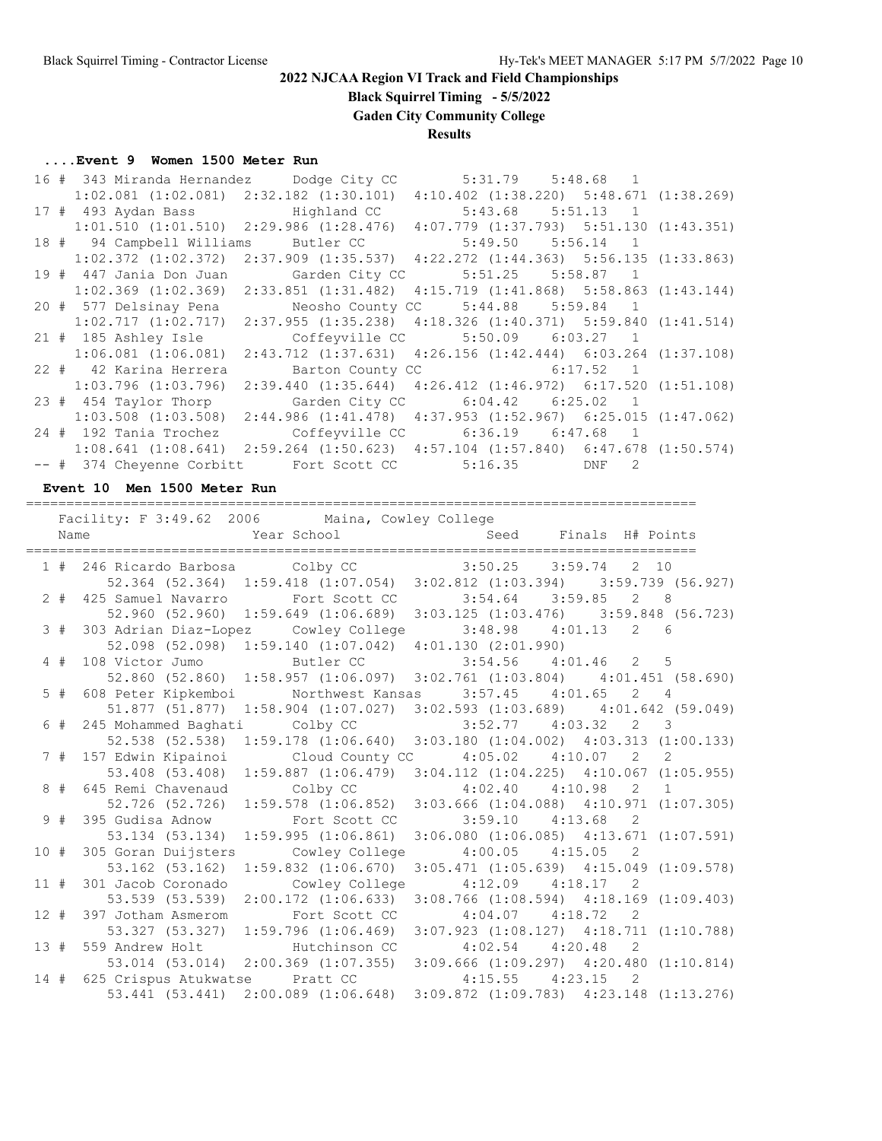**Black Squirrel Timing - 5/5/2022**

**Gaden City Community College**

**Results**

## **....Event 9 Women 1500 Meter Run**

|  | 16 # 343 Miranda Hernandez Dodge City CC |                                                                                                 | $5:31.79$ $5:48.68$ 1                           |  |
|--|------------------------------------------|-------------------------------------------------------------------------------------------------|-------------------------------------------------|--|
|  |                                          | $1:02.081$ $(1:02.081)$ $2:32.182$ $(1:30.101)$                                                 | $4:10.402$ $(1:38.220)$ $5:48.671$ $(1:38.269)$ |  |
|  | 17 # 493 Aydan Bass Mighland CC          |                                                                                                 | $5:43.68$ $5:51.13$ 1                           |  |
|  |                                          | $1:01.510$ $(1:01.510)$ $2:29.986$ $(1:28.476)$ $4:07.779$ $(1:37.793)$ $5:51.130$ $(1:43.351)$ |                                                 |  |
|  |                                          | 18 # 94 Campbell Williams Butler CC 5:49.50 5:56.14 1                                           |                                                 |  |
|  |                                          | $1:02.372$ $(1:02.372)$ $2:37.909$ $(1:35.537)$ $4:22.272$ $(1:44.363)$ $5:56.135$ $(1:33.863)$ |                                                 |  |
|  | 19 # 447 Jania Don Juan                  | Garden City CC 5:51.25 5:58.87 1                                                                |                                                 |  |
|  |                                          | $1:02.369$ (1:02.369) 2:33.851 (1:31.482) 4:15.719 (1:41.868) 5:58.863 (1:43.144)               |                                                 |  |
|  | 20 # 577 Delsinay Pena                   |                                                                                                 | Neosho County CC 5:44.88 5:59.84 1              |  |
|  |                                          | $1:02.717$ $(1:02.717)$ $2:37.955$ $(1:35.238)$ $4:18.326$ $(1:40.371)$ $5:59.840$ $(1:41.514)$ |                                                 |  |
|  |                                          | 21 # 185 Ashley Isle               Coffeyville CC         5:50.09     6:03.27   1               |                                                 |  |
|  | $1:06.081$ $(1:06.081)$                  | 2:43.712 (1:37.631) 4:26.156 (1:42.444) 6:03.264 (1:37.108)                                     |                                                 |  |
|  | 22 # 42 Karina Herrera                   |                                                                                                 | Barton County CC 6:17.52 1                      |  |
|  | $1:03.796$ $(1:03.796)$                  | $2:39.440$ $(1:35.644)$ $4:26.412$ $(1:46.972)$ $6:17.520$ $(1:51.108)$                         |                                                 |  |
|  | 23 # 454 Taylor Thorp                    | Garden City CC 6:04.42 6:25.02 1                                                                |                                                 |  |
|  |                                          | 1:03.508 (1:03.508) 2:44.986 (1:41.478) 4:37.953 (1:52.967) 6:25.015 (1:47.062)                 |                                                 |  |
|  | 24 # 192 Tania Trochez                   | Coffeyville CC 6:36.19 6:47.68 1                                                                |                                                 |  |
|  |                                          | $1:08.641$ $(1:08.641)$ $2:59.264$ $(1:50.623)$ $4:57.104$ $(1:57.840)$ $6:47.678$ $(1:50.574)$ |                                                 |  |
|  | -- # 374 Cheyenne Corbitt Fort Scott CC  |                                                                                                 | $5:16.35$ DNF 2                                 |  |

## **Event 10 Men 1500 Meter Run**

===================================================================================

|      |                                | Facility: F 3:49.62 2006 Maina, Cowley College                                                                                            |                       |  |
|------|--------------------------------|-------------------------------------------------------------------------------------------------------------------------------------------|-----------------------|--|
| Name |                                | Year School Seed Finals H# Points                                                                                                         |                       |  |
|      |                                |                                                                                                                                           |                       |  |
|      |                                | 52.364 (52.364) 1:59.418 (1:07.054) 3:02.812 (1:03.394) 3:59.739 (56.927)                                                                 |                       |  |
|      |                                | 2 # 425 Samuel Navarro Fort Scott CC 3:54.64 3:59.85 2 8                                                                                  |                       |  |
|      |                                | 52.960 (52.960) 1:59.649 (1:06.689) 3:03.125 (1:03.476) 3:59.848 (56.723)<br>3 # 303 Adrian Diaz-Lopez Cowley College 3:48.98 4:01.13 2 6 |                       |  |
|      |                                | 52.098 (52.098) 1:59.140 (1:07.042) 4:01.130 (2:01.990)                                                                                   |                       |  |
| 4#   |                                | 108 Victor Jumo Butler CC 3:54.56 4:01.46 2 5                                                                                             |                       |  |
|      |                                | 52.860 (52.860) 1:58.957 (1:06.097) 3:02.761 (1:03.804) 4:01.451 (58.690)                                                                 |                       |  |
| 5#   |                                | 608 Peter Kipkemboi Morthwest Kansas 3:57.45 4:01.65 2 4                                                                                  |                       |  |
|      |                                | 51.877 (51.877) 1:58.904 (1:07.027) 3:02.593 (1:03.689) 4:01.642 (59.049)                                                                 |                       |  |
| 6 #  |                                | 245 Mohammed Baghati Colby CC 3:52.77 4:03.32 2 3                                                                                         |                       |  |
|      |                                | 52.538 (52.538) 1:59.178 (1:06.640) 3:03.180 (1:04.002) 4:03.313 (1:00.133)                                                               |                       |  |
| 7#   |                                | 157 Edwin Kipainoi Cloud County CC 4:05.02 4:10.07 2 2                                                                                    |                       |  |
|      |                                | 53.408 (53.408) 1:59.887 (1:06.479) 3:04.112 (1:04.225) 4:10.067 (1:05.955)                                                               |                       |  |
| 8#   |                                | 645 Remi Chavenaud Colby CC 4:02.40 4:10.98 2 1                                                                                           |                       |  |
|      |                                | 52.726 (52.726) 1:59.578 (1:06.852) 3:03.666 (1:04.088) 4:10.971 (1:07.305)                                                               |                       |  |
|      |                                | 9 # 395 Gudisa Adnow Fort Scott CC 3:59.10 4:13.68 2                                                                                      |                       |  |
|      |                                | 53.134 (53.134) 1:59.995 (1:06.861) 3:06.080 (1:06.085) 4:13.671 (1:07.591)                                                               |                       |  |
|      |                                | 10 # 305 Goran Duijsters Cowley College 4:00.05 4:15.05 2                                                                                 |                       |  |
|      |                                | 53.162 (53.162) 1:59.832 (1:06.670) 3:05.471 (1:05.639) 4:15.049 (1:09.578)                                                               |                       |  |
|      |                                | 11 # 301 Jacob Coronado Cowley College 4:12.09 4:18.17 2                                                                                  |                       |  |
|      |                                | 53.539 (53.539) 2:00.172 (1:06.633) 3:08.766 (1:08.594) 4:18.169 (1:09.403)                                                               |                       |  |
|      |                                | 12 # 397 Jotham Asmerom Fort Scott CC 4:04.07 4:18.72 2<br>53.327 (53.327) 1:59.796 (1:06.469) 3:07.923 (1:08.127) 4:18.711 (1:10.788)    |                       |  |
|      |                                | 13 # 559 Andrew Holt Mutchinson CC                                                                                                        | $4:02.54$ $4:20.48$ 2 |  |
|      |                                | 53.014 (53.014) 2:00.369 (1:07.355) 3:09.666 (1:09.297) 4:20.480 (1:10.814)                                                               |                       |  |
| 14#  | 625 Crispus Atukwatse Pratt CC |                                                                                                                                           | $4:15.55$ $4:23.15$ 2 |  |
|      |                                | 53.441 (53.441) 2:00.089 (1:06.648) 3:09.872 (1:09.783) 4:23.148 (1:13.276)                                                               |                       |  |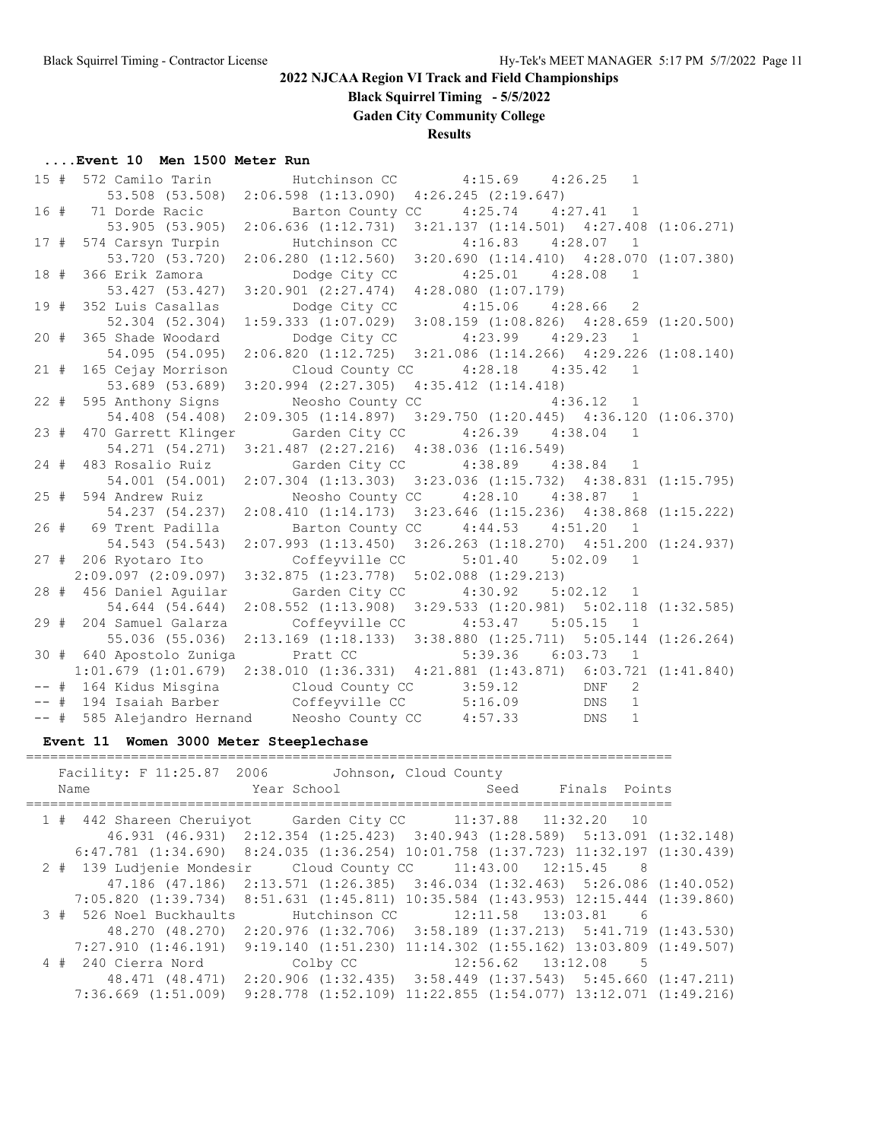**Black Squirrel Timing - 5/5/2022**

**Gaden City Community College**

**Results**

## **....Event 10 Men 1500 Meter Run**

| 15#    | 572 Camilo Tarin  | Hutchinson CC                                                                                                                       | $4:15.69$ $4:26.25$   | 1                            |  |
|--------|-------------------|-------------------------------------------------------------------------------------------------------------------------------------|-----------------------|------------------------------|--|
|        |                   | 53.508 (53.508) 2:06.598 (1:13.090) 4:26.245 (2:19.647)                                                                             |                       |                              |  |
| 16 #   |                   | 71 Dorde Racic Barton County CC 4:25.74 4:27.41 1                                                                                   |                       |                              |  |
|        | 53.905 (53.905)   | $2:06.636$ $(1:12.731)$ $3:21.137$ $(1:14.501)$ $4:27.408$ $(1:06.271)$                                                             |                       |                              |  |
| 17#    | 574 Carsyn Turpin | Hutchinson CC                                                                                                                       | $4:16.83$ $4:28.07$   | $\overline{1}$               |  |
|        |                   | 53.720 (53.720) 2:06.280 (1:12.560) 3:20.690 (1:14.410) 4:28.070 (1:07.380)                                                         |                       |                              |  |
| 18#    | 366 Erik Zamora   | Dodge City CC                                                                                                                       | $4:25.01$ $4:28.08$ 1 |                              |  |
|        |                   | 53.427 (53.427) 3:20.901 (2:27.474) 4:28.080 (1:07.179)                                                                             |                       |                              |  |
| 19#    |                   |                                                                                                                                     |                       |                              |  |
|        |                   |                                                                                                                                     |                       |                              |  |
| $20 +$ |                   | 365 Shade Woodard Dodge City CC 4:23.99 4:29.23                                                                                     |                       | $\sim$ 1                     |  |
|        |                   | 54.095 (54.095) 2:06.820 (1:12.725) 3:21.086 (1:14.266) 4:29.226 (1:08.140)                                                         |                       |                              |  |
| 21#    |                   | 165 Cejay Morrison Cloud County CC 4:28.18 4:35.42                                                                                  |                       | $\overline{1}$               |  |
|        | 53.689 (53.689)   | $3:20.994$ $(2:27.305)$ $4:35.412$ $(1:14.418)$                                                                                     |                       |                              |  |
| $22 +$ |                   | 595 Anthony Signs Meosho County CC 4:36.12 1                                                                                        |                       |                              |  |
|        | 54.408 (54.408)   | 2:09.305 (1:14.897) 3:29.750 (1:20.445) 4:36.120 (1:06.370)                                                                         |                       |                              |  |
| 23#    |                   | 470 Garrett Klinger Garden City CC 4:26.39 4:38.04 1                                                                                |                       |                              |  |
|        |                   | 54.271 (54.271) 3:21.487 (2:27.216) 4:38.036 (1:16.549)                                                                             |                       |                              |  |
| 24#    | 483 Rosalio Ruiz  | Garden City CC 4:38.89 4:38.84 1                                                                                                    |                       |                              |  |
|        |                   | 54.001 (54.001) 2:07.304 (1:13.303) 3:23.036 (1:15.732) 4:38.831 (1:15.795)                                                         |                       |                              |  |
| 25#    | 594 Andrew Ruiz   | Neosho County CC 4:28.10 4:38.87                                                                                                    |                       | $\overline{1}$               |  |
|        |                   | 54.237 (54.237) 2:08.410 (1:14.173) 3:23.646 (1:15.236) 4:38.868 (1:15.222)                                                         |                       |                              |  |
| 26#    |                   | 69 Trent Padilla Barton County CC 4:44.53 4:51.20                                                                                   |                       | $\overline{1}$               |  |
|        |                   | 54.543 (54.543) 2:07.993 (1:13.450) 3:26.263 (1:18.270) 4:51.200 (1:24.937)                                                         |                       |                              |  |
|        |                   |                                                                                                                                     |                       |                              |  |
|        |                   | 2:09.097 (2:09.097) 3:32.875 (1:23.778) 5:02.088 (1:29.213)                                                                         |                       |                              |  |
|        |                   | 28 # 456 Daniel Aquilar Garden City CC 4:30.92 5:02.12 1                                                                            |                       |                              |  |
|        |                   |                                                                                                                                     |                       |                              |  |
|        |                   | 54.644 (54.644) 2:08.552 (1:13.908) 3:29.533 (1:20.981) 5:02.118 (1:32.585)                                                         |                       |                              |  |
| 29#    |                   | 204 Samuel Galarza Coffeyville CC 4:53.47 5:05.15                                                                                   |                       | $\sim$ 1                     |  |
|        |                   | 55.036 (55.036) 2:13.169 (1:18.133) 3:38.880 (1:25.711) 5:05.144 (1:26.264)                                                         |                       |                              |  |
|        |                   | 30 # 640 Apostolo Zuniga Pratt CC                                                                                                   | 5:39.36 6:03.73       | $\overline{1}$               |  |
|        |                   | 1:01.679 (1:01.679) 2:38.010 (1:36.331) 4:21.881 (1:43.871) 6:03.721 (1:41.840)                                                     |                       |                              |  |
|        |                   | -- # 164 Kidus Misgina Cloud County CC 3:59.12                                                                                      |                       | <b>DNF</b><br>2              |  |
| $--$ # |                   | -- # 194 Isaiah Barber             Coffeyville CC         5:16.09         DNS<br>585 Alejandro Hernand Neosho County CC 4:57.33 DNS |                       | $\mathbf{1}$<br>$\mathbf{1}$ |  |

## **Event 11 Women 3000 Meter Steeplechase**

|  | Facility: F 11:25.87 2006 Johnson, Cloud County<br>Name                                           | Year School |                                                                           |  | Seed Finals Points      |  |  |
|--|---------------------------------------------------------------------------------------------------|-------------|---------------------------------------------------------------------------|--|-------------------------|--|--|
|  | 1 # 442 Shareen Cheruiyot Garden City CC 11:37.88 11:32.20 10                                     |             |                                                                           |  |                         |  |  |
|  | 46.931 (46.931) 2:12.354 (1:25.423) 3:40.943 (1:28.589) 5:13.091 (1:32.148)                       |             |                                                                           |  |                         |  |  |
|  | $6:47.781$ $(1:34.690)$ $8:24.035$ $(1:36.254)$ $10:01.758$ $(1:37.723)$ $11:32.197$ $(1:30.439)$ |             |                                                                           |  |                         |  |  |
|  | 2 # 139 Ludjenie Mondesir Cloud County CC 11:43.00 12:15.45 8                                     |             |                                                                           |  |                         |  |  |
|  | 47.186 (47.186) 2:13.571 (1:26.385) 3:46.034 (1:32.463) 5:26.086 (1:40.052)                       |             |                                                                           |  |                         |  |  |
|  | 7:05.820 (1:39.734) 8:51.631 (1:45.811) 10:35.584 (1:43.953) 12:15.444 (1:39.860)                 |             |                                                                           |  |                         |  |  |
|  | 3 # 526 Noel Buckhaults                                                                           |             | Hutchinson CC                                                             |  | 12:11.58 13:03.81 6     |  |  |
|  | 48.270 (48.270) 2:20.976 (1:32.706) 3:58.189 (1:37.213) 5:41.719 (1:43.530)                       |             |                                                                           |  |                         |  |  |
|  | 7:27.910(1:46.191)                                                                                |             | $9:19.140$ $(1:51.230)$ $11:14.302$ $(1:55.162)$ $13:03.809$ $(1:49.507)$ |  |                         |  |  |
|  | 4 # 240 Cierra Nord                                                                               |             | Colby CC and the Colby Co                                                 |  | $12:56.62$ $13:12.08$ 5 |  |  |
|  | 48.471 (48.471) 2:20.906 (1:32.435) 3:58.449 (1:37.543) 5:45.660 (1:47.211)                       |             |                                                                           |  |                         |  |  |
|  | $7:36.669$ $(1:51.009)$                                                                           |             | $9:28.778$ $(1:52.109)$ $11:22.855$ $(1:54.077)$ $13:12.071$ $(1:49.216)$ |  |                         |  |  |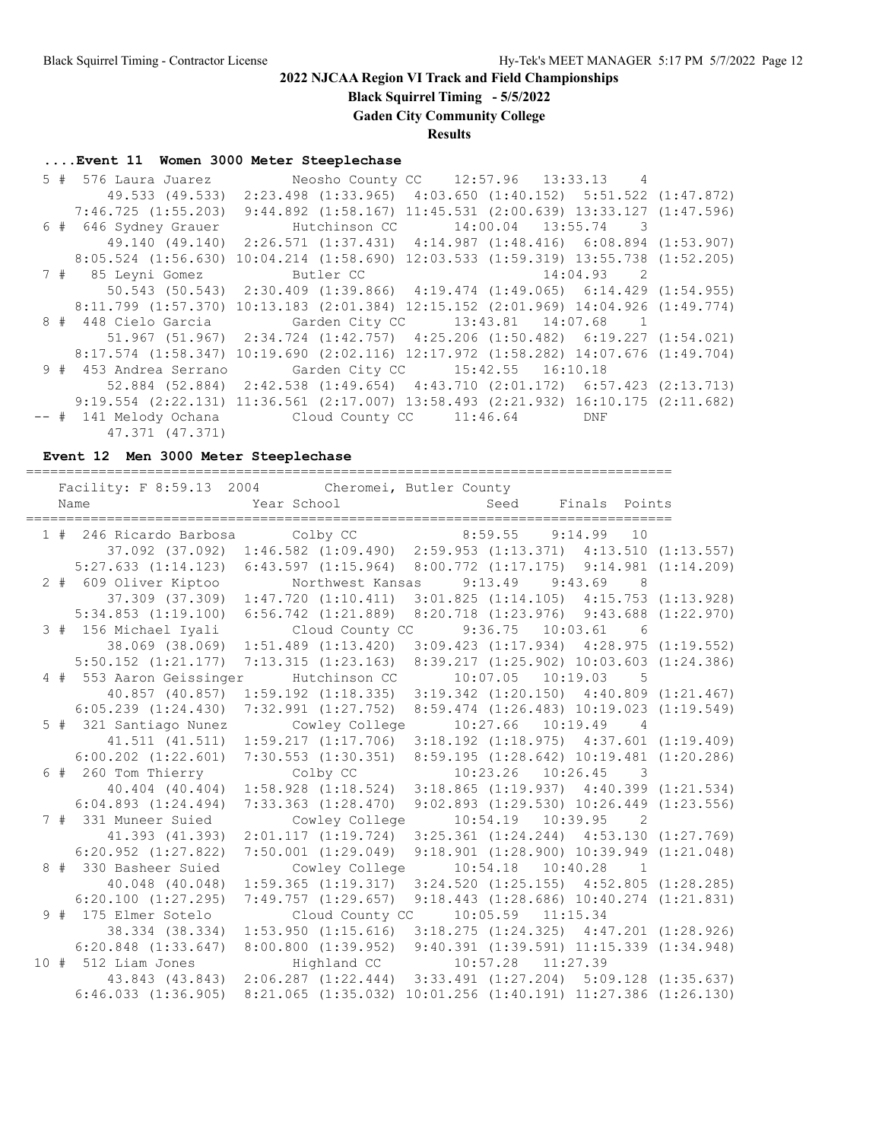**Black Squirrel Timing - 5/5/2022**

**Gaden City Community College**

**Results**

### **....Event 11 Women 3000 Meter Steeplechase**

 5 # 576 Laura Juarez Neosho County CC 12:57.96 13:33.13 4 49.533 (49.533) 2:23.498 (1:33.965) 4:03.650 (1:40.152) 5:51.522 (1:47.872) 7:46.725 (1:55.203) 9:44.892 (1:58.167) 11:45.531 (2:00.639) 13:33.127 (1:47.596) 6 # 646 Sydney Grauer Hutchinson CC 14:00.04 13:55.74 3 49.140 (49.140) 2:26.571 (1:37.431) 4:14.987 (1:48.416) 6:08.894 (1:53.907) 8:05.524 (1:56.630) 10:04.214 (1:58.690) 12:03.533 (1:59.319) 13:55.738 (1:52.205) 7 # 85 Leyni Gomez Butler CC 14:04.93 2 50.543 (50.543) 2:30.409 (1:39.866) 4:19.474 (1:49.065) 6:14.429 (1:54.955) 8:11.799 (1:57.370) 10:13.183 (2:01.384) 12:15.152 (2:01.969) 14:04.926 (1:49.774) 8 # 448 Cielo Garcia Garden City CC 13:43.81 14:07.68 1 51.967 (51.967) 2:34.724 (1:42.757) 4:25.206 (1:50.482) 6:19.227 (1:54.021) 8:17.574 (1:58.347) 10:19.690 (2:02.116) 12:17.972 (1:58.282) 14:07.676 (1:49.704) 9 # 453 Andrea Serrano Garden City CC 15:42.55 16:10.18 52.884 (52.884) 2:42.538 (1:49.654) 4:43.710 (2:01.172) 6:57.423 (2:13.713) 9:19.554 (2:22.131) 11:36.561 (2:17.007) 13:58.493 (2:21.932) 16:10.175 (2:11.682) -- # 141 Melody Ochana Cloud County CC 11:46.64 DNF 47.371 (47.371)

#### **Event 12 Men 3000 Meter Steeplechase**

================================================================================ Facility: F 8:59.13 2004 Cheromei, Butler County Name Year School Seed Finals Points ================================================================================ 1 # 246 Ricardo Barbosa Colby CC 8:59.55 9:14.99 10 37.092 (37.092) 1:46.582 (1:09.490) 2:59.953 (1:13.371) 4:13.510 (1:13.557) 5:27.633 (1:14.123) 6:43.597 (1:15.964) 8:00.772 (1:17.175) 9:14.981 (1:14.209) 2 # 609 Oliver Kiptoo Northwest Kansas 9:13.49 9:43.69 8 37.309 (37.309) 1:47.720 (1:10.411) 3:01.825 (1:14.105) 4:15.753 (1:13.928) 5:34.853 (1:19.100) 6:56.742 (1:21.889) 8:20.718 (1:23.976) 9:43.688 (1:22.970) 3 # 156 Michael Iyali Cloud County CC 9:36.75 10:03.61 6 38.069 (38.069) 1:51.489 (1:13.420) 3:09.423 (1:17.934) 4:28.975 (1:19.552) 5:50.152 (1:21.177) 7:13.315 (1:23.163) 8:39.217 (1:25.902) 10:03.603 (1:24.386) 4 # 553 Aaron Geissinger Hutchinson CC 10:07.05 10:19.03 5 40.857 (40.857) 1:59.192 (1:18.335) 3:19.342 (1:20.150) 4:40.809 (1:21.467) 6:05.239 (1:24.430) 7:32.991 (1:27.752) 8:59.474 (1:26.483) 10:19.023 (1:19.549) 5 # 321 Santiago Nunez Cowley College 10:27.66 10:19.49 4 41.511 (41.511) 1:59.217 (1:17.706) 3:18.192 (1:18.975) 4:37.601 (1:19.409) 6:00.202 (1:22.601) 7:30.553 (1:30.351) 8:59.195 (1:28.642) 10:19.481 (1:20.286) 6 # 260 Tom Thierry Colby CC 10:23.26 10:26.45 3 40.404 (40.404) 1:58.928 (1:18.524) 3:18.865 (1:19.937) 4:40.399 (1:21.534) 6:04.893 (1:24.494) 7:33.363 (1:28.470) 9:02.893 (1:29.530) 10:26.449 (1:23.556) 7 # 331 Muneer Suied Cowley College 10:54.19 10:39.95 2 41.393 (41.393) 2:01.117 (1:19.724) 3:25.361 (1:24.244) 4:53.130 (1:27.769) 6:20.952 (1:27.822) 7:50.001 (1:29.049) 9:18.901 (1:28.900) 10:39.949 (1:21.048) 8 # 330 Basheer Suied Cowley College 10:54.18 10:40.28 1 40.048 (40.048) 1:59.365 (1:19.317) 3:24.520 (1:25.155) 4:52.805 (1:28.285) 6:20.100 (1:27.295) 7:49.757 (1:29.657) 9:18.443 (1:28.686) 10:40.274 (1:21.831) 9 # 175 Elmer Sotelo Cloud County CC 10:05.59 11:15.34 38.334 (38.334) 1:53.950 (1:15.616) 3:18.275 (1:24.325) 4:47.201 (1:28.926) 6:20.848 (1:33.647) 8:00.800 (1:39.952) 9:40.391 (1:39.591) 11:15.339 (1:34.948)  $10$   $\#$  512 Liam Jones 43.843 (43.843) 2:06.287 (1:22.444) 3:33.491 (1:27.204) 5:09.128 (1:35.637) 6:46.033 (1:36.905) 8:21.065 (1:35.032) 10:01.256 (1:40.191) 11:27.386 (1:26.130)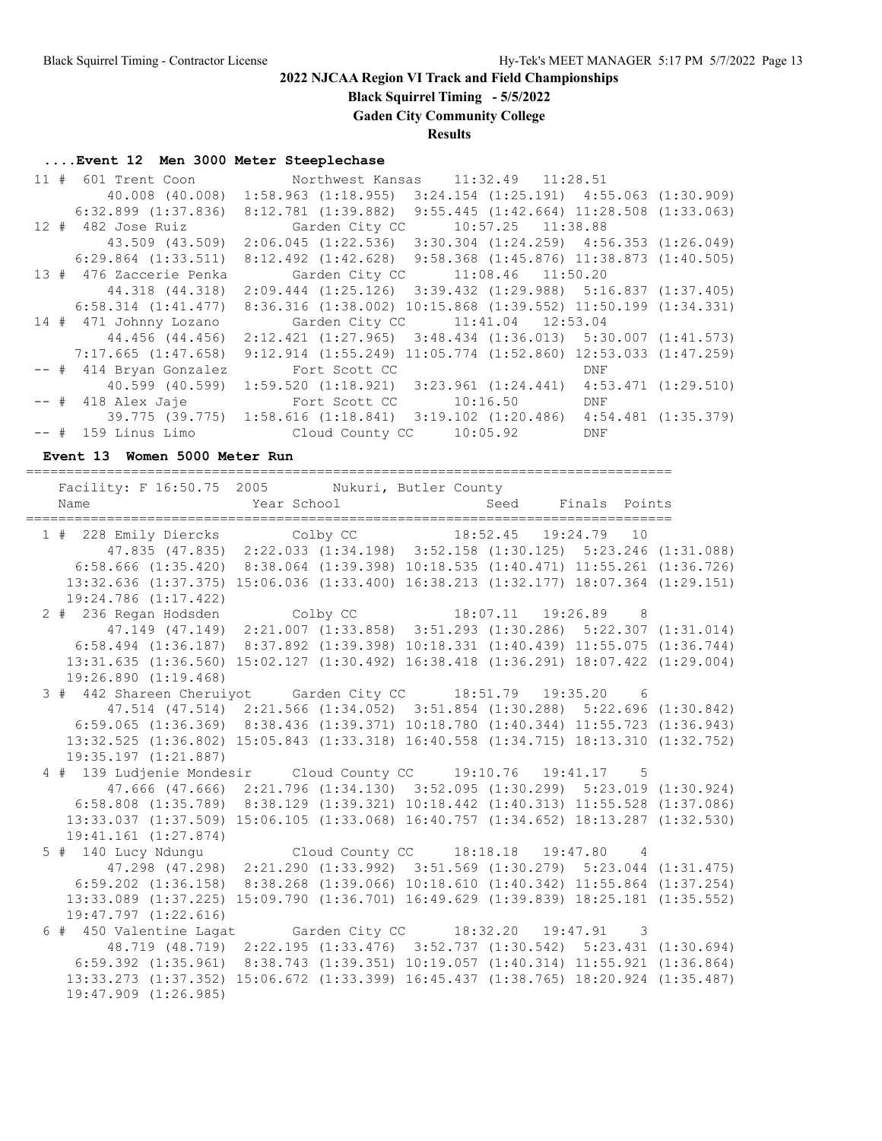**Black Squirrel Timing - 5/5/2022**

**Gaden City Community College**

**Results**

### **....Event 12 Men 3000 Meter Steeplechase**

| $6:32.899$ $(1:37.836)$ |                                                                                                                                                      |                                                                             |     |                                                                                                                                                                                                                                                                                                                                                                                                                                                                                                                                                                                                                                                                                                                                                                                                                                                                                                                                       |
|-------------------------|------------------------------------------------------------------------------------------------------------------------------------------------------|-----------------------------------------------------------------------------|-----|---------------------------------------------------------------------------------------------------------------------------------------------------------------------------------------------------------------------------------------------------------------------------------------------------------------------------------------------------------------------------------------------------------------------------------------------------------------------------------------------------------------------------------------------------------------------------------------------------------------------------------------------------------------------------------------------------------------------------------------------------------------------------------------------------------------------------------------------------------------------------------------------------------------------------------------|
|                         | Garden City CC                                                                                                                                       |                                                                             |     |                                                                                                                                                                                                                                                                                                                                                                                                                                                                                                                                                                                                                                                                                                                                                                                                                                                                                                                                       |
|                         |                                                                                                                                                      |                                                                             |     |                                                                                                                                                                                                                                                                                                                                                                                                                                                                                                                                                                                                                                                                                                                                                                                                                                                                                                                                       |
| $6:29.864$ $(1:33.511)$ |                                                                                                                                                      |                                                                             |     |                                                                                                                                                                                                                                                                                                                                                                                                                                                                                                                                                                                                                                                                                                                                                                                                                                                                                                                                       |
|                         |                                                                                                                                                      |                                                                             |     |                                                                                                                                                                                                                                                                                                                                                                                                                                                                                                                                                                                                                                                                                                                                                                                                                                                                                                                                       |
|                         |                                                                                                                                                      |                                                                             |     |                                                                                                                                                                                                                                                                                                                                                                                                                                                                                                                                                                                                                                                                                                                                                                                                                                                                                                                                       |
| $6:58.314$ $(1:41.477)$ |                                                                                                                                                      |                                                                             |     |                                                                                                                                                                                                                                                                                                                                                                                                                                                                                                                                                                                                                                                                                                                                                                                                                                                                                                                                       |
|                         |                                                                                                                                                      |                                                                             |     |                                                                                                                                                                                                                                                                                                                                                                                                                                                                                                                                                                                                                                                                                                                                                                                                                                                                                                                                       |
|                         |                                                                                                                                                      |                                                                             |     |                                                                                                                                                                                                                                                                                                                                                                                                                                                                                                                                                                                                                                                                                                                                                                                                                                                                                                                                       |
| 7:17.665(1:47.658)      |                                                                                                                                                      |                                                                             |     |                                                                                                                                                                                                                                                                                                                                                                                                                                                                                                                                                                                                                                                                                                                                                                                                                                                                                                                                       |
|                         | Fort Scott CC                                                                                                                                        |                                                                             | DNF |                                                                                                                                                                                                                                                                                                                                                                                                                                                                                                                                                                                                                                                                                                                                                                                                                                                                                                                                       |
|                         |                                                                                                                                                      |                                                                             |     |                                                                                                                                                                                                                                                                                                                                                                                                                                                                                                                                                                                                                                                                                                                                                                                                                                                                                                                                       |
|                         |                                                                                                                                                      |                                                                             |     |                                                                                                                                                                                                                                                                                                                                                                                                                                                                                                                                                                                                                                                                                                                                                                                                                                                                                                                                       |
|                         |                                                                                                                                                      |                                                                             |     |                                                                                                                                                                                                                                                                                                                                                                                                                                                                                                                                                                                                                                                                                                                                                                                                                                                                                                                                       |
|                         | Cloud County CC                                                                                                                                      |                                                                             |     |                                                                                                                                                                                                                                                                                                                                                                                                                                                                                                                                                                                                                                                                                                                                                                                                                                                                                                                                       |
|                         | $11$ # $601$ Trent Coon<br>12 # 482 Jose Ruiz<br>13 # 476 Zaccerie Penka<br>14 # 471 Johnny Lozano<br>-- # 414 Bryan Gonzalez<br>-- # 159 Linus Limo | 43.509 (43.509)<br>44.318 (44.318)<br>40.599 (40.599)<br>-- # 418 Alex Jaje |     | Northwest Kansas 11:32.49 11:28.51<br>40.008 (40.008) 1:58.963 (1:18.955) 3:24.154 (1:25.191) 4:55.063 (1:30.909)<br>8:12.781 (1:39.882) 9:55.445 (1:42.664) 11:28.508 (1:33.063)<br>$10:57.25$ $11:38.88$<br>$2:06.045$ (1:22.536) 3:30.304 (1:24.259) 4:56.353 (1:26.049)<br>8:12.492 (1:42.628) 9:58.368 (1:45.876) 11:38.873 (1:40.505)<br>Garden City CC 11:08.46 11:50.20<br>$2:09.444$ $(1:25.126)$ $3:39.432$ $(1:29.988)$ $5:16.837$ $(1:37.405)$<br>8:36.316 (1:38.002) 10:15.868 (1:39.552) 11:50.199 (1:34.331)<br>Garden City CC 11:41.04 12:53.04<br>44.456 (44.456) 2:12.421 (1:27.965) 3:48.434 (1:36.013) 5:30.007 (1:41.573)<br>$9:12.914$ $(1:55.249)$ $11:05.774$ $(1:52.860)$ $12:53.033$ $(1:47.259)$<br>$1:59.520$ $(1:18.921)$ $3:23.961$ $(1:24.441)$ $4:53.471$ $(1:29.510)$<br>Fort Scott CC 10:16.50 DNF<br>39.775 (39.775) 1:58.616 (1:18.841) 3:19.102 (1:20.486) 4:54.481 (1:35.379)<br>$10:05.92$ DNF |

#### **Event 13 Women 5000 Meter Run**

================================================================================ Facility: F 16:50.75 2005 Nukuri, Butler County Name Year School Seed Finals Points ================================================================================ 1 # 228 Emily Diercks Colby CC 18:52.45 19:24.79 10 47.835 (47.835) 2:22.033 (1:34.198) 3:52.158 (1:30.125) 5:23.246 (1:31.088) 6:58.666 (1:35.420) 8:38.064 (1:39.398) 10:18.535 (1:40.471) 11:55.261 (1:36.726) 13:32.636 (1:37.375) 15:06.036 (1:33.400) 16:38.213 (1:32.177) 18:07.364 (1:29.151) 19:24.786 (1:17.422) 2 # 236 Regan Hodsden Colby CC 18:07.11 19:26.89 8 47.149 (47.149) 2:21.007 (1:33.858) 3:51.293 (1:30.286) 5:22.307 (1:31.014) 6:58.494 (1:36.187) 8:37.892 (1:39.398) 10:18.331 (1:40.439) 11:55.075 (1:36.744) 13:31.635 (1:36.560) 15:02.127 (1:30.492) 16:38.418 (1:36.291) 18:07.422 (1:29.004) 19:26.890 (1:19.468) 3 # 442 Shareen Cheruiyot Garden City CC 18:51.79 19:35.20 6 47.514 (47.514) 2:21.566 (1:34.052) 3:51.854 (1:30.288) 5:22.696 (1:30.842) 6:59.065 (1:36.369) 8:38.436 (1:39.371) 10:18.780 (1:40.344) 11:55.723 (1:36.943) 13:32.525 (1:36.802) 15:05.843 (1:33.318) 16:40.558 (1:34.715) 18:13.310 (1:32.752) 19:35.197 (1:21.887) 4 # 139 Ludjenie Mondesir Cloud County CC 19:10.76 19:41.17 5 47.666 (47.666) 2:21.796 (1:34.130) 3:52.095 (1:30.299) 5:23.019 (1:30.924) 6:58.808 (1:35.789) 8:38.129 (1:39.321) 10:18.442 (1:40.313) 11:55.528 (1:37.086) 13:33.037 (1:37.509) 15:06.105 (1:33.068) 16:40.757 (1:34.652) 18:13.287 (1:32.530) 19:41.161 (1:27.874) 5 # 140 Lucy Ndungu Cloud County CC 18:18.18 19:47.80 4 47.298 (47.298) 2:21.290 (1:33.992) 3:51.569 (1:30.279) 5:23.044 (1:31.475) 6:59.202 (1:36.158) 8:38.268 (1:39.066) 10:18.610 (1:40.342) 11:55.864 (1:37.254) 13:33.089 (1:37.225) 15:09.790 (1:36.701) 16:49.629 (1:39.839) 18:25.181 (1:35.552) 19:47.797 (1:22.616) 6 # 450 Valentine Lagat Garden City CC 18:32.20 19:47.91 3 48.719 (48.719) 2:22.195 (1:33.476) 3:52.737 (1:30.542) 5:23.431 (1:30.694) 6:59.392 (1:35.961) 8:38.743 (1:39.351) 10:19.057 (1:40.314) 11:55.921 (1:36.864) 13:33.273 (1:37.352) 15:06.672 (1:33.399) 16:45.437 (1:38.765) 18:20.924 (1:35.487) 19:47.909 (1:26.985)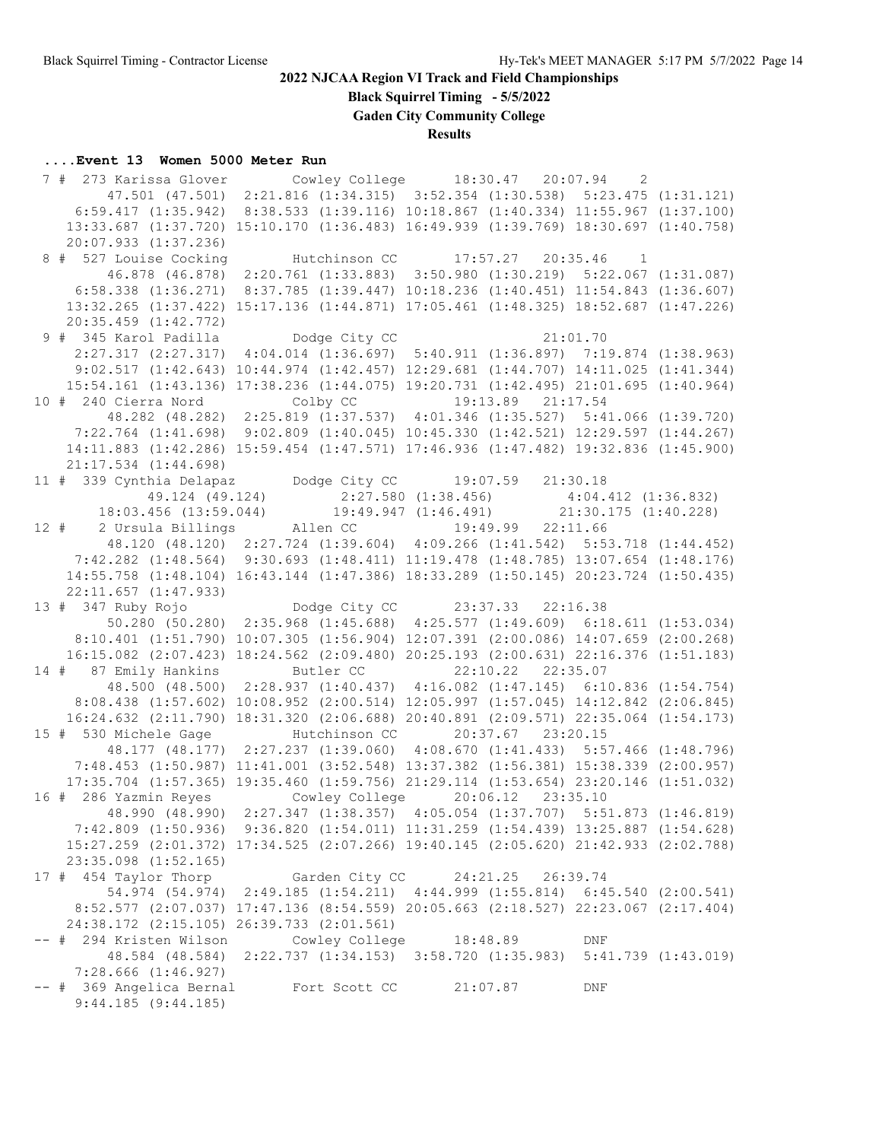**Black Squirrel Timing - 5/5/2022**

**Gaden City Community College**

### **Results**

#### **....Event 13 Women 5000 Meter Run**

 7 # 273 Karissa Glover Cowley College 18:30.47 20:07.94 2 47.501 (47.501) 2:21.816 (1:34.315) 3:52.354 (1:30.538) 5:23.475 (1:31.121) 6:59.417 (1:35.942) 8:38.533 (1:39.116) 10:18.867 (1:40.334) 11:55.967 (1:37.100) 13:33.687 (1:37.720) 15:10.170 (1:36.483) 16:49.939 (1:39.769) 18:30.697 (1:40.758) 20:07.933 (1:37.236) 8 # 527 Louise Cocking Hutchinson CC 17:57.27 20:35.46 1 46.878 (46.878) 2:20.761 (1:33.883) 3:50.980 (1:30.219) 5:22.067 (1:31.087) 6:58.338 (1:36.271) 8:37.785 (1:39.447) 10:18.236 (1:40.451) 11:54.843 (1:36.607) 13:32.265 (1:37.422) 15:17.136 (1:44.871) 17:05.461 (1:48.325) 18:52.687 (1:47.226) 20:35.459 (1:42.772) 9 # 345 Karol Padilla bodge City CC 21:01.70 2:27.317 (2:27.317) 4:04.014 (1:36.697) 5:40.911 (1:36.897) 7:19.874 (1:38.963) 9:02.517 (1:42.643) 10:44.974 (1:42.457) 12:29.681 (1:44.707) 14:11.025 (1:41.344) 15:54.161 (1:43.136) 17:38.236 (1:44.075) 19:20.731 (1:42.495) 21:01.695 (1:40.964) 10 # 240 Cierra Nord Colby CC 19:13.89 21:17.54 48.282 (48.282) 2:25.819 (1:37.537) 4:01.346 (1:35.527) 5:41.066 (1:39.720) 7:22.764 (1:41.698) 9:02.809 (1:40.045) 10:45.330 (1:42.521) 12:29.597 (1:44.267) 14:11.883 (1:42.286) 15:59.454 (1:47.571) 17:46.936 (1:47.482) 19:32.836 (1:45.900) 21:17.534 (1:44.698) 11 # 339 Cynthia Delapaz Dodge City CC 19:07.59 21:30.18 49.124 (49.124) 2:27.580 (1:38.456) 4:04.412 (1:36.832) 18:03.456 (13:59.044) 19:49.947 (1:46.491) 21:30.175 (1:40.228) 12 # 2 Ursula Billings Allen CC 19:49.99 22:11.66 48.120 (48.120) 2:27.724 (1:39.604) 4:09.266 (1:41.542) 5:53.718 (1:44.452) 7:42.282 (1:48.564) 9:30.693 (1:48.411) 11:19.478 (1:48.785) 13:07.654 (1:48.176) 14:55.758 (1:48.104) 16:43.144 (1:47.386) 18:33.289 (1:50.145) 20:23.724 (1:50.435) 22:11.657 (1:47.933) 13 # 347 Ruby Rojo Dodge City CC 23:37.33 22:16.38 50.280 (50.280) 2:35.968 (1:45.688) 4:25.577 (1:49.609) 6:18.611 (1:53.034) 8:10.401 (1:51.790) 10:07.305 (1:56.904) 12:07.391 (2:00.086) 14:07.659 (2:00.268) 16:15.082 (2:07.423) 18:24.562 (2:09.480) 20:25.193 (2:00.631) 22:16.376 (1:51.183) 14 # 87 Emily Hankins Butler CC 22:10.22 22:35.07 48.500 (48.500) 2:28.937 (1:40.437) 4:16.082 (1:47.145) 6:10.836 (1:54.754) 8:08.438 (1:57.602) 10:08.952 (2:00.514) 12:05.997 (1:57.045) 14:12.842 (2:06.845) 16:24.632 (2:11.790) 18:31.320 (2:06.688) 20:40.891 (2:09.571) 22:35.064 (1:54.173) 15 # 530 Michele Gage Hutchinson CC 20:37.67 23:20.15 48.177 (48.177) 2:27.237 (1:39.060) 4:08.670 (1:41.433) 5:57.466 (1:48.796) 7:48.453 (1:50.987) 11:41.001 (3:52.548) 13:37.382 (1:56.381) 15:38.339 (2:00.957) 17:35.704 (1:57.365) 19:35.460 (1:59.756) 21:29.114 (1:53.654) 23:20.146 (1:51.032) 16 # 286 Yazmin Reyes Cowley College 20:06.12 23:35.10 48.990 (48.990) 2:27.347 (1:38.357) 4:05.054 (1:37.707) 5:51.873 (1:46.819) 7:42.809 (1:50.936) 9:36.820 (1:54.011) 11:31.259 (1:54.439) 13:25.887 (1:54.628) 15:27.259 (2:01.372) 17:34.525 (2:07.266) 19:40.145 (2:05.620) 21:42.933 (2:02.788) 23:35.098 (1:52.165) 17 # 454 Taylor Thorp Garden City CC 24:21.25 26:39.74 54.974 (54.974) 2:49.185 (1:54.211) 4:44.999 (1:55.814) 6:45.540 (2:00.541) 8:52.577 (2:07.037) 17:47.136 (8:54.559) 20:05.663 (2:18.527) 22:23.067 (2:17.404) 24:38.172 (2:15.105) 26:39.733 (2:01.561) -- # 294 Kristen Wilson Cowley College 18:48.89 DNF 48.584 (48.584) 2:22.737 (1:34.153) 3:58.720 (1:35.983) 5:41.739 (1:43.019) 7:28.666 (1:46.927) -- # 369 Angelica Bernal Fort Scott CC 21:07.87 DNF 9:44.185 (9:44.185)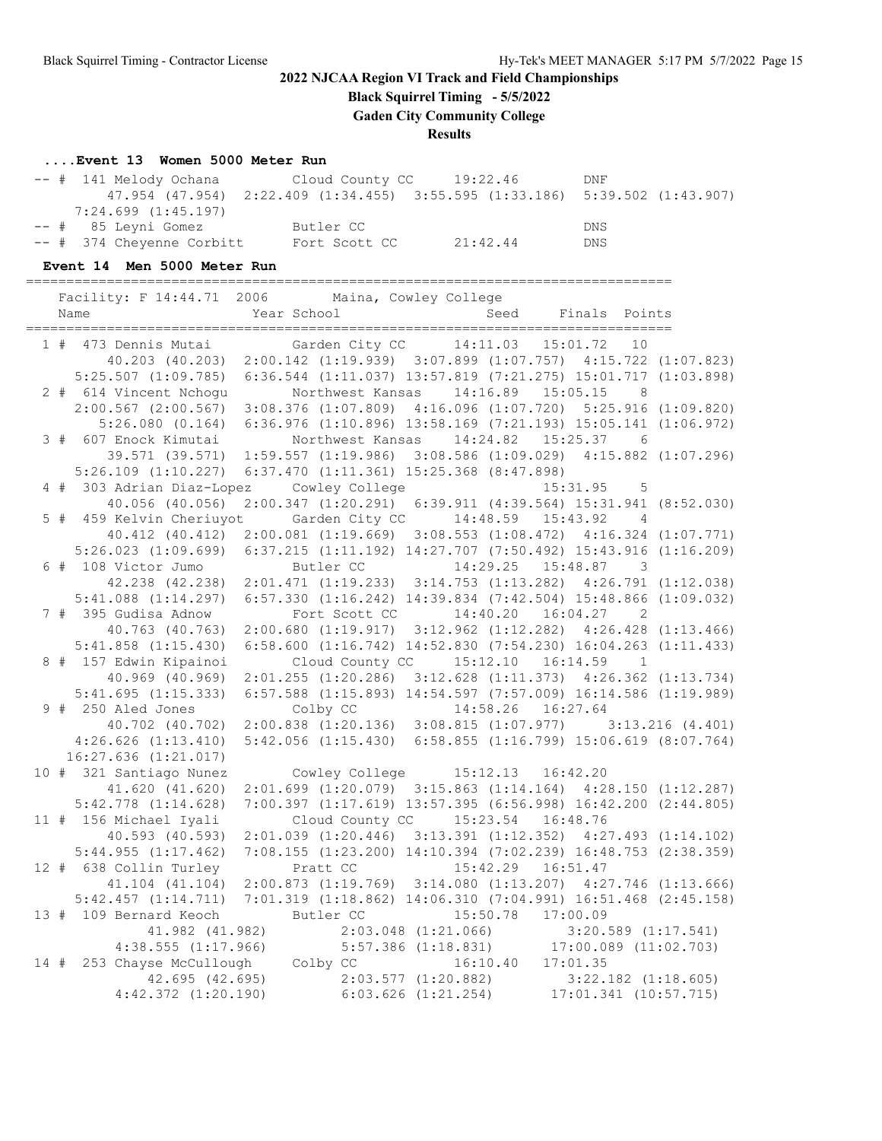**Black Squirrel Timing - 5/5/2022**

**Gaden City Community College**

**Results**

## **....Event 13 Women 5000 Meter Run**

| -- # 141 Melody Ochana    | Cloud County CC 19:22.46                                                    |          | DNF        |
|---------------------------|-----------------------------------------------------------------------------|----------|------------|
|                           | 47.954 (47.954) 2:22.409 (1:34.455) 3:55.595 (1:33.186) 5:39.502 (1:43.907) |          |            |
| 7:24.699 (1:45.197)       |                                                                             |          |            |
| -- # 85 Leyni Gomez       | Butler CC                                                                   |          | <b>DNS</b> |
| -- # 374 Cheyenne Corbitt | Fort Scott CC                                                               | 21:42.44 | DNS        |

### **Event 14 Men 5000 Meter Run**

|  | Facility: F 14:44.71 2006 Maina, Cowley College                                                                                                                                                                                                                                |             |                                                  |  |                                           |                                                                         |
|--|--------------------------------------------------------------------------------------------------------------------------------------------------------------------------------------------------------------------------------------------------------------------------------|-------------|--------------------------------------------------|--|-------------------------------------------|-------------------------------------------------------------------------|
|  | Name<br>_____________________                                                                                                                                                                                                                                                  | Year School |                                                  |  | Seed Finals Points                        |                                                                         |
|  | 1 # 473 Dennis Mutai                                                                                                                                                                                                                                                           |             |                                                  |  | Garden City CC 14:11.03 15:01.72          | 10                                                                      |
|  | 40.203 (40.203) 2:00.142 (1:19.939) 3:07.899 (1:07.757) 4:15.722 (1:07.823)                                                                                                                                                                                                    |             |                                                  |  |                                           |                                                                         |
|  | $5:25.507$ $(1:09.785)$                                                                                                                                                                                                                                                        |             |                                                  |  |                                           | 6:36.544 (1:11.037) 13:57.819 (7:21.275) 15:01.717 (1:03.898)           |
|  | 2 # 614 Vincent Nchogu                                                                                                                                                                                                                                                         |             | Northwest Kansas 14:16.89 15:05.15               |  |                                           | - 8                                                                     |
|  | $2:00.567$ $(2:00.567)$                                                                                                                                                                                                                                                        |             |                                                  |  |                                           | $3:08.376$ (1:07.809) $4:16.096$ (1:07.720) $5:25.916$ (1:09.820)       |
|  | 5:26.080(0.164)                                                                                                                                                                                                                                                                |             |                                                  |  |                                           | 6:36.976 (1:10.896) 13:58.169 (7:21.193) 15:05.141 (1:06.972)           |
|  | 3 # 607 Enock Kimutai                                                                                                                                                                                                                                                          |             |                                                  |  | Northwest Kansas 14:24.82 15:25.37 6      |                                                                         |
|  | 39.571 (39.571) 1:59.557 (1:19.986) 3:08.586 (1:09.029) 4:15.882 (1:07.296)                                                                                                                                                                                                    |             |                                                  |  |                                           |                                                                         |
|  | $5:26.109$ $(1:10.227)$                                                                                                                                                                                                                                                        |             | $6:37.470$ $(1:11.361)$ $15:25.368$ $(8:47.898)$ |  |                                           |                                                                         |
|  | 4 # 303 Adrian Diaz-Lopez Cowley College                                                                                                                                                                                                                                       |             |                                                  |  | 15:31.95 5                                |                                                                         |
|  | $40.056$ $(40.056)$                                                                                                                                                                                                                                                            |             |                                                  |  |                                           | 2:00.347 (1:20.291) 6:39.911 (4:39.564) 15:31.941 (8:52.030)            |
|  | 5 # 459 Kelvin Cheriuyot Garden City CC 14:48.59 15:43.92                                                                                                                                                                                                                      |             |                                                  |  |                                           | $\overline{4}$                                                          |
|  | 40.412 (40.412) 2:00.081 (1:19.669) 3:08.553 (1:08.472) 4:16.324 (1:07.771)                                                                                                                                                                                                    |             |                                                  |  |                                           |                                                                         |
|  | 5:26.023(1:09.699)                                                                                                                                                                                                                                                             |             |                                                  |  |                                           | 6:37.215 (1:11.192) 14:27.707 (7:50.492) 15:43.916 (1:16.209)           |
|  | 6 # 108 Victor Jumo                                                                                                                                                                                                                                                            |             |                                                  |  | Butler CC 14:29.25 15:48.87 3             |                                                                         |
|  | 42.238 (42.238)                                                                                                                                                                                                                                                                |             |                                                  |  |                                           | $2:01.471$ $(1:19.233)$ $3:14.753$ $(1:13.282)$ $4:26.791$ $(1:12.038)$ |
|  | 5:41.088 (1:14.297)                                                                                                                                                                                                                                                            |             |                                                  |  |                                           | 6:57.330 (1:16.242) 14:39.834 (7:42.504) 15:48.866 (1:09.032)           |
|  | 7 # 395 Gudisa Adnow                                                                                                                                                                                                                                                           |             |                                                  |  |                                           |                                                                         |
|  | 40.763 (40.763)                                                                                                                                                                                                                                                                |             |                                                  |  |                                           | $2:00.680$ (1:19.917) 3:12.962 (1:12.282) 4:26.428 (1:13.466)           |
|  | $5:41.858$ $(1:15.430)$                                                                                                                                                                                                                                                        |             |                                                  |  |                                           | 6:58.600 (1:16.742) 14:52.830 (7:54.230) 16:04.263 (1:11.433)           |
|  | 8 # 157 Edwin Kipainoi                                                                                                                                                                                                                                                         |             |                                                  |  | Cloud County CC   15:12.10   16:14.59   1 |                                                                         |
|  | 40.969 (40.969)                                                                                                                                                                                                                                                                |             |                                                  |  |                                           | 2:01.255 (1:20.286) 3:12.628 (1:11.373) 4:26.362 (1:13.734)             |
|  | 5:41.695(1:15.333)                                                                                                                                                                                                                                                             |             |                                                  |  |                                           | 6:57.588 (1:15.893) 14:54.597 (7:57.009) 16:14.586 (1:19.989)           |
|  | 9 # 250 Aled Jones                                                                                                                                                                                                                                                             |             | Colby CC 14:58.26 16:27.64                       |  |                                           |                                                                         |
|  | 40.702 (40.702)                                                                                                                                                                                                                                                                |             |                                                  |  |                                           | $2:00.838$ (1:20.136) $3:08.815$ (1:07.977) $3:13.216$ (4.401)          |
|  | $4:26.626$ $(1:13.410)$                                                                                                                                                                                                                                                        |             |                                                  |  |                                           | 5:42.056 (1:15.430) 6:58.855 (1:16.799) 15:06.619 (8:07.764)            |
|  | $16:27.636$ $(1:21.017)$                                                                                                                                                                                                                                                       |             |                                                  |  |                                           |                                                                         |
|  | 10 # 321 Santiago Nunez                                                                                                                                                                                                                                                        |             | Cowley College 15:12.13 16:42.20                 |  |                                           |                                                                         |
|  | 41.620 (41.620)                                                                                                                                                                                                                                                                |             |                                                  |  |                                           | $2:01.699$ $(1:20.079)$ $3:15.863$ $(1:14.164)$ $4:28.150$ $(1:12.287)$ |
|  | $5:42.778$ $(1:14.628)$                                                                                                                                                                                                                                                        |             |                                                  |  |                                           | 7:00.397 (1:17.619) 13:57.395 (6:56.998) 16:42.200 (2:44.805)           |
|  | 11 # 156 Michael Iyali                                                                                                                                                                                                                                                         |             | Cloud County CC 15:23.54 16:48.76                |  |                                           |                                                                         |
|  | 40.593 (40.593)                                                                                                                                                                                                                                                                |             |                                                  |  |                                           | 2:01.039 (1:20.446) 3:13.391 (1:12.352) 4:27.493 (1:14.102)             |
|  | 5:44.955(1:17.462)                                                                                                                                                                                                                                                             |             |                                                  |  |                                           | 7:08.155 (1:23.200) 14:10.394 (7:02.239) 16:48.753 (2:38.359)           |
|  | 12 # 638 Collin Turley                                                                                                                                                                                                                                                         |             | Pratt CC                                         |  | 15:42.29  16:51.47                        |                                                                         |
|  | 41.104 (41.104)                                                                                                                                                                                                                                                                |             |                                                  |  |                                           | 2:00.873 (1:19.769) 3:14.080 (1:13.207) 4:27.746 (1:13.666)             |
|  | 5:42.457 (1:14.711) 7:01.319 (1:18.862) 14:06.310 (7:04.991) 16:51.468 (2:45.158)                                                                                                                                                                                              |             |                                                  |  |                                           |                                                                         |
|  | 13 # 109 Bernard Keoch                                                                                                                                                                                                                                                         |             | Butler CC                                        |  | 15:50.78 17:00.09                         |                                                                         |
|  | $\begin{array}{cccccc} & 41.982 & (41.982) & 2:03.048 & (1:21.066) & 3:20.589 & (1:17.541) \\ & & 4:38.555 & (1:17.966) & 5:57.386 & (1:18.831) & 17:00.089 & (11:02.703) \\ & & & 5:57.386 & (1:18.831) & 17:00.089 & (11:02.703) \\ & & & 16:10.40 & 17:01.35 & \end{array}$ |             |                                                  |  |                                           |                                                                         |
|  |                                                                                                                                                                                                                                                                                |             |                                                  |  |                                           |                                                                         |
|  |                                                                                                                                                                                                                                                                                |             |                                                  |  |                                           |                                                                         |
|  | 42.695 (42.695) $(42.695)$ $(2:03.577)$ $(1:20.882)$ $(3:22.182)$ $(1:18.605)$<br>4:42.372 (1:20.190) $(6:03.626)$ $(1:21.254)$ $(17:01.341)$ $(10:57.715)$                                                                                                                    |             |                                                  |  |                                           |                                                                         |
|  |                                                                                                                                                                                                                                                                                |             |                                                  |  |                                           |                                                                         |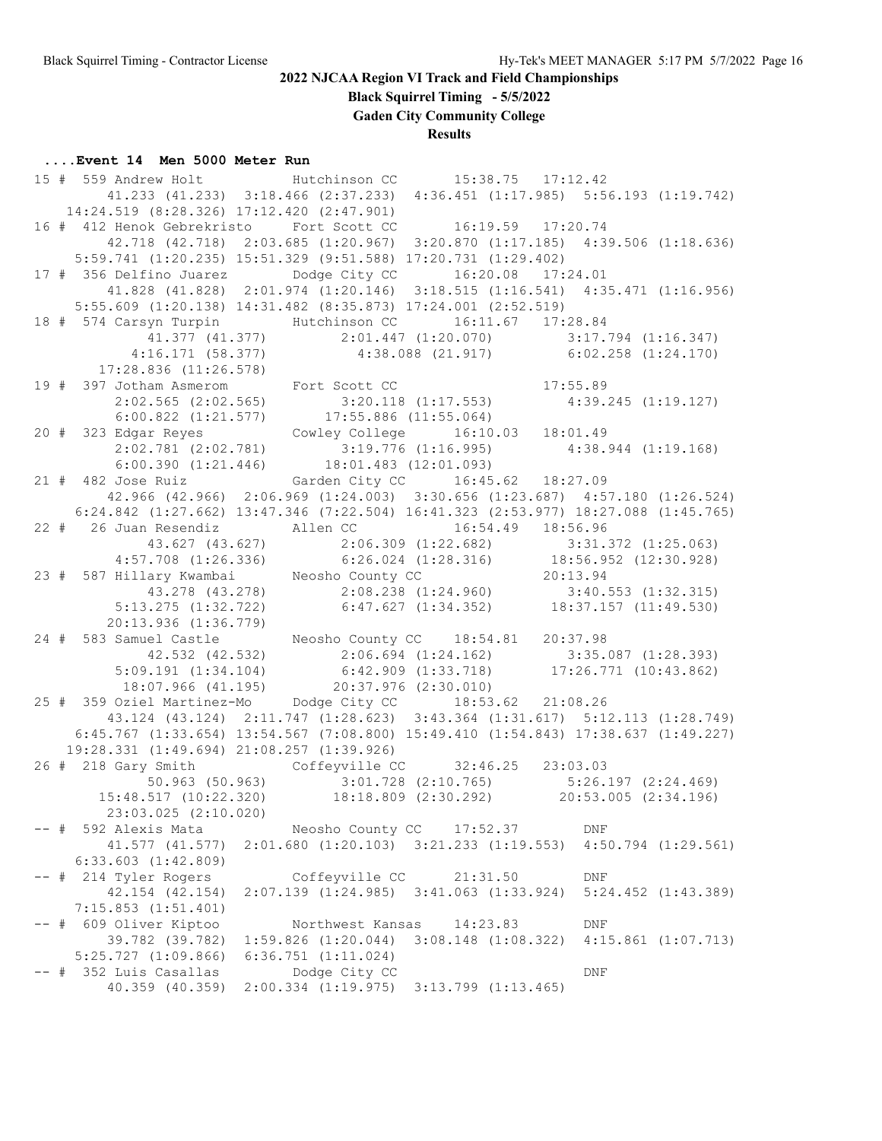**Black Squirrel Timing - 5/5/2022**

**Gaden City Community College**

**Results**

#### **....Event 14 Men 5000 Meter Run**

 15 # 559 Andrew Holt Hutchinson CC 15:38.75 17:12.42 41.233 (41.233) 3:18.466 (2:37.233) 4:36.451 (1:17.985) 5:56.193 (1:19.742) 14:24.519 (8:28.326) 17:12.420 (2:47.901) 16 # 412 Henok Gebrekristo Fort Scott CC 16:19.59 17:20.74 42.718 (42.718) 2:03.685 (1:20.967) 3:20.870 (1:17.185) 4:39.506 (1:18.636) 5:59.741 (1:20.235) 15:51.329 (9:51.588) 17:20.731 (1:29.402) 17 # 356 Delfino Juarez Dodge City CC 16:20.08 17:24.01 41.828 (41.828) 2:01.974 (1:20.146) 3:18.515 (1:16.541) 4:35.471 (1:16.956) 5:55.609 (1:20.138) 14:31.482 (8:35.873) 17:24.001 (2:52.519) 18 # 574 Carsyn Turpin Hutchinson CC 16:11.67 17:28.84 41.377 (41.377) 2:01.447 (1:20.070) 3:17.794 (1:16.347) 4:16.171 (58.377) 4:38.088 (21.917) 6:02.258 (1:24.170) 17:28.836 (11:26.578) 19 # 397 Jotham Asmerom Fort Scott CC 17:55.89 2:02.565 (2:02.565) 3:20.118 (1:17.553) 4:39.245 (1:19.127) 6:00.822 (1:21.577) 17:55.886 (11:55.064) 20 # 323 Edgar Reyes Cowley College 16:10.03 18:01.49 2:02.781 (2:02.781) 3:19.776 (1:16.995) 4:38.944 (1:19.168) 6:00.390 (1:21.446) 18:01.483 (12:01.093) 21 # 482 Jose Ruiz Garden City CC 16:45.62 18:27.09 42.966 (42.966) 2:06.969 (1:24.003) 3:30.656 (1:23.687) 4:57.180 (1:26.524) 6:24.842 (1:27.662) 13:47.346 (7:22.504) 16:41.323 (2:53.977) 18:27.088 (1:45.765) 22 # 26 Juan Resendiz Allen CC 16:54.49 18:56.96 43.627 (43.627) 2:06.309 (1:22.682) 3:31.372 (1:25.063) 4:57.708 (1:26.336) 6:26.024 (1:28.316) 18:56.952 (12:30.928) 23 # 587 Hillary Kwambai Neosho County CC 20:13.94 43.278 (43.278) 2:08.238 (1:24.960) 3:40.553 (1:32.315) 5:13.275 (1:32.722) 6:47.627 (1:34.352) 18:37.157 (11:49.530) 20:13.936 (1:36.779) 24 # 583 Samuel Castle Neosho County CC 18:54.81 20:37.98 42.532 (42.532) 2:06.694 (1:24.162) 3:35.087 (1:28.393) 5:09.191 (1:34.104) 6:42.909 (1:33.718) 17:26.771 (10:43.862) 18:07.966 (41.195) 20:37.976 (2:30.010) 25 # 359 Oziel Martinez-Mo Dodge City CC 18:53.62 21:08.26 43.124 (43.124) 2:11.747 (1:28.623) 3:43.364 (1:31.617) 5:12.113 (1:28.749) 6:45.767 (1:33.654) 13:54.567 (7:08.800) 15:49.410 (1:54.843) 17:38.637 (1:49.227) 19:28.331 (1:49.694) 21:08.257 (1:39.926) 26 # 218 Gary Smith Coffeyville CC 32:46.25 23:03.03 50.963 (50.963) 3:01.728 (2:10.765) 5:26.197 (2:24.469) 15:48.517 (10:22.320) 18:18.809 (2:30.292) 20:53.005 (2:34.196) 23:03.025 (2:10.020) -- # 592 Alexis Mata Neosho County CC 17:52.37 DNF 41.577 (41.577) 2:01.680 (1:20.103) 3:21.233 (1:19.553) 4:50.794 (1:29.561) 6:33.603 (1:42.809) -- # 214 Tyler Rogers Coffeyville CC 21:31.50 DNF 42.154 (42.154) 2:07.139 (1:24.985) 3:41.063 (1:33.924) 5:24.452 (1:43.389) 7:15.853 (1:51.401) -- # 609 Oliver Kiptoo Northwest Kansas 14:23.83 DNF 39.782 (39.782) 1:59.826 (1:20.044) 3:08.148 (1:08.322) 4:15.861 (1:07.713) 5:25.727 (1:09.866) 6:36.751 (1:11.024) -- # 352 Luis Casallas Dodge City CC DNF 40.359 (40.359) 2:00.334 (1:19.975) 3:13.799 (1:13.465)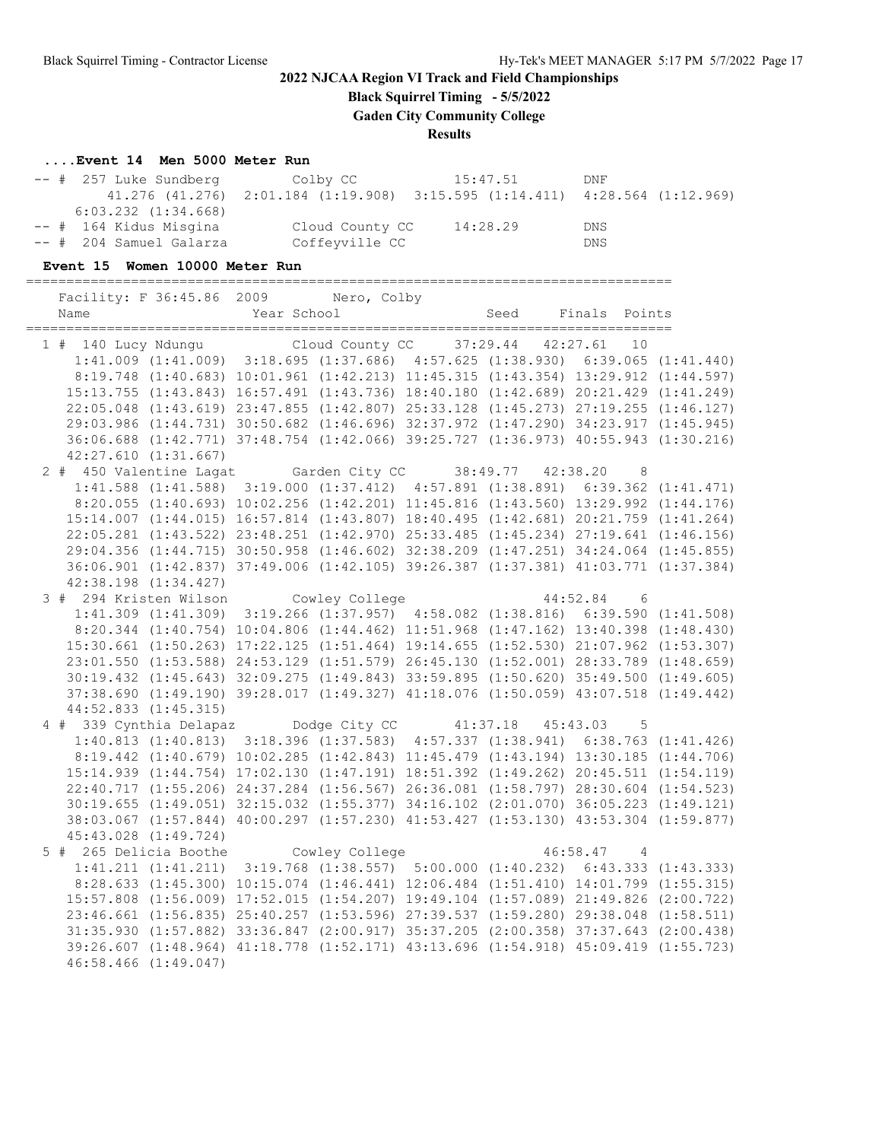**Black Squirrel Timing - 5/5/2022**

**Gaden City Community College**

**Results**

## **....Event 14 Men 5000 Meter Run**

| -- # 257 Luke Sundberg  | Colby CC                                                                                    | 15:47.51 | DNF        |
|-------------------------|---------------------------------------------------------------------------------------------|----------|------------|
|                         | $41.276$ $(41.276)$ $2:01.184$ $(1:19.908)$ $3:15.595$ $(1:14.411)$ $4:28.564$ $(1:12.969)$ |          |            |
| $6:03.232$ $(1:34.668)$ |                                                                                             |          |            |
| -- # 164 Kidus Misgina  | Cloud County CC                                                                             | 14:28.29 | <b>DNS</b> |
| -- # 204 Samuel Galarza | Coffeyville CC                                                                              |          | <b>DNS</b> |

### **Event 15 Women 10000 Meter Run**

| Facility: F 36:45.86 2009 Nero, Colby                                               |             |                 |                   |               |                |
|-------------------------------------------------------------------------------------|-------------|-----------------|-------------------|---------------|----------------|
| Name                                                                                | Year School |                 | Seed              | Finals Points |                |
| 1 # 140 Lucy Ndungu                                                                 |             | Cloud County CC | 37:29.44 42:27.61 |               | 10             |
| 1:41.009 (1:41.009) 3:18.695 (1:37.686) 4:57.625 (1:38.930) 6:39.065 (1:41.440)     |             |                 |                   |               |                |
| 8:19.748 (1:40.683) 10:01.961 (1:42.213) 11:45.315 (1:43.354) 13:29.912 (1:44.597)  |             |                 |                   |               |                |
| 15:13.755 (1:43.843) 16:57.491 (1:43.736) 18:40.180 (1:42.689) 20:21.429 (1:41.249) |             |                 |                   |               |                |
| 22:05.048 (1:43.619) 23:47.855 (1:42.807) 25:33.128 (1:45.273) 27:19.255 (1:46.127) |             |                 |                   |               |                |
| 29:03.986 (1:44.731) 30:50.682 (1:46.696) 32:37.972 (1:47.290) 34:23.917 (1:45.945) |             |                 |                   |               |                |
| 36:06.688 (1:42.771) 37:48.754 (1:42.066) 39:25.727 (1:36.973) 40:55.943 (1:30.216) |             |                 |                   |               |                |
| $42:27.610$ $(1:31.667)$                                                            |             |                 |                   |               |                |
| 2 # 450 Valentine Lagat Garden City CC 38:49.77 42:38.20                            |             |                 |                   |               | 8 <sup>8</sup> |
| 1:41.588 (1:41.588) 3:19.000 (1:37.412) 4:57.891 (1:38.891) 6:39.362 (1:41.471)     |             |                 |                   |               |                |
| 8:20.055 (1:40.693) 10:02.256 (1:42.201) 11:45.816 (1:43.560) 13:29.992 (1:44.176)  |             |                 |                   |               |                |
| 15:14.007 (1:44.015) 16:57.814 (1:43.807) 18:40.495 (1:42.681) 20:21.759 (1:41.264) |             |                 |                   |               |                |
| 22:05.281 (1:43.522) 23:48.251 (1:42.970) 25:33.485 (1:45.234) 27:19.641 (1:46.156) |             |                 |                   |               |                |
| 29:04.356 (1:44.715) 30:50.958 (1:46.602) 32:38.209 (1:47.251) 34:24.064 (1:45.855) |             |                 |                   |               |                |
| 36:06.901 (1:42.837) 37:49.006 (1:42.105) 39:26.387 (1:37.381) 41:03.771 (1:37.384) |             |                 |                   |               |                |
| 42:38.198 (1:34.427)                                                                |             |                 |                   |               |                |
| 3 # 294 Kristen Wilson Cowley College                                               |             |                 |                   | 44:52.84 6    |                |
| 1:41.309 (1:41.309) 3:19.266 (1:37.957) 4:58.082 (1:38.816) 6:39.590 (1:41.508)     |             |                 |                   |               |                |
| 8:20.344 (1:40.754) 10:04.806 (1:44.462) 11:51.968 (1:47.162) 13:40.398 (1:48.430)  |             |                 |                   |               |                |
| 15:30.661 (1:50.263) 17:22.125 (1:51.464) 19:14.655 (1:52.530) 21:07.962 (1:53.307) |             |                 |                   |               |                |
| 23:01.550 (1:53.588) 24:53.129 (1:51.579) 26:45.130 (1:52.001) 28:33.789 (1:48.659) |             |                 |                   |               |                |
| 30:19.432 (1:45.643) 32:09.275 (1:49.843) 33:59.895 (1:50.620) 35:49.500 (1:49.605) |             |                 |                   |               |                |
| 37:38.690 (1:49.190) 39:28.017 (1:49.327) 41:18.076 (1:50.059) 43:07.518 (1:49.442) |             |                 |                   |               |                |
| 44:52.833 (1:45.315)                                                                |             |                 |                   |               |                |
| 4 # 339 Cynthia Delapaz Dodge City CC 41:37.18 45:43.03                             |             |                 |                   |               | 5              |
| 1:40.813 (1:40.813) 3:18.396 (1:37.583) 4:57.337 (1:38.941) 6:38.763 (1:41.426)     |             |                 |                   |               |                |
| 8:19.442 (1:40.679) 10:02.285 (1:42.843) 11:45.479 (1:43.194) 13:30.185 (1:44.706)  |             |                 |                   |               |                |
| 15:14.939 (1:44.754) 17:02.130 (1:47.191) 18:51.392 (1:49.262) 20:45.511 (1:54.119) |             |                 |                   |               |                |
| 22:40.717 (1:55.206) 24:37.284 (1:56.567) 26:36.081 (1:58.797) 28:30.604 (1:54.523) |             |                 |                   |               |                |
| 30:19.655 (1:49.051) 32:15.032 (1:55.377) 34:16.102 (2:01.070) 36:05.223 (1:49.121) |             |                 |                   |               |                |
| 38:03.067 (1:57.844) 40:00.297 (1:57.230) 41:53.427 (1:53.130) 43:53.304 (1:59.877) |             |                 |                   |               |                |
| 45:43.028 (1:49.724)                                                                |             |                 |                   |               |                |
| 5 # 265 Delicia Boothe                                                              |             | Cowley College  |                   | 46:58.47 4    |                |
| 1:41.211 (1:41.211) 3:19.768 (1:38.557) 5:00.000 (1:40.232) 6:43.333 (1:43.333)     |             |                 |                   |               |                |
| 8:28.633 (1:45.300) 10:15.074 (1:46.441) 12:06.484 (1:51.410) 14:01.799 (1:55.315)  |             |                 |                   |               |                |
| 15:57.808 (1:56.009) 17:52.015 (1:54.207) 19:49.104 (1:57.089) 21:49.826 (2:00.722) |             |                 |                   |               |                |
| 23:46.661 (1:56.835) 25:40.257 (1:53.596) 27:39.537 (1:59.280) 29:38.048 (1:58.511) |             |                 |                   |               |                |
| 31:35.930 (1:57.882) 33:36.847 (2:00.917) 35:37.205 (2:00.358) 37:37.643 (2:00.438) |             |                 |                   |               |                |
| 39:26.607 (1:48.964) 41:18.778 (1:52.171) 43:13.696 (1:54.918) 45:09.419 (1:55.723) |             |                 |                   |               |                |
| 46:58.466 (1:49.047)                                                                |             |                 |                   |               |                |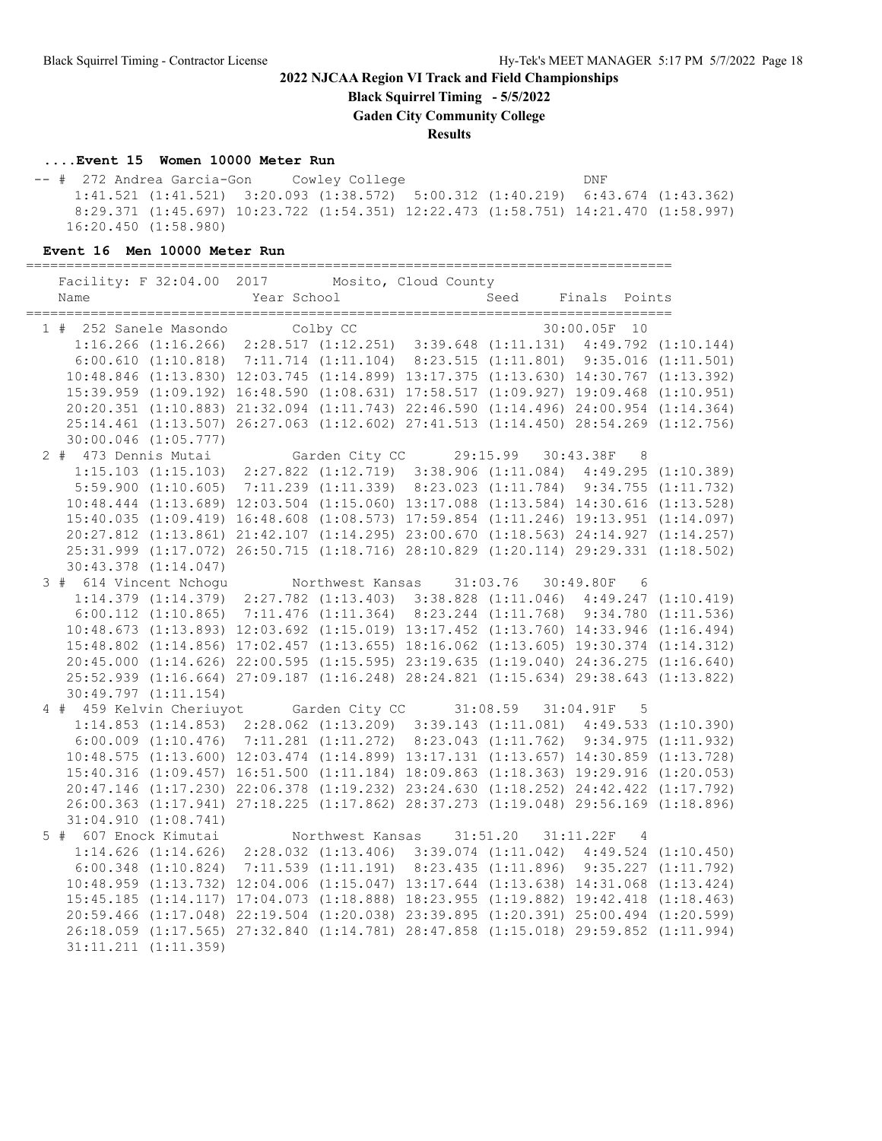**Black Squirrel Timing - 5/5/2022**

**Gaden City Community College**

**Results**

### **....Event 15 Women 10000 Meter Run**

 -- # 272 Andrea Garcia-Gon Cowley College DNF 1:41.521 (1:41.521) 3:20.093 (1:38.572) 5:00.312 (1:40.219) 6:43.674 (1:43.362) 8:29.371 (1:45.697) 10:23.722 (1:54.351) 12:22.473 (1:58.751) 14:21.470 (1:58.997) 16:20.450 (1:58.980)

### **Event 16 Men 10000 Meter Run**

================================================================================

| Facility: F 32:04.00 2017 Mosito, Cloud County                                                                                                                 |  |  |  |
|----------------------------------------------------------------------------------------------------------------------------------------------------------------|--|--|--|
|                                                                                                                                                                |  |  |  |
| 252 Sanele Masondo Colby CC 30:00.05F 10<br>1:16.266 (1:16.266) 2:28.517 (1:12.251) 3:39.648 (1:11.131) 4:49.792 (1:10.144)<br>1 # 252 Sanele Masondo Colby CC |  |  |  |
|                                                                                                                                                                |  |  |  |
| 6:00.610 (1:10.818) 7:11.714 (1:11.104) 8:23.515 (1:11.801) 9:35.016 (1:11.501)                                                                                |  |  |  |
| 10:48.846 (1:13.830) 12:03.745 (1:14.899) 13:17.375 (1:13.630) 14:30.767 (1:13.392)                                                                            |  |  |  |
| 15:39.959 (1:09.192) 16:48.590 (1:08.631) 17:58.517 (1:09.927) 19:09.468 (1:10.951)                                                                            |  |  |  |
| 20:20.351 (1:10.883) 21:32.094 (1:11.743) 22:46.590 (1:14.496) 24:00.954 (1:14.364)                                                                            |  |  |  |
| 25:14.461 (1:13.507) 26:27.063 (1:12.602) 27:41.513 (1:14.450) 28:54.269 (1:12.756)                                                                            |  |  |  |
| $30:00.046$ $(1:05.777)$                                                                                                                                       |  |  |  |
| 2 # 473 Dennis Mutai Garden City CC 29:15.99 30:43.38F 8                                                                                                       |  |  |  |
| $1:15.103 (1:15.103) 2:27.822 (1:12.719) 3:38.906 (1:11.084) 4:49.295 (1:10.389)$                                                                              |  |  |  |
| 5:59.900 (1:10.605) 7:11.239 (1:11.339) 8:23.023 (1:11.784) 9:34.755 (1:11.732)                                                                                |  |  |  |
| 10:48.444 (1:13.689) 12:03.504 (1:15.060) 13:17.088 (1:13.584) 14:30.616 (1:13.528)                                                                            |  |  |  |
| 15:40.035 (1:09.419) 16:48.608 (1:08.573) 17:59.854 (1:11.246) 19:13.951 (1:14.097)                                                                            |  |  |  |
| 20:27.812 (1:13.861) 21:42.107 (1:14.295) 23:00.670 (1:18.563) 24:14.927 (1:14.257)                                                                            |  |  |  |
| 25:31.999 (1:17.072) 26:50.715 (1:18.716) 28:10.829 (1:20.114) 29:29.331 (1:18.502)                                                                            |  |  |  |
| 30:43.378 (1:14.047)                                                                                                                                           |  |  |  |
| 3 # 614 Vincent Nchogu Northwest Kansas 31:03.76 30:49.80F 6                                                                                                   |  |  |  |
| 1:14.379 (1:14.379) 2:27.782 (1:13.403) 3:38.828 (1:11.046) 4:49.247 (1:10.419)                                                                                |  |  |  |
| 6:00.112 (1:10.865) 7:11.476 (1:11.364) 8:23.244 (1:11.768) 9:34.780 (1:11.536)                                                                                |  |  |  |
| 10:48.673 (1:13.893) 12:03.692 (1:15.019) 13:17.452 (1:13.760) 14:33.946 (1:16.494)                                                                            |  |  |  |
| 15:48.802 (1:14.856) 17:02.457 (1:13.655) 18:16.062 (1:13.605) 19:30.374 (1:14.312)                                                                            |  |  |  |
| 20:45.000 (1:14.626) 22:00.595 (1:15.595) 23:19.635 (1:19.040) 24:36.275 (1:16.640)                                                                            |  |  |  |
| 25:52.939 (1:16.664) 27:09.187 (1:16.248) 28:24.821 (1:15.634) 29:38.643 (1:13.822)                                                                            |  |  |  |
| $30:49.797$ $(1:11.154)$                                                                                                                                       |  |  |  |
| 4 # 459 Kelvin Cheriuyot Garden City CC 31:08.59 31:04.91F 5                                                                                                   |  |  |  |
| $1:14.853 (1:14.853) 2:28.062 (1:13.209) 3:39.143 (1:11.081) 4:49.533 (1:10.390)$                                                                              |  |  |  |
| 6:00.009 (1:10.476) 7:11.281 (1:11.272) 8:23.043 (1:11.762) 9:34.975 (1:11.932)                                                                                |  |  |  |
| 10:48.575 (1:13.600) 12:03.474 (1:14.899) 13:17.131 (1:13.657) 14:30.859 (1:13.728)                                                                            |  |  |  |
| 15:40.316 (1:09.457) 16:51.500 (1:11.184) 18:09.863 (1:18.363) 19:29.916 (1:20.053)                                                                            |  |  |  |
| 20:47.146 (1:17.230) 22:06.378 (1:19.232) 23:24.630 (1:18.252) 24:42.422 (1:17.792)                                                                            |  |  |  |
| 26:00.363 (1:17.941) 27:18.225 (1:17.862) 28:37.273 (1:19.048) 29:56.169 (1:18.896)                                                                            |  |  |  |
| 31:04.910(1:08.741)                                                                                                                                            |  |  |  |
| 5 # 607 Enock Kimutai Northwest Kansas 31:51.20 31:11.22F 4<br>1:14.626 (1:14.626) 2:28.032 (1:13.406) 3:39.074 (1:11.042) 4:49.524 (1:10.450)                 |  |  |  |
|                                                                                                                                                                |  |  |  |
| $6:00.348$ $(1:10.824)$ $7:11.539$ $(1:11.191)$ $8:23.435$ $(1:11.896)$ $9:35.227$ $(1:11.792)$                                                                |  |  |  |
| 10:48.959 (1:13.732) 12:04.006 (1:15.047) 13:17.644 (1:13.638) 14:31.068 (1:13.424)                                                                            |  |  |  |
| 15:45.185 (1:14.117) 17:04.073 (1:18.888) 18:23.955 (1:19.882) 19:42.418 (1:18.463)                                                                            |  |  |  |
| 20:59.466 (1:17.048) 22:19.504 (1:20.038) 23:39.895 (1:20.391) 25:00.494 (1:20.599)                                                                            |  |  |  |
| 26:18.059 (1:17.565) 27:32.840 (1:14.781) 28:47.858 (1:15.018) 29:59.852 (1:11.994)                                                                            |  |  |  |
| $31:11.211$ $(1:11.359)$                                                                                                                                       |  |  |  |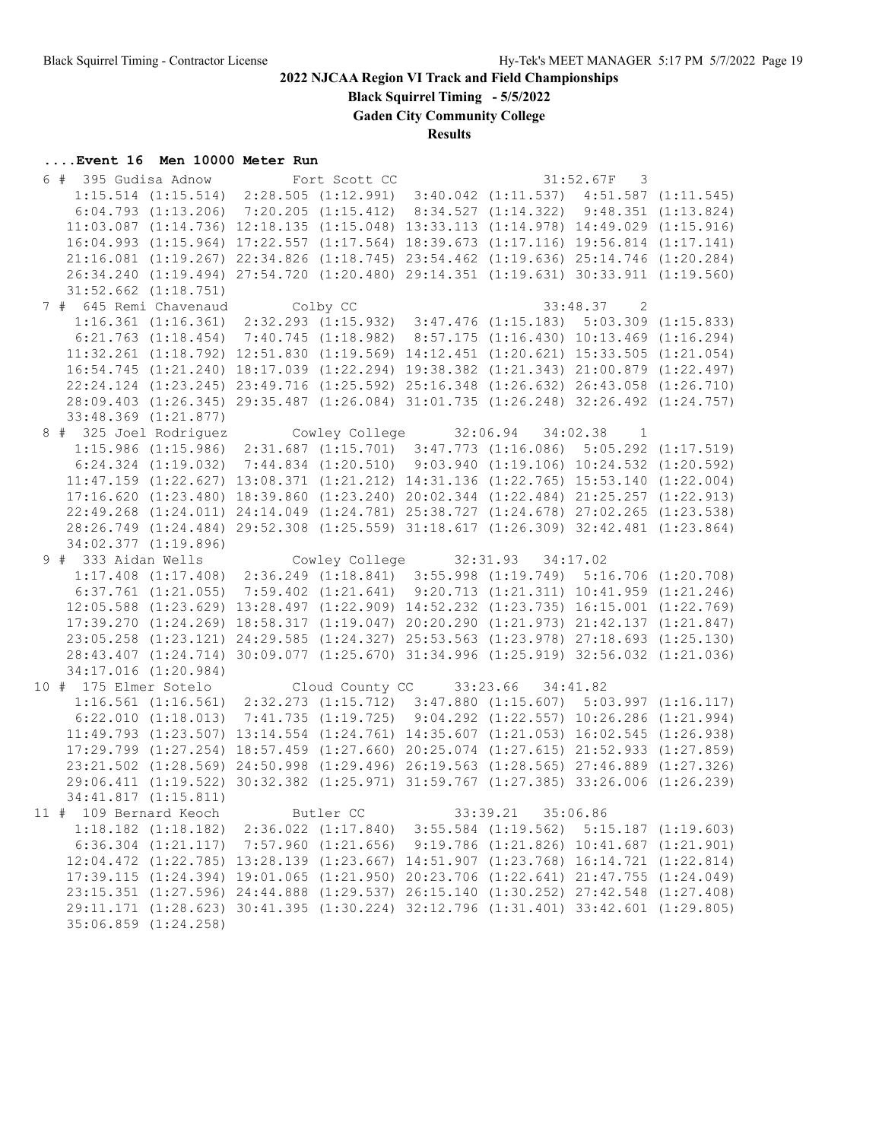**Black Squirrel Timing - 5/5/2022**

**Gaden City Community College**

**Results**

## **....Event 16 Men 10000 Meter Run**

| 6 # 395 Gudisa Adnow Fort Scott CC                                                                                                                           |  |                   | $31:52.67F$ 3 |  |
|--------------------------------------------------------------------------------------------------------------------------------------------------------------|--|-------------------|---------------|--|
| $1:15.514 (1:15.514) 2:28.505 (1:12.991) 3:40.042 (1:11.537) 4:51.587 (1:11.545)$                                                                            |  |                   |               |  |
| 6:04.793 (1:13.206) 7:20.205 (1:15.412) 8:34.527 (1:14.322) 9:48.351 (1:13.824)                                                                              |  |                   |               |  |
| 11:03.087 (1:14.736) 12:18.135 (1:15.048) 13:33.113 (1:14.978) 14:49.029 (1:15.916)                                                                          |  |                   |               |  |
| 16:04.993 (1:15.964) 17:22.557 (1:17.564) 18:39.673 (1:17.116) 19:56.814 (1:17.141)                                                                          |  |                   |               |  |
| 21:16.081 (1:19.267) 22:34.826 (1:18.745) 23:54.462 (1:19.636) 25:14.746 (1:20.284)                                                                          |  |                   |               |  |
| 26:34.240 (1:19.494) 27:54.720 (1:20.480) 29:14.351 (1:19.631) 30:33.911 (1:19.560)                                                                          |  |                   |               |  |
| $31:52.662$ $(1:18.751)$                                                                                                                                     |  |                   |               |  |
| 7 # 645 Remi Chavenaud Colby CC<br>645 Remi Chavenaud Colby CC 33:48.37 2<br>1:16.361 (1:16.361) 2:32.293 (1:15.932) 3:47.476 (1:15.183) 5:03.309 (1:15.833) |  |                   |               |  |
|                                                                                                                                                              |  |                   |               |  |
| 6:21.763 (1:18.454) 7:40.745 (1:18.982) 8:57.175 (1:16.430) 10:13.469 (1:16.294)                                                                             |  |                   |               |  |
| 11:32.261 (1:18.792) 12:51.830 (1:19.569) 14:12.451 (1:20.621) 15:33.505 (1:21.054)                                                                          |  |                   |               |  |
| 16:54.745 (1:21.240) 18:17.039 (1:22.294) 19:38.382 (1:21.343) 21:00.879 (1:22.497)                                                                          |  |                   |               |  |
| 22:24.124 (1:23.245) 23:49.716 (1:25.592) 25:16.348 (1:26.632) 26:43.058 (1:26.710)                                                                          |  |                   |               |  |
| 28:09.403 (1:26.345) 29:35.487 (1:26.084) 31:01.735 (1:26.248) 32:26.492 (1:24.757)                                                                          |  |                   |               |  |
| $33:48.369$ $(1:21.877)$                                                                                                                                     |  |                   |               |  |
| 8 # 325 Joel Rodriguez Cowley College 32:06.94 34:02.38 1                                                                                                    |  |                   |               |  |
| 1:15.986 (1:15.986) 2:31.687 (1:15.701) 3:47.773 (1:16.086) 5:05.292 (1:17.519)                                                                              |  |                   |               |  |
| $6:24.324$ $(1:19.032)$ $7:44.834$ $(1:20.510)$ $9:03.940$ $(1:19.106)$ $10:24.532$ $(1:20.592)$                                                             |  |                   |               |  |
| 11:47.159 (1:22.627) 13:08.371 (1:21.212) 14:31.136 (1:22.765) 15:53.140 (1:22.004)                                                                          |  |                   |               |  |
| 17:16.620 (1:23.480) 18:39.860 (1:23.240) 20:02.344 (1:22.484) 21:25.257 (1:22.913)                                                                          |  |                   |               |  |
| 22:49.268 (1:24.011) 24:14.049 (1:24.781) 25:38.727 (1:24.678) 27:02.265 (1:23.538)                                                                          |  |                   |               |  |
| 28:26.749 (1:24.484) 29:52.308 (1:25.559) 31:18.617 (1:26.309) 32:42.481 (1:23.864)                                                                          |  |                   |               |  |
| 34:02.377 (1:19.896)                                                                                                                                         |  |                   |               |  |
| 9 # 333 Aidan Wells Cowley College 32:31.93 34:17.02                                                                                                         |  |                   |               |  |
| $1:17.408$ $(1:17.408)$ $2:36.249$ $(1:18.841)$ $3:55.998$ $(1:19.749)$ $5:16.706$ $(1:20.708)$                                                              |  |                   |               |  |
|                                                                                                                                                              |  |                   |               |  |
| 6:37.761 (1:21.055) 7:59.402 (1:21.641) 9:20.713 (1:21.311) 10:41.959 (1:21.246)                                                                             |  |                   |               |  |
| 12:05.588 (1:23.629) 13:28.497 (1:22.909) 14:52.232 (1:23.735) 16:15.001 (1:22.769)                                                                          |  |                   |               |  |
| 17:39.270 (1:24.269) 18:58.317 (1:19.047) 20:20.290 (1:21.973) 21:42.137 (1:21.847)                                                                          |  |                   |               |  |
| 23:05.258 (1:23.121) 24:29.585 (1:24.327) 25:53.563 (1:23.978) 27:18.693 (1:25.130)                                                                          |  |                   |               |  |
| 28:43.407 (1:24.714) 30:09.077 (1:25.670) 31:34.996 (1:25.919) 32:56.032 (1:21.036)                                                                          |  |                   |               |  |
| 34:17.016 (1:20.984)                                                                                                                                         |  |                   |               |  |
|                                                                                                                                                              |  |                   |               |  |
| 10 # 175 Elmer Sotelo<br>1:16.561 (1:16.561) 2:32.273 (1:15.712) 3:47.880 (1:15.607) 5:03.997 (1:16.117)                                                     |  |                   |               |  |
| 6:22.010 (1:18.013) 7:41.735 (1:19.725) 9:04.292 (1:22.557) 10:26.286 (1:21.994)                                                                             |  |                   |               |  |
| 11:49.793 (1:23.507) 13:14.554 (1:24.761) 14:35.607 (1:21.053) 16:02.545 (1:26.938)                                                                          |  |                   |               |  |
| 17:29.799 (1:27.254) 18:57.459 (1:27.660) 20:25.074 (1:27.615) 21:52.933 (1:27.859)                                                                          |  |                   |               |  |
| 23:21.502 (1:28.569) 24:50.998 (1:29.496) 26:19.563 (1:28.565) 27:46.889 (1:27.326)                                                                          |  |                   |               |  |
| 29:06.411 (1:19.522) 30:32.382 (1:25.971) 31:59.767 (1:27.385) 33:26.006 (1:26.239)                                                                          |  |                   |               |  |
| 34:41.817 (1:15.811)                                                                                                                                         |  |                   |               |  |
| 11 # 109 Bernard Keoch Butler CC                                                                                                                             |  | 33:39.21 35:06.86 |               |  |
| 1:18.182 (1:18.182) 2:36.022 (1:17.840) 3:55.584 (1:19.562) 5:15.187 (1:19.603)                                                                              |  |                   |               |  |
| 6:36.304 (1:21.117) 7:57.960 (1:21.656) 9:19.786 (1:21.826) 10:41.687 (1:21.901)                                                                             |  |                   |               |  |
| 12:04.472 (1:22.785) 13:28.139 (1:23.667) 14:51.907 (1:23.768) 16:14.721 (1:22.814)                                                                          |  |                   |               |  |
| 17:39.115 (1:24.394) 19:01.065 (1:21.950) 20:23.706 (1:22.641) 21:47.755 (1:24.049)                                                                          |  |                   |               |  |
| 23:15.351 (1:27.596) 24:44.888 (1:29.537) 26:15.140 (1:30.252) 27:42.548 (1:27.408)                                                                          |  |                   |               |  |
| 29:11.171 (1:28.623) 30:41.395 (1:30.224) 32:12.796 (1:31.401) 33:42.601 (1:29.805)<br>35:06.859 (1:24.258)                                                  |  |                   |               |  |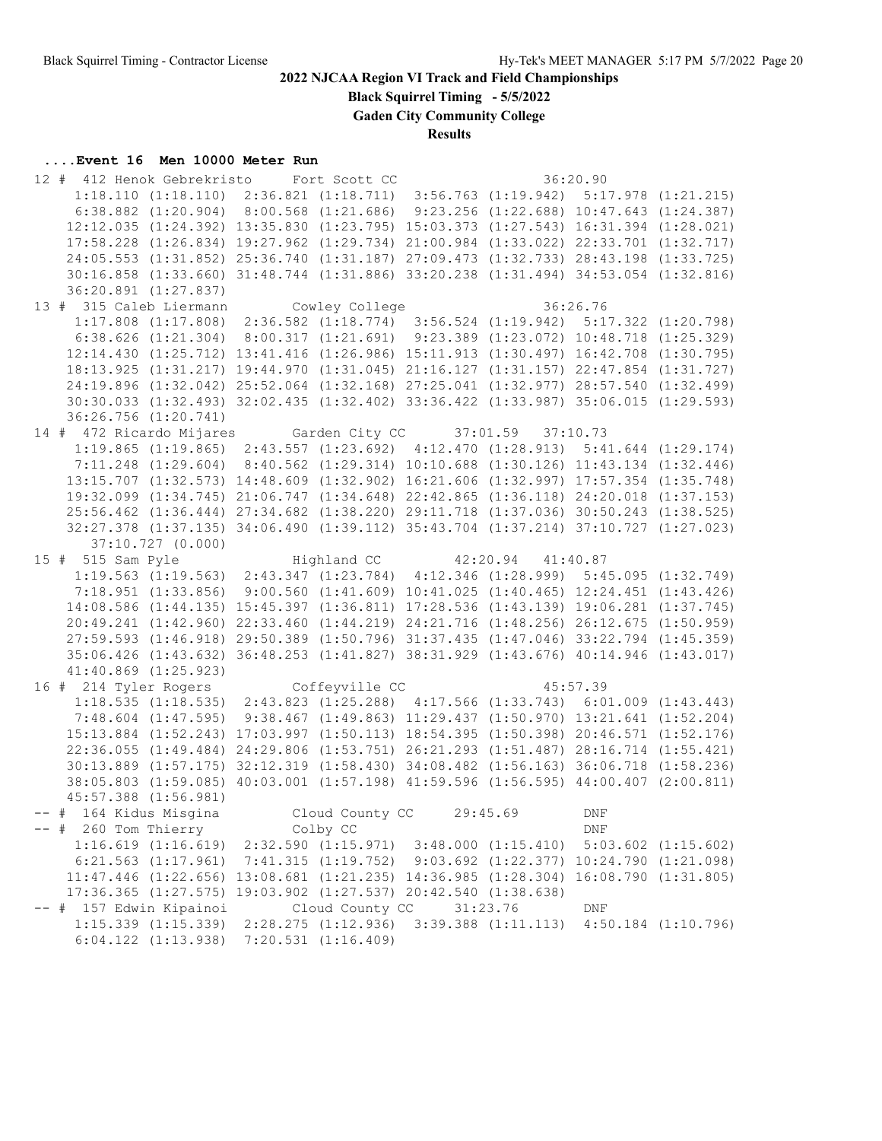**Black Squirrel Timing - 5/5/2022**

**Gaden City Community College**

**Results**

#### **....Event 16 Men 10000 Meter Run**

 12 # 412 Henok Gebrekristo Fort Scott CC 36:20.90 1:18.110 (1:18.110) 2:36.821 (1:18.711) 3:56.763 (1:19.942) 5:17.978 (1:21.215) 6:38.882 (1:20.904) 8:00.568 (1:21.686) 9:23.256 (1:22.688) 10:47.643 (1:24.387) 12:12.035 (1:24.392) 13:35.830 (1:23.795) 15:03.373 (1:27.543) 16:31.394 (1:28.021) 17:58.228 (1:26.834) 19:27.962 (1:29.734) 21:00.984 (1:33.022) 22:33.701 (1:32.717) 24:05.553 (1:31.852) 25:36.740 (1:31.187) 27:09.473 (1:32.733) 28:43.198 (1:33.725) 30:16.858 (1:33.660) 31:48.744 (1:31.886) 33:20.238 (1:31.494) 34:53.054 (1:32.816) 36:20.891 (1:27.837) 13 # 315 Caleb Liermann Cowley College 36:26.76 1:17.808 (1:17.808) 2:36.582 (1:18.774) 3:56.524 (1:19.942) 5:17.322 (1:20.798) 6:38.626 (1:21.304) 8:00.317 (1:21.691) 9:23.389 (1:23.072) 10:48.718 (1:25.329) 12:14.430 (1:25.712) 13:41.416 (1:26.986) 15:11.913 (1:30.497) 16:42.708 (1:30.795) 18:13.925 (1:31.217) 19:44.970 (1:31.045) 21:16.127 (1:31.157) 22:47.854 (1:31.727) 24:19.896 (1:32.042) 25:52.064 (1:32.168) 27:25.041 (1:32.977) 28:57.540 (1:32.499) 30:30.033 (1:32.493) 32:02.435 (1:32.402) 33:36.422 (1:33.987) 35:06.015 (1:29.593) 36:26.756 (1:20.741) 14 # 472 Ricardo Mijares Garden City CC 37:01.59 37:10.73 1:19.865 (1:19.865) 2:43.557 (1:23.692) 4:12.470 (1:28.913) 5:41.644 (1:29.174) 7:11.248 (1:29.604) 8:40.562 (1:29.314) 10:10.688 (1:30.126) 11:43.134 (1:32.446) 13:15.707 (1:32.573) 14:48.609 (1:32.902) 16:21.606 (1:32.997) 17:57.354 (1:35.748) 19:32.099 (1:34.745) 21:06.747 (1:34.648) 22:42.865 (1:36.118) 24:20.018 (1:37.153) 25:56.462 (1:36.444) 27:34.682 (1:38.220) 29:11.718 (1:37.036) 30:50.243 (1:38.525) 32:27.378 (1:37.135) 34:06.490 (1:39.112) 35:43.704 (1:37.214) 37:10.727 (1:27.023) 37:10.727 (0.000) 15 # 515 Sam Pyle Highland CC 42:20.94 41:40.87 1:19.563 (1:19.563) 2:43.347 (1:23.784) 4:12.346 (1:28.999) 5:45.095 (1:32.749) 7:18.951 (1:33.856) 9:00.560 (1:41.609) 10:41.025 (1:40.465) 12:24.451 (1:43.426) 14:08.586 (1:44.135) 15:45.397 (1:36.811) 17:28.536 (1:43.139) 19:06.281 (1:37.745) 20:49.241 (1:42.960) 22:33.460 (1:44.219) 24:21.716 (1:48.256) 26:12.675 (1:50.959) 27:59.593 (1:46.918) 29:50.389 (1:50.796) 31:37.435 (1:47.046) 33:22.794 (1:45.359) 35:06.426 (1:43.632) 36:48.253 (1:41.827) 38:31.929 (1:43.676) 40:14.946 (1:43.017) 41:40.869 (1:25.923) 16 # 214 Tyler Rogers Coffeyville CC 45:57.39 1:18.535 (1:18.535) 2:43.823 (1:25.288) 4:17.566 (1:33.743) 6:01.009 (1:43.443) 7:48.604 (1:47.595) 9:38.467 (1:49.863) 11:29.437 (1:50.970) 13:21.641 (1:52.204) 15:13.884 (1:52.243) 17:03.997 (1:50.113) 18:54.395 (1:50.398) 20:46.571 (1:52.176) 22:36.055 (1:49.484) 24:29.806 (1:53.751) 26:21.293 (1:51.487) 28:16.714 (1:55.421) 30:13.889 (1:57.175) 32:12.319 (1:58.430) 34:08.482 (1:56.163) 36:06.718 (1:58.236) 38:05.803 (1:59.085) 40:03.001 (1:57.198) 41:59.596 (1:56.595) 44:00.407 (2:00.811) 45:57.388 (1:56.981) -- # 164 Kidus Misgina Cloud County CC 29:45.69 DNF -- # 260 Tom Thierry Colby CC DNF 1:16.619 (1:16.619) 2:32.590 (1:15.971) 3:48.000 (1:15.410) 5:03.602 (1:15.602) 6:21.563 (1:17.961) 7:41.315 (1:19.752) 9:03.692 (1:22.377) 10:24.790 (1:21.098) 11:47.446 (1:22.656) 13:08.681 (1:21.235) 14:36.985 (1:28.304) 16:08.790 (1:31.805) 17:36.365 (1:27.575) 19:03.902 (1:27.537) 20:42.540 (1:38.638) -- # 157 Edwin Kipainoi Cloud County CC 31:23.76 DNF 1:15.339 (1:15.339) 2:28.275 (1:12.936) 3:39.388 (1:11.113) 4:50.184 (1:10.796) 6:04.122 (1:13.938) 7:20.531 (1:16.409)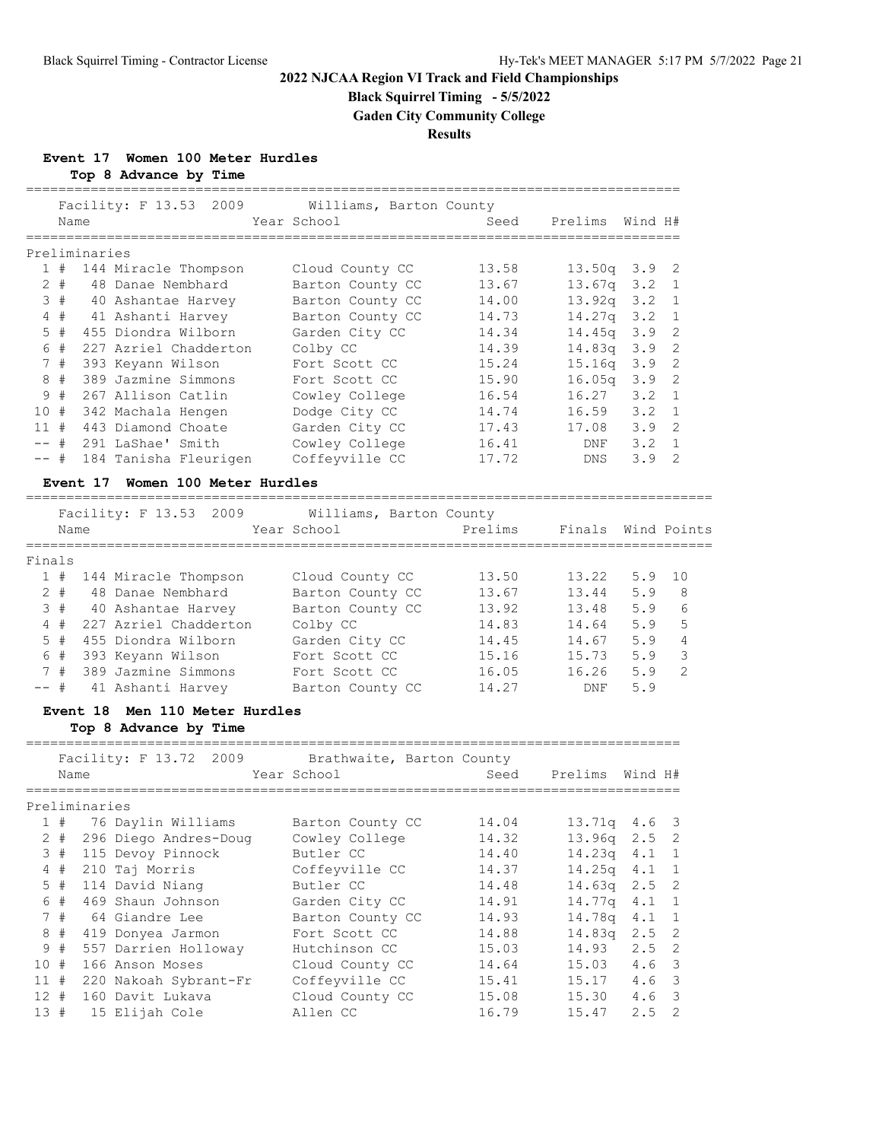# **Black Squirrel Timing - 5/5/2022**

**Gaden City Community College**

## **Results**

**Event 17 Women 100 Meter Hurdles**

|      |       |               | Top 8 Advance by Time  |                                        |       |                    |               |                          |
|------|-------|---------------|------------------------|----------------------------------------|-------|--------------------|---------------|--------------------------|
|      | Name  |               | Facility: F 13.53 2009 | Williams, Barton County<br>Year School | Seed  | Prelims            | Wind H#       |                          |
|      |       | Preliminaries |                        |                                        |       |                    |               |                          |
|      | 1#    |               | 144 Miracle Thompson   | Cloud County CC                        | 13.58 | $13.50q$ $3.9$ 2   |               |                          |
|      | $2 +$ |               | 48 Danae Nembhard      | Barton County CC                       | 13.67 | 13.67a             | $3.2 \quad 1$ |                          |
|      | 3#    |               | 40 Ashantae Harvey     | Barton County CC                       | 14.00 | 13.92q             | 3.2           | $\overline{1}$           |
|      | 4#    |               | 41 Ashanti Harvey      | Barton County CC                       | 14.73 | 14.27a             | 3.2           | $\overline{1}$           |
|      | $5$ # |               | 455 Diondra Wilborn    | Garden City CC                         | 14.34 | 14.45g             | 3.9           | $\overline{\phantom{0}}$ |
|      | 6#    |               | 227 Azriel Chadderton  | Colby CC                               | 14.39 | 14.83a             | $3.9 \quad 2$ |                          |
|      | 7#    |               | 393 Keyann Wilson      | Fort Scott CC                          | 15.24 | 15.16 <sub>q</sub> | $3.9 \quad 2$ |                          |
|      | 8#    |               | 389 Jazmine Simmons    | Fort Scott CC                          | 15.90 | 16.05 <sub>q</sub> | $3.9 \quad 2$ |                          |
| 9    | #     |               | 267 Allison Catlin     | Cowley College                         | 16.54 | 16.27              | $3.2 \quad 1$ |                          |
| 10#  |       |               | 342 Machala Hengen     | Dodge City CC                          | 14.74 | 16.59              | $3.2 \quad 1$ |                          |
| 11#  |       |               | 443 Diamond Choate     | Garden City CC                         | 17.43 | 17.08              | 3.92          |                          |
| -- # |       |               | 291 LaShae' Smith      | Cowley College                         | 16.41 | DNF                | 3.2           | $\overline{1}$           |
| -- # |       |               | 184 Tanisha Fleurigen  | Coffeyville CC                         | 17.72 | <b>DNS</b>         | 3.9           | $\overline{2}$           |
|      |       |               |                        |                                        |       |                    |               |                          |

#### **Event 17 Women 100 Meter Hurdles**

|        | Name  | Facility: F 13.53<br>2009 | Williams, Barton County<br>Year School | Prelims | Finals Wind Points |     |     |
|--------|-------|---------------------------|----------------------------------------|---------|--------------------|-----|-----|
| Finals |       |                           |                                        |         |                    |     |     |
|        | #     | 144 Miracle Thompson      | Cloud County CC                        | 13.50   | 13.22              | 5.9 | 1 O |
|        | $2 +$ | 48 Danae Nembhard         | Barton County CC                       | 13.67   | 13.44              | 5.9 | 8   |
|        | 3#    | 40 Ashantae Harvey        | Barton County CC                       | 13.92   | 13.48              | 5.9 | 6   |
|        | 4#    | 227 Azriel Chadderton     | Colby CC                               | 14.83   | 14.64              | 5.9 | 5   |
|        | $5 +$ | 455 Diondra Wilborn       | Garden City CC                         | 14.45   | 14.67              | 5.9 | 4   |
|        | 6#    | 393 Keyann Wilson         | Fort Scott CC                          | 15.16   | 15.73              | 5.9 | 3   |
|        | 7#    | 389 Jazmine Simmons       | Fort Scott CC                          | 16.05   | 16.26              | 5.9 | 2   |
| $--$ # |       | 41 Ashanti Harvey         | Barton County CC                       | 14.27   | DNF                | 5.9 |     |

=====================================================================================

### **Event 18 Men 110 Meter Hurdles**

**Top 8 Advance by Time**

#### =================================================================================

|        | Name  |               | Facility: F 13.72<br>2009 | Brathwaite, Barton County<br>Year School | Seed  | Prelims        | Wind H#                        |
|--------|-------|---------------|---------------------------|------------------------------------------|-------|----------------|--------------------------------|
|        |       | Preliminaries |                           |                                          |       |                |                                |
|        | 1#    |               | 76 Daylin Williams        | Barton County CC                         | 14.04 |                | $13.71q$ 4.6 3                 |
|        | $2 +$ |               | 296 Diego Andres-Doug     | Cowley College                           | 14.32 | $13.96q$ $2.5$ | $\overline{2}$                 |
|        | 3#    |               | 115 Devoy Pinnock         | Butler CC                                | 14.40 | 14.23a         | 4.1<br>$\overline{1}$          |
|        | 4#    |               | 210 Taj Morris            | Coffeyville CC                           | 14.37 | 14.25q         | 4.1<br>$\overline{1}$          |
|        | 5#    |               | 114 David Niang           | Butler CC                                | 14.48 | 14.63a         | $2.5 \quad 2$                  |
|        | 6#    |               | 469 Shaun Johnson         | Garden City CC                           | 14.91 | 14.77a         | $4.1 \quad 1$                  |
|        | 7#    |               | 64 Giandre Lee            | Barton County CC                         | 14.93 | 14.78a         | 4.1<br>$\overline{1}$          |
|        | 8#    |               | 419 Donyea Jarmon         | Fort Scott CC                            | 14.88 | 14.83a         | $\overline{2}$<br>2.5          |
|        | 9#    |               | 557 Darrien Holloway      | Hutchinson CC                            | 15.03 | 14.93          | $2.5 \quad 2$                  |
| 10#    |       |               | 166 Anson Moses           | Cloud County CC                          | 14.64 | 15.03          | $4.6-3$                        |
| 11     | #     |               | 220 Nakoah Sybrant-Fr     | Coffeyville CC                           | 15.41 | 15.17          | $\overline{\mathbf{3}}$<br>4.6 |
| $12 +$ |       |               | 160 Davit Lukava          | Cloud County CC                          | 15.08 | 15.30          | $\overline{\mathbf{3}}$<br>4.6 |
| 13#    |       |               | 15 Elijah Cole            | Allen CC                                 | 16.79 | 15.47          | 2.5<br>$\overline{2}$          |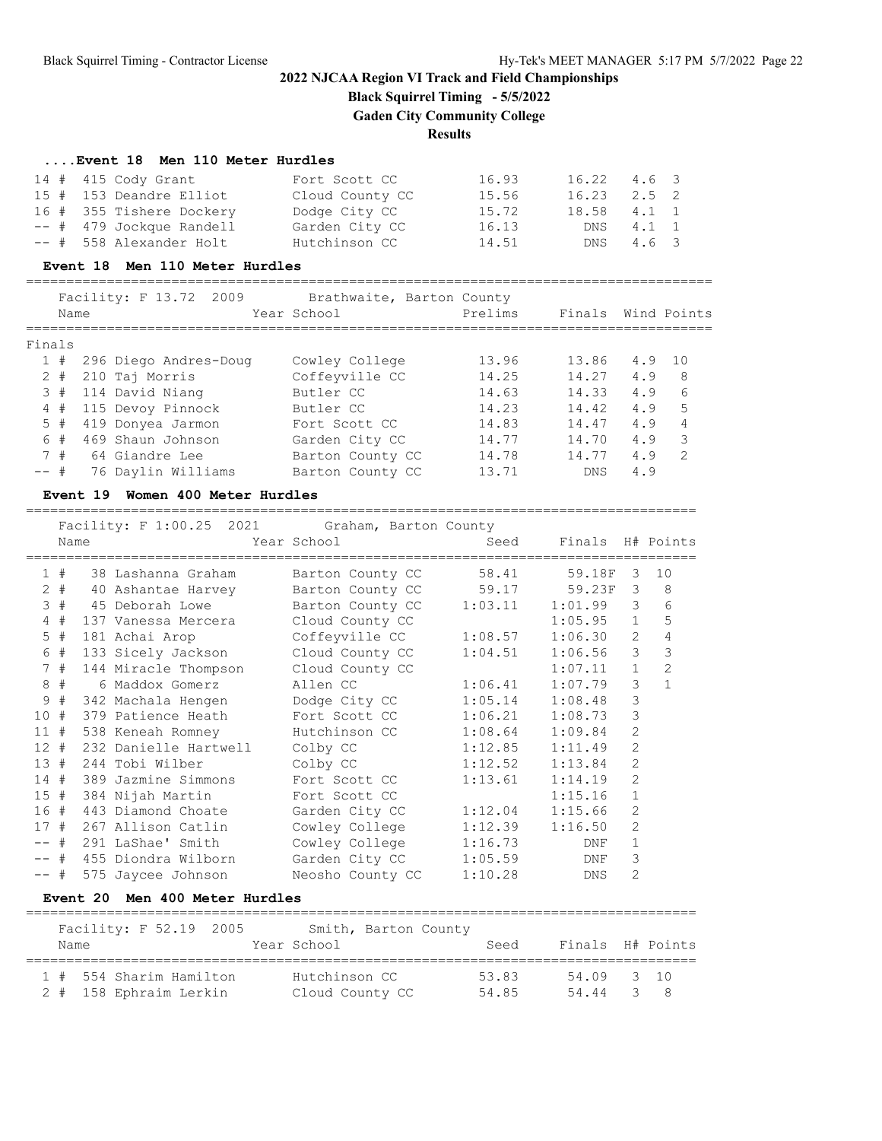**Black Squirrel Timing - 5/5/2022**

**Gaden City Community College**

### **Results**

#### **....Event 18 Men 110 Meter Hurdles**

| 14 # 415 Cody Grant      | Fort Scott CC   | 16.93 | 16.22 4.6 3     |           |  |
|--------------------------|-----------------|-------|-----------------|-----------|--|
| 15 # 153 Deandre Elliot  | Cloud County CC | 15.56 | $16.23$ $2.5$ 2 |           |  |
| 16 # 355 Tishere Dockery | Dodge City CC   | 15.72 | $18.58$ $4.1$ 1 |           |  |
| -- # 479 Jockque Randell | Garden City CC  | 16.13 | DNS 4.1 1       |           |  |
| -- # 558 Alexander Holt  | Hutchinson CC   | 14.51 |                 | DNS 4.6 3 |  |

#### **Event 18 Men 110 Meter Hurdles**

===================================================================================== Facility: F 13.72 2009 Brathwaite, Barton County Name The Year School Team Prelims Finals Wind Points ===================================================================================== Finals 1 # 296 Diego Andres-Doug Cowley College 13.96 13.86 4.9 10 2 # 210 Taj Morris Coffeyville CC 14.25 14.27 4.9 8 3 # 114 David Niang Butler CC 14.63 14.33 4.9 6 4 # 115 Devoy Pinnock Butler CC 14.23 14.42 4.9 5 5 # 419 Donyea Jarmon Fort Scott CC 14.83 14.47 4.9 4 6 # 469 Shaun Johnson Garden City CC 14.77 14.70 4.9 3 7 # 64 Giandre Lee Barton County CC 14.78 14.77 4.9 2 -- # 76 Daylin Williams Barton County CC 13.71 DNS 4.9

#### **Event 19 Women 400 Meter Hurdles**

===================================================================================

|                 | Name  | Facility: F 1:00.25 2021 Graham, Barton County | Year School      | Seed    | Finals H# Points |                |                |
|-----------------|-------|------------------------------------------------|------------------|---------|------------------|----------------|----------------|
|                 |       |                                                |                  |         |                  |                |                |
|                 | 1#    | 38 Lashanna Graham                             | Barton County CC | 58.41   | 59.18F           | 3              | 10             |
|                 | $2 +$ | 40 Ashantae Harvey                             | Barton County CC | 59.17   | 59.23F           | 3              | 8              |
|                 | 3#    | 45 Deborah Lowe                                | Barton County CC | 1:03.11 | 1:01.99          | 3              | 6              |
|                 | 4#    | 137 Vanessa Mercera                            | Cloud County CC  |         | 1:05.95          | $\mathbf{1}$   | 5              |
|                 | $5$ # | 181 Achai Arop                                 | Coffeyville CC   | 1:08.57 | 1:06.30          | $\overline{2}$ | 4              |
|                 | 6#    | 133 Sicely Jackson                             | Cloud County CC  | 1:04.51 | 1:06.56          | 3              | 3              |
|                 | 7#    | 144 Miracle Thompson                           | Cloud County CC  |         | 1:07.11          | $\mathbf{1}$   | $\overline{c}$ |
| 8               | #     | 6 Maddox Gomerz                                | Allen CC         | 1:06.41 | 1:07.79          | 3              | $\mathbf{1}$   |
| 9               | #     | 342 Machala Hengen                             | Dodge City CC    | 1:05.14 | 1:08.48          | 3              |                |
| 10 <sup>°</sup> | #     | 379 Patience Heath                             | Fort Scott CC    | 1:06.21 | 1:08.73          | 3              |                |
| 11              | #     | 538 Keneah Romney                              | Hutchinson CC    | 1:08.64 | 1:09.84          | $\overline{c}$ |                |
| 12#             |       | 232 Danielle Hartwell                          | Colby CC         | 1:12.85 | 1:11.49          | $\overline{c}$ |                |
| 13#             |       | 244 Tobi Wilber                                | Colby CC         | 1:12.52 | 1:13.84          | $\overline{2}$ |                |
| 14#             |       | 389 Jazmine Simmons                            | Fort Scott CC    | 1:13.61 | 1:14.19          | 2              |                |
| 15#             |       | 384 Nijah Martin                               | Fort Scott CC    |         | 1:15.16          | $\mathbf{1}$   |                |
| 16#             |       | 443 Diamond Choate                             | Garden City CC   | 1:12.04 | 1:15.66          | $\overline{2}$ |                |
| 17#             |       | 267 Allison Catlin                             | Cowley College   | 1:12.39 | 1:16.50          | 2              |                |
| -- #            |       | 291 LaShae' Smith                              | Cowley College   | 1:16.73 | <b>DNF</b>       | $\mathbf{1}$   |                |
| $--$ #          |       | 455 Diondra Wilborn                            | Garden City CC   | 1:05.59 | DNF              | 3              |                |
| $--$ #          |       | 575 Jaycee Johnson                             | Neosho County CC | 1:10.28 | <b>DNS</b>       | 2              |                |

#### **Event 20 Men 400 Meter Hurdles**

|      | Facility: F 52.19 2005  |  |  |                 | Smith, Barton County |       |            |        |                  |
|------|-------------------------|--|--|-----------------|----------------------|-------|------------|--------|------------------|
| Name |                         |  |  | Year School     |                      | Seed  |            |        | Finals H# Points |
|      | 1 # 554 Sharim Hamilton |  |  | Hutchinson CC   |                      | 53.83 | 54.09 3 10 |        |                  |
|      | 2 # 158 Ephraim Lerkin  |  |  | Cloud County CC |                      | 54.85 | 54 44      | $\sim$ | -8               |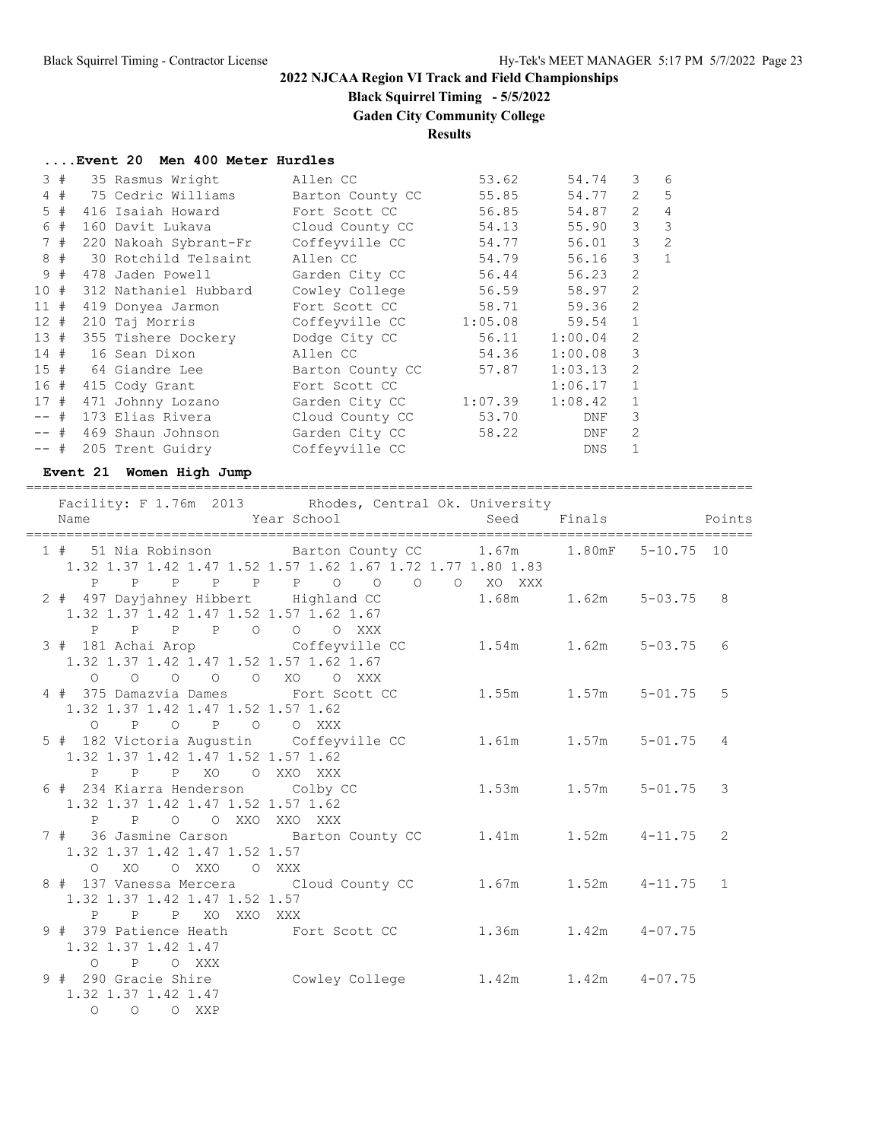# **Black Squirrel Timing - 5/5/2022**

**Gaden City Community College**

**Results**

## **....Event 20 Men 400 Meter Hurdles**

| 3      | #   | 35 Rasmus Wright      | Allen CC         | 53.62   | 54.74   | 3              | 6              |
|--------|-----|-----------------------|------------------|---------|---------|----------------|----------------|
|        | 4#  | 75 Cedric Williams    | Barton County CC | 55.85   | 54.77   | $\overline{2}$ | 5              |
|        | 5#  | 416 Isaiah Howard     | Fort Scott CC    | 56.85   | 54.87   | $\overline{2}$ | $\overline{4}$ |
|        | 6 # | 160 Davit Lukava      | Cloud County CC  | 54.13   | 55.90   | 3              | 3              |
|        | 7#  | 220 Nakoah Sybrant-Fr | Coffeyville CC   | 54.77   | 56.01   | 3              | $\overline{2}$ |
|        | 8#  | 30 Rotchild Telsaint  | Allen CC         | 54.79   | 56.16   | 3              | $\mathbf{1}$   |
|        | 9#  | 478 Jaden Powell      | Garden City CC   | 56.44   | 56.23   | $\overline{2}$ |                |
| 10#    |     | 312 Nathaniel Hubbard | Cowley College   | 56.59   | 58.97   | $\overline{2}$ |                |
| 11#    |     | 419 Donyea Jarmon     | Fort Scott CC    | 58.71   | 59.36   | $\overline{2}$ |                |
| 12#    |     | 210 Taj Morris        | Coffeyville CC   | 1:05.08 | 59.54   | $\mathbf{1}$   |                |
| 13#    |     | 355 Tishere Dockery   | Dodge City CC    | 56.11   | 1:00.04 | 2              |                |
| 14#    |     | 16 Sean Dixon         | Allen CC         | 54.36   | 1:00.08 | 3              |                |
| 15#    |     | 64 Giandre Lee        | Barton County CC | 57.87   | 1:03.13 | 2              |                |
| 16#    |     | 415 Cody Grant        | Fort Scott CC    |         | 1:06.17 | $\mathbf{1}$   |                |
| 17#    |     | 471 Johnny Lozano     | Garden City CC   | 1:07.39 | 1:08.42 | $\mathbf{1}$   |                |
| $--$ # |     | 173 Elias Rivera      | Cloud County CC  | 53.70   | DNF     | 3              |                |
| $--$ # |     | 469 Shaun Johnson     | Garden City CC   | 58.22   | DNF     | $\overline{2}$ |                |
| $--$ # |     | 205 Trent Guidry      | Coffeyville CC   |         | DNS.    |                |                |
|        |     |                       |                  |         |         |                |                |

## **Event 21 Women High Jump**

==========================================================================================

|  | Facility: F 1.76m 2013 Rhodes, Central Ok. University<br>Name                                                                            | Year School and the Market School |                           | Seed Finals               |                      | Points        |
|--|------------------------------------------------------------------------------------------------------------------------------------------|-----------------------------------|---------------------------|---------------------------|----------------------|---------------|
|  | 1 # 51 Nia Robinson Barton County CC 1.67m 1.80mF 5-10.75 10<br>1.32 1.37 1.42 1.47 1.52 1.57 1.62 1.67 1.72 1.77 1.80 1.83<br>P P P P P | P 0 0<br>$\overline{O}$           | O XO XXX                  |                           | -------------------- |               |
|  | 2 # 497 Dayjahney Hibbert Highland CC<br>1.32 1.37 1.42 1.47 1.52 1.57 1.62 1.67<br>P P P P O O O XXX                                    |                                   | 1.68m                     | $1.62m$ $5-03.75$         |                      | 8             |
|  | 3 # 181 Achai Arop    Coffeyville CC<br>1.32 1.37 1.42 1.47 1.52 1.57 1.62 1.67<br>$O$ $O$ $O$ $O$ $O$ $XO$ $O$ $XXX$                    |                                   | $1.54m$ $1.62m$ $5-03.75$ |                           |                      | 6             |
|  | 4 # 375 Damazvia Dames Fort Scott CC<br>1.32 1.37 1.42 1.47 1.52 1.57 1.62<br>O P O P O O XXX                                            |                                   |                           | $1.55m$ $1.57m$ $5-01.75$ |                      | 5             |
|  | 5 # 182 Victoria Augustin Coffeyville CC<br>1.32 1.37 1.42 1.47 1.52 1.57 1.62<br>P P XO O XXO XXX<br>P                                  |                                   | $1.61m$ $1.57m$ $5-01.75$ |                           |                      | 4             |
|  | 6 # 234 Kiarra Henderson Colby CC<br>1.32 1.37 1.42 1.47 1.52 1.57 1.62<br>P P O O XXO XXO XXX                                           |                                   | 1.53m                     | $1.57m$ $5-01.75$         |                      | $\mathcal{S}$ |
|  | 7 # 36 Jasmine Carson Barton County CC<br>1.32 1.37 1.42 1.47 1.52 1.57<br>$O$ XO<br>O XXO O XXX                                         |                                   |                           |                           |                      | 2             |
|  | 8 # 137 Vanessa Mercera Cloud County CC 1.67m<br>1.32 1.37 1.42 1.47 1.52 1.57<br>P P P XO XXO                                           | XXX                               |                           | $1.52m$ $4-11.75$ 1       |                      |               |
|  | 9 # 379 Patience Heath<br>1.32 1.37 1.42 1.47<br>O P O XXX                                                                               | Fort Scott CC 1.36m 1.42m 4-07.75 |                           |                           |                      |               |
|  | 9 # 290 Gracie Shire<br>1.32 1.37 1.42 1.47<br>O O O XXP                                                                                 | Cowley College 1.42m              |                           | $1.42m$ $4-07.75$         |                      |               |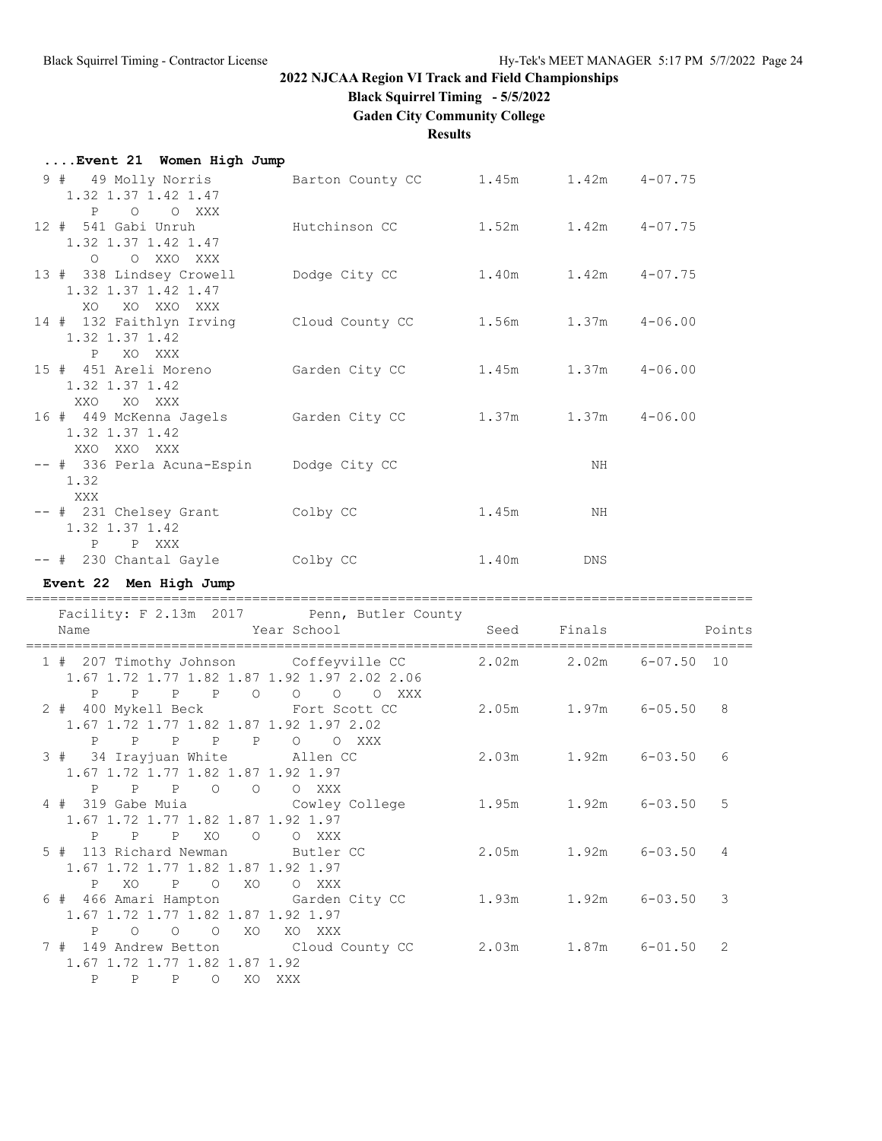1.67 1.72 1.77 1.82 1.87 1.92 P P P O XO XXX

# **2022 NJCAA Region VI Track and Field Championships**

**Black Squirrel Timing - 5/5/2022**

**Gaden City Community College**

**Results**

| Event 21 Women High Jump                                                                                   |                                                            |       |                           |                   |        |
|------------------------------------------------------------------------------------------------------------|------------------------------------------------------------|-------|---------------------------|-------------------|--------|
| 9 # 49 Molly Norris<br>1.32 1.37 1.42 1.47<br>P O O XXX                                                    | Barton County CC 1.45m 1.42m 4-07.75                       |       |                           |                   |        |
| 12 # 541 Gabi Unruh<br>1.32 1.37 1.42 1.47<br>O O XXO XXX                                                  | Hutchinson CC 1.52m 1.42m 4-07.75                          |       |                           |                   |        |
| 13 # 338 Lindsey Crowell Dodge City CC<br>1.32 1.37 1.42 1.47<br>XO XO XXO XXX                             |                                                            | 1.40m |                           | $1.42m$ $4-07.75$ |        |
| 14 # 132 Faithlyn Irving Cloud County CC<br>1.32 1.37 1.42<br>P<br>XO XXX                                  |                                                            | 1.56m |                           | $1.37m$ $4-06.00$ |        |
| 15 # 451 Areli Moreno<br>1.32 1.37 1.42<br>XXO XO XXX                                                      | Garden City CC 1.45m 1.37m 4-06.00                         |       |                           |                   |        |
| 1.32 1.37 1.42<br>XXO XXO XXX                                                                              | 16 # 449 McKenna Jagels Garden City CC 1.37m 1.37m 4-06.00 |       |                           |                   |        |
| -- # 336 Perla Acuna-Espin Dodge City CC<br>1.32<br>XXX                                                    |                                                            |       | ΝH                        |                   |        |
| -- # 231 Chelsey Grant Colby CC<br>1.32 1.37 1.42<br>P P XXX                                               |                                                            | 1.45m | NH                        |                   |        |
|                                                                                                            |                                                            |       |                           |                   |        |
| -- # 230 Chantal Gayle Colby CC                                                                            |                                                            |       | 1.40m DNS                 |                   |        |
| Event 22 Men High Jump                                                                                     |                                                            |       |                           |                   |        |
|                                                                                                            | Facility: F 2.13m 2017 Penn, Butler County                 |       |                           |                   |        |
| Name                                                                                                       | Year School                                                |       | Seed Finals               |                   | Points |
| 1 # 207 Timothy Johnson Coffeyville CC<br>1.67 1.72 1.77 1.82 1.87 1.92 1.97 2.02 2.06<br>P                | P P P O O O O XXX                                          |       | 2.02m 2.02m 6-07.50 10    |                   |        |
| 2 # 400 Mykell Beck Fort Scott CC<br>1.67 1.72 1.77 1.82 1.87 1.92 1.97 2.02<br>P                          | O O XXX                                                    |       | $2.05m$ $1.97m$ $6-05.50$ |                   | 8      |
| P P P P<br>3 # 34 Irayjuan White Allen CC<br>1.67 1.72 1.77 1.82 1.87 1.92 1.97                            |                                                            |       | 2.03m 1.92m 6-03.50 6     |                   |        |
| $\mathbf P$<br>P P O O<br>4 # 319 Gabe Muia Cowley College<br>1.67 1.72 1.77 1.82 1.87 1.92 1.97           | O XXX                                                      | 1.95m | 1.92m                     | $6 - 03.50$       | 5      |
| P P P XO O<br>5 # 113 Richard Newman<br>1.67 1.72 1.77 1.82 1.87 1.92 1.97                                 | O XXX<br>Butler CC                                         | 2.05m | 1.92m                     | $6 - 03.50$       | 4      |
| P<br>XO<br>P O XO<br>6 # 466 Amari Hampton<br>1.67 1.72 1.77 1.82 1.87 1.92 1.97<br>P 0 0<br>$\circ$<br>XO | O XXX<br>Garden City CC<br>XO XXX                          | 1.93m | 1.92m                     | $6 - 03.50$       | 3      |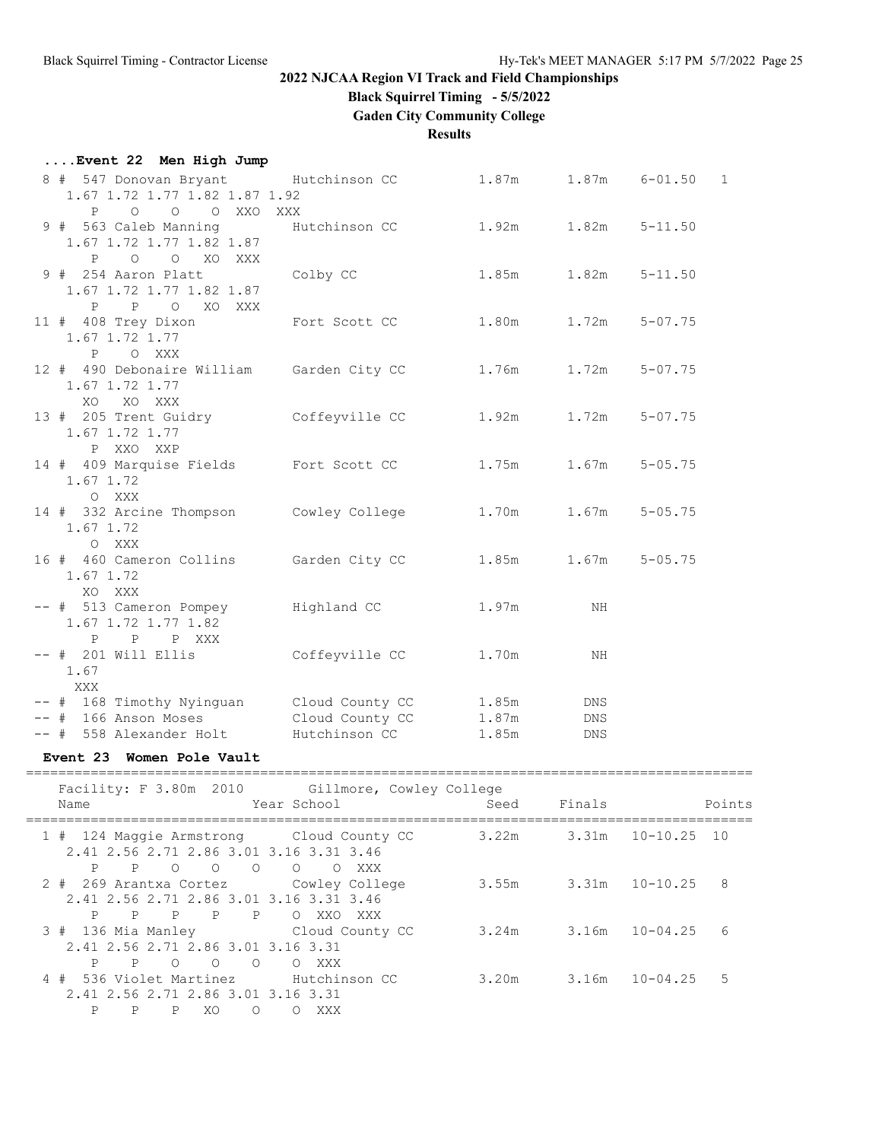**....Event 22 Men High Jump**

# **2022 NJCAA Region VI Track and Field Championships**

**Black Squirrel Timing - 5/5/2022**

**Gaden City Community College**

**Results**

| 8 # 547 Donovan Bryant Hutchinson CC<br>1.67 1.72 1.77 1.82 1.87 1.92<br>O O O XXO<br>P<br>XXX                                            |                | 1.87m                   | 1.87m  | $6 - 01.50$       | 1      |
|-------------------------------------------------------------------------------------------------------------------------------------------|----------------|-------------------------|--------|-------------------|--------|
| 9 # 563 Caleb Manning Mutchinson CC<br>1.67 1.72 1.77 1.82 1.87                                                                           |                | 1.92m                   |        | $1.82m$ $5-11.50$ |        |
| O O XO XXX<br>Ρ<br>9 # 254 Aaron Platt<br>1.67 1.72 1.77 1.82 1.87<br>P O XO XXX                                                          | Colby CC       | 1.85m                   |        | $1.82m$ $5-11.50$ |        |
| Ρ<br>11 # 408 Trey Dixon<br>1.67 1.72 1.77<br>$\mathbf{P}$<br>O XXX                                                                       | Fort Scott CC  | 1.80m                   | 1.72m  | $5 - 07.75$       |        |
| 12 # 490 Debonaire William Garden City CC<br>1.67 1.72 1.77<br>XO XO XXX                                                                  |                | 1.76m                   | 1.72m  | $5 - 07.75$       |        |
| 13 # 205 Trent Guidry<br>1.67 1.72 1.77<br>P XXO XXP                                                                                      | Coffeyville CC | 1.92m                   | 1.72m  | $5 - 07.75$       |        |
| 14 # 409 Marquise Fields Fort Scott CC<br>1.67 1.72<br>O XXX                                                                              |                | 1.75m                   | 1.67m  | $5 - 05.75$       |        |
| 14 # 332 Arcine Thompson Cowley College<br>1.67 1.72<br>O XXX                                                                             |                | 1.70m                   | 1.67m  | $5 - 05.75$       |        |
| 16 # 460 Cameron Collins<br>1.67 1.72<br>XO XXX                                                                                           | Garden City CC | 1.85m                   |        | $1.67m$ $5-05.75$ |        |
| -- # 513 Cameron Pompey<br>1.67 1.72 1.77 1.82<br>Ρ<br>P P XXX                                                                            | Highland CC    | 1.97m                   | ΝH     |                   |        |
| $--$ # 201 Will Ellis<br>1.67<br>XXX                                                                                                      | Coffeyville CC | 1.70m                   | ΝH     |                   |        |
| -- # 168 Timothy Nyinguan Cloud County CC                                                                                                 |                | 1.85m                   | DNS    |                   |        |
| -- # 166 Anson Moses Cloud County CC                                                                                                      |                | 1.87m                   | DNS    |                   |        |
| -- # 558 Alexander Holt Mutchinson CC                                                                                                     |                | 1.85m                   | DNS    |                   |        |
| Event 23 Women Pole Vault                                                                                                                 |                |                         |        |                   |        |
| Facility: F 3.80m 2010 Gillmore, Cowley College                                                                                           |                |                         |        |                   |        |
| Name<br>=================================                                                                                                 | Year School    | Seed                    | Finals |                   | Points |
| 1 # 124 Maggie Armstrong Cloud County CC 3.22m 3.31m 10-10.25 10<br>2.41 2.56 2.71 2.86 3.01 3.16 3.31 3.46                               |                | ======================= |        |                   |        |
| P P O O O O O XXX<br>2 # 269 Arantxa Cortez Cowley College 3.55m 3.31m 10-10.25 8<br>2.41 2.56 2.71 2.86 3.01 3.16 3.31 3.46              |                |                         |        |                   |        |
| P P P P P O XXO XXX<br>3 # 136 Mia Manley Cloud County CC 3.24m 3.16m 10-04.25 6<br>2.41 2.56 2.71 2.86 3.01 3.16 3.31<br>P P O O O O XXX |                |                         |        |                   |        |
| 4 # 536 Violet Martinez Hutchinson CC 3.20m 3.16m 10-04.25<br>2.41 2.56 2.71 2.86 3.01 3.16 3.31                                          |                |                         |        |                   | 5      |

P P P XO O O XXX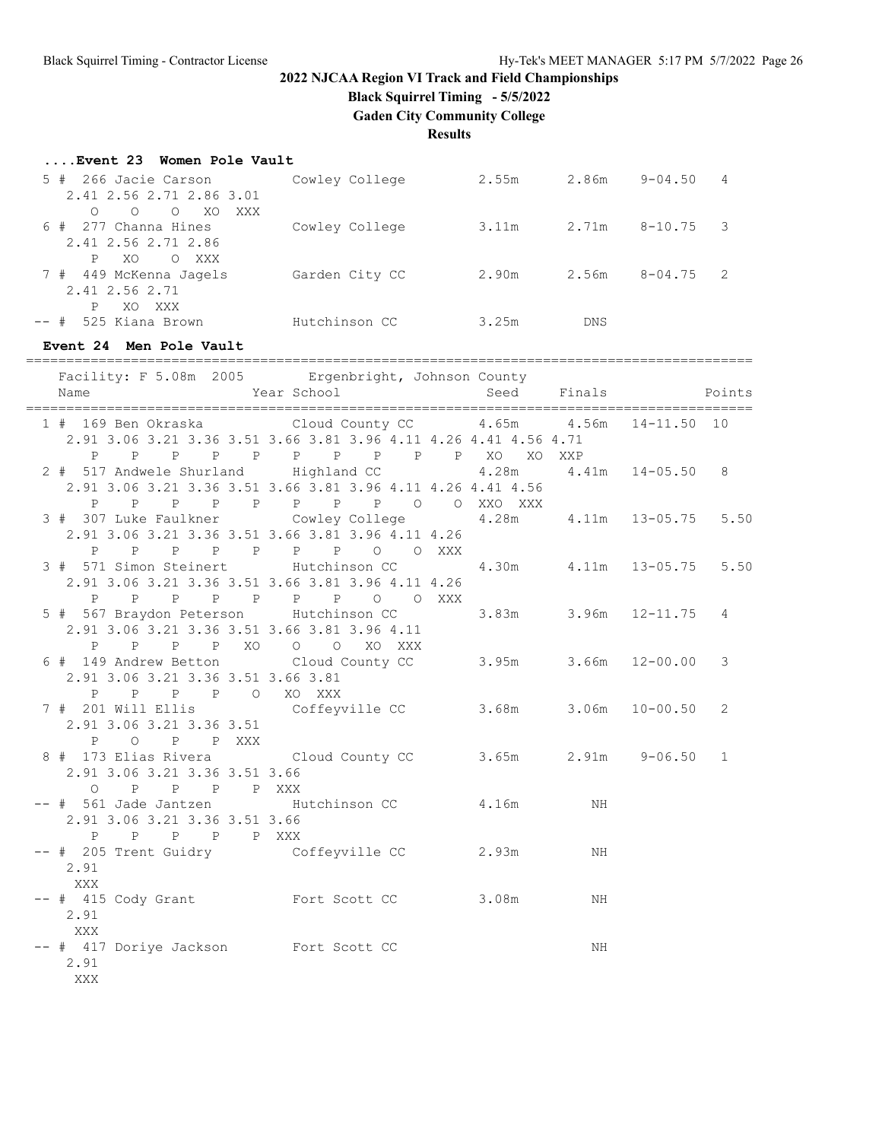**Black Squirrel Timing - 5/5/2022**

**Gaden City Community College**

**Results**

| Event 23 Women Pole Vault |  |  |  |  |
|---------------------------|--|--|--|--|
|---------------------------|--|--|--|--|

| 266 Jacie Carson<br>5#<br>2.41 2.56 2.71 2.86 3.01                                        | Cowley College | 2.55m | 2.86m      | $9 - 04.50$ | $\overline{4}$ |
|-------------------------------------------------------------------------------------------|----------------|-------|------------|-------------|----------------|
| $\circ$<br>$\circ$<br>XO XXX<br>$\bigcirc$<br>6 # 277 Channa Hines<br>2.41 2.56 2.71 2.86 | Cowley College | 3.11m | 2.71m      | $8 - 10.75$ | - 3            |
| XO.<br>$\circ$<br>XXX<br>7 # 449 McKenna Jagels<br>2.41 2.56 2.71                         | Garden City CC | 2.90m | 2.56m      | $8 - 04.75$ | - 2            |
| XO<br>XXX<br>525 Kiana Brown<br>-- #                                                      | Hutchinson CC  | 3.25m | <b>DNS</b> |             |                |

### **Event 24 Men Pole Vault**

==========================================================================================

| Facility: F 5.08m 2005 Ergenbright, Johnson County<br>Name                                                                                                                    | Year School                                                                                       |    | Seed Finals Points |   |
|-------------------------------------------------------------------------------------------------------------------------------------------------------------------------------|---------------------------------------------------------------------------------------------------|----|--------------------|---|
| 1 # 169 Ben Okraska (cloud County CC 4.65m $4.56m$ 14-11.50 10                                                                                                                | 2.91 3.06 3.21 3.36 3.51 3.66 3.81 3.96 4.11 4.26 4.41 4.56 4.71<br>P P P P P P P P P P XO XO XXP |    |                    |   |
| 2 # 517 Andwele Shurland Highland CC 4.28m 4.41m 14-05.50 8                                                                                                                   | 2.91 3.06 3.21 3.36 3.51 3.66 3.81 3.96 4.11 4.26 4.41 4.56<br>P P P P P P P P O O XXO XXX        |    |                    |   |
| 3 # 307 Luke Faulkner Cowley College 4.28m 4.11m 13-05.75 5.50                                                                                                                | 2.91 3.06 3.21 3.36 3.51 3.66 3.81 3.96 4.11 4.26<br>P P P P P P P O O XXX                        |    |                    |   |
| 3 # 571 Simon Steinert Hutchinson CC 4.30m 4.11m 13-05.75 5.50                                                                                                                | 2.91 3.06 3.21 3.36 3.51 3.66 3.81 3.96 4.11 4.26<br>P P P P P P P P O O XXX                      |    |                    |   |
| 5 # 567 Braydon Peterson Hutchinson CC 3.83m 3.96m 12-11.75 4<br>2.91 3.06 3.21 3.36 3.51 3.66 3.81 3.96 4.11<br>P P P P XO O O XO XXX                                        |                                                                                                   |    |                    |   |
| 6 # 149 Andrew Betton Cloud County CC 3.95m 3.66m 12-00.00<br>2.91 3.06 3.21 3.36 3.51 3.66 3.81<br>P P P P O XO XXX                                                          |                                                                                                   |    |                    | 3 |
| 7 # 201 Will Ellis Coffeyville CC 3.68m 3.06m 10-00.50<br>2.91 3.06 3.21 3.36 3.51<br>P O P P XXX                                                                             |                                                                                                   |    |                    | 2 |
| 2.91 3.06 3.21 3.36 3.51 3.66<br>$\begin{matrix} \mathsf{O} \qquad & \mathsf{P} \qquad & \mathsf{P} \qquad & \mathsf{P} \qquad & \mathsf{P} \qquad \mathsf{XXX} \end{matrix}$ |                                                                                                   |    |                    |   |
| -- # 561 Jade Jantzen Mutchinson CC 4.16m<br>2.91 3.06 3.21 3.36 3.51 3.66<br>P P P P P XXX                                                                                   |                                                                                                   | NH |                    |   |
| -- # 205 Trent Guidry Coffeyville CC 2.93m<br>2.91<br>XXX                                                                                                                     |                                                                                                   | ΝH |                    |   |
| -- # 415 Cody Grant Fort Scott CC 3.08m<br>2.91<br>XXX                                                                                                                        |                                                                                                   | NH |                    |   |
| -- # 417 Doriye Jackson Fort Scott CC<br>2.91<br>XXX                                                                                                                          |                                                                                                   | NH |                    |   |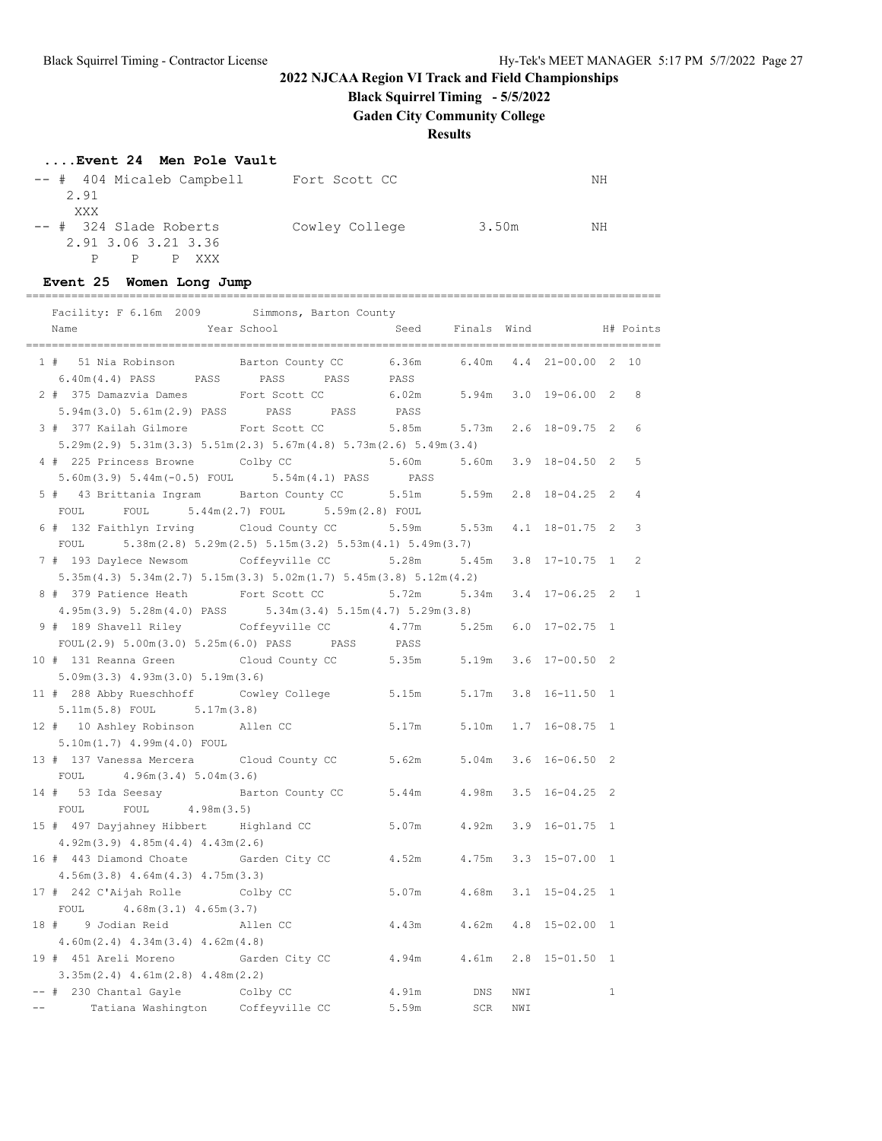**Black Squirrel Timing - 5/5/2022**

**Gaden City Community College**

**Results**

### **....Event 24 Men Pole Vault**

| -- # 404 Micaleb Campbell | Fort Scott CC  |       | NΗ |
|---------------------------|----------------|-------|----|
| 2.91                      |                |       |    |
| XXX                       |                |       |    |
| $--$ # 324 Slade Roberts  | Cowley College | 3.50m | NΗ |
| 2.91 3.06 3.21 3.36       |                |       |    |
| P –<br>P XXX              |                |       |    |

## **Event 25 Women Long Jump**

==================================================================================================

|      | Facility: F 6.16m 2009 Simmons, Barton County                                                         |                                                                  |                            |            |     |                    |              |                |
|------|-------------------------------------------------------------------------------------------------------|------------------------------------------------------------------|----------------------------|------------|-----|--------------------|--------------|----------------|
|      | Year School<br>Name                                                                                   |                                                                  | Seed Finals Wind           |            |     |                    |              | H# Points      |
|      | 1 # 51 Nia Robinson Barton County CC                                                                  |                                                                  | 6.36m                      | 6.40m      |     | 4.4 21-00.00 2 10  |              |                |
|      | 6.40m(4.4) PASS PASS                                                                                  | PASS<br>PASS                                                     | PASS                       |            |     |                    |              |                |
|      | 2 # 375 Damazvia Dames Fort Scott CC                                                                  |                                                                  | 6.02m 5.94m                |            |     | $3.0$ 19-06.00 2   |              | 8              |
|      | 5.94m(3.0) 5.61m(2.9) PASS PASS                                                                       | PASS                                                             | PASS                       |            |     |                    |              |                |
|      | 3 # 377 Kailah Gilmore Fort Scott CC                                                                  |                                                                  | 5.85m 5.73m                |            |     | $2.6$ 18-09.75 2   |              | 6              |
|      | $5.29$ m $(2.9)$ $5.31$ m $(3.3)$ $5.51$ m $(2.3)$ $5.67$ m $(4.8)$ $5.73$ m $(2.6)$ $5.49$ m $(3.4)$ |                                                                  |                            |            |     |                    |              |                |
|      | 4 # 225 Princess Browne Colby CC                                                                      |                                                                  | 5.60m 5.60m 3.9 18-04.50 2 |            |     |                    |              | 5              |
|      | 5.60m(3.9) 5.44m(-0.5) FOUL 5.54m(4.1) PASS PASS                                                      |                                                                  |                            |            |     |                    |              |                |
|      | 5 # 43 Brittania Ingram Barton County CC 5.51m 5.59m                                                  |                                                                  |                            |            |     | $2.8$ 18-04.25 2   |              | $\overline{4}$ |
|      | FOUL                                                                                                  | FOUL $5.44$ m $(2.7)$ FOUL $5.59$ m $(2.8)$ FOUL                 |                            |            |     |                    |              |                |
|      | 6 # 132 Faithlyn Irving                                                                               | Cloud County CC                                                  | 5.59m                      | 5.53m      |     | $4.1$ 18-01.75 2   |              | 3              |
|      | FOUL                                                                                                  | $5.38m(2.8)$ $5.29m(2.5)$ $5.15m(3.2)$ $5.53m(4.1)$ $5.49m(3.7)$ |                            |            |     |                    |              |                |
|      | 7 # 193 Daylece Newsom Coffeyville CC 5.28m                                                           |                                                                  |                            | 5.45m      |     | $3.8$ $17-10.75$ 1 |              | $\mathcal{L}$  |
|      | $5.35m(4.3)$ $5.34m(2.7)$ $5.15m(3.3)$ $5.02m(1.7)$ $5.45m(3.8)$ $5.12m(4.2)$                         |                                                                  |                            |            |     |                    |              |                |
|      | 8 # 379 Patience Heath                                                                                | Fort Scott CC<br>5.72m                                           |                            | 5.34m      |     | $3.4$ 17-06.25 2   |              | $\mathbf{1}$   |
|      | $4.95m(3.9)$ $5.28m(4.0)$ PASS $5.34m(3.4)$ $5.15m(4.7)$ $5.29m(3.8)$                                 |                                                                  |                            |            |     |                    |              |                |
|      | 9 # 189 Shavell Riley Coffeyville CC                                                                  |                                                                  | 4.77m 5.25m 6.0 17-02.75 1 |            |     |                    |              |                |
|      | FOUL(2.9) 5.00m(3.0) 5.25m(6.0) PASS PASS                                                             |                                                                  | PASS                       |            |     |                    |              |                |
|      | 10 # 131 Reanna Green                                                                                 | Cloud County CC 5.35m 5.19m                                      |                            |            |     | $3.6$ 17-00.50 2   |              |                |
|      | $5.09m(3.3)$ $4.93m(3.0)$ $5.19m(3.6)$                                                                |                                                                  |                            |            |     |                    |              |                |
|      | 11 # 288 Abby Rueschhoff Cowley College 5.15m 5.17m                                                   |                                                                  |                            |            |     | $3.8$ 16-11.50 1   |              |                |
|      | 5.11m(5.8) FOUL 5.17m(3.8)                                                                            |                                                                  |                            |            |     |                    |              |                |
|      | 12 # 10 Ashley Robinson Allen CC                                                                      |                                                                  | 5.17m 5.10m                |            |     | $1.7$ 16-08.75 1   |              |                |
|      | $5.10m(1.7)$ 4.99 $m(4.0)$ FOUL                                                                       |                                                                  |                            |            |     |                    |              |                |
|      | 13 # 137 Vanessa Mercera Cloud County CC 5.62m 5.04m                                                  |                                                                  |                            |            |     | $3.6$ 16-06.50 2   |              |                |
|      | 4.96m(3.4) 5.04m(3.6)<br>FOUL                                                                         |                                                                  |                            |            |     |                    |              |                |
|      | 14 # 53 Ida Seesay                                                                                    | Barton County CC 5.44m 4.98m                                     |                            |            |     | $3.5$ $16-04.25$ 2 |              |                |
|      | FOUL<br>FOUL 4.98m (3.5)                                                                              |                                                                  |                            |            |     |                    |              |                |
|      | 15 # 497 Dayjahney Hibbert Highland CC                                                                |                                                                  | 5.07m                      | 4.92m      |     | $3.9$ $16-01.75$ 1 |              |                |
|      | $4.92m(3.9)$ $4.85m(4.4)$ $4.43m(2.6)$                                                                |                                                                  |                            |            |     |                    |              |                |
|      | 16 # 443 Diamond Choate Garden City CC                                                                |                                                                  | 4.52m 4.75m                |            |     | $3.3$ $15-07.00$ 1 |              |                |
|      | $4.56m(3.8)$ $4.64m(4.3)$ $4.75m(3.3)$                                                                |                                                                  |                            |            |     |                    |              |                |
|      | 17 # 242 C'Aijah Rolle Colby CC                                                                       |                                                                  | 5.07m                      | 4.68m      |     | $3.1$ 15-04.25 1   |              |                |
|      | FOUL $4.68m(3.1) 4.65m(3.7)$                                                                          |                                                                  |                            |            |     |                    |              |                |
|      | 18 # 9 Jodian Reid                                                                                    | Allen CC                                                         | 4.43m 4.62m                |            |     | 4.8 15-02.00 1     |              |                |
|      | $4.60m(2.4)$ $4.34m(3.4)$ $4.62m(4.8)$                                                                |                                                                  |                            |            |     |                    |              |                |
|      | 19 # 451 Areli Moreno                                                                                 | Garden City CC                                                   | 4.94m                      | 4.61m      |     | $2.8$ 15-01.50 1   |              |                |
|      | $3.35m(2.4)$ 4.61m(2.8) 4.48m(2.2)                                                                    |                                                                  |                            |            |     |                    |              |                |
|      | -- # 230 Chantal Gayle                                                                                | Colby CC                                                         | 4.91m                      | DNS        | NWI |                    | $\mathbf{1}$ |                |
| $--$ | Tatiana Washington                                                                                    | Coffeyville CC                                                   | 5.59m                      | <b>SCR</b> | NWI |                    |              |                |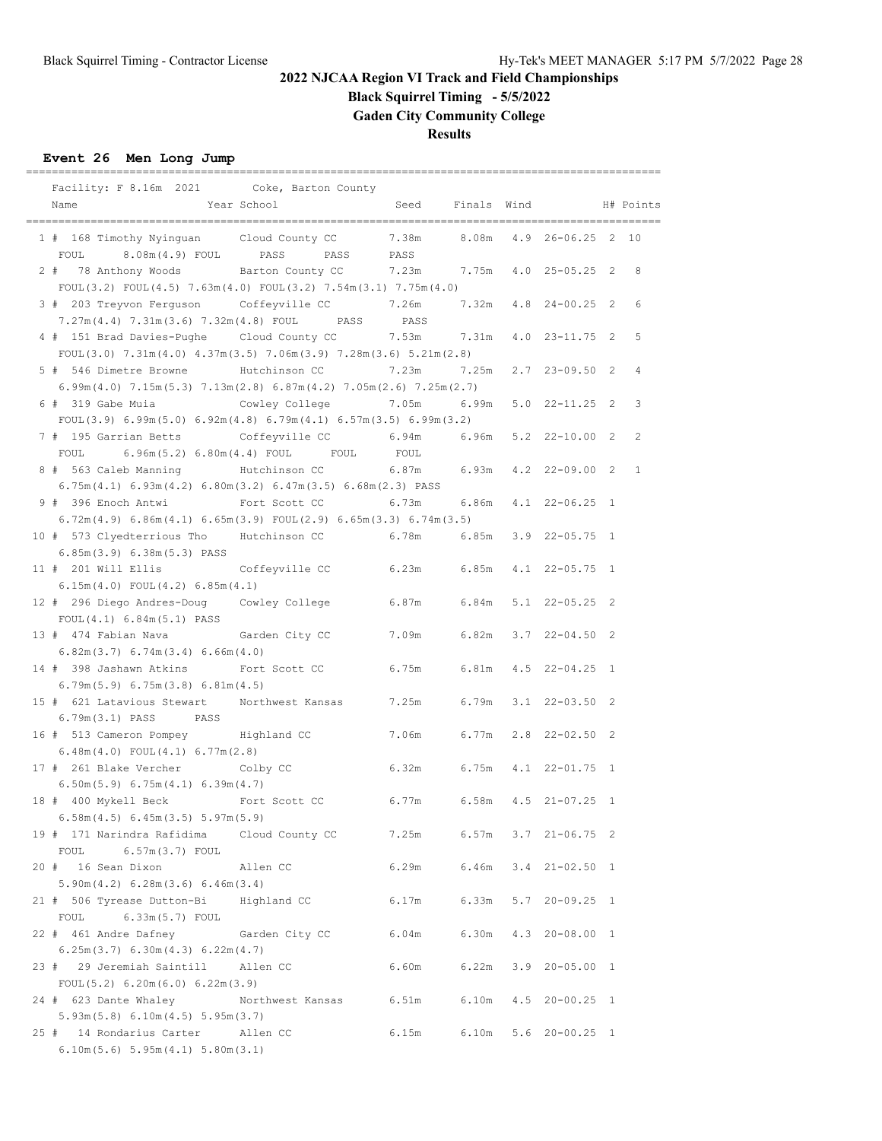# **Black Squirrel Timing - 5/5/2022**

**Gaden City Community College**

**Results**

==================================================================================================

## **Event 26 Men Long Jump**

| Facility: F 8.16m 2021 Coke, Barton County                                         |                  |                                    |             |                      |                |              |
|------------------------------------------------------------------------------------|------------------|------------------------------------|-------------|----------------------|----------------|--------------|
| Name                                                                               | Year School      | Seed                               | Finals Wind |                      |                | H# Points    |
|                                                                                    |                  |                                    |             |                      |                |              |
| 1 # 168 Timothy Nyinguan Cloud County CC 7.38m 8.08m<br>8.08m(4.9) FOUL<br>FOUL    | PASS<br>PASS     | PASS                               |             | 4.9 26-06.25 2 10    |                |              |
| 2 # 78 Anthony Woods                                                               | Barton County CC | 7.23m                              | 7.75m       | $4.0$ $25-05.25$ 2   |                | 8            |
| FOUL $(3.2)$ FOUL $(4.5)$ 7.63m $(4.0)$ FOUL $(3.2)$ 7.54m $(3.1)$ 7.75m $(4.0)$   |                  |                                    |             |                      |                |              |
| 3 # 203 Treyvon Ferguson                                                           | Coffeyville CC   | 7.26m                              | 7.32m       | $4.8$ 24-00.25       | - 2            | 6            |
| 7.27m(4.4) 7.31m(3.6) 7.32m(4.8) FOUL PASS                                         |                  | PASS                               |             |                      |                |              |
| 4 # 151 Brad Davies-Pughe Cloud County CC                                          |                  | 7.53m                              | 7.31m       | $4.0$ $23-11.75$     | - 2            | 5            |
| FOUL $(3.0)$ 7.31m $(4.0)$ 4.37m $(3.5)$ 7.06m $(3.9)$ 7.28m $(3.6)$ 5.21m $(2.8)$ |                  |                                    |             |                      |                |              |
| 5 # 546 Dimetre Browne                                                             | Hutchinson CC    | 7.23m                              | 7.25m       | $2.7$ $23 - 09.50$   | $\overline{2}$ | 4            |
| $6.99m(4.0)$ $7.15m(5.3)$ $7.13m(2.8)$ $6.87m(4.2)$ $7.05m(2.6)$ $7.25m(2.7)$      |                  |                                    |             |                      |                |              |
| 6 # 319 Gabe Muia                                                                  | Cowley College   | 7.05m                              | 6.99m       | $5.0$ $22-11.25$     | $\overline{2}$ | 3            |
| FOUL $(3.9)$ 6.99m $(5.0)$ 6.92m $(4.8)$ 6.79m $(4.1)$ 6.57m $(3.5)$ 6.99m $(3.2)$ |                  |                                    |             |                      |                |              |
| 7 # 195 Garrian Betts                                                              | Coffeyville CC   | 6.94m                              | 6.96m       | $5.2$ $22-10.00$ 2   |                | 2            |
| 6.96m(5.2) 6.80m(4.4) F0UL<br>FOUL                                                 | FOUL             | FOUL                               |             |                      |                |              |
| 8 # 563 Caleb Manning                                                              | Hutchinson CC    | 6.87m                              | 6.93m       | $4.2$ $22-09.00$ 2   |                | $\mathbf{1}$ |
| $6.75m(4.1)$ $6.93m(4.2)$ $6.80m(3.2)$ $6.47m(3.5)$ $6.68m(2.3)$ PASS              |                  |                                    |             |                      |                |              |
| 9 # 396 Enoch Antwi                                                                | Fort Scott CC    | 6.73m                              | 6.86m       | $4.1$ 22-06.25 1     |                |              |
| $6.72m(4.9)$ $6.86m(4.1)$ $6.65m(3.9)$ $FOUL(2.9)$ $6.65m(3.3)$ $6.74m(3.5)$       |                  |                                    |             |                      |                |              |
| 10 # 573 Clyedterrious Tho Hutchinson CC                                           |                  | 6.78m                              | 6.85m       | $3.9$ $22-05.75$ 1   |                |              |
| 6.85m(3.9) 6.38m(5.3) PASS                                                         |                  |                                    |             |                      |                |              |
| 11 # 201 Will Ellis                                                                | Coffeyville CC   | 6.23m                              | 6.85m       | $4.1$ 22-05.75 1     |                |              |
| $6.15m(4.0)$ FOUL $(4.2)$ 6.85m $(4.1)$                                            |                  |                                    |             |                      |                |              |
| 12 # 296 Diego Andres-Doug Cowley College                                          |                  | 6.87m                              | 6.84m       | $5.1$ $22-05.25$ 2   |                |              |
| FOUL(4.1) 6.84m(5.1) PASS                                                          |                  |                                    |             |                      |                |              |
| 13 # 474 Fabian Nava                                                               | Garden City CC   | 7.09m                              | 6.82m       | $3.7$ $22-04.50$ 2   |                |              |
| 6.82m(3.7) 6.74m(3.4) 6.66m(4.0)                                                   |                  |                                    |             |                      |                |              |
| 14 # 398 Jashawn Atkins                                                            | Fort Scott CC    | 6.75m                              | 6.81m       | $4.5$ 22-04.25 1     |                |              |
| 6.79m(5.9) 6.75m(3.8) 6.81m(4.5)                                                   |                  |                                    |             |                      |                |              |
| 15 # 621 Latavious Stewart Northwest Kansas                                        |                  | 7.25m                              | 6.79m       | $3.1$ $22-03.50$ 2   |                |              |
| 6.79m(3.1) PASS<br>PASS                                                            |                  |                                    |             |                      |                |              |
| 16 # 513 Cameron Pompey Highland CC                                                |                  | 7.06m                              | 6.77m       | $2.8$ $22-02.50$ 2   |                |              |
| $6.48m(4.0)$ FOUL $(4.1)$ $6.77m(2.8)$                                             |                  |                                    |             |                      |                |              |
| 17 # 261 Blake Vercher                                                             | Colby CC         | 6.32m                              | 6.75m       | $4.1$ $22-01.75$ 1   |                |              |
| 6.50m(5.9) 6.75m(4.1) 6.39m(4.7)                                                   |                  |                                    |             |                      |                |              |
| 18 # 400 Mykell Beck                                                               | Fort Scott CC    | 6.77m                              | 6.58m       | $4.5$ $21-07.25$     | -1             |              |
| 6.58m(4.5) 6.45m(3.5) 5.97m(5.9)                                                   |                  |                                    |             |                      |                |              |
| 19 # 171 Narindra Rafidima Cloud County CC                                         |                  | 7.25m                              | 6.57m       | $3.7$ $21-06.75$ 2   |                |              |
| 6.57m(3.7) FOUL<br>FOUL                                                            |                  |                                    |             |                      |                |              |
| 20 # 16 Sean Dixon Allen CC                                                        |                  | 6.29m                              |             | 6.46m 3.4 21-02.50 1 |                |              |
| 5.90m(4.2) 6.28m(3.6) 6.46m(3.4)<br>21 # 506 Tyrease Dutton-Bi Highland CC         |                  | $6.17m$ $6.33m$                    |             | $5.7$ 20-09.25 1     |                |              |
| $6.33m(5.7)$ FOUL<br>FOUL                                                          |                  |                                    |             |                      |                |              |
| 22 # 461 Andre Dafney Garden City CC                                               |                  | $6.04m$ $6.30m$ $4.3$ $20-08.00$ 1 |             |                      |                |              |
| 6.25m(3.7) 6.30m(4.3) 6.22m(4.7)                                                   |                  |                                    |             |                      |                |              |
| 23 # 29 Jeremiah Saintill Allen CC                                                 |                  | 6.60m                              |             | 6.22m 3.9 20-05.00 1 |                |              |
| FOUL(5.2) 6.20m(6.0) 6.22m(3.9)                                                    |                  |                                    |             |                      |                |              |
| 24 # 623 Dante Whaley Morthwest Kansas 6.51m 6.10m                                 |                  |                                    |             | $4.5$ 20-00.25 1     |                |              |
| 5.93m(5.8) 6.10m(4.5) 5.95m(3.7)                                                   |                  |                                    |             |                      |                |              |
| 25 # 14 Rondarius Carter Allen CC                                                  |                  | 6.15m                              | 6.10m       | $5.6$ 20-00.25 1     |                |              |
| 6.10m(5.6) 5.95m(4.1) 5.80m(3.1)                                                   |                  |                                    |             |                      |                |              |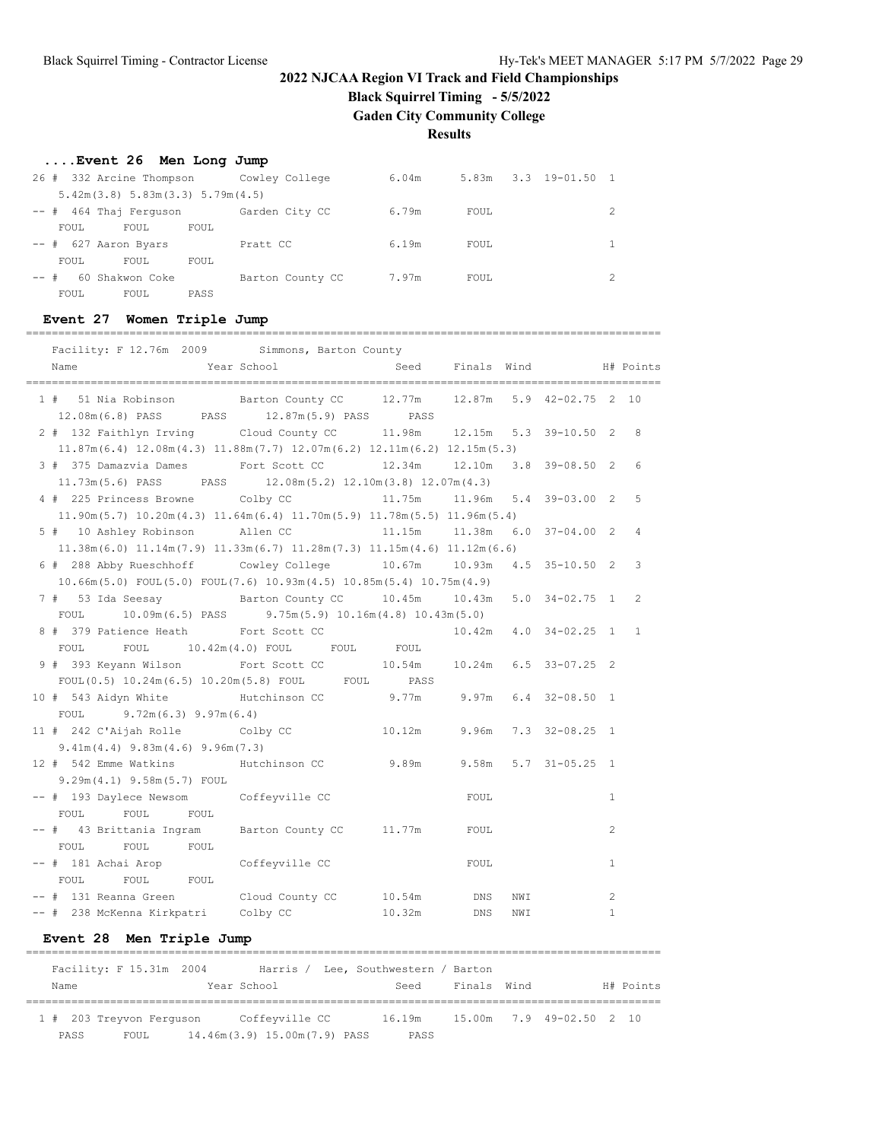**Black Squirrel Timing - 5/5/2022**

**Gaden City Community College**

## **Results**

==================================================================================================

## **....Event 26 Men Long Jump**

| 26     |       | # 332 Arcine Thompson                  |       | Cowley College   | 6.04m |       | 5.83m 3.3 19-01.50 1 |   |
|--------|-------|----------------------------------------|-------|------------------|-------|-------|----------------------|---|
|        |       | $5.42m(3.8)$ $5.83m(3.3)$ $5.79m(4.5)$ |       |                  |       |       |                      |   |
|        |       | -- # 464 Thaj Ferguson                 |       | Garden City CC   | 6.79m | FOUL  |                      | 2 |
|        | FOUL. | FOUL                                   | FOUL  |                  |       |       |                      |   |
|        |       | $--$ # 627 Aaron Byars                 |       | Pratt CC         | 6.19m | FOUL. |                      |   |
|        | FOUL. | FOUL                                   | FOUL. |                  |       |       |                      |   |
| $--$ # |       | 60 Shakwon Coke                        |       | Barton County CC | 7.97m | FOUL  |                      | 2 |
|        | FOUL  | FOUL                                   | PASS  |                  |       |       |                      |   |

## **Event 27 Women Triple Jump**

| Facility: F 12.76m 2009 Simmons, Barton County<br>Name                                              | Year School    |                              |            |     | Seed Finals Wind H# Points |              |                |
|-----------------------------------------------------------------------------------------------------|----------------|------------------------------|------------|-----|----------------------------|--------------|----------------|
| 1 # 51 Nia Robinson Barton County CC 12.77m                                                         |                |                              |            |     | 12.87m 5.9 42-02.75 2 10   |              |                |
| 12.08m(6.8) PASS PASS 12.87m(5.9) PASS PASS                                                         |                |                              |            |     |                            |              |                |
| 2 # 132 Faithlyn Irving Cloud County CC 11.98m 12.15m 5.3 39-10.50 2                                |                |                              |            |     |                            |              | 8              |
| $11.87m(6.4)$ $12.08m(4.3)$ $11.88m(7.7)$ $12.07m(6.2)$ $12.11m(6.2)$ $12.15m(5.3)$                 |                |                              |            |     |                            |              |                |
| 3 # 375 Damazvia Dames Fort Scott CC 12.34m 12.10m 3.8 39-08.50 2                                   |                |                              |            |     |                            |              | 6              |
| $11.73m(5.6)$ PASS PASS $12.08m(5.2)$ $12.10m(3.8)$ $12.07m(4.3)$                                   |                |                              |            |     |                            |              |                |
| 4 # 225 Princess Browne Colby CC                                                                    |                | 11.75m 11.96m 5.4 39-03.00 2 |            |     |                            |              | 5              |
| $11.90m(5.7)$ $10.20m(4.3)$ $11.64m(6.4)$ $11.70m(5.9)$ $11.78m(5.5)$ $11.96m(5.4)$                 |                |                              |            |     |                            |              |                |
| 5 # 10 Ashley Robinson Milen CC 11.15m 11.38m 6.0 37-04.00 2                                        |                |                              |            |     |                            |              | $\overline{4}$ |
| $11.38m(6.0)$ $11.14m(7.9)$ $11.33m(6.7)$ $11.28m(7.3)$ $11.15m(4.6)$ $11.12m(6.6)$                 |                |                              |            |     |                            |              |                |
| 6 # 288 Abby Rueschhoff Cowley College 10.67m 10.93m 4.5 35-10.50 2                                 |                |                              |            |     |                            |              | 3              |
| $10.66m(5.0)$ FOUL $(5.0)$ FOUL $(7.6)$ 10.93m $(4.5)$ 10.85m $(5.4)$ 10.75m $(4.9)$                |                |                              |            |     |                            |              |                |
| 7 # 53 Ida Seesay Barton County CC 10.45m                                                           |                |                              |            |     | 10.43m 5.0 34-02.75 1      |              | 2              |
| $10.09\text{m} (6.5)$ PASS $9.75\text{m} (5.9)$ $10.16\text{m} (4.8)$ $10.43\text{m} (5.0)$<br>FOUL |                |                              |            |     |                            |              |                |
| 8 # 379 Patience Heath Fort Scott CC                                                                |                |                              |            |     | 10.42m  4.0  34-02.25  1   |              | $\mathbf{1}$   |
| FOUL 10.42m(4.0) FOUL FOUL FOUL<br>FOUL                                                             |                |                              |            |     |                            |              |                |
| 9 # 393 Keyann Wilson Fort Scott CC 10.54m                                                          |                |                              |            |     | 10.24m 6.5 33-07.25 2      |              |                |
| FOUL (0.5) 10.24m (6.5) 10.20m (5.8) FOUL FOUL PASS                                                 |                |                              |            |     |                            |              |                |
| 10 # 543 Aidyn White . Hutchinson CC . 9.77m 9.97m 6.4 32-08.50 1                                   |                |                              |            |     |                            |              |                |
| FOUL $9.72m(6.3)$ 9.97m(6.4)                                                                        |                |                              |            |     |                            |              |                |
| 11 # 242 C'Aijah Rolle Colby CC 10.12m 9.96m                                                        |                |                              |            |     | $7.3$ $32-08.25$ 1         |              |                |
| $9.41m(4.4)$ $9.83m(4.6)$ $9.96m(7.3)$                                                              |                |                              |            |     |                            |              |                |
| 12 # 542 Emme Watkins Mutchinson CC 9.89m 9.58m 5.7 31-05.25 1                                      |                |                              |            |     |                            |              |                |
| $9.29m(4.1)$ $9.58m(5.7)$ FOUL                                                                      |                |                              |            |     |                            |              |                |
| -- # 193 Daylece Newsom Coffeyville CC                                                              |                |                              | FOUL       |     |                            | $\mathbf{1}$ |                |
| FOUL<br>FOUL<br>FOUL                                                                                |                |                              |            |     |                            |              |                |
| -- # 43 Brittania Ingram Barton County CC                                                           |                | 11.77m                       | FOUL       |     |                            | $\mathbf{2}$ |                |
| FOUL<br>FOUL<br>FOUL                                                                                |                |                              |            |     |                            |              |                |
| -- # 181 Achai Arop                                                                                 | Coffeyville CC |                              | FOUL       |     |                            | $\mathbf{1}$ |                |
| FOUL<br>FOUL FOUL                                                                                   |                |                              |            |     |                            |              |                |
| -- # 131 Reanna Green Cloud County CC                                                               |                | 10.54m                       | DNS        | NWI |                            | 2            |                |
| -- # 238 McKenna Kirkpatri                                                                          | Colby CC       | 10.32m                       | <b>DNS</b> | NWI |                            | $\mathbf{1}$ |                |

### **Event 28 Men Triple Jump**

| Facility: F 15.31m 2004  | Harris /                     | Lee, Southwestern / Barton |             |                          |           |
|--------------------------|------------------------------|----------------------------|-------------|--------------------------|-----------|
| Name                     | Year School                  | Seed                       | Finals Wind |                          | H# Points |
|                          |                              |                            |             |                          |           |
| 1 # 203 Treyvon Ferguson | Coffeyville CC               | 16.19m                     |             | 15.00m 7.9 49-02.50 2 10 |           |
| PASS<br>FOUL.            | 14.46m(3.9) 15.00m(7.9) PASS | PASS                       |             |                          |           |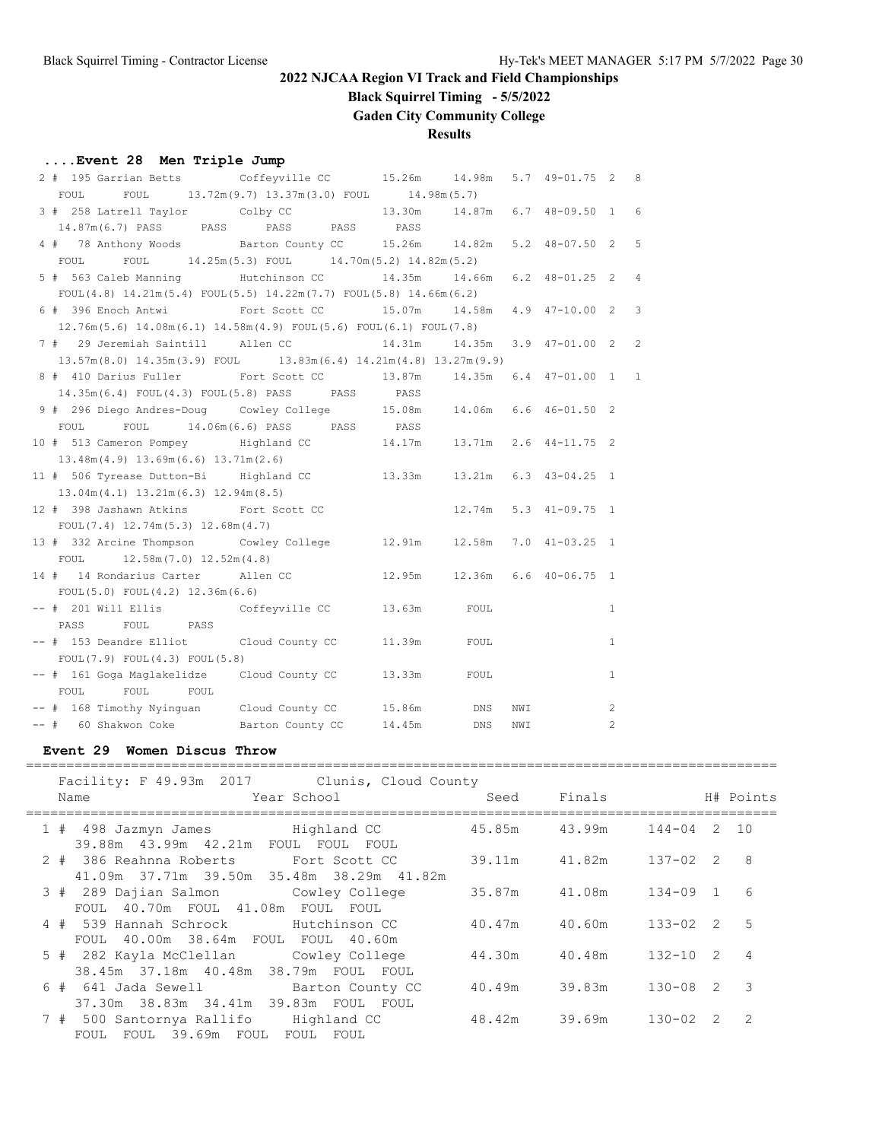# **Black Squirrel Timing - 5/5/2022**

**Gaden City Community College**

## **Results**

## **....Event 28 Men Triple Jump**

|      |                                           | 2 # 195 Garrian Betts Coffeyville CC 15.26m 14.98m 5.7 49-01.75 2 8                 |        |            |            |                       |                |   |
|------|-------------------------------------------|-------------------------------------------------------------------------------------|--------|------------|------------|-----------------------|----------------|---|
| FOUL | FOUL                                      | 13.72m(9.7) 13.37m(3.0) FOUL 14.98m(5.7)                                            |        |            |            |                       |                |   |
|      |                                           | 3 # 258 Latrell Taylor Colby CC 13.30m 14.87m 6.7 48-09.50 1 6                      |        |            |            |                       |                |   |
|      |                                           | 14.87m(6.7) PASS PASS PASS PASS PASS PASS                                           |        |            |            |                       |                |   |
|      |                                           | 4 # 78 Anthony Woods Barton County CC 15.26m 14.82m 5.2 48-07.50 2                  |        |            |            |                       |                | 5 |
|      |                                           | FOUL FOUL 14.25m(5.3) FOUL 14.70m(5.2) 14.82m(5.2)                                  |        |            |            |                       |                |   |
|      |                                           | 5 # 563 Caleb Manning Mutchinson CC 14.35m 14.66m 6.2 48-01.25 2                    |        |            |            |                       |                | 4 |
|      |                                           | FOUL $(4.8)$ 14.21m $(5.4)$ FOUL $(5.5)$ 14.22m $(7.7)$ FOUL $(5.8)$ 14.66m $(6.2)$ |        |            |            |                       |                |   |
|      |                                           | 6 # 396 Enoch Antwi 6 Fort Scott CC 15.07m 14.58m 4.9 47-10.00 2                    |        |            |            |                       |                | 3 |
|      |                                           | $12.76m(5.6)$ $14.08m(6.1)$ $14.58m(4.9)$ $FOUL(5.6)$ $FOUL(6.1)$ $FOUL(7.8)$       |        |            |            |                       |                |   |
|      |                                           | 7 # 29 Jeremiah Saintill Allen CC 14.31m 14.35m 3.9 47-01.00 2 2                    |        |            |            |                       |                |   |
|      |                                           | $13.57m(8.0)$ $14.35m(3.9)$ FOUL $13.83m(6.4)$ $14.21m(4.8)$ $13.27m(9.9)$          |        |            |            |                       |                |   |
|      |                                           | 8 # 410 Darius Fuller Fort Scott CC 13.87m 14.35m 6.4 47-01.00 1 1                  |        |            |            |                       |                |   |
|      |                                           | 14.35m(6.4) FOUL(4.3) FOUL(5.8) PASS PASS PASS                                      |        |            |            |                       |                |   |
|      |                                           | 9 # 296 Diego Andres-Doug Cowley College 15.08m 14.06m 6.6 46-01.50 2               |        |            |            |                       |                |   |
| FOUL |                                           | FOUL 14.06m(6.6) PASS PASS PASS                                                     |        |            |            |                       |                |   |
|      |                                           | 10 # 513 Cameron Pompey Highland CC 14.17m 13.71m 2.6 44-11.75 2                    |        |            |            |                       |                |   |
|      | $13.48m(4.9)$ $13.69m(6.6)$ $13.71m(2.6)$ |                                                                                     |        |            |            |                       |                |   |
|      |                                           | 11 # 506 Tyrease Dutton-Bi Highland CC 13.33m 13.21m 6.3 43-04.25 1                 |        |            |            |                       |                |   |
|      | $13.04m(4.1)$ $13.21m(6.3)$ $12.94m(8.5)$ |                                                                                     |        |            |            |                       |                |   |
|      | 12 # 398 Jashawn Atkins Fort Scott CC     |                                                                                     |        |            |            | 12.74m 5.3 41-09.75 1 |                |   |
|      | $FOUL(7.4)$ 12.74m $(5.3)$ 12.68m $(4.7)$ |                                                                                     |        |            |            |                       |                |   |
|      |                                           | 13 # 332 Arcine Thompson Cowley College 12.91m 12.58m 7.0 41-03.25 1                |        |            |            |                       |                |   |
|      | FOUL $12.58m(7.0) 12.52m(4.8)$            |                                                                                     |        |            |            |                       |                |   |
|      |                                           | 14 # 14 Rondarius Carter Allen CC 12.95m 12.36m 6.6 40-06.75 1                      |        |            |            |                       |                |   |
|      | FOUL $(5.0)$ FOUL $(4.2)$ 12.36m $(6.6)$  |                                                                                     |        |            |            |                       |                |   |
|      |                                           | -- # 201 Will Ellis Coffeyville CC 13.63m FOUL                                      |        |            |            |                       | $\mathbf{1}$   |   |
| PASS | FOUL PASS                                 |                                                                                     |        |            |            |                       |                |   |
|      |                                           | -- # 153 Deandre Elliot Cloud County CC 11.39m FOUL                                 |        |            |            |                       | $\mathbf{1}$   |   |
|      | FOUL(7.9) FOUL(4.3) FOUL(5.8)             |                                                                                     |        |            |            |                       |                |   |
|      |                                           | -- # 161 Goga Maglakelidze Cloud County CC 13.33m FOUL                              |        |            |            |                       | $\mathbf{1}$   |   |
| FOUL | FOUL FOUL                                 |                                                                                     |        |            |            |                       |                |   |
|      |                                           | -- # 168 Timothy Nyinguan Cloud County CC 15.86m                                    |        | DNS        | NWI        |                       | $\overline{c}$ |   |
|      | -- # 60 Shakwon Coke Barton County CC     |                                                                                     | 14.45m | <b>DNS</b> | <b>NWT</b> |                       | $\overline{2}$ |   |

## **Event 29 Women Discus Throw**

============================================================================================= Facility: F 49.93m 2017 Clunis, Cloud County

|  | FACILLUY, F 49,90M ZVI/ CIUNIS, CIONN COUNCY<br>Year School in the School and the School and the School and the School and the School and the School<br>Name | Seed Finals                    | H# Points |  |
|--|--------------------------------------------------------------------------------------------------------------------------------------------------------------|--------------------------------|-----------|--|
|  | 1 # 498 Jazmyn James Highland CC 45.85m 43.99m 144-04 2 10<br>39.88m  43.99m  42.21m  FOUL  FOUL  FOUL                                                       |                                |           |  |
|  | 2 # 386 Reahnna Roberts Fort Scott CC<br>41.09m 37.71m 39.50m 35.48m 38.29m 41.82m                                                                           | $39.11m$ $41.82m$ $137-02$ 2 8 |           |  |
|  | 3 # 289 Dajian Salmon Cowley College<br>FOUL 40.70m FOUL 41.08m FOUL FOUL                                                                                    | 35.87m 41.08m 134-09 1 6       |           |  |
|  | 4 # 539 Hannah Schrock Hutchinson CC<br>FOUL 40.00m 38.64m FOUL FOUL 40.60m                                                                                  | 40.47m  40.60m  133-02  2  5   |           |  |
|  | 5 # 282 Kayla McClellan Cowley College 44.30m 40.48m 132-10 2 4<br>38.45m 37.18m 40.48m 38.79m FOUL FOUL                                                     |                                |           |  |
|  | 6 # 641 Jada Sewell Barton County CC<br>37.30m 38.83m 34.41m 39.83m FOUL FOUL                                                                                | 40.49m 39.83m 130-08 2 3       |           |  |
|  | 7 # 500 Santornya Rallifo Highland CC<br>FOUL FOUL 39.69m FOUL FOUL FOUL                                                                                     | 48.42m 39.69m 130-02 2 2       |           |  |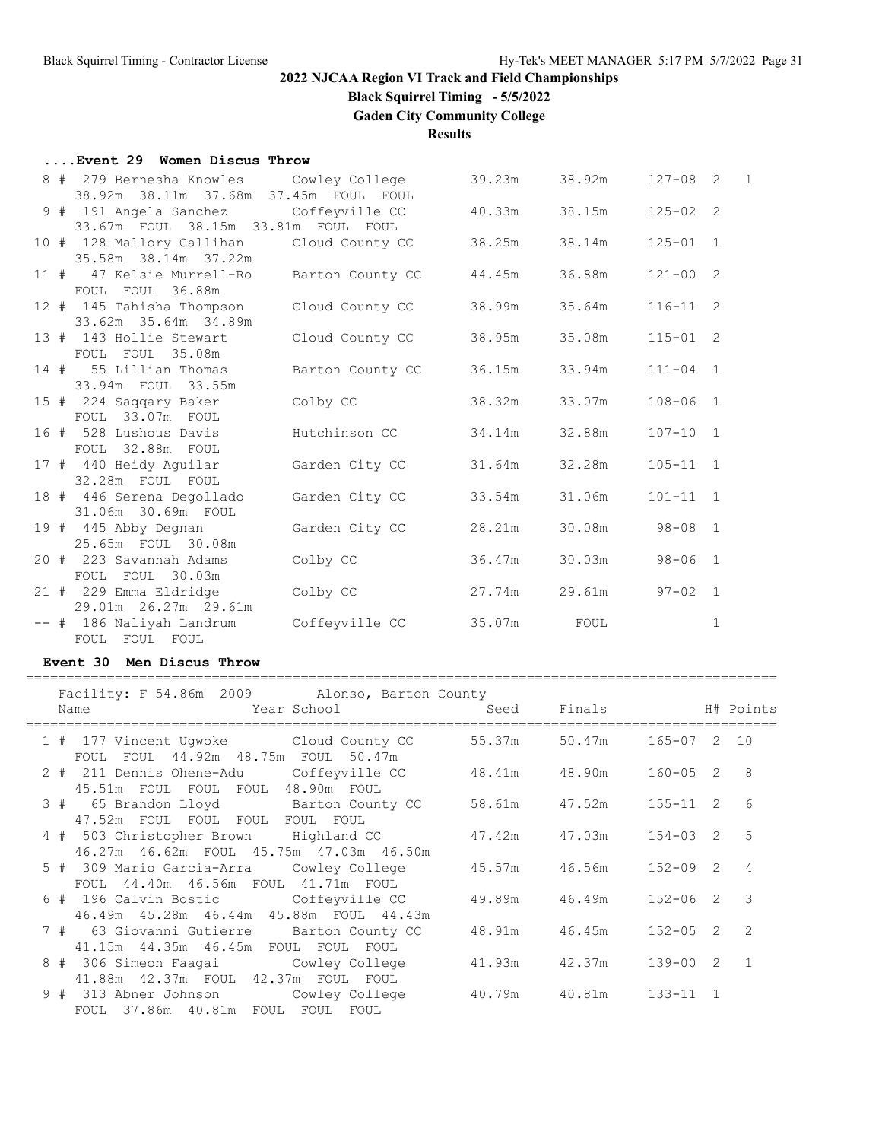**Black Squirrel Timing - 5/5/2022**

**Gaden City Community College**

**Results**

### **....Event 29 Women Discus Throw**

|  | 8 # 279 Bernesha Knowles Cowley College    |                  | 39.23m | 38.92m        | $127 - 08$ 2 |              | $\overline{1}$ |
|--|--------------------------------------------|------------------|--------|---------------|--------------|--------------|----------------|
|  | 38.92m 38.11m 37.68m 37.45m FOUL FOUL      |                  |        |               |              |              |                |
|  | 9 # 191 Angela Sanchez Coffeyville CC      |                  |        | 40.33m 38.15m | $125 - 02$ 2 |              |                |
|  | 33.67m FOUL 38.15m 33.81m FOUL FOUL        |                  |        |               |              |              |                |
|  | 10 # 128 Mallory Callihan Cloud County CC  |                  | 38.25m | 38.14m        | $125 - 01$ 1 |              |                |
|  | 35.58m 38.14m 37.22m                       |                  |        |               |              |              |                |
|  | 11 # 47 Kelsie Murrell-Ro Barton County CC |                  | 44.45m | 36.88m        | $121 - 00$ 2 |              |                |
|  | FOUL FOUL 36.88m                           |                  |        |               |              |              |                |
|  | 12 # 145 Tahisha Thompson Cloud County CC  |                  | 38.99m | 35.64m        | $116 - 11$ 2 |              |                |
|  | 33.62m 35.64m 34.89m                       |                  |        |               |              |              |                |
|  | 13 # 143 Hollie Stewart                    | Cloud County CC  | 38.95m | 35.08m        | $115 - 01$ 2 |              |                |
|  | FOUL FOUL 35.08m                           |                  |        |               |              |              |                |
|  | 14 # 55 Lillian Thomas                     | Barton County CC | 36.15m | 33.94m        | $111 - 04$ 1 |              |                |
|  | 33.94m FOUL 33.55m                         |                  |        |               |              |              |                |
|  | 15 # 224 Saqqary Baker                     | Colby CC         | 38.32m | 33.07m        | $108 - 06$ 1 |              |                |
|  | FOUL 33.07m FOUL                           |                  |        |               |              |              |                |
|  | 16 # 528 Lushous Davis                     | Hutchinson CC    | 34.14m | 32.88m        | $107 - 10$ 1 |              |                |
|  | FOUL 32.88m FOUL                           |                  |        |               |              |              |                |
|  | 17 # 440 Heidy Aguilar                     | Garden City CC   | 31.64m | 32.28m        | $105 - 11$ 1 |              |                |
|  | 32.28m FOUL FOUL                           |                  |        |               |              |              |                |
|  | 18 # 446 Serena Degollado                  | Garden City CC   | 33.54m | 31.06m        | $101 - 11$ 1 |              |                |
|  | 31.06m 30.69m FOUL                         |                  |        |               |              |              |                |
|  | 19 # 445 Abby Degnan                       | Garden City CC   | 28.21m | 30.08m        | $98 - 08$ 1  |              |                |
|  | 25.65m FOUL 30.08m                         |                  |        |               |              |              |                |
|  | 20 # 223 Savannah Adams                    | Colby CC         | 36.47m | 30.03m        | $98 - 06$ 1  |              |                |
|  | FOUL FOUL 30.03m                           |                  |        |               |              |              |                |
|  | 21 # 229 Emma Eldridge                     | Colby CC         |        | 27.74m 29.61m | $97 - 02$ 1  |              |                |
|  | 29.01m 26.27m 29.61m                       |                  |        |               |              |              |                |
|  | -- # 186 Naliyah Landrum                   | Coffeyville CC   | 35.07m | FOUL          |              | $\mathbf{1}$ |                |
|  | FOUL FOUL FOUL                             |                  |        |               |              |              |                |

### **Event 30 Men Discus Throw**

#### ============================================================================================= Facility: F 54.86m 2009 Alonso, Barton County

|  | Facility: F 54.86M 2009 Alonso, Barton County<br>Name Name School Seed Finals H# Points                   |                              |  |  |
|--|-----------------------------------------------------------------------------------------------------------|------------------------------|--|--|
|  | 1 # 177 Vincent Ugwoke Cloud County CC<br>FOUL FOUL 44.92m 48.75m FOUL 50.47m                             | 55.37m 50.47m 165-07 2 10    |  |  |
|  | 2 # 211 Dennis Ohene-Adu Coffeyville CC 48.41m 48.90m 160-05 2 8<br>45.51m FOUL FOUL FOUL 48.90m FOUL     |                              |  |  |
|  | 3 # 65 Brandon Lloyd Barton County CC<br>47.52m FOUL FOUL FOUL FOUL FOUL                                  | 58.61m  47.52m  155-11  2  6 |  |  |
|  | 4 # 503 Christopher Brown Highland CC 47.42m 47.03m 154-03 2 5<br>46.27m 46.62m FOUL 45.75m 47.03m 46.50m |                              |  |  |
|  | 5 # 309 Mario Garcia-Arra Cowley College 45.57m 46.56m 152-09 2 4<br>FOUL 44.40m 46.56m FOUL 41.71m FOUL  |                              |  |  |
|  | 6 # 196 Calvin Bostic Coffeyville CC 49.89m 46.49m 152-06 2 3<br>46.49m 45.28m 46.44m 45.88m FOUL 44.43m  |                              |  |  |
|  | 7 # 63 Giovanni Gutierre Barton County CC<br>41.15m  44.35m  46.45m  FOUL  FOUL  FOUL                     | 48.91m  46.45m  152-05  2  2 |  |  |
|  | 8 # 306 Simeon Faagai Cowley College 41.93m 42.37m 139-00 2 1<br>41.88m  42.37m  FOUL  42.37m  FOUL  FOUL |                              |  |  |
|  | 9 # 313 Abner Johnson         Cowley College<br>FOUL 37.86m 40.81m FOUL FOUL FOUL                         | 40.79m 40.81m 133-11 1       |  |  |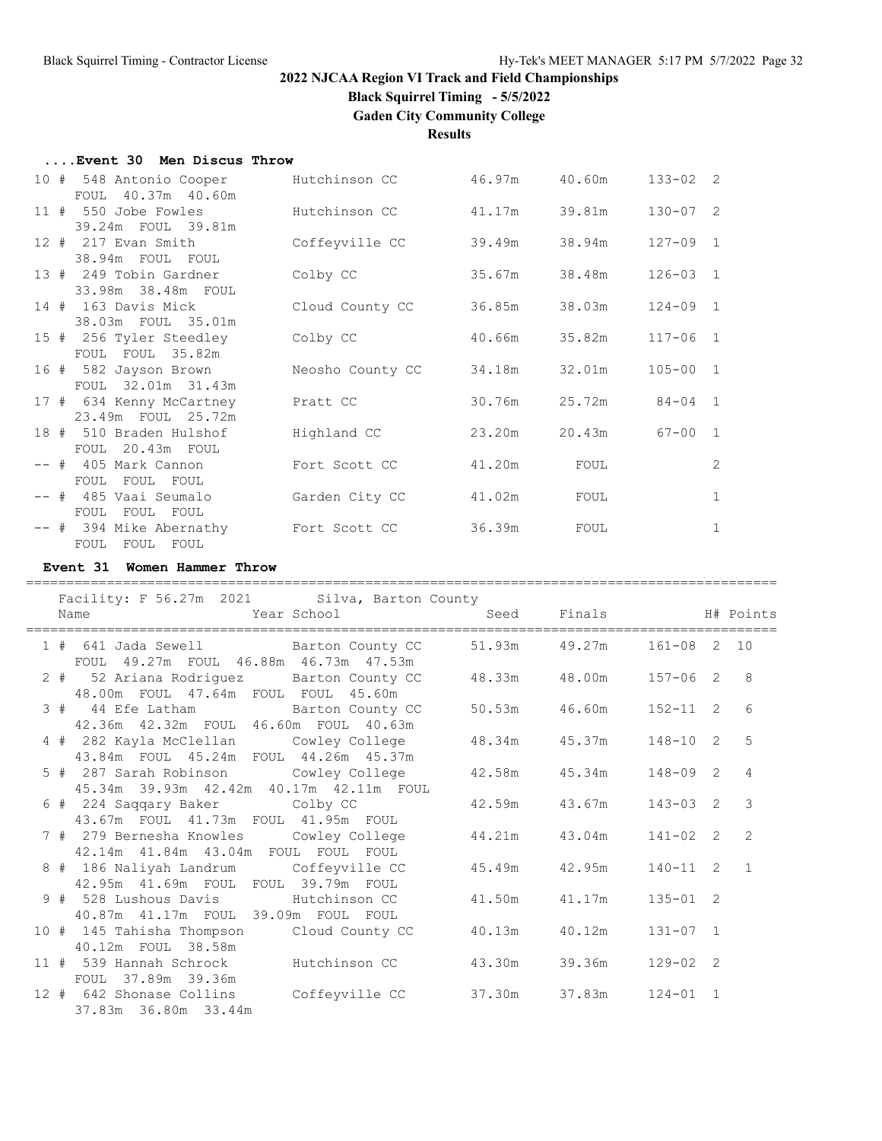**Black Squirrel Timing - 5/5/2022**

**Gaden City Community College**

**Results**

|  | Event 30 Men Discus Throw |  |  |  |  |
|--|---------------------------|--|--|--|--|
|--|---------------------------|--|--|--|--|

| 10 # 548 Antonio Cooper<br>FOUL 40.37m 40.60m               | Hutchinson CC    | 46.97m | 40.60m | $133 - 02$ 2 |                |
|-------------------------------------------------------------|------------------|--------|--------|--------------|----------------|
| 11 # 550 Jobe Fowles<br>39.24m FOUL 39.81m                  | Hutchinson CC    | 41.17m | 39.81m | $130 - 07$ 2 |                |
| 12 # 217 Evan Smith<br>38.94m FOUL FOUL                     | Coffeyville CC   | 39.49m | 38.94m | $127 - 09$ 1 |                |
| 13 # 249 Tobin Gardner<br>33.98m 38.48m FOUL                | Colby CC         | 35.67m | 38.48m | $126 - 03$ 1 |                |
| $14$ # $163$ Davis Mick<br>38.03m FOUL 35.01m               | Cloud County CC  | 36.85m | 38.03m | $124 - 09$ 1 |                |
| 15 # 256 Tyler Steedley<br>FOUL FOUL 35.82m                 | Colby CC         | 40.66m | 35.82m | $117 - 06$ 1 |                |
| 16 # 582 Jayson Brown<br>FOUL 32.01m 31.43m                 | Neosho County CC | 34.18m | 32.01m | $105 - 00$ 1 |                |
| 17 # 634 Kenny McCartney<br>23.49m FOUL 25.72m              | Pratt CC         | 30.76m | 25.72m | $84 - 04$ 1  |                |
| 18 # 510 Braden Hulshof<br>FOUL 20.43m FOUL                 | Highland CC      | 23.20m | 20.43m | $67 - 00$ 1  |                |
| -- # 405 Mark Cannon<br>FOUL FOUL FOUL                      | Fort Scott CC    | 41.20m | FOUL   |              | $\overline{2}$ |
| -- # 485 Vaai Seumalo                                       | Garden City CC   | 41.02m | FOUL   |              | $\mathbf{1}$   |
| FOUL FOUL FOUL<br>-- # 394 Mike Abernathy<br>FOUL FOUL FOUL | Fort Scott CC    | 36.39m | FOUL   |              | $\mathbf{1}$   |
|                                                             |                  |        |        |              |                |

#### **Event 31 Women Hammer Throw**

|  | =========================<br>Facility: F 56.27m 2021 Silva, Barton County                                |                           |                 |                |
|--|----------------------------------------------------------------------------------------------------------|---------------------------|-----------------|----------------|
|  | Year School Seed Finals 5 and H# Points<br>Name                                                          |                           |                 |                |
|  | 1 # 641 Jada Sewell Barton County CC<br>FOUL 49.27m FOUL 46.88m 46.73m 47.53m                            | 51.93m 49.27m             | $161 - 08$ 2 10 |                |
|  | 2 # 52 Ariana Rodriguez Barton County CC 48.33m 48.00m 157-06 2 8<br>48.00m FOUL 47.64m FOUL FOUL 45.60m |                           |                 |                |
|  | 3 # 44 Efe Latham Barton County CC<br>42.36m  42.32m  FOUL  46.60m  FOUL  40.63m                         | 50.53m  46.60m  152-11  2 |                 | 6              |
|  | 4 # 282 Kayla McClellan Cowley College<br>43.84m FOUL 45.24m FOUL 44.26m 45.37m                          | 48.34m 45.37m             | $148 - 10$ 2    | $\overline{5}$ |
|  | 5 # 287 Sarah Robinson Cowley College<br>45.34m 39.93m 42.42m 40.17m 42.11m FOUL                         | 42.58m  45.34m            | 148-09 2        | $\overline{4}$ |
|  | 6 # 224 Saqqary Baker Colby CC<br>43.67m  FOUL  41.73m  FOUL  41.95m  FOUL                               | $42.59m$ $43.67m$         | $143 - 03$ 2 3  |                |
|  | 7 # 279 Bernesha Knowles Cowley College<br>42.14m 41.84m 43.04m FOUL FOUL FOUL                           | 44.21m  43.04m            | $141 - 02$ 2    | 2              |
|  | 8 # 186 Naliyah Landrum Coffeyville CC<br>42.95m 41.69m FOUL FOUL 39.79m FOUL                            | 45.49m 42.95m             | $140 - 11$ 2 1  |                |
|  | 9 # 528 Lushous Davis Mutchinson CC<br>40.87m  41.17m  FOUL  39.09m  FOUL  FOUL                          | 41.50m 41.17m             | $135 - 01$ 2    |                |
|  | 10 # 145 Tahisha Thompson Cloud County CC<br>40.12m FOUL 38.58m                                          | 40.13m  40.12m            | $131 - 07$ 1    |                |
|  | 11 # 539 Hannah Schrock Hutchinson CC<br>FOUL 37.89m 39.36m                                              | 43.30m 39.36m             | $129 - 02$ 2    |                |
|  | 12 # 642 Shonase Collins<br>Coffeyville CC<br>37.83m 36.80m 33.44m                                       | 37.30m 37.83m             | $124 - 01$ 1    |                |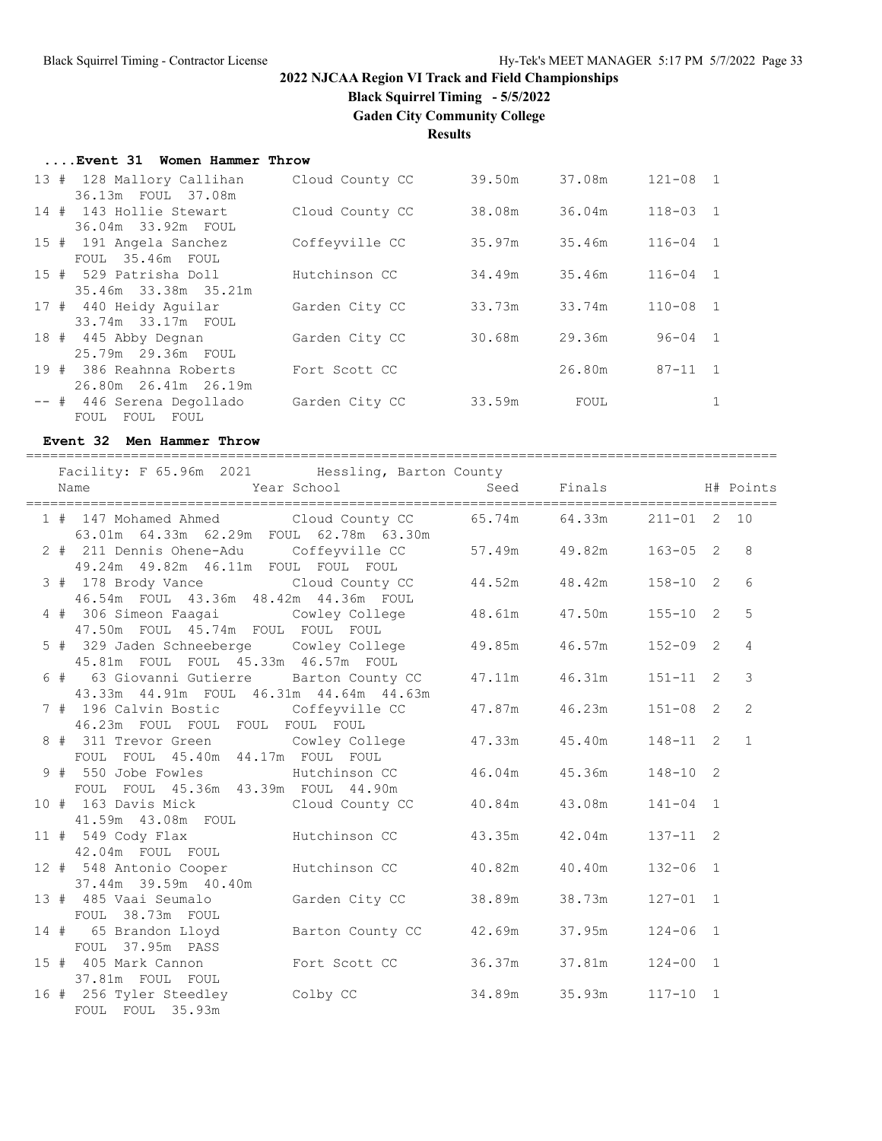**Black Squirrel Timing - 5/5/2022**

**Gaden City Community College**

**Results**

## **....Event 31 Women Hammer Throw**

| 13 # 128 Mallory Callihan | Cloud County CC | 39.50m | 37.08m | $121 - 08$   | 1              |
|---------------------------|-----------------|--------|--------|--------------|----------------|
| 36.13m FOUL 37.08m        |                 |        |        |              |                |
| 14 # 143 Hollie Stewart   | Cloud County CC | 38.08m | 36.04m | $118 - 03$ 1 |                |
| 36.04m 33.92m FOUL        |                 |        |        |              |                |
| 15 # 191 Angela Sanchez   | Coffeyville CC  | 35.97m | 35.46m | $116 - 04$ 1 |                |
| FOUL 35.46m FOUL          |                 |        |        |              |                |
| 15 # 529 Patrisha Doll    | Hutchinson CC   | 34.49m | 35.46m | $116 - 04$   | 1              |
| 35.46m 33.38m 35.21m      |                 |        |        |              |                |
| 17 # 440 Heidy Aquilar    | Garden City CC  | 33.73m | 33.74m | $110 - 08$   | $\overline{1}$ |
| 33.74m 33.17m FOUL        |                 |        |        |              |                |
| 18 # 445 Abby Degnan      | Garden City CC  | 30.68m | 29.36m | $96 - 04$ 1  |                |
| 25.79m 29.36m FOUL        |                 |        |        |              |                |
| 19 # 386 Reahnna Roberts  | Fort Scott CC   |        | 26.80m | $87 - 11$ 1  |                |
| 26.80m 26.41m 26.19m      |                 |        |        |              |                |
| -- # 446 Serena Degollado | Garden City CC  | 33.59m | FOUL   |              |                |
| FOUL FOUL<br>FOUL         |                 |        |        |              |                |

### **Event 32 Men Hammer Throw**

|  | Facility: F 65.96m 2021 Hessling, Barton County<br>Year School Seed Finals H# Points<br>Name                    |                |        |                |              |                |
|--|-----------------------------------------------------------------------------------------------------------------|----------------|--------|----------------|--------------|----------------|
|  | 1 # 147 Mohamed Ahmed Cloud County CC 65.74m 64.33m 211-01 2 10<br>63.01m  64.33m  62.29m  FOUL  62.78m  63.30m |                |        |                |              |                |
|  | 2 # 211 Dennis Ohene-Adu Coffeyville CC 57.49m 49.82m 163-05 2 8<br>49.24m  49.82m  46.11m  FOUL  FOUL  FOUL    |                |        |                |              |                |
|  | 3 # 178 Brody Vance Cloud County CC 44.52m 48.42m<br>46.54m FOUL 43.36m 48.42m 44.36m FOUL                      |                |        |                | $158 - 10$ 2 | 6              |
|  | 4 # 306 Simeon Faagai Cowley College 48.61m 47.50m<br>47.50m FOUL 45.74m FOUL FOUL FOUL                         |                |        |                | $155 - 10$ 2 | 5              |
|  | 5 # 329 Jaden Schneeberge Cowley College 49.85m 46.57m<br>45.81m FOUL FOUL 45.33m 46.57m FOUL                   |                |        |                | $152 - 09$ 2 | 4              |
|  | 6 # 63 Giovanni Gutierre Barton County CC<br>43.33m  44.91m  FOUL  46.31m  44.64m  44.63m                       |                |        | 47.11m 46.31m  | $151 - 11$ 2 | $\mathcal{E}$  |
|  | 7 # 196 Calvin Bostic Coffeyville CC<br>46.23m FOUL FOUL FOUL FOUL FOUL                                         |                |        | 47.87m 46.23m  | $151 - 08$ 2 | $\overline{2}$ |
|  | 8 # 311 Trevor Green Cowley College<br>FOUL FOUL 45.40m 44.17m FOUL FOUL                                        |                |        | 47.33m 45.40m  | $148 - 11$ 2 | $\mathbf{1}$   |
|  | 9 # 550 Jobe Fowles Hutchinson CC<br>FOUL FOUL 45.36m 43.39m FOUL 44.90m                                        |                |        | 46.04m 45.36m  | $148 - 10$ 2 |                |
|  | 10 # 163 Davis Mick Cloud County CC<br>41.59m  43.08m  FOUL                                                     |                |        | 40.84m  43.08m | $141 - 04$ 1 |                |
|  | 11 # 549 Cody Flax Hutchinson CC<br>42.04m FOUL FOUL                                                            |                |        | 43.35m 42.04m  | $137 - 11$ 2 |                |
|  | 12 # 548 Antonio Cooper Hutchinson CC<br>37.44m 39.59m 40.40m                                                   |                |        | 40.82m  40.40m | $132 - 06$ 1 |                |
|  | 13 # 485 Vaai Seumalo<br>FOUL 38.73m FOUL                                                                       | Garden City CC |        | 38.89m 38.73m  | $127 - 01$ 1 |                |
|  | 14 # 65 Brandon Lloyd Barton County CC<br>FOUL 37.95m PASS                                                      |                | 42.69m | 37.95m         | $124 - 06$ 1 |                |
|  | 15 # 405 Mark Cannon Fort Scott CC<br>37.81m FOUL FOUL                                                          |                | 36.37m | 37.81m         | $124 - 00$ 1 |                |
|  | 16 # 256 Tyler Steedley Colby CC<br>FOUL FOUL 35.93m                                                            |                |        | 34.89m 35.93m  | $117 - 10$ 1 |                |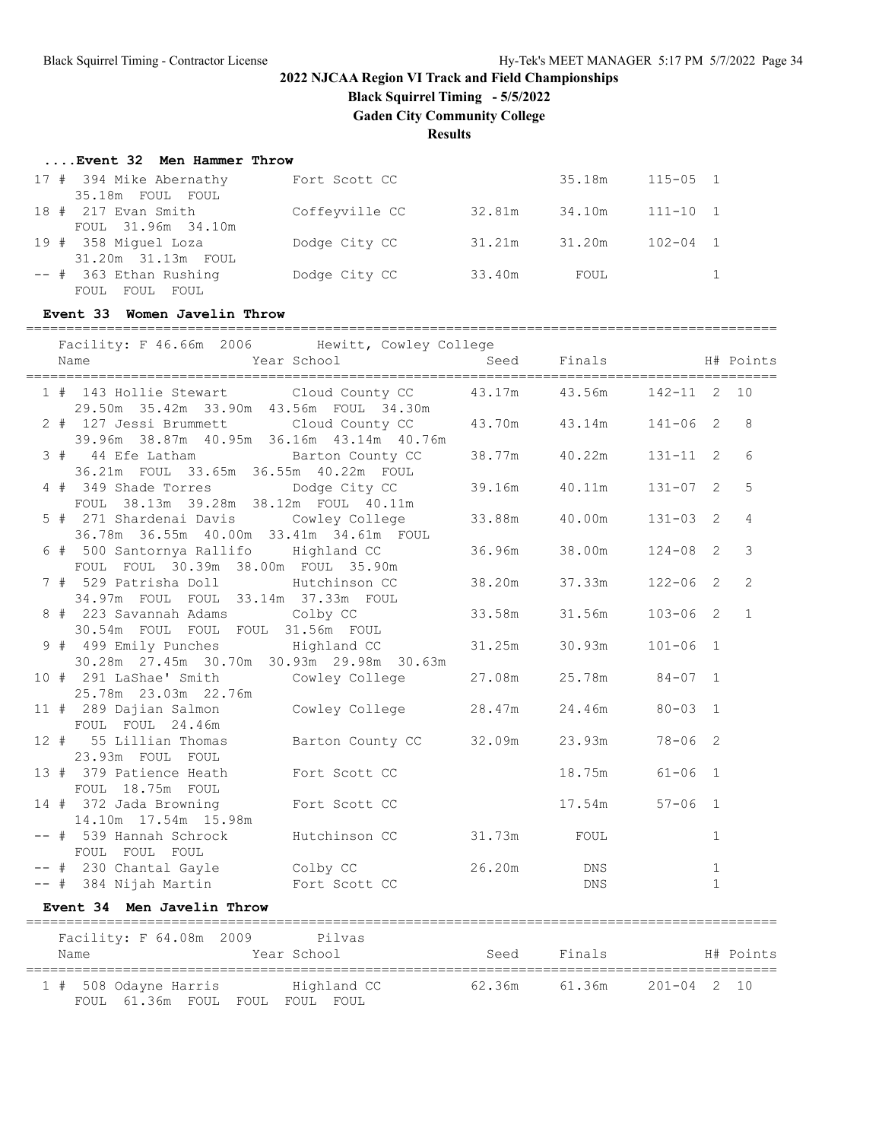**Black Squirrel Timing - 5/5/2022**

**Gaden City Community College**

**Results**

## **....Event 32 Men Hammer Throw**

| 17 # 394 Mike Abernathy  | Fort Scott CC  |        | 35.18m | $115 - 05$ 1 |  |
|--------------------------|----------------|--------|--------|--------------|--|
| 35.18m FOUL FOUL         |                |        |        |              |  |
| 18 # 217 Evan Smith      | Coffeyville CC | 32.81m | 34.10m | $111 - 10$ 1 |  |
| FOUL 31.96m 34.10m       |                |        |        |              |  |
| 19 # 358 Miquel Loza     | Dodge City CC  | 31.21m | 31.20m | $102 - 04$ 1 |  |
| 31.20m 31.13m FOUL       |                |        |        |              |  |
| $--$ # 363 Ethan Rushing | Dodge City CC  | 33.40m | FOUL   |              |  |
| FOUL FOUL FOUL           |                |        |        |              |  |

=============================================================================================

#### **Event 33 Women Javelin Throw**

|  | Facility: F 46.66m 2006 Hewitt, Cowley College<br>Year School<br>Name               |                              |             | Seed Finals H# Points       |                 |              |                |
|--|-------------------------------------------------------------------------------------|------------------------------|-------------|-----------------------------|-----------------|--------------|----------------|
|  | 1 # 143 Hollie Stewart Cloud County CC<br>29.50m 35.42m 33.90m 43.56m FOUL 34.30m   |                              |             | 43.17m 43.56m               | $142 - 11$ 2 10 |              |                |
|  | 2 # 127 Jessi Brummett Cloud County CC<br>39.96m 38.87m 40.95m 36.16m 43.14m 40.76m |                              |             | 43.70m  43.14m              | $141 - 06$ 2    |              | 8              |
|  | 3 # 44 Efe Latham<br>36.21m FOUL 33.65m 36.55m 40.22m FOUL                          | Barton County CC             |             | 38.77m 40.22m               | $131 - 11$ 2    |              | 6              |
|  | 4 # 349 Shade Torres<br>FOUL 38.13m 39.28m 38.12m FOUL 40.11m                       | Dodge City CC                |             | 39.16m 40.11m               | $131 - 07$ 2    |              | $\overline{5}$ |
|  | 5 # 271 Shardenai Davis Cowley College<br>36.78m 36.55m 40.00m 33.41m 34.61m FOUL   |                              |             | 33.88m 40.00m               | $131 - 03$ 2    |              | $\overline{4}$ |
|  | 6 # 500 Santornya Rallifo Highland CC<br>FOUL FOUL 30.39m 38.00m FOUL 35.90m        |                              |             | 36.96m 38.00m               | $124 - 08$ 2    |              | 3              |
|  | 7 # 529 Patrisha Doll Mutchinson CC<br>34.97m FOUL FOUL 33.14m 37.33m FOUL          |                              | 38.20m      | 37.33m                      | $122 - 06$ 2    |              | $\overline{2}$ |
|  | 8 # 223 Savannah Adams Colby CC<br>30.54m FOUL FOUL FOUL 31.56m FOUL                |                              |             | 33.58m 31.56m               | $103 - 06$ 2    |              | $\mathbf{1}$   |
|  | 9 # 499 Emily Punches Highland CC<br>30.28m  27.45m  30.70m  30.93m  29.98m  30.63m |                              |             | 31.25m 30.93m               | $101 - 06$ 1    |              |                |
|  | 10 # 291 LaShae' Smith<br>25.78m  23.03m  22.76m                                    | Cowley College               |             | 27.08m   25.78m   84-07   1 |                 |              |                |
|  | 11 # 289 Dajian Salmon<br>FOUL FOUL 24.46m                                          | Cowley College 28.47m 24.46m |             |                             | $80 - 03$ 1     |              |                |
|  | 12 # 55 Lillian Thomas<br>23.93m FOUL FOUL                                          | Barton County CC             |             | 32.09m 23.93m               | $78 - 06$ 2     |              |                |
|  | 13 # 379 Patience Heath Fort Scott CC<br>FOUL 18.75m FOUL                           |                              |             | 18.75m 61-06 1              |                 |              |                |
|  | 14 # 372 Jada Browning<br>14.10m  17.54m  15.98m                                    | Fort Scott CC                |             | $17.54m$ $57-06$ 1          |                 |              |                |
|  | -- # 539 Hannah Schrock<br>FOUL FOUL FOUL                                           | Hutchinson CC                | 31.73m FOUL |                             |                 | $\mathbf{1}$ |                |
|  | -- # 230 Chantal Gayle Colby CC                                                     |                              | 26.20m      | <b>DNS</b>                  |                 | $\mathbf{1}$ |                |
|  | -- # 384 Nijah Martin Fort Scott CC                                                 |                              |             | <b>DNS</b>                  |                 | $\mathbf{1}$ |                |
|  | Event 34 Men Javelin Throw                                                          |                              |             |                             |                 |              |                |
|  | Facility: F 64.08m 2009 Pilvas<br>Year School<br>Name                               |                              |             | Seed Finals                 |                 |              | H# Points      |
|  | 1 # 508 Odayne Harris Mighland CC                                                   |                              | 62.36m      | 61.36m                      | $201 - 04$ 2 10 |              |                |

FOUL 61.36m FOUL FOUL FOUL FOUL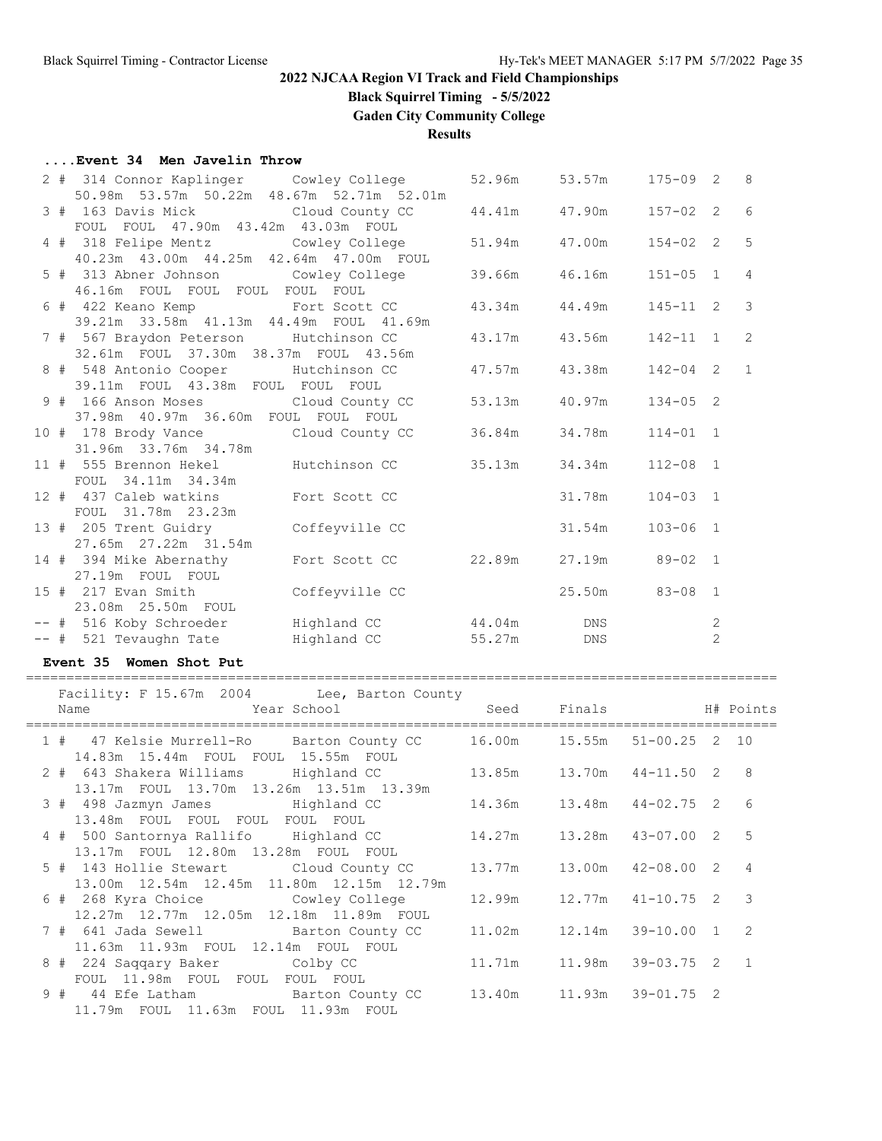**Black Squirrel Timing - 5/5/2022**

**Gaden City Community College**

**Results**

## **....Event 34 Men Javelin Throw**

|  | 2 # 314 Connor Kaplinger Cowley College 52.96m 53.57m |                      |               |        | $175 - 09$ 2 8 |                |                 |
|--|-------------------------------------------------------|----------------------|---------------|--------|----------------|----------------|-----------------|
|  | 50.98m 53.57m 50.22m 48.67m 52.71m 52.01m             |                      |               |        |                |                |                 |
|  | 3 # 163 Davis Mick Cloud County CC 44.41m 47.90m      |                      |               |        | $157 - 02$ 2 6 |                |                 |
|  | FOUL FOUL 47.90m 43.42m 43.03m FOUL                   |                      |               |        |                |                |                 |
|  | 4 # 318 Felipe Mentz Cowley College 51.94m 47.00m     |                      |               |        | $154 - 02$ 2   |                | $5\overline{5}$ |
|  | 40.23m  43.00m  44.25m  42.64m  47.00m  FOUL          |                      |               |        |                |                |                 |
|  | 5 # 313 Abner Johnson Cowley College                  |                      | 39.66m        | 46.16m | $151 - 05$ 1   |                | $\overline{4}$  |
|  | 46.16m FOUL FOUL FOUL FOUL FOUL                       |                      |               |        |                |                |                 |
|  | 6 # 422 Keano Kemp    Fort Scott CC                   |                      | 43.34m 44.49m |        | $145 - 11$ 2   |                | $\overline{3}$  |
|  | 39.21m 33.58m 41.13m 44.49m FOUL 41.69m               |                      |               |        |                |                |                 |
|  | 7 # 567 Braydon Peterson Hutchinson CC                |                      | 43.17m 43.56m |        | $142 - 11$ 1   |                | 2               |
|  | 32.61m FOUL 37.30m 38.37m FOUL 43.56m                 |                      |               |        |                |                |                 |
|  | 8 # 548 Antonio Cooper Hutchinson CC                  |                      | 47.57m 43.38m |        | $142 - 04$ 2 1 |                |                 |
|  | 39.11m FOUL 43.38m FOUL FOUL FOUL                     |                      |               |        |                |                |                 |
|  | 9 # 166 Anson Moses Cloud County CC                   |                      | 53.13m        | 40.97m | $134 - 05$ 2   |                |                 |
|  | 37.98m  40.97m  36.60m  FOUL  FOUL  FOUL              |                      |               |        |                |                |                 |
|  | 10 # 178 Brody Vance Cloud County CC                  |                      | 36.84m        | 34.78m | $114 - 01$ 1   |                |                 |
|  | 31.96m 33.76m 34.78m                                  |                      |               |        |                |                |                 |
|  | 11 # 555 Brennon Hekel Hutchinson CC                  |                      | 35.13m        | 34.34m | $112 - 08$ 1   |                |                 |
|  | FOUL 34.11m 34.34m                                    |                      |               |        |                |                |                 |
|  | 12 # 437 Caleb watkins Fort Scott CC                  |                      |               | 31.78m | $104 - 03$ 1   |                |                 |
|  | FOUL 31.78m 23.23m                                    |                      |               |        |                |                |                 |
|  | 13 # 205 Trent Guidry Coffeyville CC                  |                      |               | 31.54m | $103 - 06$ 1   |                |                 |
|  | 27.65m 27.22m 31.54m                                  |                      |               |        |                |                |                 |
|  | 14 # 394 Mike Abernathy                               | Fort Scott CC 22.89m |               | 27.19m | $89 - 02$ 1    |                |                 |
|  | 27.19m FOUL FOUL                                      |                      |               |        |                |                |                 |
|  | 15 # 217 Evan Smith                                   | Coffeyville CC       |               | 25.50m | $83 - 08$ 1    |                |                 |
|  | 23.08m  25.50m  FOUL                                  |                      |               |        |                |                |                 |
|  | -- # 516 Koby Schroeder Highland CC 44.04m DNS        |                      |               |        |                | 2              |                 |
|  | -- # 521 Tevaughn Tate Fighland CC                    |                      | 55.27m        | DNS    |                | $\overline{2}$ |                 |

## **Event 35 Women Shot Put**

#### ============================================================================================= Facility: F 15.67m 2004 Lee, Barton County

| Facility: F 15.6/m 2004 Lee, Barton County<br>Name Noting Mear School Contract Seed Finals H# Points                 |                                    |                                |  |
|----------------------------------------------------------------------------------------------------------------------|------------------------------------|--------------------------------|--|
| 1 # 47 Kelsie Murrell-Ro Barton County CC 16.00m 15.55m 51-00.25 2 10<br>14.83m 15.44m FOUL FOUL 15.55m FOUL         |                                    |                                |  |
| 2 # 643 Shakera Williams Highland CC 13.85m 13.70m 44-11.50 2 8<br>13.17m FOUL 13.70m 13.26m 13.51m 13.39m           |                                    |                                |  |
| 3 # 498 Jazmyn James Highland CC<br>13.48m FOUL FOUL FOUL FOUL FOUL                                                  | 14.36m  13.48m  44-02.75  2  6     |                                |  |
| 4 # 500 Santornya Rallifo Highland CC 14.27m 13.28m 43-07.00 2 5<br>13.17m FOUL 12.80m 13.28m FOUL FOUL              |                                    |                                |  |
| 5 # 143 Hollie Stewart Cloud County CC 13.77m 13.00m 42-08.00 2 4<br>13.00m  12.54m  12.45m  11.80m  12.15m  12.79m  |                                    |                                |  |
| 12.27m 12.77m 12.05m 12.18m 11.89m FOUL                                                                              | 12.99m   12.77m   41-10.75   2   3 |                                |  |
| 7 # 641 Jada Sewell Barton County CC<br>11.63m 11.93m FOUL 12.14m FOUL FOUL                                          |                                    | 11.02m  12.14m  39-10.00  1  2 |  |
| 8 # 224 Saqqary Baker Colby CC<br>FOUL 11.98m FOUL FOUL FOUL FOUL                                                    | 11.71m   11.98m   39-03.75   2   1 |                                |  |
| 9 # 44 Efe Latham       Barton County CC     13.40m     11.93m   39-01.75   2<br>11.79m FOUL 11.63m FOUL 11.93m FOUL |                                    |                                |  |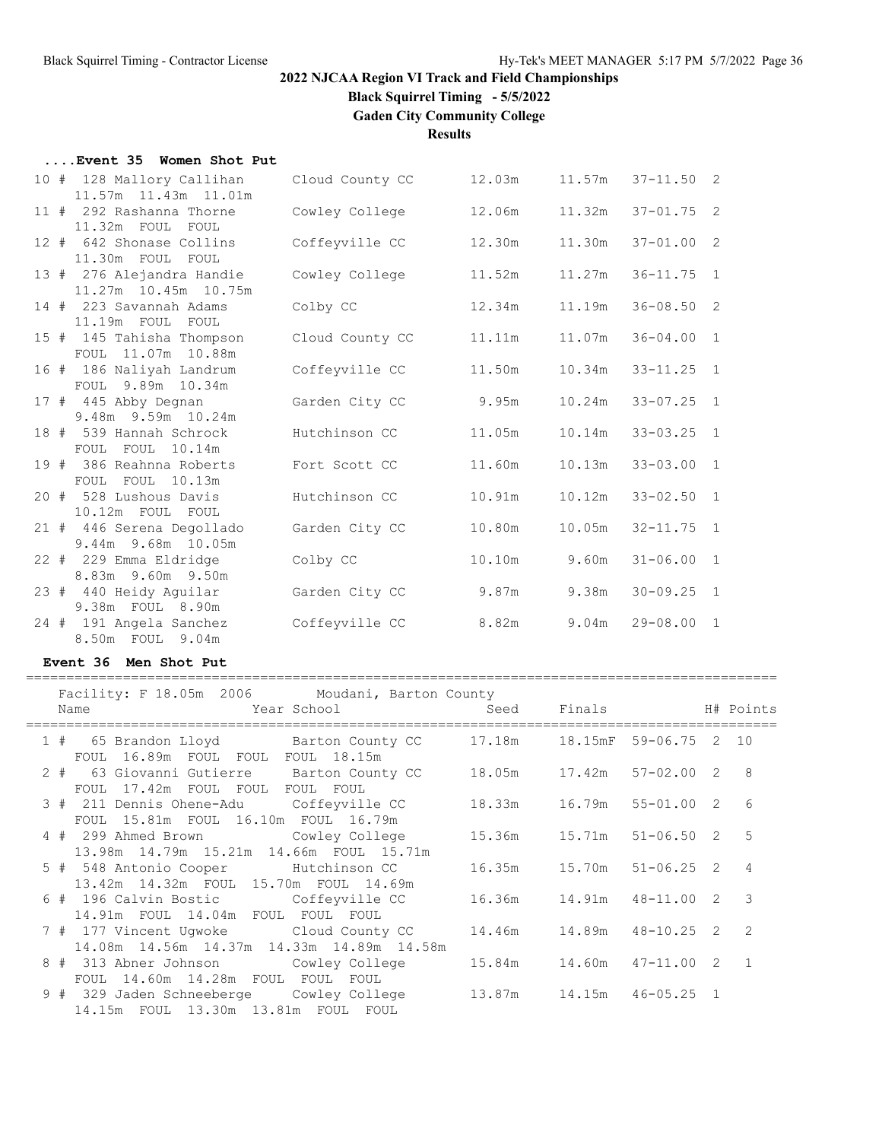# **Black Squirrel Timing - 5/5/2022**

**Gaden City Community College**

**Results**

| Event 35 Women Shot Put                           |                 |        |        |                |  |
|---------------------------------------------------|-----------------|--------|--------|----------------|--|
| 10 # 128 Mallory Callihan<br>11.57m 11.43m 11.01m | Cloud County CC | 12.03m | 11.57m | $37 - 11.50$ 2 |  |
| 11 # 292 Rashanna Thorne<br>11.32m FOUL FOUL      | Cowley College  | 12.06m | 11.32m | $37 - 01.75$ 2 |  |
| 12 # 642 Shonase Collins<br>11.30m FOUL FOUL      | Coffeyville CC  | 12.30m | 11.30m | $37 - 01.00$ 2 |  |
| 13 # 276 Alejandra Handie<br>11.27m 10.45m 10.75m | Cowley College  | 11.52m | 11.27m | $36 - 11.75$ 1 |  |
| 14 # 223 Savannah Adams<br>11.19m FOUL FOUL       | Colby CC        | 12.34m | 11.19m | $36 - 08.50$ 2 |  |
| 15 # 145 Tahisha Thompson<br>FOUL 11.07m 10.88m   | Cloud County CC | 11.11m | 11.07m | $36 - 04.00$ 1 |  |
| 16 # 186 Naliyah Landrum<br>FOUL 9.89m 10.34m     | Coffeyville CC  | 11.50m | 10.34m | $33 - 11.25$ 1 |  |
| 17 # 445 Abby Degnan<br>9.48m 9.59m 10.24m        | Garden City CC  | 9.95m  | 10.24m | $33 - 07.25$ 1 |  |
| 18 # 539 Hannah Schrock<br>FOUL FOUL 10.14m       | Hutchinson CC   | 11.05m | 10.14m | $33 - 03.25$ 1 |  |
| 19 # 386 Reahnna Roberts<br>FOUL FOUL 10.13m      | Fort Scott CC   | 11.60m | 10.13m | $33 - 03.00$ 1 |  |
| 20 # 528 Lushous Davis<br>10.12m FOUL FOUL        | Hutchinson CC   | 10.91m | 10.12m | $33 - 02.50$ 1 |  |
| 21 # 446 Serena Degollado<br>9.44m 9.68m 10.05m   | Garden City CC  | 10.80m | 10.05m | $32 - 11.75$ 1 |  |
| 22 # 229 Emma Eldridge<br>8.83m 9.60m 9.50m       | Colby CC        | 10.10m | 9.60m  | $31 - 06.00$ 1 |  |
| 23 # 440 Heidy Aquilar<br>9.38m FOUL 8.90m        | Garden City CC  | 9.87m  | 9.38m  | $30 - 09.25$ 1 |  |
| 24 # 191 Angela Sanchez<br>8.50m FOUL 9.04m       | Coffeyville CC  | 8.82m  | 9.04m  | $29 - 08.00$ 1 |  |

### **Event 36 Men Shot Put**

#### =============================================================================================  $\sigma$ ility: F 19.05m 2006

| Facility: F 18.05m 2006 Moudani, Barton County<br>Name Name School Seed Finals H# Points                |                                |                  |  |
|---------------------------------------------------------------------------------------------------------|--------------------------------|------------------|--|
| 1 # 65 Brandon Lloyd Barton County CC 17.18m 18.15mF 59-06.75 2 10<br>FOUL 16.89m FOUL FOUL FOUL 18.15m |                                |                  |  |
| 2 # 63 Giovanni Gutierre Barton County CC 18.05m 17.42m<br>FOUL 17.42m FOUL FOUL FOUL FOUL              |                                | $57 - 02.00$ 2 8 |  |
| 3 # 211 Dennis Ohene-Adu Coffeyville CC<br>FOUL 15.81m FOUL 16.10m FOUL 16.79m                          | 18.33m 16.79m                  | $55 - 01.00$ 2 6 |  |
| 4 # 299 Ahmed Brown Cowley College 15.36m 15.71m<br>13.98m 14.79m 15.21m 14.66m FOUL 15.71m             |                                | $51 - 06.50$ 2 5 |  |
| 5 # 548 Antonio Cooper Hutchinson CC<br>13.42m 14.32m FOUL 15.70m FOUL 14.69m                           | 16.35m 15.70m                  | $51 - 06.25$ 2 4 |  |
| 6 # 196 Calvin Bostic           Coffeyville CC<br>14.91m FOUL 14.04m FOUL FOUL FOUL                     | 16.36m  14.91m  48-11.00  2  3 |                  |  |
| 7 # 177 Vincent Ugwoke Cloud County CC<br>14.08m  14.56m  14.37m  14.33m  14.89m  14.58m                |                                | $48 - 10.25$ 2 2 |  |
| 8 # 313 Abner Johnson           Cowley College<br>FOUL 14.60m 14.28m FOUL FOUL FOUL                     | 15.84m  14.60m  47-11.00  2  1 |                  |  |
| 9 # 329 Jaden Schneeberge     Cowley College<br>14.15m FOUL 13.30m 13.81m FOUL FOUL                     | 13.87m 14.15m 46-05.25 1       |                  |  |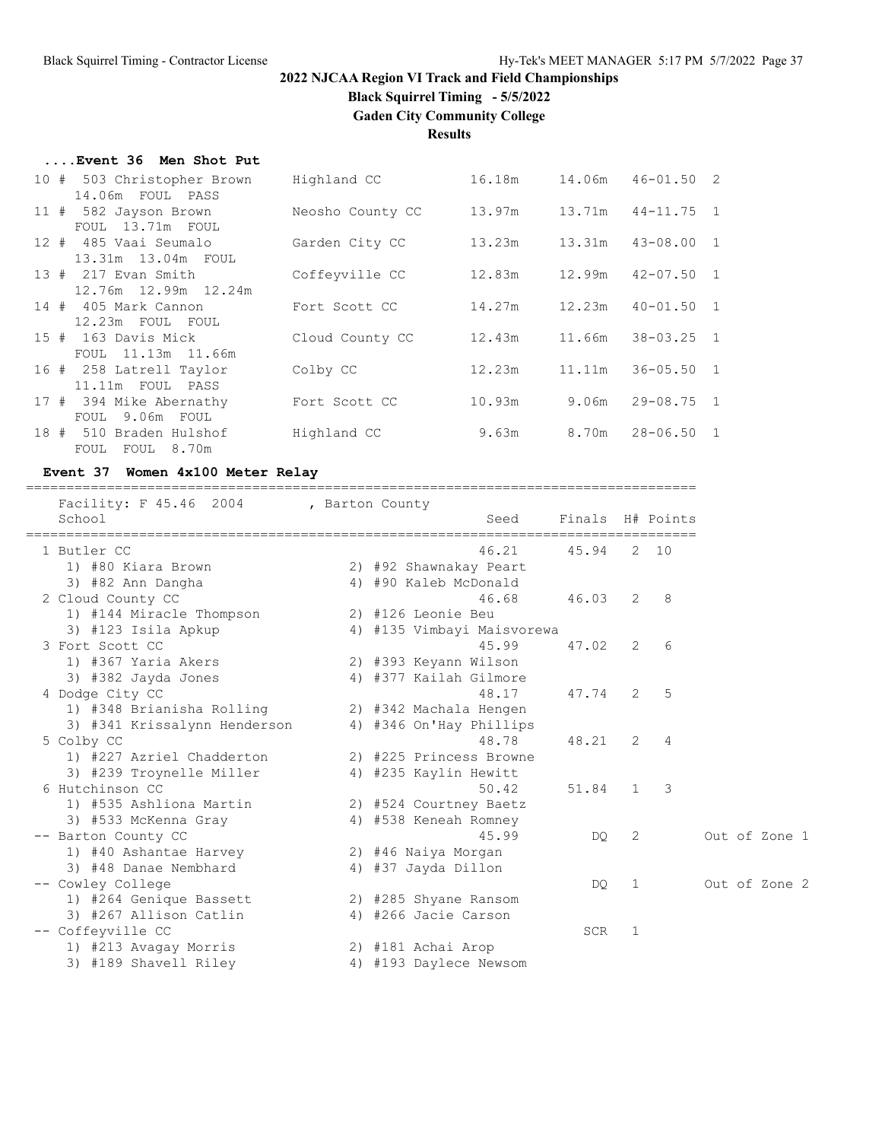# **Black Squirrel Timing - 5/5/2022**

**Gaden City Community College**

**Results**

| Event 36 Men Shot Put |  |  |  |  |
|-----------------------|--|--|--|--|
|-----------------------|--|--|--|--|

| 10 # 503 Christopher Brown<br>14.06m FOUL PASS  | Highland CC     |                  | 16.18m<br>14.06m | $46 - 01.50$ 2          |
|-------------------------------------------------|-----------------|------------------|------------------|-------------------------|
| 11 # 582 Jayson Brown<br>FOUL 13.71m FOUL       |                 | Neosho County CC | 13.97m<br>13.71m | $44 - 11.75$ 1          |
| 12 # 485 Vaai Seumalo<br>13.31m 13.04m FOUL     | Garden City CC  |                  | 13.23m<br>13.31m | $43 - 08.00$ 1          |
| $13$ # $217$ Evan Smith<br>12.76m 12.99m 12.24m | Coffeyville CC  |                  | 12.83m<br>12.99m | $42 - 07.50$ 1          |
| 14 # 405 Mark Cannon<br>12.23m FOUL FOUL        | Fort Scott CC   |                  | 14.27m<br>12.23m | $40 - 01.50$ 1          |
| 15 # 163 Davis Mick<br>FOUL 11.13m 11.66m       | Cloud County CC |                  | 12.43m<br>11.66m | $38 - 03.25$ 1          |
| 16 # 258 Latrell Taylor<br>11.11m FOUL PASS     | Colby CC        |                  | 12.23m<br>11.11m | $36 - 05.50$ 1          |
| 17 # 394 Mike Abernathy<br>9.06m FOUL<br>FOUL   | Fort Scott CC   |                  | 10.93m<br>9.06m  | $29 - 08.75$ 1          |
| 18 # 510 Braden Hulshof<br>FOUL FOUL 8.70m      | Highland CC     |                  | 9.63m            | $28 - 06.50$ 1<br>8.70m |

## **Event 37 Women 4x100 Meter Relay**

===================================================================================

| Facility: F 45.46 2004 , Barton County<br>School |  | Seed                       |       |              | Finals H# Points |  |               |  |
|--------------------------------------------------|--|----------------------------|-------|--------------|------------------|--|---------------|--|
| 1 Butler CC                                      |  | 46.21                      | 45.94 |              | 2 10             |  |               |  |
| 1) #80 Kiara Brown                               |  | 2) #92 Shawnakay Peart     |       |              |                  |  |               |  |
| 3) #82 Ann Dangha                                |  | 4) #90 Kaleb McDonald      |       |              |                  |  |               |  |
| 2 Cloud County CC                                |  | 46.68                      | 46.03 | 2            | 8                |  |               |  |
| 1) #144 Miracle Thompson                         |  | 2) #126 Leonie Beu         |       |              |                  |  |               |  |
| 3) #123 Isila Apkup                              |  | 4) #135 Vimbayi Maisvorewa |       |              |                  |  |               |  |
| 3 Fort Scott CC                                  |  | 45.99                      | 47.02 | 2            | 6                |  |               |  |
| 1) #367 Yaria Akers                              |  | 2) #393 Keyann Wilson      |       |              |                  |  |               |  |
| 3) #382 Jayda Jones                              |  | 4) #377 Kailah Gilmore     |       |              |                  |  |               |  |
| 4 Dodge City CC                                  |  | 48.17                      | 47.74 | 2            | 5                |  |               |  |
| 1) #348 Brianisha Rolling                        |  | 2) #342 Machala Hengen     |       |              |                  |  |               |  |
| 3) #341 Krissalynn Henderson                     |  | 4) #346 On'Hay Phillips    |       |              |                  |  |               |  |
| 5 Colby CC                                       |  | 48.78                      | 48.21 | 2            | 4                |  |               |  |
| 1) #227 Azriel Chadderton                        |  | 2) #225 Princess Browne    |       |              |                  |  |               |  |
| 3) #239 Troynelle Miller                         |  | 4) #235 Kaylin Hewitt      |       |              |                  |  |               |  |
| 6 Hutchinson CC                                  |  | 50.42                      | 51.84 | $\mathbf{1}$ | 3                |  |               |  |
| 1) #535 Ashliona Martin                          |  | 2) #524 Courtney Baetz     |       |              |                  |  |               |  |
| 3) #533 McKenna Gray                             |  | 4) #538 Keneah Romney      |       |              |                  |  |               |  |
| -- Barton County CC                              |  | 45.99                      | DO    | 2            |                  |  | Out of Zone 1 |  |
| 1) #40 Ashantae Harvey                           |  | 2) #46 Naiya Morgan        |       |              |                  |  |               |  |
| 3) #48 Danae Nembhard                            |  | 4) #37 Jayda Dillon        |       |              |                  |  |               |  |
| -- Cowley College                                |  |                            | DO.   | 1            |                  |  | Out of Zone 2 |  |
| 1) #264 Genique Bassett                          |  | 2) #285 Shyane Ransom      |       |              |                  |  |               |  |
| 3) #267 Allison Catlin                           |  | 4) #266 Jacie Carson       |       |              |                  |  |               |  |
| -- Coffeyville CC                                |  |                            | SCR   | 1            |                  |  |               |  |
| 1) #213 Avagay Morris                            |  | 2) #181 Achai Arop         |       |              |                  |  |               |  |
| 3) #189 Shavell Riley                            |  | 4) #193 Daylece Newsom     |       |              |                  |  |               |  |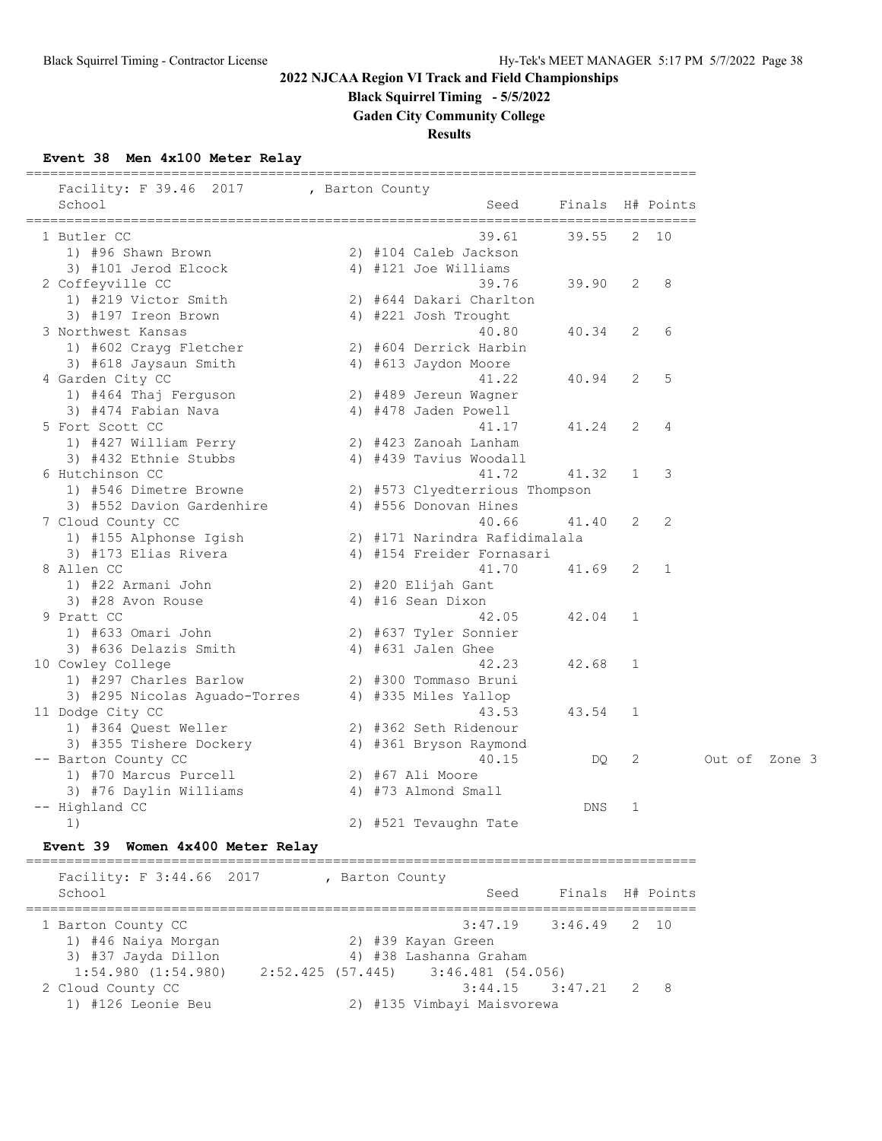## **Black Squirrel Timing - 5/5/2022**

**Gaden City Community College**

**Results**

### **Event 38 Men 4x100 Meter Relay**

===================================================================================

| Facility: F 39.46 2017<br>School                | , Barton County                               | Seed  | Finals H# Points |                |    |               |  |
|-------------------------------------------------|-----------------------------------------------|-------|------------------|----------------|----|---------------|--|
| ,,,,,,,,,,,,,,,,,,,,,,                          |                                               |       |                  |                |    |               |  |
| 1 Butler CC<br>1) #96 Shawn Brown               |                                               | 39.61 | 39.55            | 2              | 10 |               |  |
| 3) #101 Jerod Elcock                            | 2) #104 Caleb Jackson<br>4) #121 Joe Williams |       |                  |                |    |               |  |
| 2 Coffeyville CC                                |                                               | 39.76 | 39.90            | $\overline{2}$ | 8  |               |  |
| 1) #219 Victor Smith                            | 2) #644 Dakari Charlton                       |       |                  |                |    |               |  |
| 3) #197 Ireon Brown                             |                                               |       |                  |                |    |               |  |
| 3 Northwest Kansas                              | 4) #221 Josh Trought                          | 40.80 | 40.34            | 2              | 6  |               |  |
|                                                 | 2) #604 Derrick Harbin                        |       |                  |                |    |               |  |
| 1) #602 Crayg Fletcher<br>3) #618 Jaysaun Smith | 4) #613 Jaydon Moore                          |       |                  |                |    |               |  |
| 4 Garden City CC                                |                                               | 41.22 | 40.94            | 2              | 5  |               |  |
| 1) #464 Thaj Ferguson                           | 2) #489 Jereun Wagner                         |       |                  |                |    |               |  |
| 3) #474 Fabian Nava                             | 4) #478 Jaden Powell                          |       |                  |                |    |               |  |
| 5 Fort Scott CC                                 |                                               | 41.17 | 41.24            | 2              | 4  |               |  |
| 1) #427 William Perry                           | 2) #423 Zanoah Lanham                         |       |                  |                |    |               |  |
| 3) #432 Ethnie Stubbs                           | 4) #439 Tavius Woodall                        |       |                  |                |    |               |  |
| 6 Hutchinson CC                                 |                                               | 41.72 | 41.32            | $\mathbf{1}$   | 3  |               |  |
| 1) #546 Dimetre Browne                          | 2) #573 Clyedterrious Thompson                |       |                  |                |    |               |  |
| 3) #552 Davion Gardenhire                       | 4) #556 Donovan Hines                         |       |                  |                |    |               |  |
| 7 Cloud County CC                               |                                               | 40.66 | 41.40            | $\mathbf{2}$   | 2  |               |  |
| 1) #155 Alphonse Igish                          | 2) #171 Narindra Rafidimalala                 |       |                  |                |    |               |  |
| 3) #173 Elias Rivera                            | 4) #154 Freider Fornasari                     |       |                  |                |    |               |  |
| 8 Allen CC                                      |                                               | 41.70 | 41.69            | 2              | 1  |               |  |
| 1) #22 Armani John                              | 2) #20 Elijah Gant                            |       |                  |                |    |               |  |
| 3) #28 Avon Rouse                               | 4) #16 Sean Dixon                             |       |                  |                |    |               |  |
| 9 Pratt CC                                      |                                               | 42.05 | 42.04            | 1              |    |               |  |
| 1) #633 Omari John                              | 2) #637 Tyler Sonnier                         |       |                  |                |    |               |  |
| 3) #636 Delazis Smith                           | 4) #631 Jalen Ghee                            |       |                  |                |    |               |  |
| 10 Cowley College                               |                                               | 42.23 | 42.68            | 1              |    |               |  |
| 1) #297 Charles Barlow                          | 2) #300 Tommaso Bruni                         |       |                  |                |    |               |  |
| 3) #295 Nicolas Aguado-Torres                   | 4) #335 Miles Yallop                          |       |                  |                |    |               |  |
| 11 Dodge City CC                                |                                               | 43.53 | 43.54            | 1              |    |               |  |
| 1) #364 Quest Weller                            | 2) #362 Seth Ridenour                         |       |                  |                |    |               |  |
| 3) #355 Tishere Dockery                         | 4) #361 Bryson Raymond                        |       |                  |                |    |               |  |
| -- Barton County CC                             |                                               | 40.15 | DQ.              | 2              |    | Out of Zone 3 |  |
| 1) #70 Marcus Purcell                           | 2) #67 Ali Moore                              |       |                  |                |    |               |  |
| 3) #76 Daylin Williams                          | 4) #73 Almond Small                           |       |                  |                |    |               |  |
| -- Highland CC                                  |                                               |       | DNS              | 1              |    |               |  |
| 1)                                              | 2) #521 Tevaughn Tate                         |       |                  |                |    |               |  |
|                                                 |                                               |       |                  |                |    |               |  |

### **Event 39 Women 4x400 Meter Relay**

=================================================================================== -------<br>Facility: F 3:44.66 2017 , Barton County School Seed Finals H# Points =================================================================================== 1 Barton County CC 3:47.19 3:46.49 2 10 1) #46 Naiya Morgan 2) #39 Kayan Green 3) #37 Jayda Dillon 4) #38 Lashanna Graham 1:54.980 (1:54.980) 2:52.425 (57.445) 3:46.481 (54.056) 2 Cloud County CC 3:44.15 3:47.21 2 8 1) #126 Leonie Beu 2) #135 Vimbayi Maisvorewa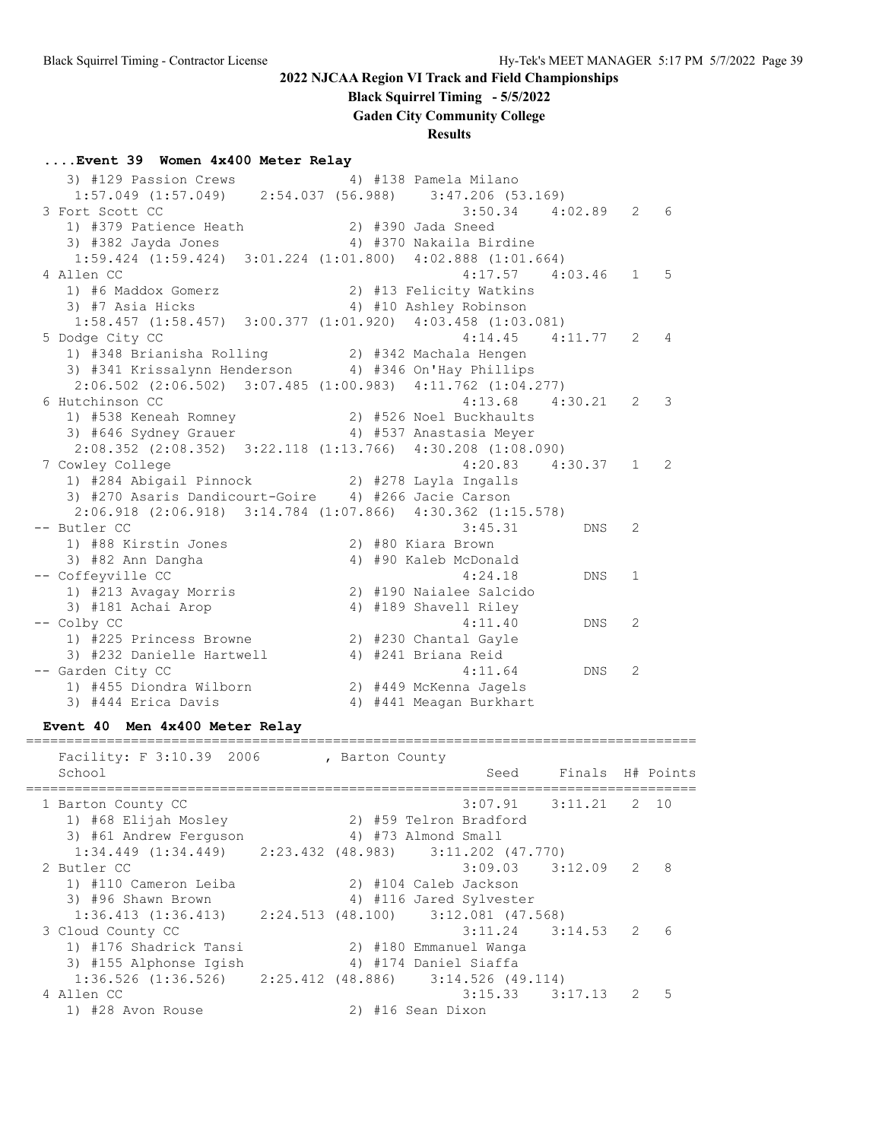**Black Squirrel Timing - 5/5/2022**

**Gaden City Community College**

### **Results**

### **....Event 39 Women 4x400 Meter Relay**

| 3) #129 Passion Crews                                                   |  | 4) #138 Pamela Milano   |            |              |             |
|-------------------------------------------------------------------------|--|-------------------------|------------|--------------|-------------|
| 1:57.049 (1:57.049) 2:54.037 (56.988) 3:47.206 (53.169)                 |  |                         |            |              |             |
| 3 Fort Scott CC                                                         |  | $3:50.34$ $4:02.89$ 2 6 |            |              |             |
| 1) #379 Patience Heath 2) #390 Jada Sneed                               |  |                         |            |              |             |
| 3) #382 Jayda Jones                                                     |  | 4) #370 Nakaila Birdine |            |              |             |
| $1:59.424$ $(1:59.424)$ $3:01.224$ $(1:01.800)$ $4:02.888$ $(1:01.664)$ |  |                         |            |              |             |
| 4 Allen CC                                                              |  | $4:17.57$ $4:03.46$     |            |              | $1 \quad 5$ |
| 1) #6 Maddox Gomerz                                                     |  | 2) #13 Felicity Watkins |            |              |             |
| 3) #7 Asia Hicks                                                        |  | 4) #10 Ashley Robinson  |            |              |             |
| 1:58.457 (1:58.457) 3:00.377 (1:01.920) 4:03.458 (1:03.081)             |  |                         |            |              |             |
| 5 Dodge City CC                                                         |  | $4:14.45$ $4:11.77$ 2 4 |            |              |             |
| 1) #348 Brianisha Rolling (2) #342 Machala Hengen                       |  |                         |            |              |             |
| 3) #341 Krissalynn Henderson 4) #346 On'Hay Phillips                    |  |                         |            |              |             |
| $2:06.502$ $(2:06.502)$ $3:07.485$ $(1:00.983)$ $4:11.762$ $(1:04.277)$ |  |                         |            |              |             |
| 6 Hutchinson CC                                                         |  | $4:13.68$ $4:30.21$     |            | $2 \quad 3$  |             |
|                                                                         |  |                         |            |              |             |
| 3) #646 Sydney Grauer (4) #537 Anastasia Meyer                          |  |                         |            |              |             |
| 2:08.352 (2:08.352) 3:22.118 (1:13.766) 4:30.208 (1:08.090)             |  |                         |            |              |             |
| 7 Cowley College                                                        |  | $4:20.83$ $4:30.37$ 1 2 |            |              |             |
| 1) #284 Abigail Pinnock 2) #278 Layla Ingalls                           |  |                         |            |              |             |
| 3) #270 Asaris Dandicourt-Goire 4) #266 Jacie Carson                    |  |                         |            |              |             |
| 2:06.918 (2:06.918) 3:14.784 (1:07.866) 4:30.362 (1:15.578)             |  |                         |            |              |             |
| -- Butler CC                                                            |  | 3:45.31                 | DNS        | 2            |             |
| 1) #88 Kirstin Jones                                                    |  | 2) #80 Kiara Brown      |            |              |             |
| 3) #82 Ann Dangha                                                       |  | 4) #90 Kaleb McDonald   |            |              |             |
| -- Coffeyville CC                                                       |  | 4:24.18                 | <b>DNS</b> | $\mathbf{1}$ |             |
| 1) #213 Avagay Morris                                                   |  | 2) #190 Naialee Salcido |            |              |             |
| 3) #181 Achai Arop                                                      |  | 4) #189 Shavell Riley   |            |              |             |
| -- Colby CC                                                             |  | 4:11.40                 | <b>DNS</b> | 2            |             |
| 1) #225 Princess Browne                                                 |  | 2) #230 Chantal Gayle   |            |              |             |
| 3) #232 Danielle Hartwell                                               |  | 4) #241 Briana Reid     |            |              |             |
| -- Garden City CC                                                       |  | 4:11.64                 | <b>DNS</b> | 2            |             |
| 1) #455 Diondra Wilborn                                                 |  | 2) #449 McKenna Jagels  |            |              |             |
| 3) #444 Erica Davis                                                     |  | 4) #441 Meagan Burkhart |            |              |             |

### **Event 40 Men 4x400 Meter Relay**

Facility: F 3:10.39 2006 , Barton County School Seed Finals H# Points =================================================================================== 1 Barton County CC 3:07.91 3:11.21 2 10 1) #68 Elijah Mosley 2) #59 Telron Bradford 3) #61 Andrew Ferguson 4) #73 Almond Small 1:34.449 (1:34.449) 2:23.432 (48.983) 3:11.202 (47.770) 2 Butler CC 3:09.03 3:12.09 2 8 1) #110 Cameron Leiba 2) #104 Caleb Jackson<br>3) #06 Chain Praise 20 1116 James Sulvesti 3) #96 Shawn Brown 4) #116 Jared Sylvester 1:36.413 (1:36.413) 2:24.513 (48.100) 3:12.081 (47.568) 3 Cloud County CC 3:11.24 3:14.53 2 6 1) #176 Shadrick Tansi 2) #180 Emmanuel Wanga 3) #155 Alphonse Igish 4) #174 Daniel Siaffa 1:36.526 (1:36.526) 2:25.412 (48.886) 3:14.526 (49.114) 4 Allen CC 3:15.33 3:17.13 2 5 1) #28 Avon Rouse 2) #16 Sean Dixon

===================================================================================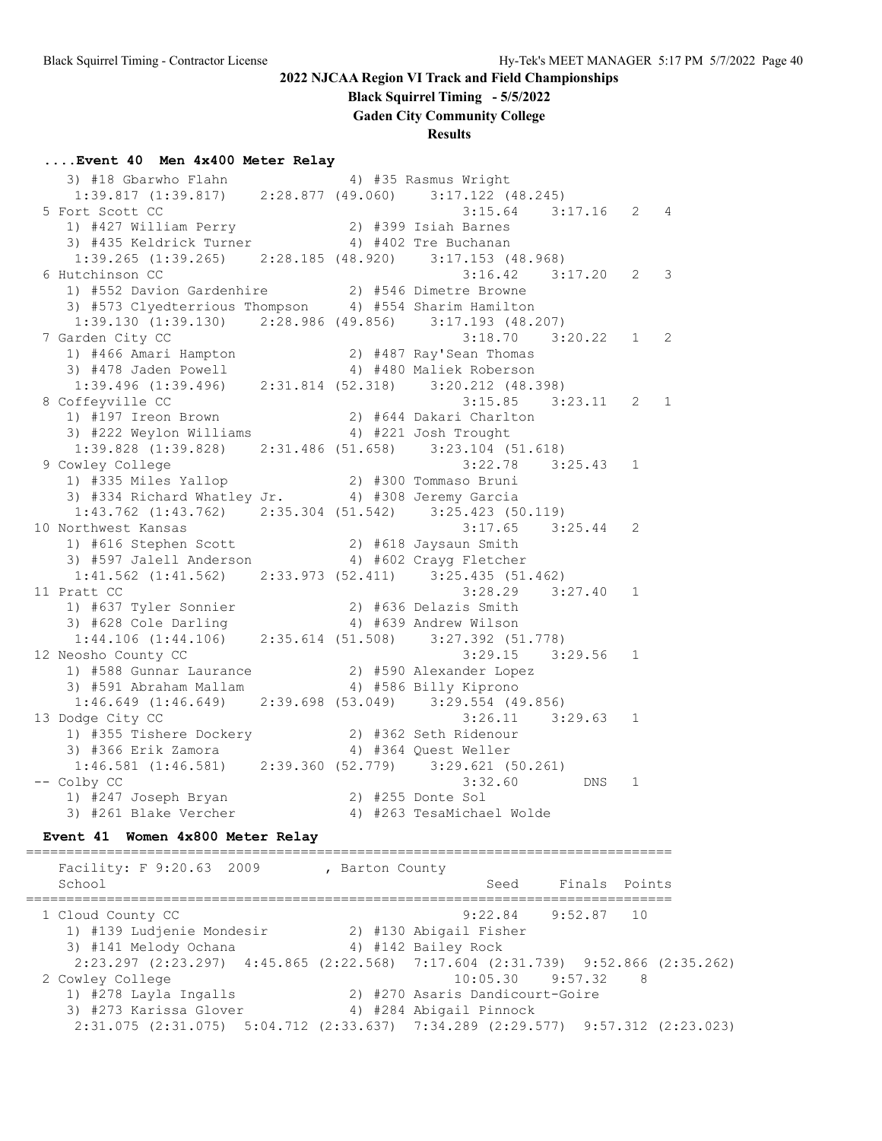**Black Squirrel Timing - 5/5/2022**

**Gaden City Community College**

**Results**

### **....Event 40 Men 4x400 Meter Relay**

| 3) #18 Gbarwho Flahn (4) #35 Rasmus Wright<br>1:39.817 (1:39.817) 2:28.877 (49.060) 3:17.122 (48.245)                            |  |                           |              |  |
|----------------------------------------------------------------------------------------------------------------------------------|--|---------------------------|--------------|--|
| 5 Fort Scott CC                                                                                                                  |  | $3:15.64$ $3:17.16$ 2 4   |              |  |
| 1) #427 William Perry 2) #399 Isiah Barnes                                                                                       |  |                           |              |  |
| 3) #435 Keldrick Turner 4) #402 Tre Buchanan                                                                                     |  |                           |              |  |
| $1:39.265$ (1:39.265) $2:28.185$ (48.920) $3:17.153$ (48.968)                                                                    |  |                           |              |  |
| 6 Hutchinson CC                                                                                                                  |  | $3:16.42$ $3:17.20$ 2 3   |              |  |
| 1) #552 Davion Gardenhire 2) #546 Dimetre Browne                                                                                 |  |                           |              |  |
| 3) #573 Clyedterrious Thompson 4) #554 Sharim Hamilton                                                                           |  |                           |              |  |
| $1:39.130 (1:39.130) 2:28.986 (49.856) 3:17.193 (48.207)$                                                                        |  |                           |              |  |
| 7 Garden City CC                                                                                                                 |  | $3:18.70$ $3:20.22$ 1 2   |              |  |
| 1) #466 Amari Hampton<br>3) #478 Jaden Powell (2) #480 Maliek Roberson                                                           |  |                           |              |  |
|                                                                                                                                  |  |                           |              |  |
| $1:39.496$ (1:39.496) $2:31.814$ (52.318) $3:20.212$ (48.398)                                                                    |  |                           |              |  |
| 8 Coffeyville CC                                                                                                                 |  | $3:15.85$ $3:23.11$ 2 1   |              |  |
| 1) #197 Ireon Brown                                                                                                              |  | 2) #644 Dakari Charlton   |              |  |
| 1) #197 Ireon Brown                         2) #644 Dakari Charl<br>3) #222 Weylon Williams                 4) #221 Josh Trought |  |                           |              |  |
| $1:39.828$ $(1:39.828)$ $2:31.486$ $(51.658)$ $3:23.104$ $(51.618)$                                                              |  |                           |              |  |
| 9 Cowley College                                                                                                                 |  | $3:22.78$ $3:25.43$ 1     |              |  |
| 1) #335 Miles Yallop (2) #300 Tommaso Bruni                                                                                      |  |                           |              |  |
| 3) #334 Richard Whatley Jr. 4) #308 Jeremy Garcia                                                                                |  |                           |              |  |
| $1:43.762$ $(1:43.762)$ $2:35.304$ $(51.542)$ $3:25.423$ $(50.119)$                                                              |  |                           |              |  |
| 10 Northwest Kansas                                                                                                              |  | $3:17.65$ $3:25.44$       | 2            |  |
| 1) #616 Stephen Scott 2) #618 Jaysaun Smith<br>3) #597 Jalell Anderson 4) #602 Crayg Fletcher                                    |  |                           |              |  |
|                                                                                                                                  |  |                           |              |  |
| $1:41.562$ (1:41.562) $2:33.973$ (52.411) $3:25.435$ (51.462)                                                                    |  |                           |              |  |
| 11 Pratt CC                                                                                                                      |  | $3:28.29$ $3:27.40$ 1     |              |  |
| 1) #637 Tyler Sonnier<br>3) #628 Cole Darling<br>1:44.106 (1:44.106) 2:35.614 (51.508) 3:27.392 (51.778)                         |  |                           |              |  |
|                                                                                                                                  |  |                           |              |  |
|                                                                                                                                  |  |                           |              |  |
| 12 Neosho County CC                                                                                                              |  | $3:29.15$ $3:29.56$ 1     |              |  |
| 1) #588 Gunnar Laurance (2) #590 Alexander Lopez                                                                                 |  |                           |              |  |
| 3) #591 Abraham Mallam (4) #586 Billy Kiprono                                                                                    |  |                           |              |  |
| $1:46.649$ $(1:46.649)$ $2:39.698$ $(53.049)$ $3:29.554$ $(49.856)$                                                              |  |                           |              |  |
| 13 Dodge City CC                                                                                                                 |  | $3:26.11$ $3:29.63$       | $\mathbf{1}$ |  |
| 1) #355 Tishere Dockery 2) #362 Seth Ridenour<br>3) #366 Erik Zamora 20 4) #364 Quest Weller                                     |  |                           |              |  |
|                                                                                                                                  |  |                           |              |  |
| $1:46.581$ $(1:46.581)$ $2:39.360$ $(52.779)$ $3:29.621$ $(50.261)$                                                              |  |                           |              |  |
| -- Colby CC                                                                                                                      |  | $3:32.60$ DNS             | $\mathbf{1}$ |  |
| 1) #247 Joseph Bryan<br>3) #261 Blake Vercher                                                                                    |  | 2) #255 Donte Sol         |              |  |
|                                                                                                                                  |  | 4) #263 TesaMichael Wolde |              |  |

#### **Event 41 Women 4x800 Meter Relay**

================================================================================ Facility: F 9:20.63 2009 , Barton County School Seed Finals Points ================================================================================ 1 Cloud County CC 9:22.84 9:52.87 10 1) #139 Ludjenie Mondesir 2) #130 Abigail Fisher 3) #141 Melody Ochana 4) #142 Bailey Rock 2:23.297 (2:23.297) 4:45.865 (2:22.568) 7:17.604 (2:31.739) 9:52.866 (2:35.262) 2 Cowley College 10:05.30 9:57.32 8 1) #278 Layla Ingalls 2) #270 Asaris Dandicourt-Goire 3) #273 Karissa Glover 4) #284 Abigail Pinnock 2:31.075 (2:31.075) 5:04.712 (2:33.637) 7:34.289 (2:29.577) 9:57.312 (2:23.023)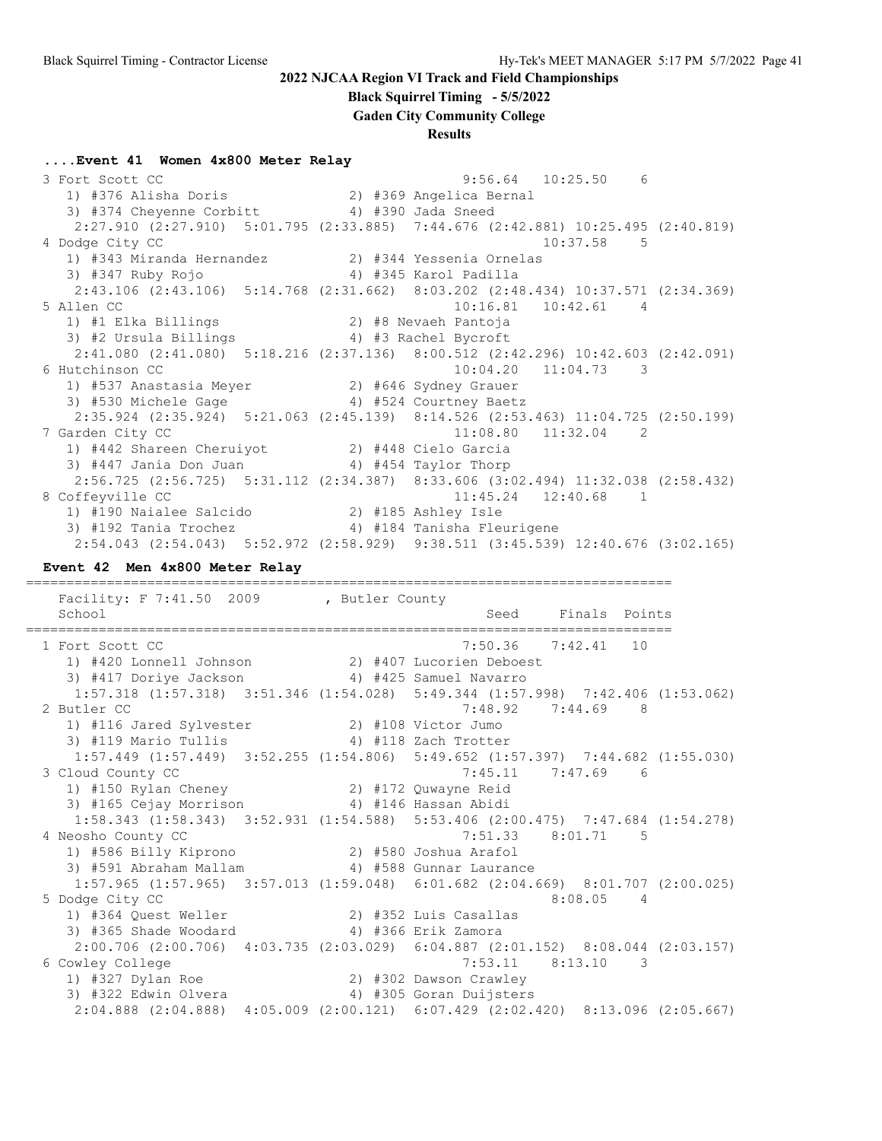**Black Squirrel Timing - 5/5/2022**

**Gaden City Community College**

### **Results**

### **....Event 41 Women 4x800 Meter Relay**

 3 Fort Scott CC 9:56.64 10:25.50 6 1) #376 Alisha Doris 2) #369 Angelica Bernal 3) #374 Cheyenne Corbitt 4) #390 Jada Sneed 2:27.910 (2:27.910) 5:01.795 (2:33.885) 7:44.676 (2:42.881) 10:25.495 (2:40.819) 4 Dodge City CC 2012 10:37.58 5 1) #343 Miranda Hernandez 2) #344 Yessenia Ornelas 3) #347 Ruby Rojo 4) #345 Karol Padilla 2:43.106 (2:43.106) 5:14.768 (2:31.662) 8:03.202 (2:48.434) 10:37.571 (2:34.369) 5 Allen CC 10:16.81 10:42.61 4 1) #1 Elka Billings 2) #8 Nevaeh Pantoja 3) #2 Ursula Billings 4) #3 Rachel Bycroft 2:41.080 (2:41.080) 5:18.216 (2:37.136) 8:00.512 (2:42.296) 10:42.603 (2:42.091) 6 Hutchinson CC 10:04.20 11:04.73 3 1) #537 Anastasia Meyer 2) #646 Sydney Grauer 3) #530 Michele Gage 4) #524 Courtney Baetz 2:35.924 (2:35.924) 5:21.063 (2:45.139) 8:14.526 (2:53.463) 11:04.725 (2:50.199) 7 Garden City CC 11:08.80 11:32.04 2 1) #442 Shareen Cheruiyot 2) #448 Cielo Garcia 3) #447 Jania Don Juan 4) #454 Taylor Thorp 2:56.725 (2:56.725) 5:31.112 (2:34.387) 8:33.606 (3:02.494) 11:32.038 (2:58.432) 8 Coffeyville CC 11:45.24 12:40.68 1 1) #190 Naialee Salcido 2) #185 Ashley Isle 3) #192 Tania Trochez 4) #184 Tanisha Fleurigene 2:54.043 (2:54.043) 5:52.972 (2:58.929) 9:38.511 (3:45.539) 12:40.676 (3:02.165) **Event 42 Men 4x800 Meter Relay** ================================================================================ Facility: F 7:41.50 2009 , Butler County School School Seed Finals Points ================================================================================ 1 Fort Scott CC 7:50.36 7:42.41 10 1) #420 Lonnell Johnson 2) #407 Lucorien Deboest 3) #417 Doriye Jackson 4) #425 Samuel Navarro 1:57.318 (1:57.318) 3:51.346 (1:54.028) 5:49.344 (1:57.998) 7:42.406 (1:53.062) 2 Butler CC 7:48.92 7:44.69 8 1) #116 Jared Sylvester 2) #108 Victor Jumo 3) #119 Mario Tullis 4) #118 Zach Trotter 1:57.449 (1:57.449) 3:52.255 (1:54.806) 5:49.652 (1:57.397) 7:44.682 (1:55.030) 3 Cloud County CC 7:45.11 7:47.69 6 1) #150 Rylan Cheney 2) #172 Quwayne Reid 3) #165 Cejay Morrison 4) #146 Hassan Abidi 1:58.343 (1:58.343) 3:52.931 (1:54.588) 5:53.406 (2:00.475) 7:47.684 (1:54.278) 4 Neosho County CC 7:51.33 8:01.71 5 1) #586 Billy Kiprono 2) #580 Joshua Arafol 3) #591 Abraham Mallam 4) #588 Gunnar Laurance 1:57.965 (1:57.965) 3:57.013 (1:59.048) 6:01.682 (2:04.669) 8:01.707 (2:00.025) 5 Dodge City CC 8:08.05 4 1) #364 Quest Weller 2) #352 Luis Casallas 3) #365 Shade Woodard 4) #366 Erik Zamora

2:00.706 (2:00.706) 4:03.735 (2:03.029) 6:04.887 (2:01.152) 8:08.044 (2:03.157)<br>owley College 7:53.11 8:13.10 3 6 Cowley College 7:53.11 8:13.10 3 1) #327 Dylan Roe 2) #302 Dawson Crawley 3) #322 Edwin Olvera 4) #305 Goran Duijsters 2:04.888 (2:04.888) 4:05.009 (2:00.121) 6:07.429 (2:02.420) 8:13.096 (2:05.667)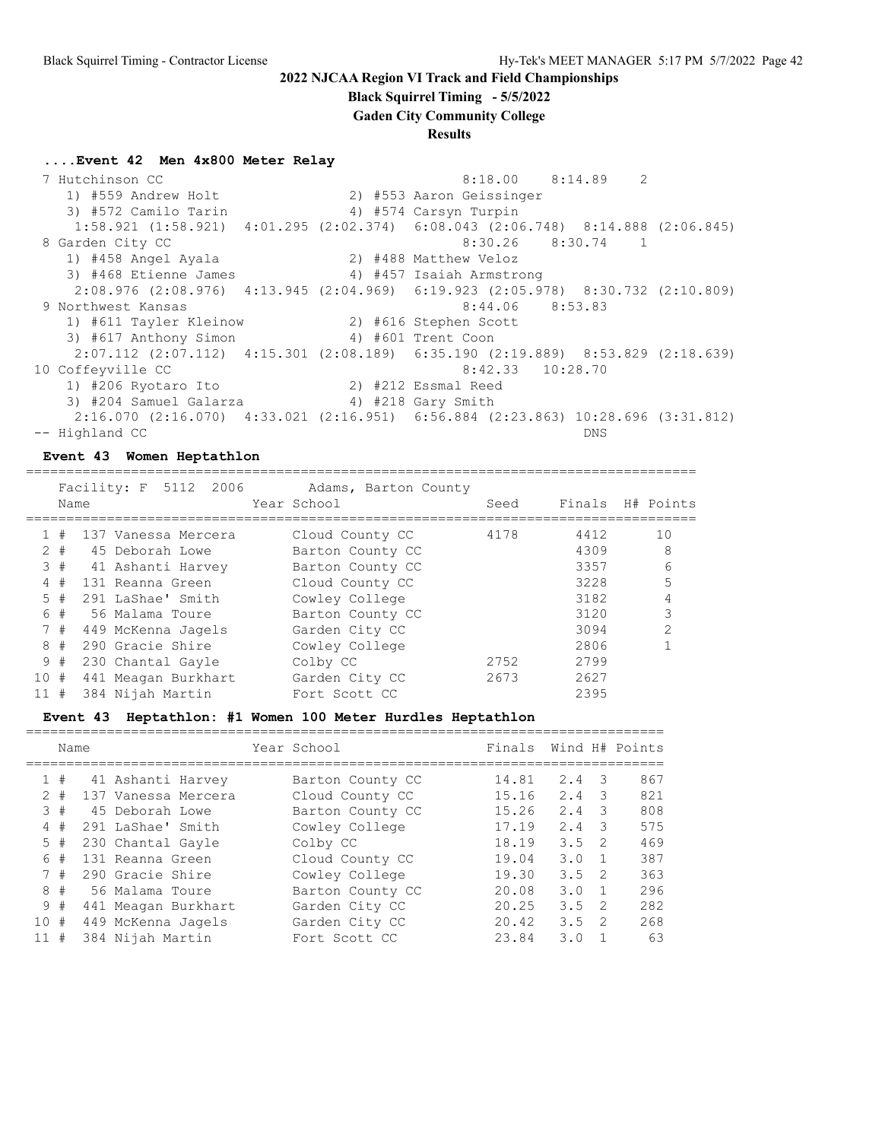**Black Squirrel Timing - 5/5/2022**

**Gaden City Community College**

### **Results**

### **....Event 42 Men 4x800 Meter Relay**

 7 Hutchinson CC 8:18.00 8:14.89 2 1) #559 Andrew Holt 2) #553 Aaron Geissinger 3) #572 Camilo Tarin 4) #574 Carsyn Turpin 1:58.921 (1:58.921) 4:01.295 (2:02.374) 6:08.043 (2:06.748) 8:14.888 (2:06.845) 8 Garden City CC 6:30.26 8:30.74 1 1) #458 Angel Ayala 2) #488 Matthew Veloz 3) #468 Etienne James 4) #457 Isaiah Armstrong 2:08.976 (2:08.976) 4:13.945 (2:04.969) 6:19.923 (2:05.978) 8:30.732 (2:10.809) 9 Northwest Kansas 8:44.06 8:53.83 1) #611 Tayler Kleinow 2) #616 Stephen Scott 3) #617 Anthony Simon 4) #601 Trent Coon 2:07.112 (2:07.112) 4:15.301 (2:08.189) 6:35.190 (2:19.889) 8:53.829 (2:18.639) 10 Coffeyville CC 8:42.33 10:28.70 1) #206 Ryotaro Ito 2) #212 Essmal Reed 3) #204 Samuel Galarza 4) #218 Gary Smith 2:16.070 (2:16.070) 4:33.021 (2:16.951) 6:56.884 (2:23.863) 10:28.696 (3:31.812) -- Highland CC DNS DNS And the United States of the United States of the United States of the UNS of the UNS of the UNS of the UNS of the UNS of the UNS of the UNS of the UNS of the UNS of the UNS of the UNS of the UNS of

#### **Event 43 Women Heptathlon**

===================================================================================  $Facilitiv: F 5112 2006$ 

| Name | RACILILY; R JIIZ ZUUO | Addms, Barton County<br>Year School                                                                                                                                                     | Seed |      | Finals H# Points |
|------|-----------------------|-----------------------------------------------------------------------------------------------------------------------------------------------------------------------------------------|------|------|------------------|
|      | 137 Vanessa Mercera   | Cloud County CC                                                                                                                                                                         | 4178 | 4412 | 10               |
|      | 2 # 45 Deborah Lowe   | Barton County CC                                                                                                                                                                        |      | 4309 | 8                |
| 3#   |                       | Barton County CC                                                                                                                                                                        |      | 3357 | 6                |
| 4#   |                       | Cloud County CC                                                                                                                                                                         |      | 3228 | 5                |
| 5#   |                       | Cowley College                                                                                                                                                                          |      | 3182 | 4                |
| 6#   |                       | Barton County CC                                                                                                                                                                        |      | 3120 | 3                |
| 7#   |                       | Garden City CC                                                                                                                                                                          |      | 3094 | $\overline{2}$   |
| 8#   |                       | Cowley College                                                                                                                                                                          |      | 2806 |                  |
| 9#   |                       | Colby CC                                                                                                                                                                                | 2752 | 2799 |                  |
| 10#  |                       | Garden City CC                                                                                                                                                                          | 2673 | 2627 |                  |
| 11#  |                       | Fort Scott CC                                                                                                                                                                           |      | 2395 |                  |
|      |                       | 41 Ashanti Harvey<br>131 Reanna Green<br>291 LaShae' Smith<br>56 Malama Toure<br>449 McKenna Jagels<br>290 Gracie Shire<br>230 Chantal Gayle<br>441 Meagan Burkhart<br>384 Nijah Martin |      |      |                  |

#### **Event 43 Heptathlon: #1 Women 100 Meter Hurdles Heptathlon**

|                 | Name |                     | Year School      | Finals |     |                | Wind H# Points |
|-----------------|------|---------------------|------------------|--------|-----|----------------|----------------|
| 1.              | #    | 41 Ashanti Harvey   | Barton County CC | 14.81  | 2.4 | 3              | 867            |
|                 |      |                     |                  |        |     |                |                |
| $\mathcal{L}$   | #    | 137 Vanessa Mercera | Cloud County CC  | 15.16  | 2.4 | $\mathcal{R}$  | 821            |
|                 | 3#   | 45 Deborah Lowe     | Barton County CC | 15.26  | 2.4 | 3              | 808            |
| 4               | #    | 291 LaShae' Smith   | Cowley College   | 17.19  | 2.4 | 3              | 575            |
| 5               | #    | 230 Chantal Gayle   | Colby CC         | 18.19  | 3.5 | $\overline{2}$ | 469            |
| 6               | #    | 131 Reanna Green    | Cloud County CC  | 19.04  | 3.0 |                | 387            |
| $7\phantom{.0}$ | #    | 290 Gracie Shire    | Cowley College   | 19.30  | 3.5 | $\mathcal{P}$  | 363            |
|                 | 8#   | 56 Malama Toure     | Barton County CC | 20.08  | 3.0 |                | 296            |
| 9               | #    | 441 Meagan Burkhart | Garden City CC   | 20.25  | 3.5 | 2              | 282            |
| 10              | #    | 449 McKenna Jagels  | Garden City CC   | 20.42  | 3.5 | 2              | 268            |
|                 | #    | 384 Nijah Martin    | Fort Scott CC    | 23.84  | 3.O |                | 63             |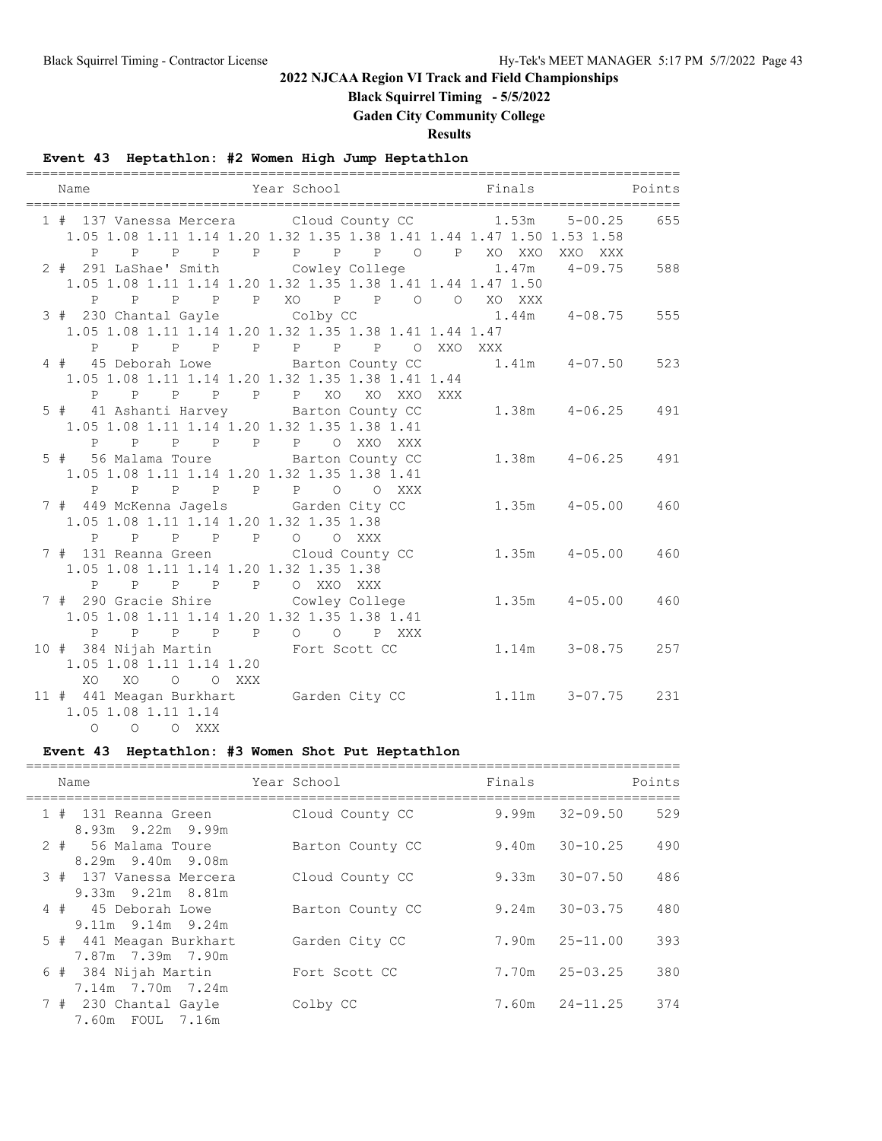**Black Squirrel Timing - 5/5/2022**

**Gaden City Community College**

**Results**

## **Event 43 Heptathlon: #2 Women High Jump Heptathlon**

| Name                                                                                                                                      | ============             | Year School Contract Points Points |     |
|-------------------------------------------------------------------------------------------------------------------------------------------|--------------------------|------------------------------------|-----|
| 1 # 137 Vanessa Mercera Cloud County CC 1.53m 5-00.25<br>1.05 1.08 1.11 1.14 1.20 1.32 1.35 1.38 1.41 1.44 1.47 1.50 1.53 1.58            |                          |                                    | 655 |
| P<br>2 # 291 LaShae' Smith Cowley College 1.47m                                                                                           | P P P P P P P P P XO XXO | XXO XXX<br>$4 - 09.75$             | 588 |
| 1.05 1.08 1.11 1.14 1.20 1.32 1.35 1.38 1.41 1.44 1.47 1.50                                                                               |                          |                                    |     |
| $\mathbf{P}$<br>$\mathbb{P}$<br>3 # 230 Chantal Gayle Colby CC 1.44m 4-08.75                                                              | P P P XO P P O O         | XO XXX                             | 555 |
| 1.05 1.08 1.11 1.14 1.20 1.32 1.35 1.38 1.41 1.44 1.47                                                                                    |                          |                                    |     |
| P P P P P P P P O XXO XXX<br>4 # 45 Deborah Lowe Barton County CC 1.41m 4-07.50                                                           |                          |                                    | 523 |
| 1.05 1.08 1.11 1.14 1.20 1.32 1.35 1.38 1.41 1.44                                                                                         |                          |                                    |     |
| P P P P P P XO XO XXO XXX<br>5 # 41 Ashanti Harvey Barton County CC                                                                       |                          | $1.38m$ $4-06.25$                  | 491 |
| 1.05 1.08 1.11 1.14 1.20 1.32 1.35 1.38 1.41                                                                                              |                          |                                    |     |
| P P P P P P O<br>5 # 56 Malama Toure Barton County CC                                                                                     | XXO XXX                  | $1.38m$ $4-06.25$                  | 491 |
| 1.05 1.08 1.11 1.14 1.20 1.32 1.35 1.38 1.41<br>P P P P P P O O XXX                                                                       |                          |                                    |     |
| 7 # 449 McKenna Jagels Garden City CC                                                                                                     |                          | $1.35m$ $4-05.00$                  | 460 |
| 1.05 1.08 1.11 1.14 1.20 1.32 1.35 1.38<br>P P P P P O O XXX                                                                              |                          |                                    |     |
| 7 # 131 Reanna Green Cloud County CC                                                                                                      |                          | $1.35m$ $4-05.00$                  | 460 |
| 1.05 1.08 1.11 1.14 1.20 1.32 1.35 1.38<br>P P P P O XXO<br>$\mathbf{P}$                                                                  | XXX                      |                                    |     |
| 7 # 290 Gracie Shire Cowley College                                                                                                       |                          | $1.35m$ $4-05.00$                  | 460 |
| 1.05 1.08 1.11 1.14 1.20 1.32 1.35 1.38 1.41<br>$\begin{array}{ccccccccccccccccc}\nP & P & P & P & O & O & \n\end{array}$<br>$\mathbf{P}$ | P XXX                    |                                    |     |
| 10 # 384 Nijah Martin Fort Scott CC                                                                                                       |                          | $1.14m$ $3-08.75$                  | 257 |
| 1.05 1.08 1.11 1.14 1.20<br>XO XO O O XXX                                                                                                 |                          |                                    |     |
| 11 # 441 Meagan Burkhart Garden City CC<br>1.05 1.08 1.11 1.14                                                                            |                          | 1.11m 3-07.75                      | 231 |
| O O O XXX                                                                                                                                 |                          |                                    |     |

## **Event 43 Heptathlon: #3 Women Shot Put Heptathlon**

| Name                                               | Year School      | Finals | Points              |
|----------------------------------------------------|------------------|--------|---------------------|
| 1 # 131 Reanna Green<br>$8.93m$ $9.22m$ $9.99m$    | Cloud County CC  | 9.99m  | 529<br>32-09.50     |
| 2 # 56 Malama Toure<br>$8.29m$ 9.40m 9.08m         | Barton County CC | 9.40m  | 490<br>$30 - 10.25$ |
| 3 # 137 Vanessa Mercera<br>$9.33m$ $9.21m$ $8.81m$ | Cloud County CC  | 9.33m  | $30 - 07.50$<br>486 |
| 4 # 45 Deborah Lowe<br>$9.11m$ $9.14m$ $9.24m$     | Barton County CC | 9.24m  | $30 - 03.75$<br>480 |
| 5 # 441 Meagan Burkhart<br>7.87m 7.39m 7.90m       | Garden City CC   | 7.90m  | $25 - 11.00$<br>393 |
| 6 # 384 Nijah Martin<br>7.14m 7.70m 7.24m          | Fort Scott CC    | 7.70m  | $25 - 03.25$<br>380 |
| 7 # 230 Chantal Gayle<br>7.60m FOUL 7.16m          | Colby CC         | 7.60m  | $24 - 11.25$<br>374 |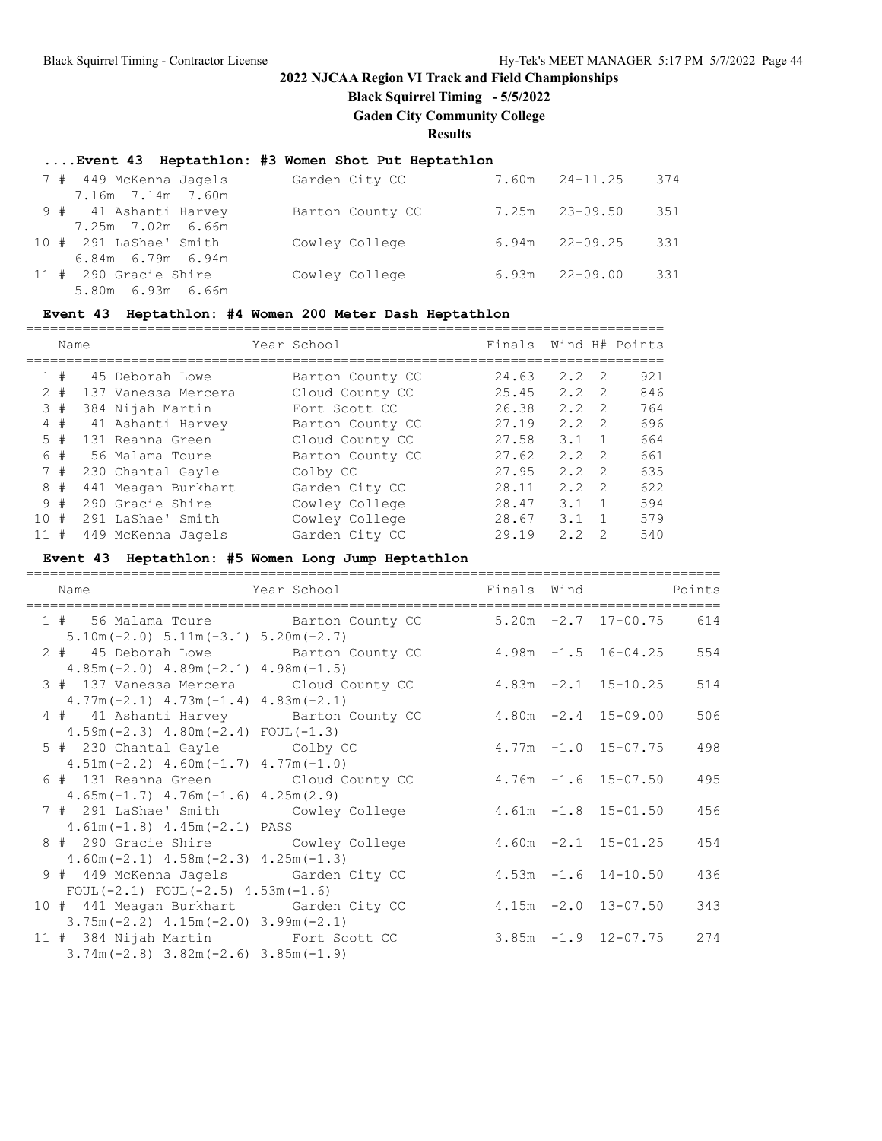**Black Squirrel Timing - 5/5/2022**

**Gaden City Community College**

**Results**

## **....Event 43 Heptathlon: #3 Women Shot Put Heptathlon**

|  | 7 # 449 McKenna Jagels  | Garden City CC   | $7.60m$ $24-11.25$ | 374 |
|--|-------------------------|------------------|--------------------|-----|
|  | 7.16m 7.14m 7.60m       |                  |                    |     |
|  | 9 # 41 Ashanti Harvey   | Barton County CC | $7.25m$ $23-09.50$ | 351 |
|  | 7.25m 7.02m 6.66m       |                  |                    |     |
|  | 10 # 291 LaShae' Smith  | Cowley College   | $6.94m$ $22-09.25$ | 331 |
|  | $6.84m$ $6.79m$ $6.94m$ |                  |                    |     |
|  | 11 # 290 Gracie Shire   | Cowley College   | $6.93m$ $22-09.00$ | 331 |
|  | 5.80m 6.93m 6.66m       |                  |                    |     |

## **Event 43 Heptathlon: #4 Women 200 Meter Dash Heptathlon**

|             | Name |                     | Year School      | Finals |     |                | Wind H# Points |
|-------------|------|---------------------|------------------|--------|-----|----------------|----------------|
|             | #    | 45 Deborah Lowe     | Barton County CC | 24.63  | 2.2 | - 2            | 921            |
|             | #    | 137 Vanessa Mercera | Cloud County CC  | 25.45  | 2.2 | $\overline{2}$ | 846            |
| 3           | #    | 384 Nijah Martin    | Fort Scott CC    | 26.38  | 2.2 | 2              | 764            |
| 4           | #    | 41 Ashanti Harvey   | Barton County CC | 27.19  | 2.2 | $\mathcal{P}$  | 696            |
| 5.          | #    | 131 Reanna Green    | Cloud County CC  | 27.58  | 3.1 |                | 664            |
| 6           | #    | 56 Malama Toure     | Barton County CC | 27.62  | 2.2 | 2              | 661            |
| $7^{\circ}$ | #    | 230 Chantal Gayle   | Colby CC         | 27.95  | 2.2 | -2             | 635            |
| 8           | #    | 441 Meagan Burkhart | Garden City CC   | 28.11  | 2.2 | 2              | 622            |
|             | 9#   | 290 Gracie Shire    | Cowley College   | 28.47  | 3.1 |                | 594            |
| 10          | #    | 291 LaShae' Smith   | Cowley College   | 28.67  | 3.1 |                | 579            |
| 11          | #    | 449 McKenna Jagels  | Garden City CC   | 29.19  | 22  | 2              | 540            |

## **Event 43 Heptathlon: #5 Women Long Jump Heptathlon**

| Name                                                                                   | Year School | Finals Wind |                            | Points |
|----------------------------------------------------------------------------------------|-------------|-------------|----------------------------|--------|
| 1 # 56 Malama Toure Barton County CC<br>$5.10m(-2.0)$ $5.11m(-3.1)$ $5.20m(-2.7)$      |             |             | $5.20m -2.7$ 17-00.75 614  |        |
| 2 # 45 Deborah Lowe Barton County CC<br>$4.85m(-2.0)$ $4.89m(-2.1)$ $4.98m(-1.5)$      |             |             | $4.98m - 1.5$ 16-04.25     | 554    |
| 3 # 137 Vanessa Mercera Cloud County CC<br>$4.77m(-2.1)$ $4.73m(-1.4)$ $4.83m(-2.1)$   |             |             | $4.83m -2.1$ 15-10.25      | 514    |
| 4 # 41 Ashanti Harvey Barton County CC<br>$4.59m(-2.3)$ $4.80m(-2.4)$ FOUL $(-1.3)$    |             |             | $4.80m - 2.4$ 15-09.00     | 506    |
| 5 # 230 Chantal Gayle Colby CC<br>$4.51m(-2.2)$ $4.60m(-1.7)$ $4.77m(-1.0)$            |             |             | $4.77m - 1.0$ $15 - 07.75$ | 498    |
| 6 # 131 Reanna Green Cloud County CC<br>$4.65m(-1.7)$ $4.76m(-1.6)$ $4.25m(2.9)$       |             |             | $4.76m - 1.6$ 15-07.50     | 495    |
| 7 # 291 LaShae' Smith Cowley College<br>$4.61m(-1.8)$ $4.45m(-2.1)$ PASS               |             |             | $4.61m - 1.8$ 15-01.50     | 456    |
| 8 # 290 Gracie Shire Cowley College<br>$4.60m(-2.1)$ $4.58m(-2.3)$ $4.25m(-1.3)$       |             |             | $4.60m -2.1$ 15-01.25      | 454    |
| 9 # 449 McKenna Jagels Garden City CC<br>FOUL $(-2.1)$ FOUL $(-2.5)$ 4.53m $(-1.6)$    |             |             | $4.53m - 1.6$ 14-10.50     | 436    |
| 10 # 441 Meagan Burkhart Garden City CC<br>$3.75m(-2.2)$ 4.15m $(-2.0)$ 3.99m $(-2.1)$ |             |             | $4.15m -2.0$ $13-07.50$    | 343    |
| 11 # 384 Nijah Martin Fort Scott CC<br>$3.74m(-2.8)$ $3.82m(-2.6)$ $3.85m(-1.9)$       |             |             | $3.85m -1.9$ 12-07.75 274  |        |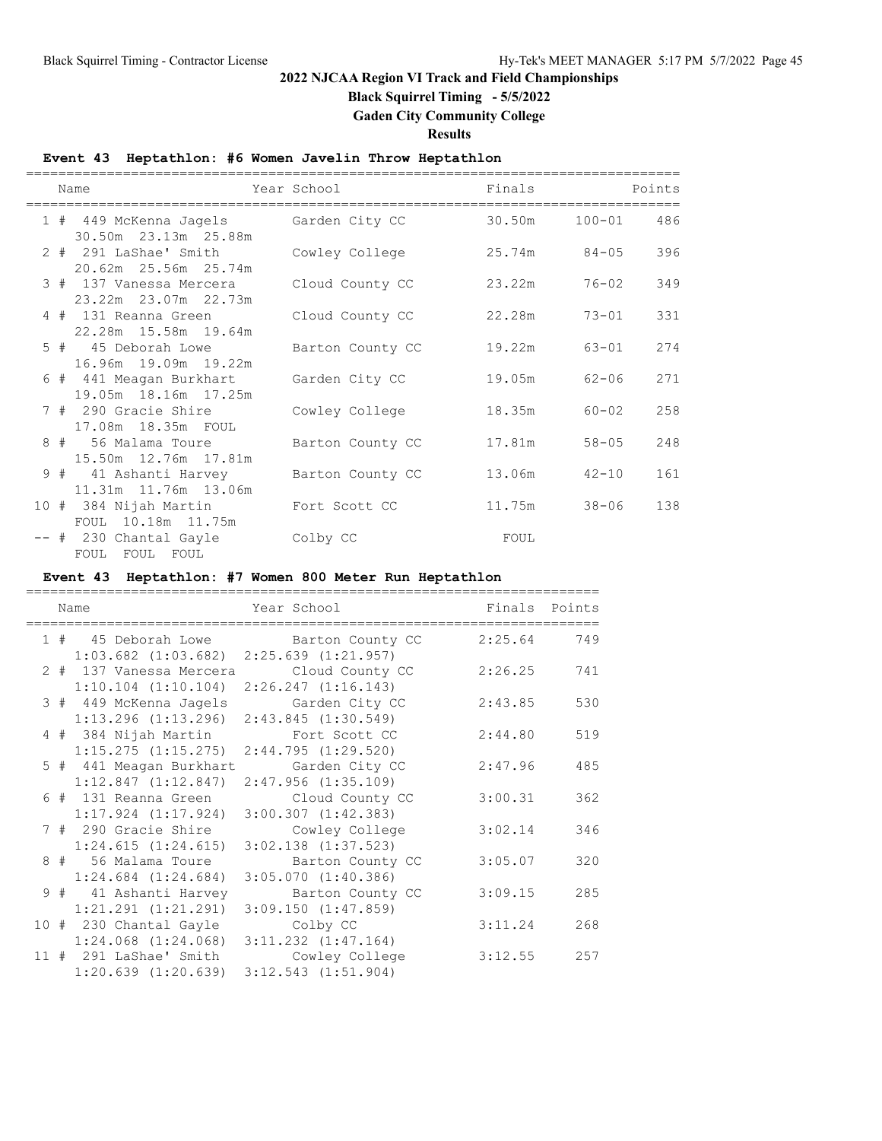**Black Squirrel Timing - 5/5/2022**

**Gaden City Community College**

**Results**

## **Event 43 Heptathlon: #6 Women Javelin Throw Heptathlon**

|  | Name                                                          | Year School      | Finals |                  | Points |
|--|---------------------------------------------------------------|------------------|--------|------------------|--------|
|  | 1 # 449 McKenna Jagels Garden City CC<br>30.50m 23.13m 25.88m |                  | 30.50m | $100 - 01$       | 486    |
|  | 2 # 291 LaShae' Smith<br>20.62m 25.56m 25.74m                 | Cowley College   |        | 25.74m 84-05     | 396    |
|  | 3 # 137 Vanessa Mercera<br>23.22m 23.07m 22.73m               | Cloud County CC  | 23.22m | 76-02            | 349    |
|  | 4 # 131 Reanna Green<br>22.28m 15.58m 19.64m                  | Cloud County CC  | 22.28m | $73 - 01$        | 331    |
|  | 5 # 45 Deborah Lowe<br>16.96m 19.09m 19.22m                   | Barton County CC | 19.22m | $63 - 01$        | 274    |
|  | 6 # 441 Meagan Burkhart<br>19.05m 18.16m 17.25m               | Garden City CC   | 19.05m | $62 - 06$        | 271    |
|  | 7 # 290 Gracie Shire<br>17.08m  18.35m  FOUL                  | Cowley College   | 18.35m | $60 - 02$        | 258    |
|  | 8 # 56 Malama Toure<br>15.50m  12.76m  17.81m                 | Barton County CC | 17.81m | $58 - 05$        | 248    |
|  | 9 # 41 Ashanti Harvey<br>11.31m 11.76m 13.06m                 | Barton County CC |        | $13.06m$ $42-10$ | 161    |
|  | 10 # 384 Nijah Martin<br>FOUL 10.18m 11.75m                   | Fort Scott CC    |        | $11.75m$ $38-06$ | 138    |
|  | -- # 230 Chantal Gayle<br>FOUL FOUL FOUL                      | Colby CC         | FOUL   |                  |        |

## **Event 43 Heptathlon: #7 Women 800 Meter Run Heptathlon**

|  | Name                                                                       | Year School                                 | Finals Points |     |
|--|----------------------------------------------------------------------------|---------------------------------------------|---------------|-----|
|  | $1:03.682$ $(1:03.682)$ $2:25.639$ $(1:21.957)$                            | 1 # 45 Deborah Lowe Barton County CC        | $2:25.64$ 749 |     |
|  | 2 # 137 Vanessa Mercera<br>$1:10.104$ $(1:10.104)$ $2:26.247$ $(1:16.143)$ | Cloud County CC                             | 2:26.25       | 741 |
|  | 3 # 449 McKenna Jagels<br>$1:13.296$ $(1:13.296)$                          | Garden City CC<br>2:43.845(1:30.549)        | 2:43.85       | 530 |
|  | 4 # 384 Nijah Martin<br>$1:15.275$ $(1:15.275)$ $2:44.795$ $(1:29.520)$    | Fort Scott CC                               | 2:44.80       | 519 |
|  | 5 # 441 Meagan Burkhart<br>1:12.847(1:12.847)                              | Garden City CC<br>$2:47.956$ $(1:35.109)$   | 2:47.96       | 485 |
|  | 6 # 131 Reanna Green<br>$1:17.924$ $(1:17.924)$                            | Cloud County CC<br>$3:00.307$ $(1:42.383)$  | 3:00.31       | 362 |
|  | 7 # 290 Gracie Shire<br>1:24.615(1:24.615)                                 | Cowley College<br>$3:02.138$ $(1:37.523)$   | 3:02.14       | 346 |
|  | 8 # 56 Malama Toure<br>$1:24.684$ $(1:24.684)$                             | Barton County CC<br>$3:05.070$ $(1:40.386)$ | 3:05.07       | 320 |
|  | 9 # 41 Ashanti Harvey<br>$1:21.291$ $(1:21.291)$                           | Barton County CC<br>3:09.150(1:47.859)      | 3:09.15       | 285 |
|  | 10 # 230 Chantal Gayle<br>$1:24.068$ $(1:24.068)$                          | Colby CC<br>$3:11.232$ $(1:47.164)$         | 3:11.24       | 268 |
|  | 11 # 291 LaShae' Smith<br>$1:20.639$ $(1:20.639)$                          | Cowley College<br>$3:12.543$ $(1:51.904)$   | 3:12.55       | 257 |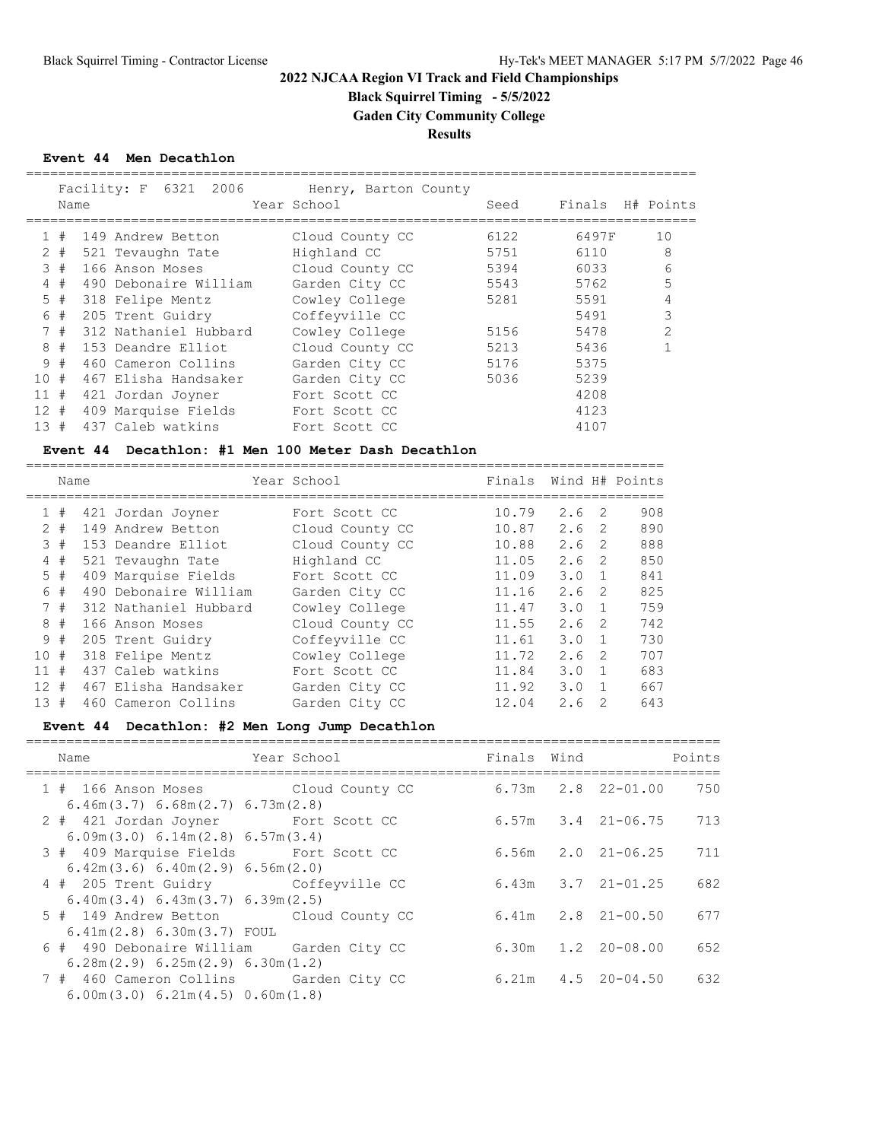===============================================================================

# **2022 NJCAA Region VI Track and Field Championships**

**Black Squirrel Timing - 5/5/2022**

**Gaden City Community College**

**Results**

## **Event 44 Men Decathlon**

===================================================================================

|        |       | Facility: F 6321<br>2006 | Henry, Barton County |      |                  |                |
|--------|-------|--------------------------|----------------------|------|------------------|----------------|
|        | Name  |                          | Year School          | Seed | Finals H# Points |                |
|        | 1#    | 149 Andrew Betton        | Cloud County CC      | 6122 | 6497F            | 10             |
|        | $2 +$ | 521 Tevaughn Tate        | Highland CC          | 5751 | 6110             | 8              |
|        | 3#    | 166 Anson Moses          | Cloud County CC      | 5394 | 6033             | 6              |
|        | 4#    | 490 Debonaire William    | Garden City CC       | 5543 | 5762             | 5              |
|        | 5#    | 318 Felipe Mentz         | Cowley College       | 5281 | 5591             | 4              |
|        | 6#    | 205 Trent Guidry         | Coffeyville CC       |      | 5491             | 3              |
|        | 7#    | 312 Nathaniel Hubbard    | Cowley College       | 5156 | 5478             | $\overline{2}$ |
|        | 8#    | 153 Deandre Elliot       | Cloud County CC      | 5213 | 5436             |                |
|        | 9#    | 460 Cameron Collins      | Garden City CC       | 5176 | 5375             |                |
| 10#    |       | 467 Elisha Handsaker     | Garden City CC       | 5036 | 5239             |                |
| 11#    |       | 421 Jordan Joyner        | Fort Scott CC        |      | 4208             |                |
| $12 +$ |       | 409 Marquise Fields      | Fort Scott CC        |      | 4123             |                |
| 13#    |       | 437 Caleb watkins        | Fort Scott CC        |      | 4107             |                |

## **Event 44 Decathlon: #1 Men 100 Meter Dash Decathlon**

|                   | Name |                       | Year School     | Finals Wind H# Points |     |                |     |
|-------------------|------|-----------------------|-----------------|-----------------------|-----|----------------|-----|
| $\mathbf{1}$      | #    | 421 Jordan Joyner     | Fort Scott CC   | 10.79                 | 2.6 | $\overline{2}$ | 908 |
| $\mathcal{L}$     | #    | 149 Andrew Betton     | Cloud County CC | 10.87                 | 2.6 | - 2            | 890 |
|                   | 3#   | 153 Deandre Elliot    | Cloud County CC | 10.88                 | 2.6 | - 2            | 888 |
| 4                 | #    | 521 Tevaughn Tate     | Highland CC     | 11.05                 | 2.6 | - 2            | 850 |
|                   | 5#   | 409 Marquise Fields   | Fort Scott CC   | 11.09                 | 3.0 | $\overline{1}$ | 841 |
| 6                 | #    | 490 Debonaire William | Garden City CC  | 11.16                 | 2.6 | - 2            | 825 |
|                   | 7#   | 312 Nathaniel Hubbard | Cowley College  | 11.47                 | 3.0 | $\overline{1}$ | 759 |
|                   | 8#   | 166 Anson Moses       | Cloud County CC | 11.55                 | 2.6 | - 2            | 742 |
| 9                 | #    | 205 Trent Guidry      | Coffeyville CC  | 11.61                 | 3.0 | $\overline{1}$ | 730 |
| 10#               |      | 318 Felipe Mentz      | Cowley College  | 11.72                 | 2.6 | - 2            | 707 |
| $11 \#$           |      | 437 Caleb watkins     | Fort Scott CC   | 11.84                 | 3.0 |                | 683 |
| $12 \overline{ }$ | #    | 467 Elisha Handsaker  | Garden City CC  | 11.92                 | 3.0 |                | 667 |
| 13#               |      | 460 Cameron Collins   | Garden City CC  | 12.04                 | 2.6 |                | 643 |

## **Event 44 Decathlon: #2 Men Long Jump Decathlon**

| Name                                                                       | Year School | Finals Wind |                          | Points |
|----------------------------------------------------------------------------|-------------|-------------|--------------------------|--------|
| 1 # 166 Anson Moses Cloud County CC                                        |             |             | $6.73m$ $2.8$ $22-01.00$ | 750    |
| 6.46m(3.7) 6.68m(2.7) 6.73m(2.8)<br>2 # 421 Jordan Joyner Fort Scott CC    |             |             | $6.57m$ $3.4$ $21-06.75$ | 713    |
| 6.09m(3.0) 6.14m(2.8) 6.57m(3.4)                                           |             |             |                          |        |
| 3 # 409 Marquise Fields Fort Scott CC                                      |             |             | 6.56m 2.0 21-06.25       | 711    |
| 6.42m(3.6) 6.40m(2.9) 6.56m(2.0)<br>4 # 205 Trent Guidry Coffeyville CC    |             |             | $6.43m$ $3.7$ $21-01.25$ | 682    |
| 6.40m(3.4) 6.43m(3.7) 6.39m(2.5)                                           |             |             |                          |        |
| 5 # 149 Andrew Betton Cloud County CC<br>$6.41m(2.8) 6.30m(3.7)$ FOUL      |             |             | $6.41m$ $2.8$ $21-00.50$ | 677    |
| 6 # 490 Debonaire William Garden City CC                                   |             |             | $6.30m$ $1.2$ $20-08.00$ | 652    |
| $6.28$ m $(2.9)$ $6.25$ m $(2.9)$ $6.30$ m $(1.2)$                         |             |             |                          |        |
| 7 # 460 Cameron Collins Garden City CC<br>6.00m(3.0) 6.21m(4.5) 0.60m(1.8) |             |             | $6.21m$ $4.5$ $20-04.50$ | 632    |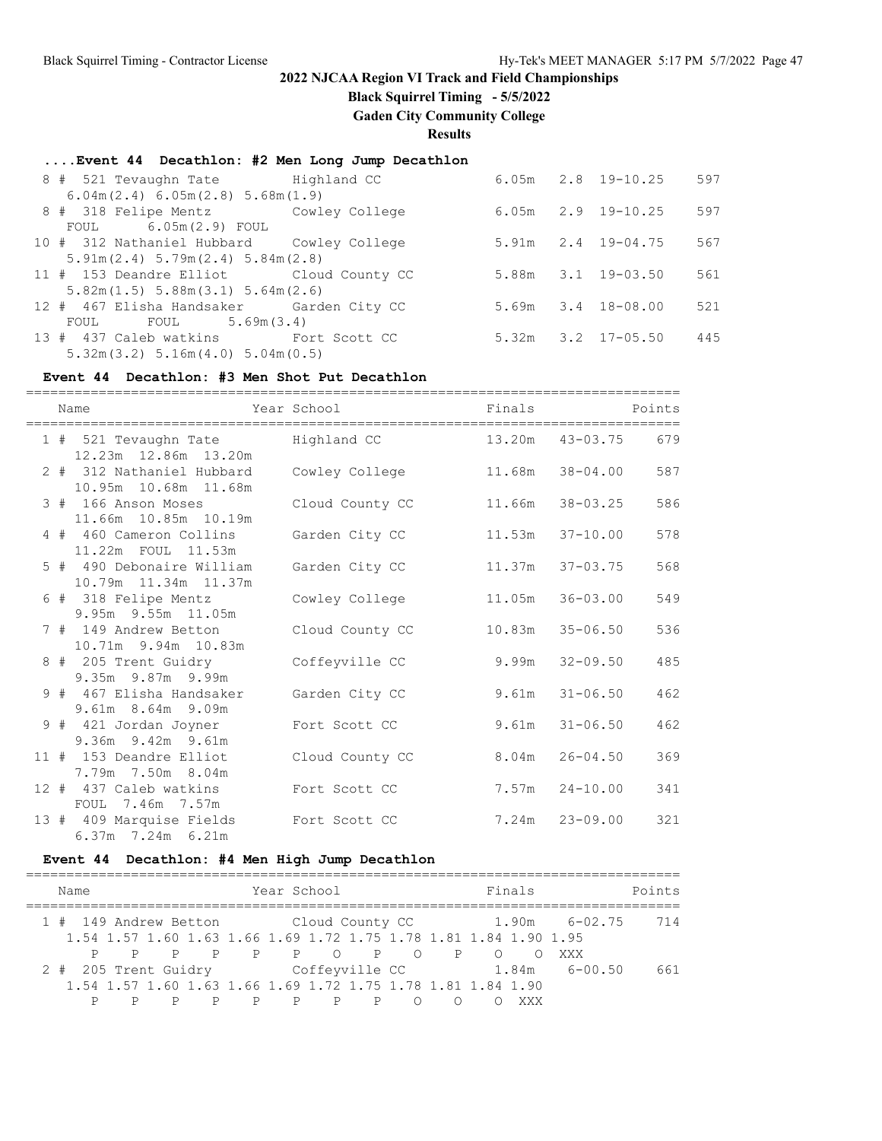**Black Squirrel Timing - 5/5/2022**

**Gaden City Community College**

**Results**

### **....Event 44 Decathlon: #2 Men Long Jump Decathlon**

| 8 # 521 Tevaughn Tate Highland CC         |  | $6.05m$ $2.8$ $19-10.25$ | 597 |
|-------------------------------------------|--|--------------------------|-----|
| 6.04m(2.4) 6.05m(2.8) 5.68m(1.9)          |  |                          |     |
| 8 # 318 Felipe Mentz Cowley College       |  | $6.05m$ $2.9$ $19-10.25$ | 597 |
| FOUL 6.05m (2.9) FOUL                     |  |                          |     |
| 10 # 312 Nathaniel Hubbard Cowley College |  | $5.91m$ $2.4$ $19-04.75$ | 567 |
| 5.91m(2.4) 5.79m(2.4) 5.84m(2.8)          |  |                          |     |
| 11 # 153 Deandre Elliot Cloud County CC   |  | $5.88m$ $3.1$ $19-03.50$ | 561 |
| $5.82m(1.5)$ $5.88m(3.1)$ $5.64m(2.6)$    |  |                          |     |
| 12 # 467 Elisha Handsaker Garden City CC  |  | $5.69m$ $3.4$ $18-08.00$ | 521 |
| $FOUL$ $FOUL$ $5.69m(3.4)$                |  |                          |     |
| 13 # 437 Caleb watkins Fort Scott CC      |  | $5.32m$ $3.2$ $17-05.50$ | 445 |
| $5.32m(3.2)$ $5.16m(4.0)$ $5.04m(0.5)$    |  |                          |     |

#### **Event 44 Decathlon: #3 Men Shot Put Decathlon**

================================================================================= Name The Year School Team Points Points ================================================================================= 1 # 521 Tevaughn Tate Highland CC 13.20m 43-03.75 679 12.23m 12.86m 13.20m 2 # 312 Nathaniel Hubbard Cowley College 11.68m 38-04.00 587 10.95m 10.68m 11.68m 3 # 166 Anson Moses Cloud County CC 11.66m 38-03.25 586 11.66m 10.85m 10.19m 4 # 460 Cameron Collins Garden City CC 11.53m 37-10.00 578 11.22m FOUL 11.53m 5 # 490 Debonaire William Garden City CC 11.37m 37-03.75 568 10.79m 11.34m 11.37m 6 # 318 Felipe Mentz Cowley College 11.05m 36-03.00 549 9.95m 9.55m 11.05m 7 # 149 Andrew Betton Cloud County CC 10.83m 35-06.50 536 10.71m 9.94m 10.83m 8 # 205 Trent Guidry Coffeyville CC 9.99m 32-09.50 485 9.35m 9.87m 9.99m 9 # 467 Elisha Handsaker Garden City CC 9.61m 31-06.50 462 9.61m 8.64m 9.09m 9 # 421 Jordan Joyner Fort Scott CC 9.61m 31-06.50 462 9.36m 9.42m 9.61m 11 # 153 Deandre Elliot Cloud County CC 8.04m 26-04.50 369 7.79m 7.50m 8.04m 12 # 437 Caleb watkins Fort Scott CC 7.57m 24-10.00 341 FOUL 7.46m 7.57m 13 # 409 Marquise Fields Fort Scott CC 7.24m 23-09.00 321 6.37m 7.24m 6.21m

## **Event 44 Decathlon: #4 Men High Jump Decathlon**

| Name | Year School                                                      | Finals | Points |
|------|------------------------------------------------------------------|--------|--------|
|      | 1 # 149 Andrew Betton Cloud County CC 1.90m 6-02.75              |        | 714    |
|      | 1.54 1.57 1.60 1.63 1.66 1.69 1.72 1.75 1.78 1.81 1.84 1.90 1.95 |        |        |
|      | P P P P P P O P O                                                | $P$ 0  | XXX    |
|      | 2 # 205 Trent Guidry Coffeyville CC 1.84m 6-00.50                |        | 661    |
|      | 1.54 1.57 1.60 1.63 1.66 1.69 1.72 1.75 1.78 1.81 1.84 1.90      |        |        |
| P    | P P P<br>P                                                       |        |        |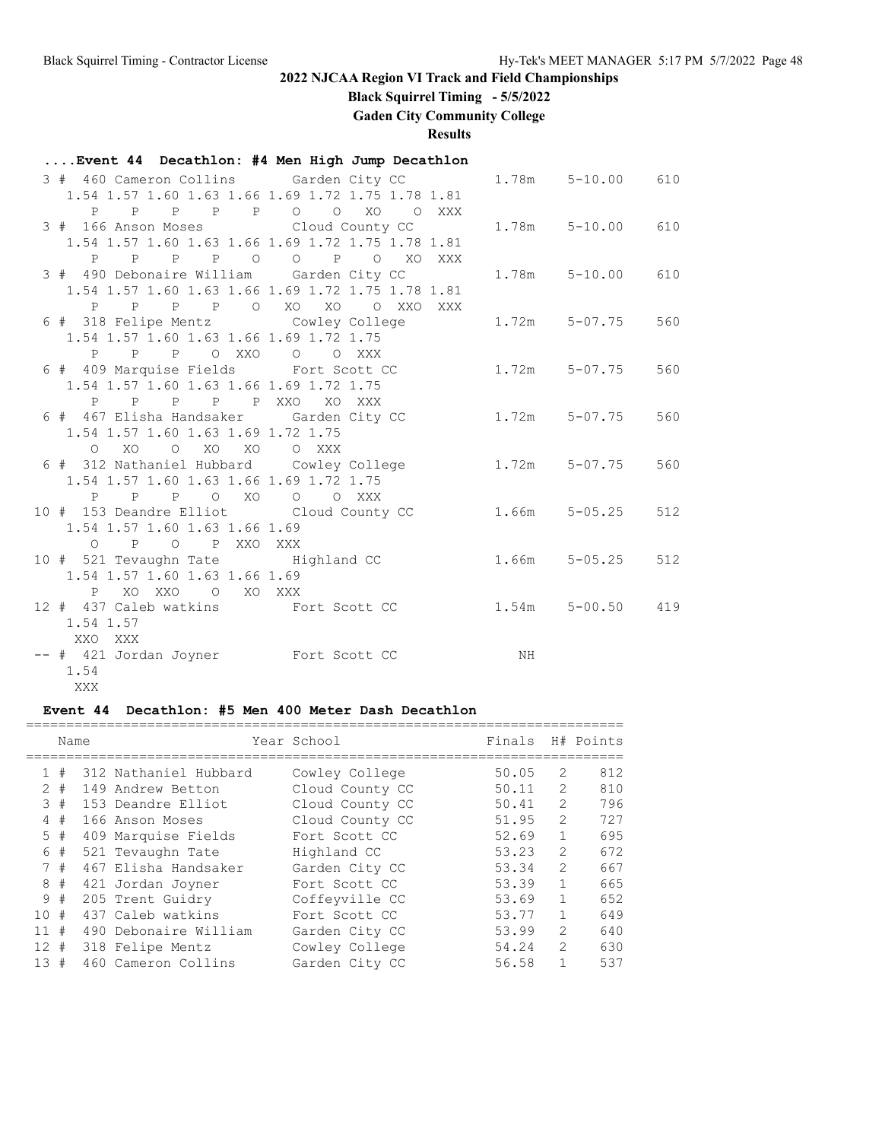**Black Squirrel Timing - 5/5/2022**

**Gaden City Community College**

**Results**

## **....Event 44 Decathlon: #4 Men High Jump Decathlon**

| 3 # 460 Cameron Collins Garden City CC<br>1.54 1.57 1.60 1.63 1.66 1.69 1.72 1.75 1.78 1.81 |                                      |    | $1.78m$ $5-10.00$       | 610 |
|---------------------------------------------------------------------------------------------|--------------------------------------|----|-------------------------|-----|
|                                                                                             | P P P P P O O XO O XXX               |    |                         |     |
| 3 # 166 Anson Moses Cloud County CC                                                         |                                      |    | $1.78m$ $5-10.00$       | 610 |
| 1.54 1.57 1.60 1.63 1.66 1.69 1.72 1.75 1.78 1.81                                           |                                      |    |                         |     |
|                                                                                             | P P P P O O P O XO XXX               |    |                         |     |
| 3 # 490 Debonaire William Garden City CC                                                    |                                      |    | $1.78m$ $5-10.00$       | 610 |
| 1.54 1.57 1.60 1.63 1.66 1.69 1.72 1.75 1.78 1.81                                           |                                      |    |                         |     |
|                                                                                             | P P P P O XO XO O XXO XXX            |    |                         |     |
|                                                                                             | 6 # 318 Felipe Mentz  Cowley College |    | $1.72m$ $5-07.75$       | 560 |
| 1.54 1.57 1.60 1.63 1.66 1.69 1.72 1.75                                                     |                                      |    |                         |     |
| P P P O XXO O O XXX                                                                         |                                      |    |                         |     |
| 6 # 409 Marquise Fields Fort Scott CC                                                       |                                      |    | $1.72m$ $5-07.75$       | 560 |
| 1.54 1.57 1.60 1.63 1.66 1.69 1.72 1.75                                                     |                                      |    |                         |     |
| P P P P P XXO XO XXX                                                                        |                                      |    |                         |     |
| 6 # 467 Elisha Handsaker Garden City CC                                                     |                                      |    | $1.72m$ $5-07.75$       | 560 |
| 1.54 1.57 1.60 1.63 1.69 1.72 1.75                                                          |                                      |    |                         |     |
| O XO O XO XO O XXX<br>6 # 312 Nathaniel Hubbard Cowley College                              |                                      |    | $1.72m$ $5-07.75$       | 560 |
| 1.54 1.57 1.60 1.63 1.66 1.69 1.72 1.75                                                     |                                      |    |                         |     |
| P P P O XO                                                                                  | O O XXX                              |    |                         |     |
| 10 # 153 Deandre Elliot Cloud County CC                                                     |                                      |    | $1.66m$ $5-05.25$       | 512 |
| 1.54 1.57 1.60 1.63 1.66 1.69                                                               |                                      |    |                         |     |
| P O P XXO XXX<br>$\circ$                                                                    |                                      |    |                         |     |
| 10 # 521 Tevaughn Tate Highland CC                                                          |                                      |    | $1.66m$ $5-05.25$       | 512 |
| 1.54 1.57 1.60 1.63 1.66 1.69                                                               |                                      |    |                         |     |
| XO XXO O XO XXX<br>P                                                                        |                                      |    |                         |     |
| 12 # 437 Caleb watkins Fort Scott CC                                                        |                                      |    | $1.54m$ $5-00.50$ $419$ |     |
| 1.54 1.57                                                                                   |                                      |    |                         |     |
| XXO XXX                                                                                     |                                      |    |                         |     |
| -- # 421 Jordan Joyner Fort Scott CC                                                        |                                      | ΝH |                         |     |
| 1.54                                                                                        |                                      |    |                         |     |

XXX

## **Event 44 Decathlon: #5 Men 400 Meter Dash Decathlon**

|              | Name  |                       | Year School     | Finals |                | H# Points |
|--------------|-------|-----------------------|-----------------|--------|----------------|-----------|
|              |       |                       |                 |        |                |           |
| $\mathbf{1}$ | #     | 312 Nathaniel Hubbard | Cowley College  | 50.05  | 2              | 812       |
|              | $2 +$ | 149 Andrew Betton     | Cloud County CC | 50.11  | $\overline{2}$ | 810       |
|              | 3#    | 153 Deandre Elliot    | Cloud County CC | 50.41  | 2              | 796       |
|              | 4#    | 166 Anson Moses       | Cloud County CC | 51.95  | $\overline{2}$ | 727       |
|              | $5 +$ | 409 Marquise Fields   | Fort Scott CC   | 52.69  | $\mathbf{1}$   | 695       |
| 6            | #     | 521 Tevaughn Tate     | Highland CC     | 53.23  | $\mathfrak{L}$ | 672       |
|              | 7#    | 467 Elisha Handsaker  | Garden City CC  | 53.34  | $\overline{2}$ | 667       |
| 8            | #     | 421 Jordan Joyner     | Fort Scott CC   | 53.39  | $\mathbf{1}$   | 665       |
|              | 9#    | 205 Trent Guidry      | Coffeyville CC  | 53.69  | $\mathbf{1}$   | 652       |
| 10#          |       | 437 Caleb watkins     | Fort Scott CC   | 53.77  | $\mathbf{1}$   | 649       |
| 11           | #     | 490 Debonaire William | Garden City CC  | 53.99  | $\mathfrak{L}$ | 640       |
| $12 \pm$     |       | 318 Felipe Mentz      | Cowley College  | 54.24  | $\mathfrak{L}$ | 630       |
| 13#          |       | 460 Cameron Collins   | Garden City CC  | 56.58  | 1              | 537       |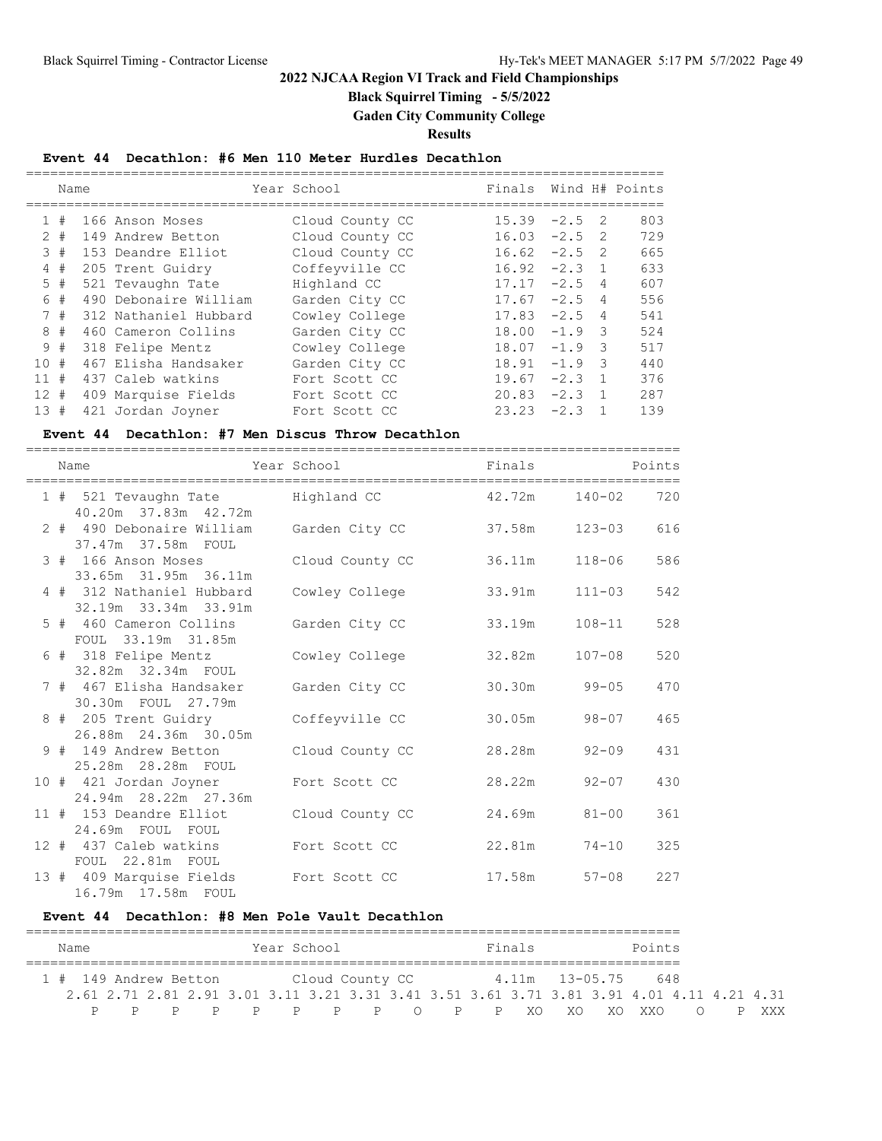**Black Squirrel Timing - 5/5/2022**

**Gaden City Community College**

**Results**

## **Event 44 Decathlon: #6 Men 110 Meter Hurdles Decathlon**

|              | Name  |                       | Year School     | Finals |          |                         | Wind H# Points |
|--------------|-------|-----------------------|-----------------|--------|----------|-------------------------|----------------|
| $\mathbf{1}$ | #     | 166 Anson Moses       | Cloud County CC | 15.39  | $-2.5$ 2 |                         | 803            |
|              | $2 +$ | 149 Andrew Betton     | Cloud County CC | 16.03  | $-2.5$   | - 2                     | 729            |
|              | 3#    | 153 Deandre Elliot    | Cloud County CC | 16.62  | $-2.5$   | - 2                     | 665            |
|              | 4#    | 205 Trent Guidry      | Coffeyville CC  | 16.92  | $-2.3$   | $\overline{1}$          | 633            |
| 5            | #     | 521 Tevaughn Tate     | Highland CC     | 17.17  | $-2.5$   | 4                       | 607            |
| 6            | #     | 490 Debonaire William | Garden City CC  | 17.67  | $-2.5$   | 4                       | 556            |
|              | 7#    | 312 Nathaniel Hubbard | Cowley College  | 17.83  | $-2.5$   | $\overline{4}$          | 541            |
| 8            | #     | 460 Cameron Collins   | Garden City CC  | 18.00  | $-1.9$   | - 3                     | 524            |
|              | 9#    | 318 Felipe Mentz      | Cowley College  | 18.07  | $-1.9$   | $\overline{\mathbf{3}}$ | 517            |
| 10           | #     | 467 Elisha Handsaker  | Garden City CC  | 18.91  | $-1.9$   | - 3                     | 440            |
| 11           | #     | 437 Caleb watkins     | Fort Scott CC   | 19.67  | $-2.3$   | $\overline{1}$          | 376            |
| 12           | #     | 409 Marquise Fields   | Fort Scott CC   | 20.83  | $-2.3$   | $\overline{1}$          | 287            |
| 13#          |       | 421 Jordan Joyner     | Fort Scott CC   | 23.23  | $-2.3$   |                         | 139            |

## **Event 44 Decathlon: #7 Men Discus Throw Decathlon**

|  | Name                                                                        | Year School     |        | Finals Points    |     |
|--|-----------------------------------------------------------------------------|-----------------|--------|------------------|-----|
|  | 1 # 521 Tevaughn Tate Mighland CC 42.72m 140-02 720<br>40.20m 37.83m 42.72m |                 |        |                  |     |
|  | 2 # 490 Debonaire William Garden City CC<br>37.47m 37.58m FOUL              |                 | 37.58m | $123 - 03$       | 616 |
|  | 3 # 166 Anson Moses<br>33.65m 31.95m 36.11m                                 | Cloud County CC | 36.11m | 118-06           | 586 |
|  | 4 # 312 Nathaniel Hubbard<br>32.19m 33.34m 33.91m                           | Cowley College  | 33.91m | $111 - 03$       | 542 |
|  | 5 # 460 Cameron Collins<br>FOUL 33.19m 31.85m                               | Garden City CC  | 33.19m | $108 - 11$       | 528 |
|  | 6 # 318 Felipe Mentz<br>32.82m 32.34m FOUL                                  | Cowley College  | 32.82m | $107 - 08$       | 520 |
|  | 7 # 467 Elisha Handsaker<br>30.30m FOUL 27.79m                              | Garden City CC  |        | 30.30m 99-05     | 470 |
|  | 8 # 205 Trent Guidry<br>26.88m 24.36m 30.05m                                | Coffeyville CC  | 30.05m | $98 - 07$        | 465 |
|  | 9 # 149 Andrew Betton<br>25.28m  28.28m  FOUL                               | Cloud County CC | 28.28m | $92 - 09$        | 431 |
|  | 10 # 421 Jordan Joyner<br>24.94m 28.22m 27.36m                              | Fort Scott CC   | 28.22m | $92 - 07$        | 430 |
|  | 11 # 153 Deandre Elliot<br>24.69m FOUL FOUL                                 | Cloud County CC |        | $24.69m$ $81-00$ | 361 |
|  | 12 # 437 Caleb watkins<br>FOUL 22.81m FOUL                                  | Fort Scott CC   | 22.81m | $74 - 10$        | 325 |
|  | 13 # 409 Marquise Fields<br>16.79m  17.58m  FOUL                            | Fort Scott CC   | 17.58m | $57 - 08$        | 227 |

## **Event 44 Decathlon: #8 Men Pole Vault Decathlon**

| Name |  |  |  |                       | Year School |                                                                                           |  | Finals |  | Points |  |  |     |
|------|--|--|--|-----------------------|-------------|-------------------------------------------------------------------------------------------|--|--------|--|--------|--|--|-----|
|      |  |  |  | 1 # 149 Andrew Betton |             | Cloud County CC $4.11m$ $13-05.75$ $648$                                                  |  |        |  |        |  |  |     |
|      |  |  |  |                       |             | 2.61 2.71 2.81 2.91 3.01 3.11 3.21 3.31 3.41 3.51 3.61 3.71 3.81 3.91 4.01 4.11 4.21 4.31 |  |        |  |        |  |  |     |
|      |  |  |  |                       |             | P P P P P P P P P P XO XO XO XXO O P                                                      |  |        |  |        |  |  | XXX |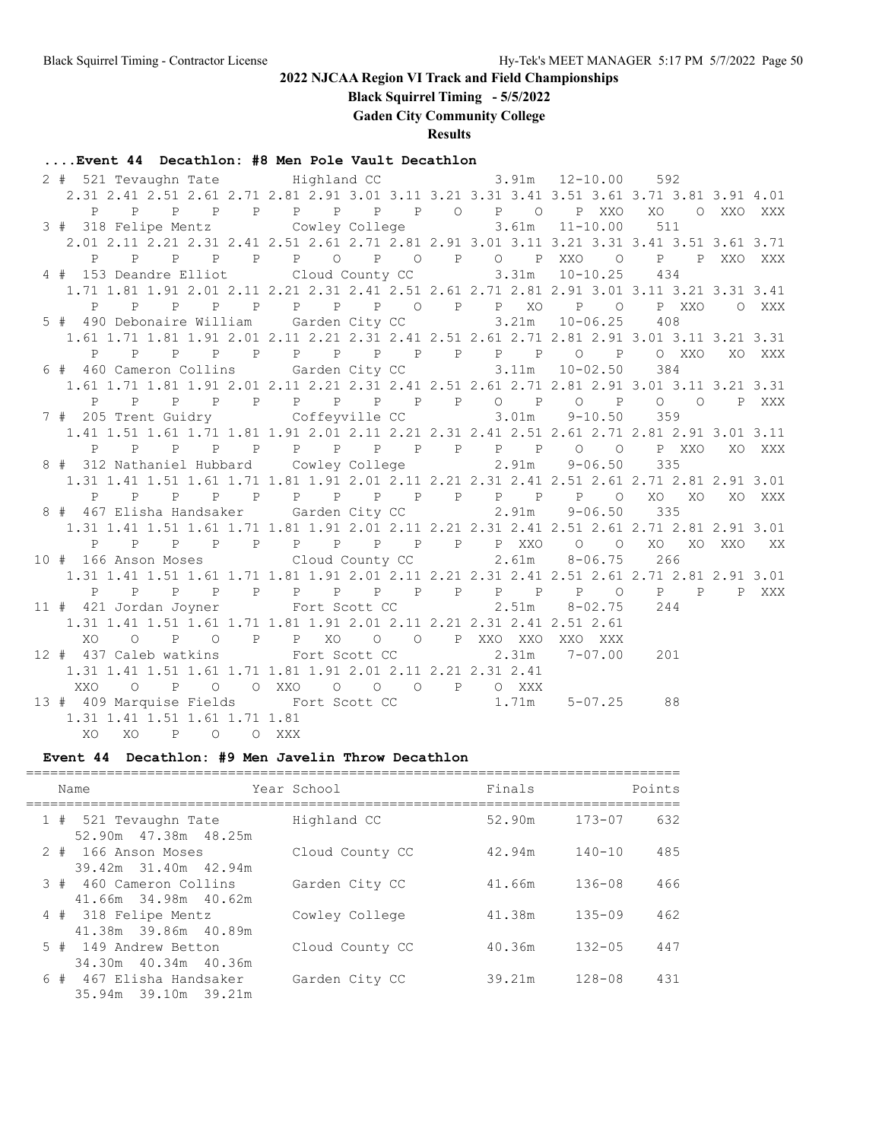**Black Squirrel Timing - 5/5/2022**

**Gaden City Community College**

**Results**

### **....Event 44 Decathlon: #8 Men Pole Vault Decathlon**

 2 # 521 Tevaughn Tate Highland CC 3.91m 12-10.00 592 2.31 2.41 2.51 2.61 2.71 2.81 2.91 3.01 3.11 3.21 3.31 3.41 3.51 3.61 3.71 3.81 3.91 4.01 P P P P P P P P P O P O P XXO XO O XXO XXX 3 # 318 Felipe Mentz Cowley College 3.61m 11-10.00 511 2.01 2.11 2.21 2.31 2.41 2.51 2.61 2.71 2.81 2.91 3.01 3.11 3.21 3.31 3.41 3.51 3.61 3.71 P P P P P P O P O P O P XXO O P P XXO XXX 4 # 153 Deandre Elliot Cloud County CC 3.31m 10-10.25 434 1.71 1.81 1.91 2.01 2.11 2.21 2.31 2.41 2.51 2.61 2.71 2.81 2.91 3.01 3.11 3.21 3.31 3.41 P P P P P P P P O P P XO P O P XXO O XXX 5 # 490 Debonaire William Garden City CC 3.21m 10-06.25 408 1.61 1.71 1.81 1.91 2.01 2.11 2.21 2.31 2.41 2.51 2.61 2.71 2.81 2.91 3.01 3.11 3.21 3.31 P P P P P P P P P P P P O P O XXO XO XXX 6 # 460 Cameron Collins Garden City CC 3.11m 10-02.50 384 1.61 1.71 1.81 1.91 2.01 2.11 2.21 2.31 2.41 2.51 2.61 2.71 2.81 2.91 3.01 3.11 3.21 3.31 P P P P P P P P P P O P O P O O P XXX 7 # 205 Trent Guidry Coffeyville CC 3.01m 9-10.50 359 1.41 1.51 1.61 1.71 1.81 1.91 2.01 2.11 2.21 2.31 2.41 2.51 2.61 2.71 2.81 2.91 3.01 3.11 P P P P P P P P P P P P O O P XXO XO XXX 8 # 312 Nathaniel Hubbard Cowley College 2.91m 9-06.50 335 1.31 1.41 1.51 1.61 1.71 1.81 1.91 2.01 2.11 2.21 2.31 2.41 2.51 2.61 2.71 2.81 2.91 3.01 P P P P P P P P P P P P P O XO XO XO XXX 8 # 467 Elisha Handsaker Garden City CC 2.91m 9-06.50 335 1.31 1.41 1.51 1.61 1.71 1.81 1.91 2.01 2.11 2.21 2.31 2.41 2.51 2.61 2.71 2.81 2.91 3.01 P P P P P P P P P P P XXO O O XO XO XXO XX 10 # 166 Anson Moses Cloud County CC 2.61m 8-06.75 266 1.31 1.41 1.51 1.61 1.71 1.81 1.91 2.01 2.11 2.21 2.31 2.41 2.51 2.61 2.71 2.81 2.91 3.01 P P P P P P P P P P P P P O P P P XXX 11 # 421 Jordan Joyner Fort Scott CC 2.51m 8-02.75 244 1.31 1.41 1.51 1.61 1.71 1.81 1.91 2.01 2.11 2.21 2.31 2.41 2.51 2.61 XO O P O P P XO O O P XXO XXO XXO XXX 12 # 437 Caleb watkins Fort Scott CC 2.31m 7-07.00 201 1.31 1.41 1.51 1.61 1.71 1.81 1.91 2.01 2.11 2.21 2.31 2.41 XXO O P O O XXO O O O P O XXX 13 # 409 Marquise Fields Fort Scott CC 1.71m 5-07.25 88 1.31 1.41 1.51 1.61 1.71 1.81 XO XO P O O XXX

## **Event 44 Decathlon: #9 Men Javelin Throw Decathlon**

|  | Name                                             | Year School     | Finals |            | Points |
|--|--------------------------------------------------|-----------------|--------|------------|--------|
|  | 1 # 521 Tevaughn Tate<br>52.90m 47.38m 48.25m    | Highland CC     | 52.90m | $173 - 07$ | 632    |
|  | 2 # 166 Anson Moses<br>39.42m 31.40m 42.94m      | Cloud County CC | 42.94m | $140 - 10$ | 485    |
|  | 3 # 460 Cameron Collins<br>41.66m 34.98m 40.62m  | Garden City CC  | 41.66m | $136 - 08$ | 466    |
|  | 4 # 318 Felipe Mentz<br>41.38m 39.86m 40.89m     | Cowley College  | 41.38m | $135 - 09$ | 462    |
|  | 5 # 149 Andrew Betton<br>34,30m 40,34m 40,36m    | Cloud County CC | 40.36m | $132 - 05$ | 447    |
|  | 6 # 467 Elisha Handsaker<br>35.94m 39.10m 39.21m | Garden City CC  | 39.21m | $128 - 08$ | 431    |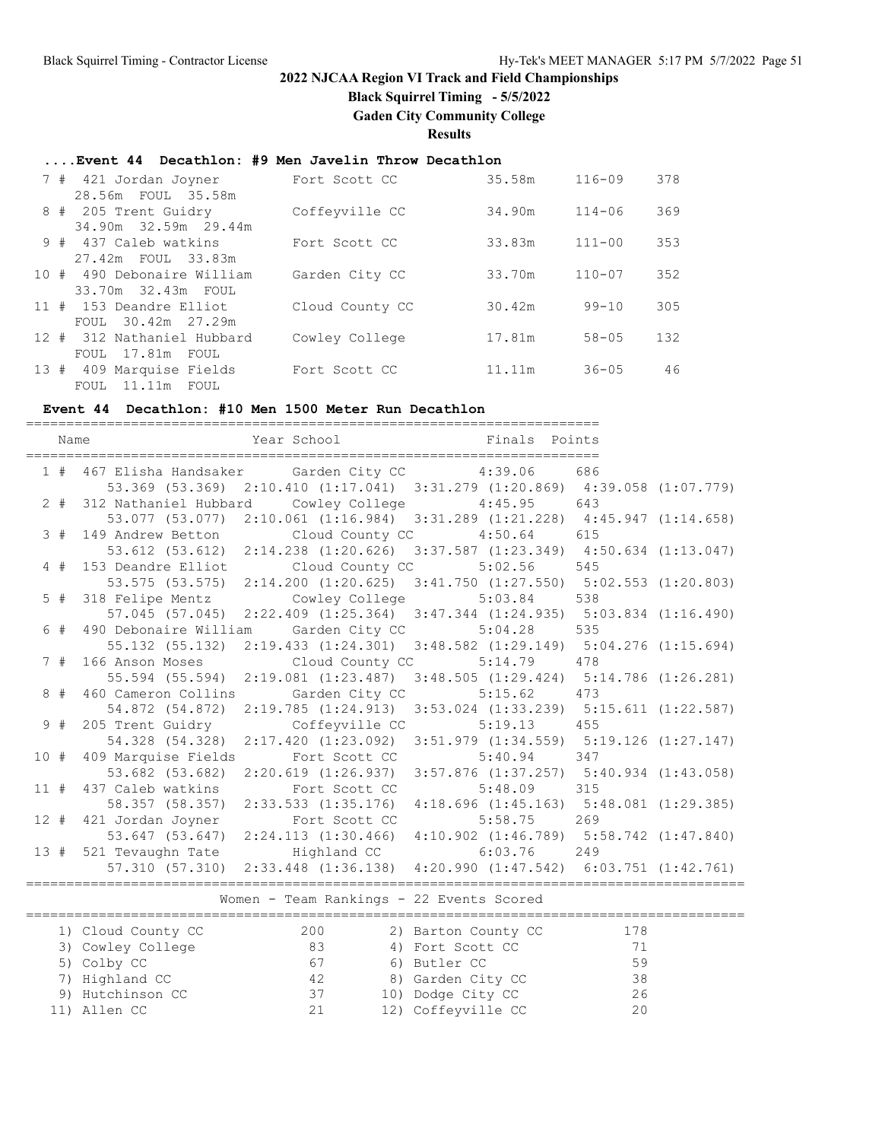**Black Squirrel Timing - 5/5/2022**

**Gaden City Community College**

**Results**

## **....Event 44 Decathlon: #9 Men Javelin Throw Decathlon**

|  | 7 # 421 Jordan Joyner<br>28.56m FOUL 35.58m                               | Fort Scott CC   | 35.58m | $116 - 09$ | 378 |
|--|---------------------------------------------------------------------------|-----------------|--------|------------|-----|
|  | 8 # 205 Trent Guidry                                                      | Coffeyville CC  | 34.90m | $114 - 06$ | 369 |
|  | 34.90m 32.59m 29.44m<br>9 # 437 Caleb watkins                             | Fort Scott CC   | 33.83m | $111 - 00$ | 353 |
|  | 27.42m FOUL 33.83m                                                        |                 |        |            |     |
|  | 10 # 490 Debonaire William<br>33.70m 32.43m FOUL                          | Garden City CC  | 33.70m | $110 - 07$ | 352 |
|  | 11 # 153 Deandre Elliot<br>FOUL 30.42m 27.29m                             | Cloud County CC | 30.42m | $99 - 10$  | 305 |
|  | 12 # 312 Nathaniel Hubbard                                                | Cowley College  | 17.81m | $58 - 05$  | 132 |
|  | FOUL 17.81m<br>FOUL<br>13 # 409 Marquise Fields<br>11.11m<br>FOUL<br>FOUL | Fort Scott CC   | 11.11m | $36 - 05$  | 46  |

#### **Event 44 Decathlon: #10 Men 1500 Meter Run Decathlon** =======================================================================

| Name  |                                                                                                                    | Year School                                                 |                             | Finals Points |     |  |
|-------|--------------------------------------------------------------------------------------------------------------------|-------------------------------------------------------------|-----------------------------|---------------|-----|--|
| 1#    | 467 Elisha Handsaker Garden City CC 4:39.06 686                                                                    |                                                             |                             |               |     |  |
|       | 53.369 (53.369) 2:10.410 (1:17.041) 3:31.279 (1:20.869) 4:39.058 (1:07.779)                                        |                                                             |                             |               |     |  |
| $2 +$ | 312 Nathaniel Hubbard Cowley College 4:45.95 643                                                                   |                                                             |                             |               |     |  |
| 3#    | 53.077 (53.077) 2:10.061 (1:16.984) 3:31.289 (1:21.228) 4:45.947 (1:14.658)                                        |                                                             |                             | $4:50.64$ 615 |     |  |
|       | 149 Andrew Betton<br>53.612 (53.612) 2:14.238 (1:20.626) 3:37.587 (1:23.349) 4:50.634 (1:13.047)                   |                                                             | Cloud County CC             |               |     |  |
| 4#    | 153 Deandre Elliot                                                                                                 |                                                             | Cloud County CC             | 5:02.56 545   |     |  |
|       | 53.575 (53.575) 2:14.200 (1:20.625) 3:41.750 (1:27.550) 5:02.553 (1:20.803)                                        |                                                             |                             |               |     |  |
| $5$ # | 318 Felipe Mentz                                                                                                   |                                                             | Cowley College              | 5:03.84 538   |     |  |
|       | 57.045 (57.045) 2:22.409 (1:25.364) 3:47.344 (1:24.935) 5:03.834 (1:16.490)                                        |                                                             |                             |               |     |  |
| 6 #   | 490 Debonaire William                                                                                              |                                                             | Garden City CC              | $5:04.28$ 535 |     |  |
|       | 55.132 (55.132) 2:19.433 (1:24.301) 3:48.582 (1:29.149) 5:04.276 (1:15.694)                                        |                                                             |                             |               |     |  |
| 7#    | 166 Anson Moses                                                                                                    |                                                             | Cloud County CC 5:14.79 478 |               |     |  |
|       | 55.594 (55.594) 2:19.081 (1:23.487) 3:48.505 (1:29.424) 5:14.786 (1:26.281)                                        |                                                             |                             |               |     |  |
| 8#    | 460 Cameron Collins                                                                                                |                                                             | Garden City CC              | $5:15.62$ 473 |     |  |
|       | 54.872 (54.872) 2:19.785 (1:24.913) 3:53.024 (1:33.239) 5:15.611 (1:22.587)                                        |                                                             |                             |               |     |  |
| 9#    | 205 Trent Guidry Coffeyville CC                                                                                    |                                                             |                             | $5:19.13$ 455 |     |  |
|       | 54.328 (54.328)                                                                                                    | 2:17.420 (1:23.092) 3:51.979 (1:34.559) 5:19.126 (1:27.147) |                             |               |     |  |
| 10#   | 409 Marquise Fields                                                                                                |                                                             | Fort Scott CC               | $5:40.94$ 347 |     |  |
|       | 53.682 (53.682)                                                                                                    | 2:20.619 (1:26.937) 3:57.876 (1:37.257) 5:40.934 (1:43.058) |                             |               |     |  |
| 11#   | 437 Caleb watkins Fort Scott CC                                                                                    |                                                             |                             | $5:48.09$ 315 |     |  |
|       | 58.357 (58.357) 2:33.533 (1:35.176) 4:18.696 (1:45.163) 5:48.081 (1:29.385)                                        |                                                             |                             |               |     |  |
| 12#   | 421 Jordan Joyner Fort Scott CC                                                                                    |                                                             |                             | 5:58.75 269   |     |  |
|       | 53.647 (53.647) 2:24.113 (1:30.466) 4:10.902 (1:46.789) 5:58.742 (1:47.840)                                        |                                                             |                             |               |     |  |
| 13#   | 521 Tevaughn Tate Highland CC 6:03.76 249                                                                          |                                                             |                             |               |     |  |
|       | 57.310 (57.310) 2:33.448 (1:36.138) 4:20.990 (1:47.542) 6:03.751 (1:42.761)                                        |                                                             |                             |               |     |  |
|       |                                                                                                                    | Women - Team Rankings - 22 Events Scored                    |                             |               |     |  |
|       |                                                                                                                    |                                                             |                             |               |     |  |
|       |                                                                                                                    |                                                             | 2) Barton County CC         |               | 178 |  |
|       | 1) Cloud County CC<br>3) Cowley College<br>5) Colby CC<br>7) Highland CC<br>9) Hutchinson CC<br>11) Allen CC<br>21 |                                                             | 4) Fort Scott CC            |               | 71  |  |
|       |                                                                                                                    |                                                             | 6) Butler CC                |               | 59  |  |
|       |                                                                                                                    |                                                             | 8) Garden City CC           |               | 38  |  |
|       |                                                                                                                    |                                                             | 10) Dodge City CC           |               | 26  |  |
|       | 11) Allen CC                                                                                                       |                                                             | 12) Coffeyville CC          |               | 20  |  |